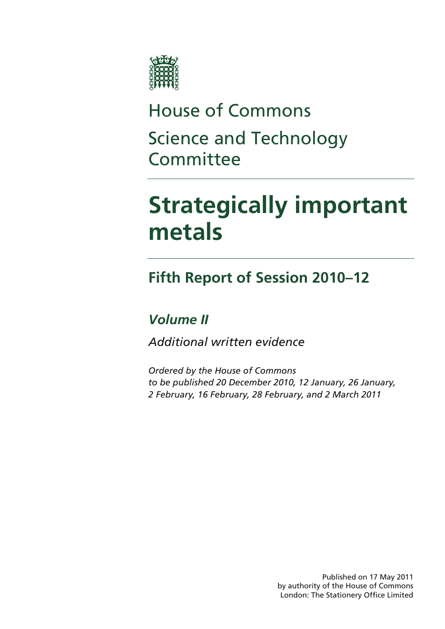

## House of Commons Science and Technology **Committee**

## **Strategically important metals**

## **Fifth Report of Session 2010–12**

## *Volume II*

*Additional written evidence* 

*Ordered by the House of Commons to be published 20 December 2010, 12 January, 26 January, 2 February, 16 February, 28 February, and 2 March 2011* 

> Published on 17 May 2011 by authority of the House of Commons London: The Stationery Office Limited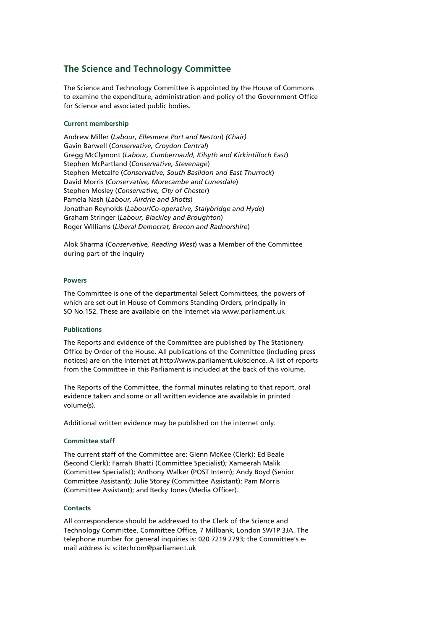## **The Science and Technology Committee**

The Science and Technology Committee is appointed by the House of Commons to examine the expenditure, administration and policy of the Government Office for Science and associated public bodies.

## **Current membership**

Andrew Miller (*Labour, Ellesmere Port and Neston*) *(Chair)* Gavin Barwell (*Conservative, Croydon Central*) Gregg McClymont (*Labour, Cumbernauld, Kilsyth and Kirkintilloch East*) Stephen McPartland (*Conservative, Stevenage*) Stephen Metcalfe (*Conservative, South Basildon and East Thurrock*) David Morris (*Conservative, Morecambe and Lunesdale*) Stephen Mosley (*Conservative, City of Chester*) Pamela Nash (*Labour, Airdrie and Shotts*) Jonathan Reynolds (*Labour/Co-operative, Stalybridge and Hyde*) Graham Stringer (*Labour, Blackley and Broughton*) Roger Williams (*Liberal Democrat, Brecon and Radnorshire*)

Alok Sharma (*Conservative, Reading West*) was a Member of the Committee during part of the inquiry

## **Powers**

The Committee is one of the departmental Select Committees, the powers of which are set out in House of Commons Standing Orders, principally in SO No.152. These are available on the Internet via www.parliament.uk

## **Publications**

The Reports and evidence of the Committee are published by The Stationery Office by Order of the House. All publications of the Committee (including press notices) are on the Internet at http://www.parliament.uk/science. A list of reports from the Committee in this Parliament is included at the back of this volume.

The Reports of the Committee, the formal minutes relating to that report, oral evidence taken and some or all written evidence are available in printed volume(s).

Additional written evidence may be published on the internet only.

## **Committee staff**

The current staff of the Committee are: Glenn McKee (Clerk); Ed Beale (Second Clerk); Farrah Bhatti (Committee Specialist); Xameerah Malik (Committee Specialist); Anthony Walker (POST Intern); Andy Boyd (Senior Committee Assistant); Julie Storey (Committee Assistant); Pam Morris (Committee Assistant); and Becky Jones (Media Officer).

## **Contacts**

All correspondence should be addressed to the Clerk of the Science and Technology Committee, Committee Office, 7 Millbank, London SW1P 3JA. The telephone number for general inquiries is: 020 7219 2793; the Committee's email address is: scitechcom@parliament.uk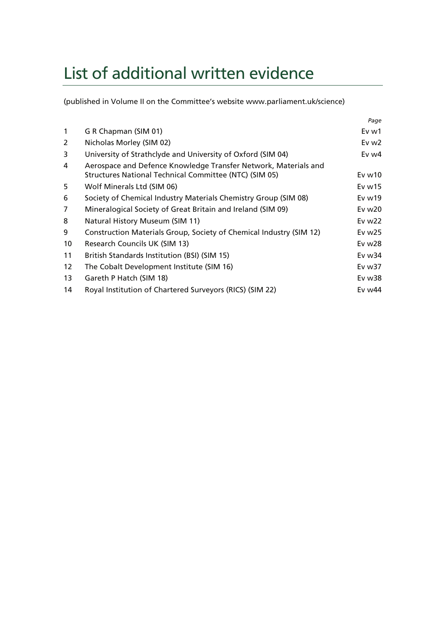## List of additional written evidence

(published in Volume II on the Committee's website www.parliament.uk/science)

|                   |                                                                                                                           | Page             |
|-------------------|---------------------------------------------------------------------------------------------------------------------------|------------------|
| $\mathbf{1}$      | G R Chapman (SIM 01)                                                                                                      | Ev <sub>w1</sub> |
| 2                 | Nicholas Morley (SIM 02)                                                                                                  | Ev $w2$          |
| 3                 | University of Strathclyde and University of Oxford (SIM 04)                                                               | Ev w4            |
| 4                 | Aerospace and Defence Knowledge Transfer Network, Materials and<br>Structures National Technical Committee (NTC) (SIM 05) | Evw10            |
| 5                 | Wolf Minerals Ltd (SIM 06)                                                                                                | Ev $w15$         |
| 6                 | Society of Chemical Industry Materials Chemistry Group (SIM 08)                                                           | Ev $w19$         |
| 7                 | Mineralogical Society of Great Britain and Ireland (SIM 09)                                                               | Ev w20           |
| 8                 | Natural History Museum (SIM 11)                                                                                           | Ev $w22$         |
| 9                 | Construction Materials Group, Society of Chemical Industry (SIM 12)                                                       | Ev $w25$         |
| 10                | Research Councils UK (SIM 13)                                                                                             | Ev w28           |
| 11                | British Standards Institution (BSI) (SIM 15)                                                                              | Ev w34           |
| $12 \overline{ }$ | The Cobalt Development Institute (SIM 16)                                                                                 | Ev $w37$         |
| 13                | Gareth P Hatch (SIM 18)                                                                                                   | Ev w38           |
| 14                | Royal Institution of Chartered Surveyors (RICS) (SIM 22)                                                                  | Ev w44           |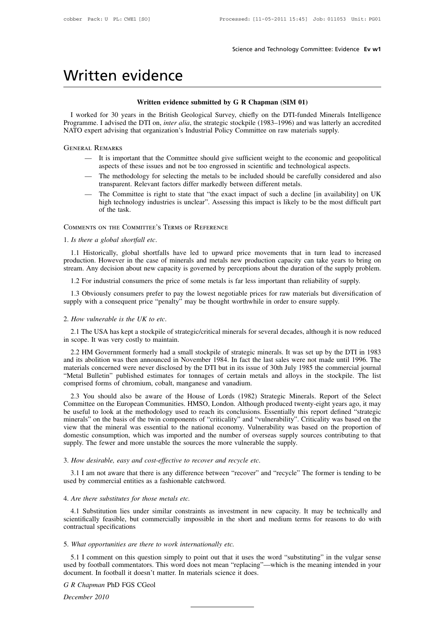# Science a<br>Written evidence<br>Written evidence submitted by G R Ch

Science and Technology Committee: Evidence Ev w1<br> **Written evidence**<br>
Written evidence submitted by G R Chapman (SIM 01)<br>
I worked for 30 years in the British Geological Survey, chiefly on the DTI-funded Minerals Intellige Vritten evidence<br>
Written evidence submitted by G R Chapman (SIM 01)<br>
I worked for 30 years in the British Geological Survey, chiefly on the DTI-funded Minerals Intelligence<br>
ogramme. I advised the DTI on, *inter alia*, th **Programme. I advised the DTI on,** *inter alia***, the strategic stockpile (1983–1996) and was latterly an accredited NATO expert advising that organization's Industrial Policy Committee on raw materials supply.** Written evidence submitted by G R Chapman (SIM 01)<br>
I worked for 30 years in the British Geological Survey, chiefly on the DTI-funded Minerals Int<br>
Programme. I advised the DTI on, *inter alia*, the strategic stockpile (19 Freed for 30 years in the British Geological Survey, chiefly on the DTI-funded Minerals Intelligence<br>nme. I advised the DTI on, *inter alia*, the strategic stockpile (1983–1996) and was latterly an accredited<br>expert advisi For 30 years in the British Geological Survey, chiely on the DT1-funded Minerals Intelligered I advised the DTI on, *inter alia*, the strategic stockpile (1983–1996) and was latterly an accretive and aspects of these issue

- 
- expert advising that organization's Industrial Policy Committee on raw materials supply.<br>
AL REMARKS<br>
 It is important that the Committee should give sufficient weight to the economic and geopolitical<br>
aspects of these is NATO expert advising that organization's Industrial Policy Committee on raw materials supply.<br>
GENERAL REMARKS<br>
— It is important that the Committee should give sufficient weight to the economic and geopolitical<br>
aspects o
- AL REMARKS<br>
 It is important that the Committee should give sufficient weight to the economic and geopolitical<br>
aspects of these issues and not be too engrossed in scientific and technological aspects.<br>
 The methodology It is important that the Committee should give sufficient weight to the economic and geopolitical aspects of these issues and not be too engrossed in scientific and technological aspects.<br>The methodology for selecting the It is important the<br>aspects of these<br>The methodology<br>transparent. Rele<br>high technology<br>of the task.<br>ON THE COMMITI - It is important that the Committee should give surficient<br>aspects of these issues and not be too engrossed in scien<br>- The methodology for selecting the metals to be include<br>transparent. Relevant factors differ markedly b

The Committee is right to state that "the exact impact of such a decline [in availability] on UK<br>
high technology industries is unclear". Assessing this impact is likely to be the most difficult part<br>
of the task.<br>
COMMENT FROMMENTS ON THE COMMITTEE'S TERMS OF REFERENCE<br>
1. Is there a global shortfall etc.<br>
1.1 Historically, global shortfalls have led to upward price movements that in turn lead to increased<br>
production. However in the case o COMMENTS ON THE COMMITTEE'S TERMS OF REFERENCE<br>
1. Is there a global shortfall etc.<br>
1.1 Historically, global shortfalls have led to upward price movements that in turn lead to increased<br>
production. However in the case of COMMENTS ON THE COMMITTEE'S TERMS OF REFERENCE<br>
1. Is there a global shortfall etc.<br>
1.1 Historically, global shortfalls have led to upward price movements that in turn lead to increased<br>
production. However in the case of 1.1 Historically, global shortfalls have led to upward price movements that in turn lead to increased oduction. However in the case of minerals and metals new production capacity can take years to bring on eam. Any decisio

stream. Any decision about new capacity is governed by perceptions about the duration of the supply problem.<br>1.2 For industrial consumers the price of some metals is far less important than reliability of supply.<br>1.3 Obvio

2. For industrial consumers the price of some metals is far less important than reliability of supply.<br>
1.2 For industrial consumers prefer to pay the lowest negotiable prices for raw materials but diversification of<br>
supp 1.3 Obviously consumers prefer to pay the<br>supply with a consequent price "penalty" may<br>2. How vulnerable is the UK to etc.<br>2.1 The USA has kept a stockpile of strategi<br>in scope. It was very costly to maintain.<br>2.2 HM Gover

may be thought worthwhile in order to ensure supply.<br> *How vulnerable is the UK to etc*.<br>
2.1 The USA has kept a stockpile of strategic/critical minerals for several decades, although it is now reduced<br>
scope. It was very 2. How vulnerable is the UK to etc.<br>
2.1 The USA has kept a stockpile of strategic/critical minerals for several decades, although it is now reduced<br>
in scope. It was very costly to maintain.<br>
2.2 HM Government formerly ha A How vulnerable is the UK to etc.<br>
2.1 The USA has kept a stockpile of strategic/critical minerals for several decades, although it is now reduced<br>
in scope. It was very costly to maintain.<br>
2.2 HM Government formerly had 2.1 The USA has kept a stockpile of strategic/critical minerals for several decades, although it is now reduced<br>
in scope. It was very costly to maintain.<br>
2.2 HM Government formerly had a small stockpile of strategic mine 2.1 The USA has kept a stockpile of strategic/critical minerals for several decades, although it is now reduced<br>in scope. It was very costly to maintain.<br>2.2 HM Government formerly had a small stockpile of strategic minera 2.2 HM Government formerly had a small stockpile of strategic minerals. It was set up by the DTI in 1983<br>d its abolition was then announced in November 1984. In fact the last sales were not made until 1996. The<br>taterials c 2.2 Thy Oovernment formerly had a small stockplue of strategic infinerals. It was set up by the DTI in 1965 and its abolition was then announced in November 1984. In fact the last sales were not made until 1996. The materi

and its abontion was then amounced in November 1964. In fact the fast safes were not made until 1990. The<br>materials concerned were never disclosed by the DTI but in its issue of 30th July 1985 the commercial journal<br>"Metal macrials concerned were never discrosed by the DTT out in its issue of 5001 July 1985 the commetetar journal<br>
"Metal Bulletin" published estimates for tomages of certain metals and alloys in the stockpile. The list<br>
compri vietal Bulletin published estimates for domages of certain metals and anoys in the stockpile. The list<br>comprised forms of chromium, cobalt, manganese and vanadium.<br>2.3 You should also be aware of the House of Lords (1982) Compised forms of chromium, cobat, manganese and vanadium.<br>
2.3 You should also be aware of the House of Lords (1982) Strategic Minerals. Report of the Select<br>
Committee on the European Communities. HMSO, London. Although 2.3 You should also be aware of the House of Lords (1982) Strategic Minerals<br>Committee on the European Communities. HMSO, London. Although produced twenty<br>be useful to look at the methodology used to reach its conclusions. be useful to look at the methodology used to reach its conclusions. Essentially this report defined "strategic minerals" on the basis of the twin components of "criticality" and "vulnerability". Criticality was based on th view that the mineral was essential to the national economy. Vulnerability was based on the proportion of domestic consumption, which was imported and the number of overseas supply sources contributing to that supply. The

4. *Are there substitutes for those metals etc.*<br>4. *Are there substitutes for those metals etc.*<br>4. *Are there substitutes for those metals etc.*<br>4. *Are there substitutes for those metals etc.*<br>4. *Are there substitutes* 

How desirable, easy and cost-effective to recover and recycle etc.<br>
3.1 I am not aware that there is any difference between "recover" and "recycle" The former is tending to be<br>
ed by commercial entities as a fashionable ca 3.1 I am not aware that there is any difference between "recover" and "recycle" The former is tending to be used by commercial entities as a fashionable catchword.<br>4. Are there substitutes for those metals etc.<br>4.1 Substit scientifically feasible, but commercially impossible in the short and medium terms for reasons to do with contractual specifications<br>5. What opportunities are there to work internationally etc. 4.1 Substitution lies under similar constraints as investment in new capacity. It may be technically and<br>ientifically feasible, but commercially impossible in the short and medium terms for reasons to do with<br>intractual sp

5.1 I comment on this question simply to point out that it uses the word "substituting" in the vulgar sense scientifically feasible, but commercially impossible in the short and medium terms for reasons to do with<br>contractual specifications<br>5. What opportunities are there to work internationally etc.<br>5.1 I comment on this questi contractual specifications<br>5. What opportunities are there to work internationally etc.<br>5.1 I comment on this question simply to point out that it uses the word<br>used by football commentators. This word does not mean "repla 5. *What opportunities are there to wor*<br>5.1 I comment on this question sim<br>used by football commentators. This v<br>document. In football it doesn't matter<br>*G R Chapman PhD FGS CGeol*<br>*December 2010 December 10*<br> *December 2010*<br> *December 2010*<br> *December 2010*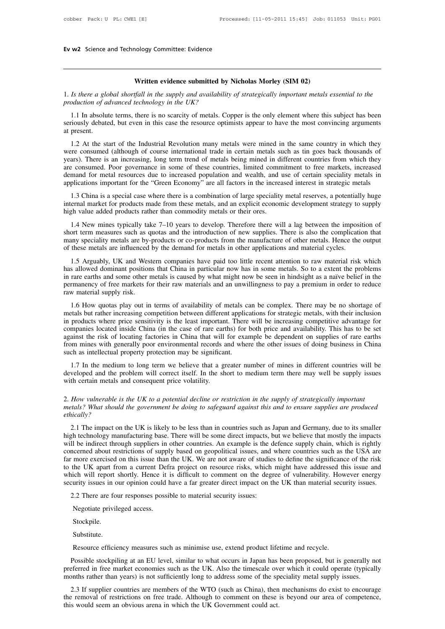**Written evidence submitted by Nicholas Morley (SIM 02)**<br>**Written evidence submitted by Nicholas Morley (SIM 02)**<br>*tfall in the supply and availability of strategically important metals e* 1. *Is there a global shortfall in the supply and availability of strategically important metals essential to the*<br>1. *Is there a global shortfall in the supply and availability of strategically important metals essential production of advanced technology committee. Evidence*<br>*production of advanced technology in the UK?*<br>1.1 In absolute terms, there is no scarcity of metals. Co

**1.1** In absolute terms, there is no scarcity of metals. Copper is the only element where this subject has been in absolute terms, there is no scarcity of metals. Copper is the only element where this subject has been riou **Seriously debated, but the resource submitted by Nicholas Morley (SIM 02)**<br>1. Is there a global shortfall in the supply and availability of strategically important metals essential to the<br>production of advanced technology 1. Is there a glo<br>production of a<br>1.1 In absolut<br>seriously debate<br>at present.<br>1.2 At the st.

Is there a global shortfall in the supply and availability of strategically important metals essential to the<br>oduction of advanced technology in the UK?<br>1.1 In absolute terms, there is no scarcity of metals. Copper is the production of advanced technology in the UK?<br>
1.1 In absolute terms, there is no scarcity of metals. Copper is the only element where this subject has been<br>
seriously debated, but even in this case the resource optimists a 1.1 In absolute terms, there is no scarcity of metals. Copper is the only element where this subject has been<br>seriously debated, but even in this case the resource optimists appear to have the most convincing arguments<br>at are consumed. Both is the state is no scale ty of metals. Copper is the only element where dis stock seriously debated, but even in this case the resource optimists appear to have the most convincing arguments at present.<br> at present.<br>
1.2 At the start of the Industrial Revolution many metals were mined in the same country in which they<br>
were consumed (although of course international trade in certain metals such as tin goes back thousands o 1.2 At the start of the Industrial Revolution many metals were mined in the same country in which they were consumed (although of course international trade in certain metals such as tin goes back thousands of years). Ther 1.2 At the start of the matistrian Revolution many inclusion were inited in the stant country in which they are consumed. (although of course international trade in certain metals such as tin goes back thousands of ars). T were consumed (annotgir or course international trade in ecrtain inctains such as an goes back thousands of years). There is an increasing, long term trend of metals being mined in different countries from which they are c years). There is an increasing, long term tiend of inclusioning initied in the are consumed. Poor governance in some of these countries, limited commodemand for metal resources due to increased population and wealth, and a

mand for metal resources due to increased population and wealth, and use of certain speciality metals in<br>plications important for the "Green Economy" are all factors in the increased interest in strategic metals<br>1.3 China

applications important for the "Green Economy" are all factors in the increased interest in strategic metals<br>
1.3 China is a special case where there is a combination of large speciality metal reserves, a potentially huge<br> 1.3 China is a special case where there is a combination of large speciality metal reserves, a potentially huge<br>internal market for products made from these metals, and an explicit economic development strategy to supply<br>h Formal market for products made from these metals, and an explicit economic development strategy to high value added products rather than commodity metals or their ores.<br>
1.4 New mines typically take 7–10 years to develop. 2.4 Show while added products rather than commodity metals or their ores.<br>
1.4 New mines typically take 7–10 years to develop. Therefore there will a lag between the imposition of<br>
1.4 New mines typically take 7–10 years t

1.4 New mines typically take 7–10 years to develop. Therefore there will a lag between the imposition of short term measures such as quotas and the introduction of new supplies. There is also the complication that many spe I.4 New finites typically take 7-10 years to develop. Included the will a lag between the imposition of short term measures such as quotas and the introduction of new supplies. There is also the complication that many spec short cent measures such as quotas and the infoduction of ficw supplies. There is also the completation that<br>many speciality metals are by-products or co-products from the manufacture of other metals. Hence the output<br>of t ram and specially metals are by-<br>of these metals are influenced<br>1.5 Arguably, UK and Wes<br>has allowed dominant position<br>in rare earths and some other r<br>permanency of free markets for<br>aw material supply risk.<br>1.6 How quotas 1.5 Arguably, UK and Western companies have paid too little recent attention to raw material risk which<br>s allowed dominant positions that China in particular now has in some metals. So to a extent the problems<br>rare earths metals but rather increasing competition between different applications for strategic metals. So to a extent the problems in rare earths and some other metals is caused by what might now be seen in hindsight as a naïve bel

in a mean of the meaning positions that china in pattectual flow has in some inclusions. So to a extent the problems<br>in rare earths and some other metals is caused by what might now be seen in hindsight as a naïve belief i In the cartus and some other metals is caused by what might now be seen in imasignt as a nave better in the permanency of free markets for their raw materials and an unwillingness to pay a premium in order to reduce raw ma permantery of rice markets for their raw materials and an diwiningness to pay a premium in order to reduce<br>raw material supply risk.<br>1.6 How quotas play out in terms of availability of metals can be complex. There may be n From mines with generally poor environmental records and where the other issues of the other inclusion in products where price sensitivity is the least important. There will be increasing competitive advantage for companie 1.6 How quotas play out in terms of availability of metals cometals but rather increasing competition between different applician products where price sensitivity is the least important. There companies located inside Chin Fronties where price sensitivity is the least important. There will be increasing competitive advantage for mpanies located inside China (in the case of rare earths) for both price and availability. This has to be set ains In products where prece sensitivity is the least important. There will be increasing competitive advantage for<br>companies located inside China (in the case of rare earths) for both price and availability. This has to be set Example 18 and the risk of locating factories in China that will<br>from mines with generally poor environmental records a<br>such as intellectual property protection may be significantly<br>as such as intellectual property protec

2. It is intellectual property protection may be significant.<br>
1.7 In the medium to long term we believe that a greater number of mines in different countries will be<br>
developed and the problem will correct itself. In the *metals?* What should the government be doing to safeguard against this and to ensure supply issues with certain metals and consequent price volatility.<br>2. How vulnerable is the UK to a potential decline or restriction in

## *ethically?*

2.1 The impact on the UK is likely to be less than in countries such as Japan and Germany, due to its smaller that is? What should the government be doing to safeguard against this and to ensure supplies are produced incal 2. How vulnerable is the UK to a potential decline or restriction in the supply of strategically important metals? What should the government be doing to safeguard against this and to ensure supplies are produced ethically 2. How vulnerable is the UK to a potential decline or restriction in the supply of strategically important metals? What should the government be doing to safeguard against this and to ensure supplies are produced ethically Entrictions of supply of structure in the supply of structure in potentials? What should the government be doing to safeguard against this and to ensure supplies are produced ethically?<br>
2.1 The impact on the UK is likely *ethically?*<br>
2.1 The impact on the UK is likely to be less than in countries such as Japan and Germany, due to its smaller<br>
high technology manufacturing base. There will be some direct impacts, but we believe that mostly emically:<br>
2.1 The impact on the UK is likely to be less than in countries such as Japan and Germany, due to its smaller<br>
high technology manufacturing base. There will be some direct impacts, but we believe that mostly th 2.1 The impact on the UK is likely to be less than in countries such as Japan and Germany, due to its smaller high technology manufacturing base. There will be some direct impacts, but we believe that mostly the impacts w high technology manufacturing base. There will be some direct impacts, but we believe that mostly the impacts will be indirect through suppliers in other countries. An example is the defence supply chain, which is rightly If we manted unough supplies in other countries. An example is the d<br>neerned about restrictions of supply based on geopolitical issues, and<br>response to material security issues than the UK. We are not aware of studies<br>the more exercised on this issue than<br>the UK apart from a current Def<br>ich will report shortly. Hence it<br>urity issues in our opinion could l<br>2.2 There are four responses possi<br>Negotiate privileged access.<br>Stockpile.

Stockpile.

Substitute.

Resource efficiency measures such as minimise use, extend product lifetime and recycle.<br>Resource efficiency measures such as minimise use, extend product lifetime and recycle.<br>Possible stockpiling at an EU level, similar t Possible stockpiling at an EU level, similar to what occurs in Japan has been proposed, but is generally not<br>Possible stockpiling at an EU level, similar to what occurs in Japan has been proposed, but is generally not<br>efer Stockpile.<br>
Resource efficiency measures such as minimise use, extend product lifetime and recycle.<br>
Possible stockpiling at an EU level, similar to what occurs in Japan has been proposed, but is generally not<br>
preferred i Resource efficiency measures such as minimise use, extend product lifetime and recycle.<br>
Possible stockpiling at an EU level, similar to what occurs in Japan has been proposed, but is generally not<br>
preferred in free marke Resource efficiency measures such as minimise use, extend product lifetime and recycle.<br>Possible stockpiling at an EU level, similar to what occurs in Japan has been proposed, but is generally not<br>eferred in free market ec Resource efficiency measures such as minimise use, extend product lifetime and recycle.<br>
Possible stockpiling at an EU level, similar to what occurs in Japan has been proposed, but is generally not<br>
preferred in free marke

months rather than years) is not sufficiently long to address some of the speciality metal supply issues.<br>2.3 If supplier countries are members of the WTO (such as China), then mechanisms do exist to ence the removal of re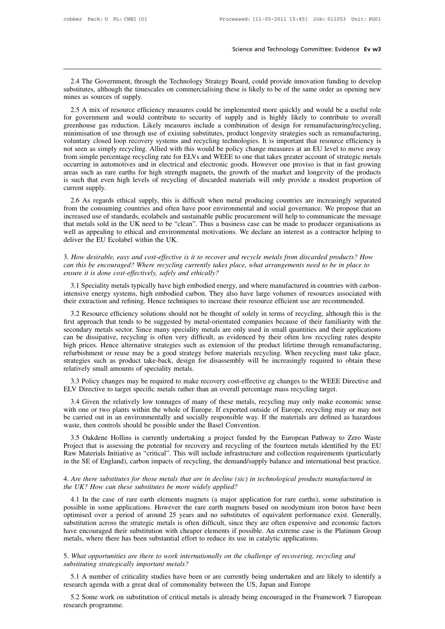Science and Technology Committee: Evidence Ev w3<br>2.4 The Government, through the Technology Strategy Board, could provide innovation funding to develop<br>bstitutes, although the timescales on commercialising these is likely Science and Technology Committee: Evidence Ev w3<br>2.4 The Government, through the Technology Strategy Board, could provide innovation funding to develop<br>substitutes, although the timescales on commercialising these is likel 2.4 The Government, through the Technology Strategy Board, could provide innovation funding to develop<br>substitutes, although the timescales on commercialising these is likely to be of the same order as opening new<br>mines as 2.4 The Government, through the Technology Strategy Board, could provide innovation funding to develop<br>bstitutes, although the timescales on commercialising these is likely to be of the same order as opening new<br>nes as sou

2.4 The Government, through the Technology Strategy Board, could provide innovation funding to develop<br>substitutes, although the timescales on commercialising these is likely to be of the same order as opening new<br>mines as 2.4 The Government, through the Technology Strategy Board, could provide innovation funding to develop<br>substitutes, although the timescales on commercialising these is likely to be of the same order as opening new<br>mines as 2.4 The Government, unough the rechnology strategy Board, could provide inhovation runding to develop<br>substitutes, although the timescales on commercialising these is likely to be of the same order as opening new<br>mines as substitutes, attitudes and commercialising these is likely to be or the same ofter as opening new<br>mines as sources of supply.<br>2.5 A mix of resource efficiency measures could be implemented more quickly and would be a usefu 2.5 A mix of resource efficiency measures could be implemented more quickly and would be a useful role<br>for government and would contribute to security of supply and is highly likely to contribute to overall<br>greenhouse gas greenhouse gas reduction. Likely measures include a combination of design for remanufacturing/recycling, minimisation of use through use of existing substitutes, product longevity strategies such as remanufacturing, volunt for government and would contribute to security of supply and is highly likely to contribute to overall greenhouse gas reduction. Likely measures include a combination of design for remanufacturing/recycling, minimisation greenhouse gas reduction. Likely measures include a combination of design for remanufacturing/recycling, minimisation of use through use of existing substitutes, product longevity strategies such as remanufacturing, volunt minimisation of use through use of existing substitutes, product longevity strategies such as remanufacturing, voluntary closed loop recovery systems and recycling technologies. It is important that resource efficiency is voluntary closed loot<br>not seen as simply r<br>from simple percenta<br>occurring in automo<br>areas such as rare e<br>is such that even hi<br>current supply.<br>2.6 As regards et 2.6 As regards ethical supply, this is difficult when metal producing countries are increasingly separated curring in automotives and in electrical and electronic goods. However one proviso is that in fast growing eas such From simple percentage recycling rate for ELVs and WEEE to one that takes greater account of strategic metals<br>occurring in automotives and in electrical and electronic goods. However one proviso is that in fast growing<br>are

occuring in automotives and in electrical and electrome goods. However one proviso is that in fast growing<br>areas such as rare earths for high strength magnets, the growth of the market and longevity of the products<br>is such areas such as fare earths for high strength magnets, the growth of the market and folgevity of the products<br>is such that even high levels of recycling of discarded materials will only provide a modest proportion of<br>current is such that even ingn levels of lecycling of ulscalued materials will only provide a modest proportion of current supply.<br>
2.6 As regards ethical supply, this is difficult when metal producing countries are increasingly s 2.6 As regards ethical supply, this is difficient supply.<br>
2.6 As regards ethical supply, this is difficult<br>
from the consuming countries and often have<br>
increased use of standards, ecolabels and sustaint<br>
that metals sold from the consuming countries and often have poor environmental and social governance. We propose that an increased use of standards, ecolabels and sustainable public procurement will help to communicate the message that me increased use of standards, ecolabels and sustainable public procurement will help to communicate the message<br>that metals sold in the UK need to be "clean". Thus a business case can be made to producer organisations as<br>wel

## In a suppealing to ethical and environmental motivations. We declare an interest as a contractor helping to deliver the EU Ecolabel within the UK.<br>
3. How desirable, easy and cost-effective is it to recover and recycle met

3.1 Speciality metals typically have high embodied energy, and where manufactured as a contact metally *How* desirable, easy and cost-effective is it to recover and recycle metals from discarded products? How in this be en 3. How desirable, easy and cost-effective is it to recover and recycle metals from discarded products? How can this be encouraged? Where recycling currently takes place, what arrangements need to be in place to ensure it i Their extraction and refining. How desirable, easy and cost-effective is it to recover and recycle metals from discarded products? How can this be encouraged? Where recycling currently takes place, what arrangements need t

3.2 Resource efficiency solutions should not be thought of solely in terms of recycling, although this is the first approach that tends to be suggested by metal-orientated companies because of their familiarity with the se First approach that tends typically and ethically?<br>
3.1 Speciality metals typically have high embodied energy, and where manufactured in countries with carbon-<br>
intensive energy systems, high embodied carbon. They also hav 3.1 Speciality metals typically have high embodied energy, and where manufactured in countries with carbon-<br>intensive energy systems, high embodied carbon. They also have large volumes of resources associated with<br>their ex 3.1 speciality inetals typically have high embodied elergy, and where manufactured in countries with carbon-<br>intensive energy systems, high embodied carbon. They also have large volumes of resources associated with<br>their e mensive energy systems, mgn emoduled carbon. They also have large volumes of resources associated with<br>their extraction and refining. Hence techniques to increase their resource efficient use are recommended.<br>3.2 Resource The further extraction and reming. Trence techniques to increase their resource erricrent use are recommended.<br>
3.2 Resource efficiency solutions should not be thought of solely in terms of recycling, although this is the<br> 3.2 Resource efficiency solutions should not be thought of solely in terms of recycling, although this is the first approach that tends to be suggested by metal-orientated companies because of their familiarity with the se first approach that tends to be suggested by metal<br>secondary metals sector. Since many speciality me<br>can be dissipative, recycling is often very difficu<br>high prices. Hence alternative strategies such as e<br>refurbishment or 3.3 Policy changes may be required to make recovery cost-effective eg changes recycling tartes and the applications in be dissipative, recycling is often very difficult, as evidenced by their often low recycling rates desp ELV Directive to target specific metals rather than an overall percentage may only make economic interactively small amounts of speciality metals.<br>
3.3 Policy changes may be required to make recovery cost-effective eg chan Furbishment or reuse may be a good strategy before materials recycling. When recycling must take place, ategies such as product take-back, design for disassembly will be increasingly required to obtain these atively small

strategies such as product take-back, design for disassembly will be increasingly required to obtain these<br>relatively small amounts of speciality metals.<br>3.3 Policy changes may be required to make recovery cost-effective e relatively small amounts of speciality metals.<br>
3.3 Policy changes may be required to make recovery cost-effective eg changes to the WEEE Directive and<br>
ELV Directive to target specific metals rather than an overall percen 3.3 Policy changes may be required to make recovery cost-effective eg ELV Directive to target specific metals rather than an overall percentage r 3.4 Given the relatively low tonnages of many of these metals, recycl with o V Directive to target specific metals rather than an overall percentage mass recycling target.<br>
3.4 Given the relatively low tonnages of many of these metals, recycling may only make economic sense<br>
th one or two plants wi

3.4 Given the relatively low tonnages of many of these metals, recycling may only make economic sense<br>with one or two plants within the whole of Europe. If exported outside of Europe, recycling may or may not<br>be carried ou 3.4 Given the relatively low tollages of many of these inetais, recycling may omy make economic sense<br>with one or two plants within the whole of Europe. If exported outside of Europe, recycling may or may not<br>be carried ou in the search out in an environmentally and socially responsible way. If the materials are defined as hazardous waste, then controls should be possible under the Basel Convention.<br>
3.5 Oakdene Hollins is currently undertak 4. Are there substitutes for those metals that are in decline substitute and collection requirements (particularly and the BU Raw Materials Initiative as "critical". This will include infrastructure and collection requirem 3.5 Oakdene Hollins is currently undertaking a project funded by Project that is assessing the potential for recovery and recycling of the Raw Materials Initiative as "critical". This will include infrastructure are in the

w Materials Initiative as "critical". This will include infrastructure and collection requirements (particularly<br>the SE of England), carbon impacts of recycling, the demand/supply balance and international best practice.<br>A in the SE of England), carbon impacts of recycling, the demand/supply balance and international best practice.<br>
4. Are there substitutes for those metals that are in decline (sic) in technological products manufactured in<br> optimized over a period of around 25 years and no substitutes of equivalent performance and the UK? How can these substitutes be more widely applied?<br>
4.1 In the case of rare earth elements magnets (a major application for 4. Are there substitutes for those metals that are in decline (sic) in technological products manufactured in<br>the UK? How can these substitutes be more widely applied?<br>4.1 In the case of rare earth elements magnets (a majo A structure encouraged their substitutes be more widely applied?<br>
A 1 In the case of rare earth elements magnets (a major application for rare earths), some substitution is<br>
possible in some applications. However the rare metally the case of rare earth elements magnets (a major application for rare earths), som<br>possible in some applications. However the rare earth magnets based on neodymium iron b<br>optimised over a period of around 25 years possible in some applications. However the rare earth magnets based on neodymium iron boron have been<br>optimised over a period of around 25 years and no substitutes of equivalent performance exist. Generally,<br>substitution a optimised over a period of around 25 years and no<br>substitution across the strategic metals is often difficu<br>have encouraged their substitution with cheaper elementals, where there has been substantial effort to redue<br>5. Wh The encouraged their substitution with cheaper elements if possible. An extreme case is the Platinum Group<br>tals, where there has been substantial effort to reduce its use in catalytic applications.<br>What opportunities are t Frame encouraged their substitution with cheaper elements if possible. An extreme case is the Platinum Group<br>metals, where there has been substantial effort to reduce its use in catalytic applications.<br>5. What opportunitie

research agenda with a great deal of commonality between the US, Japan and Europe

What opportunities are there to work internationally on the challenge of recovering, recycling and<br>bstituting strategically important metals?<br>5.1 A number of criticality studies have been or are currently being undertaken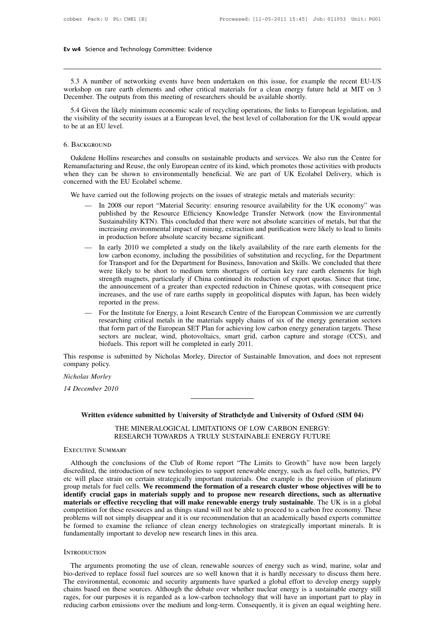we state of networking events have been undertaken on this issue, for example the recent EU-US<br>5.3 A number of networking events have been undertaken on this issue, for example the recent EU-US<br>prkshop on rare earth elemen Ev w4 Science and Technology Committee: Evidence<br>
5.3 A number of networking events have been undertaken on this issue, for example the recent EU-US<br>
workshop on rare earth elements and other critical materials for a clean Ev w4 Science and Technology Committee: Evidence<br>
5.3 A number of networking events have been undertaken on this issue, for example<br>
workshop on rare earth elements and other critical materials for a clean energy future<br>
D

5.3 A number of networking events have been undertaken on this issue, for example the recent EU-US orkshop on rare earth elements and other critical materials for a clean energy future held at MIT on 3 cember. The outputs 5.3 A number of networking events have been undertaken on this issue, for example the recent EU-US workshop on rare earth elements and other critical materials for a clean energy future held at MIT on 3 December. The outpu 5.3 A number of networkshop on rare earth e<br>December. The outputs from<br>5.4 Given the likely mir<br>the visibility of the security<br>to be at an EU level. S.4 Given the likely minimum economic scale of recycling operations, the links to European legislation, and<br>e visibility of the security issues at a European level, the best level of collaboration for the UK would appear<br>b

## 6. Background

The visibility of the security issues at a European level, the best level of collaboration for the UK would appear<br>to be at an EU level.<br>6. BACKGROUND<br>Cakdene Hollins researches and consults on sustainable products and ser When the shown to environmentally solved and services. We also run the Centre for<br>Cakdene Hollins researches and consults on sustainable products and services. We also run the Centre for<br>Remanufacturing and Reuse, the only 6. BACKGROUND<br>
Cakdene Hollins researches and consults on<br>
Remanufacturing and Reuse, the only European<br>
when they can be shown to environmentally<br>
concerned with the EU Ecolabel scheme.<br>
We have carried out the following BACKGROUND<br>
Oakdene Hollins researches and consults on sustainable products and services. We also run the Centre<br>
manufacturing and Reuse, the only European centre of its kind, which promotes those activities with produ<br>
e lene Hollins researches and consults on sustainable products and services. We also run the Centre for unfacturing and Reuse, the only European centre of its kind, which promotes those activities with products they can be s

- uring and Reuse, the only European centre of its kind, which promotes those activities with products<br>can be shown to environmentally beneficial. We are part of UK Ecolabel Delivery, which is<br>ith the EU Ecolabel scheme.<br>arr can be shown to environmentally beneficial. We are part of UK Ecolabel Delivery, which is<br>vith the EU Ecolabel scheme.<br>Carried out the following projects on the issues of strategic metals and materials security:<br>In 2008 ou increasing environmental impacts on the issues of strategic metals and materials security:<br>
In 2008 our report "Material Security: ensuring resource availability for the UK economy" was<br>
published by the Resource Efficienc We have carried out the following projects on the issues of strategic metals and materials security:<br>
— In 2008 our report "Material Security: ensuring resource availability for the UK economy" was<br>
published by the Resour In 2008 our report "Material Security: ensuring resource availability for the UK economy" was published by the Resource Efficiency Knowledge Transfer Network (now the Environmental Sustainability KTN). This concluded that In 2008 our report "Material Security: ensuring resource availability for the UK economy" was<br>published by the Resource Efficiency Knowledge Transfer Network (now the Environmental<br>Sustainability KTN). This concluded that
	- published by the Resource Efficiency Knowledge Transfer Network (now the Environmental<br>Sustainability KTN). This concluded that there were not absolute scarcities of metals, but that the<br>increasing environmental impact of Sustainability KTN). This concluded that there were not absolute scarcities of metals, but that the increasing environmental impact of mining, extraction and purification were likely to lead to limits in production before increasing environmental impact of mining, extraction and purification were likely to lead to limits<br>in production before absolute scarcity became significant.<br>In early 2010 we completed a study on the likely availability in production before absolute scarcity became significant.<br>In early 2010 we completed a study on the likely availability of the rare earth elements for the<br>low carbon economy, including the possibilities of substitution an In early 2010 we completed a study on the likely availability of the rare earth elements for the low carbon economy, including the possibilities of substitution and recycling, for the Department for Transport and for the D low carbon economy, included for Transport and for the L<br>were likely to be short to<br>strength magnets, particular<br>the announcement of a gree<br>increases, and the use of r<br>reported in the press.<br>For the Institute for Energy<br>re for Transport and for the Department for Business, Innovation and Skills. We concluded that there<br>were likely to be short to medium term shortages of certain key rare earth elements for high<br>strength magnets, particularly were likely to be short to medium term shortages of certain key rare earth elements for high<br>strength magnets, particularly if China continued its reduction of export quotas. Since that time,<br>the announcement of a greater
- strength magnets, particularly if China continued its reduction of export quotas. Since that time, the announcement of a greater than expected reduction in Chinese quotas, with consequent price increases, and the use of ra the announcement of a greater than expected reduction in Chinese quotas, with consequent price<br>increases, and the use of rare earths supply in geopolitical disputes with Japan, has been widely<br>reported in the press.<br>For th increases, and the use of rare earths supply in geopolitical disputes with Japan, has been widely<br>reported in the press.<br>— For the Institute for Energy, a Joint Research Centre of the European Commission we are currently<br>r — For the Institute for Energy, a Joint Research Centre of the European Commission we are currently researching critical metals in the materials supply chains of six of the energy generation sectors that form part of the E — For the Im<br>
researchir<br>
that form<br>
sectors an<br>
biofuels.<br>
This response is subr<br>
company policy.<br>
Nicholas Morley that form part<br>sectors are nubiofuels. This<br>This response is submitted<br>company policy.<br>Nicholas Morley<br>14 December 2010

Ectors are nucle<br>biofuels. This rep<br>This response is submitted by<br>company policy.<br>Nicholas Morley<br>14 December 2010

*Uas Morley<br>
Cember 2010*<br>
Written evidence submitted by University of Strathclyde and University of Oxford (SIM 04)<br>
THE MINERALOGICAL LIMITATIONS OF LOW CARBON ENERGY: O<br>Idence submitted by University of Strathclyde and University of Oxford (SIN<br>THE MINERALOGICAL LIMITATIONS OF LOW CARBON ENERGY:<br>RESEARCH TOWARDS A TRULY SUSTAINABLE ENERGY FUTURE O<br>
idence submitted by University of Strathclyde and University of Oxford (SIM 04)<br>
THE MINERALOGICAL LIMITATIONS OF LOW CARBON ENERGY:<br>
RESEARCH TOWARDS A TRULY SUSTAINABLE ENERGY FUTURE<br>
1ARY 14 December 2010<br>
Written evidence submitt<br>
THE MINERA<br>
RESEARCH TO<br>
EXECUTIVE SUMMARY

Written evidence submitted by University of Strathclyde and University of Oxford (SIM 04)<br>
THE MINERALOGICAL LIMITATIONS OF LOW CARBON ENERGY:<br>
RESEARCH TOWARDS A TRULY SUSTAINABLE ENERGY FUTURE<br>
Although the conclusions o THE MINERALOGICAL LIMITATIONS OF LOW CARBON ENERGY:<br>RESEARCH TOWARDS A TRULY SUSTAINABLE ENERGY FUTURE<br>EXECUTIVE SUMMARY<br>Although the conclusions of the Club of Rome report "The Limits to Growth" have now been largely<br>disc THE MINERALOGICAL LIMITATIONS OF LOW CARBON ENERGY:<br>
RESEARCH TOWARDS A TRULY SUSTAINABLE ENERGY FUTURE<br>
EXECUTIVE SUMMARY<br>
Although the conclusions of the Club of Rome report "The Limits to Growth" have now been largely<br> RESEARCH TOWARDS A TRULY SUSTAINABLE ENERGY FUTURE<br>EXECUTIVE SUMMARY<br>Although the conclusions of the Club of Rome report "The Limits to Growth" have now been largely<br>discredited, the introduction of new technologies to sup EXECUTIVE SUMMARY<br>Although the conclusions of the Club of Rome report "The Limits to Growth" have now been largely<br>discredited, the introduction of new technologies to support renewable energy, such as fuel cells, batterie EXECUTIVE SUMMART<br>Although the conclusions of the Club of Rome report "The Limits to Growth" have now been largely<br>discredited, the introduction of new technologies to support renewable energy, such as fuel cells, batterie Although the conclusions of the Club of Rome report "The Limits to Growth" have now been largely discredited, the introduction of new technologies to support renewable energy, such as fuel cells, batteries, PV etc will pla discredited, the introduction of new technologies to support renewable energy, such as fuel cells, batteries, PV etc will place strain on certain strategically important materials. One example is the provision of platinum etc will place strain on certain strategically important materials. One example is the provision of platinum<br>group metals for fuel cells. We **recommend the formation of a research cluster whose objectives will be to**<br>**iden** group metals for fuel cells. We recommend the formation of a research cluster whose objectives will be to identify crucial gaps in materials supply and to propose new research directions, such as alternative materials or e

## **INTRODUCTION**

The arguments promoting the use of clean, renewable sources of energy such as wind, marine, solar and an andamentally important to develop new research lines in this area.<br>TRODUCTION<br>The arguments promoting the use of clea be formed to examine the reliance of clean energy technologies on strategically important minerals. It is<br>fundamentally important to develop new research lines in this area.<br>INTRODUCTION<br>The arguments promoting the use of Fundamentally important to develop new research lines in this area.<br>
INTRODUCTION<br>
The arguments promoting the use of clean, renewable sources of energy such as wind, marine, solar and<br>
bio-derived to replace fossil fuel s INTRODUCTION<br>The arguments promoting the use of clean, renewable sources of energy such as wind, marine, solar and<br>bio-derived to replace fossil fuel sources are so well known that it is hardly necessary to discuss them he INTRODUCTION<br>The arguments promoting the use of clean, renewable sources of energy such as wind, marine, solar and<br>bio-derived to replace fossil fuel sources are so well known that it is hardly necessary to discuss them he The arguments promoting the use of clean, renewable sources of energy such as wind, marine, solar and bio-derived to replace fossil fuel sources are so well known that it is hardly necessary to discuss them here. The envir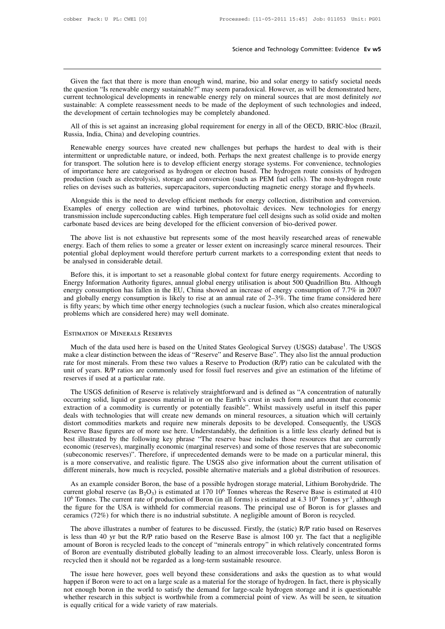Science and Technology Committee: Evidence Ev w5<br>Given the fact that there is more than enough wind, marine, bio and solar energy to satisfy societal needs<br>equestion "Is renewable energy sustainable?" may seem paradoxical. Science and Technology Committee: Evidence Ev w5<br>
Given the fact that there is more than enough wind, marine, bio and solar energy to satisfy societal needs<br>
the question "Is renewable energy sustainable?" may seem paradox Science and Technology Committee: Evidence Ev w5<br>
Civen the fact that there is more than enough wind, marine, bio and solar energy to satisfy societal needs<br>
the question "Is renewable energy sustainable?" may seem paradox Given the fact that there is more than enough wind, marine, bio and solar energy to satisfy societal needs<br>the question "Is renewable energy sustainable?" may seem paradoxical. However, as will be demonstrated here,<br>curren Given the fact that there is more than enough wind, marine, bio and solar energy to satisfy societal needs<br>the question "Is renewable energy sustainable?" may seem paradoxical. However, as will be demonstrated here,<br>curren Given the fact that there is more than enough wind, marine, bio and solar energy to satisfy societal needs equestion "Is renewable energy sustainable?" may seem paradoxical. However, as will be demonstrated here, rrent tec

the development of certain technologies may be completely abandoned.<br>
All of this is set against an increasing global requirement for energy in all of the OECD, BRIC-bloc (Brazil,<br>
Russia, India, China) and developing coun

Frent technological developments in renewable energy rely on mineral sources that are most definitely *not* stainable: A complete reassessment needs to be made of the deployment of such technologies and indeed, e developme sustainable: A complete reassessment needs to be made of the deployment of such technologies and indeed, the development of certain technologies may be completely abandoned.<br>
All of this is set against an increasing global for transport. The solution here is to develop efficient energy in all of the OECD, BRIC-bloc (Brazil, Russia, India, China) and developing countries.<br>
Renewable energy sources have created new challenges but perhaps the h All of this is set against an increasing global requirement for energy in all of the OECD, BRIC-bloc (Brazil,<br>Russia, India, China) and developing countries.<br>Renewable energy sources have created new challenges but perhaps First dial, China) and developing countries.<br>
Renewable energy sources have created new challenges but perhaps the hardest to deal with is their<br>
intermittent or unpredictable nature, or indeed, both. Perhaps the next grea relies on deviation and developing countries.<br>
Renewable energy sources have created new challenges but perhaps the hardest to deal with is their<br>
intermittent or unpredictable nature, or indeed, both. Perhaps the next gre Reflexious chergy solvies have created flow enlancinges our perhaps the naticest to deat what is then<br>ermittent or unpredictable nature, or indeed, both. Perhaps the next greatest challenge is to provide energy<br>transport. merimum. The solution here is to develop efficient energy storage systems. For convenience, technologies of importance here are categorised as hydrogen or electron based. The hydrogen route consists of hydrogen route produ

transmission include superconducting cables. High temperature fuel designs such as PEM fuel cells. The non-hydrogen route production (such as electrolysis), storage and conversion (such as PEM fuel cells). The non-hydrogen or importance nete are early as a hydrogen or electron based. The hydrogen roductions of production (such as electrolysis), storage and conversion (such as PEM fuel cells). The non-hydro<br>relies on devises such as batteries The above list is not exhaustive but represents, superconducting magnetic energy storage and nywheels.<br>Alongside this is the need to develop efficient methods for energy collection, distribution and conversion.<br>amples of e

Alongside this is the need to develop efficient methods for energy collection, distribution and conversion.<br>Examples of energy collection are wind turbines, photovoltaic devices. New technologies for energy<br>transmission in Promysised into the need to a corresponding cables. High temperature fuel celuses. New technologies for energy transmission include superconducting cables. High temperature fuel cell designs such as solid oxide and molten transmission include superconducting cables. High temperature fuel cell designs such as solid oxide and molten carbonate based devices are being developed for the efficient conversion of bio-derived power.<br>The above list i roonate based devices are being developed for the efficient conversion of bio-derived power.<br>The above list is not exhaustive but represents some of the most heavily researched areas of renewable<br>ergy. Each of them relies The above list is not exhaustive but represents some of the most heavily researched areas of renewable<br>energy. Each of them relies to some a greater or lesser extent on increasingly scarce mineral resources. Their<br>potentia

Free above that is not exhibited on tephesents some of the most heavily researched areas of renewable<br>energy. Each of them relies to some a greater or lesser extent on increasingly scarce mineral resources. Their<br>potential energy. Each of dienticles is solid a gredier of lesser extern of increasingly scarce inherial resources. Then<br>potential global deployment would therefore perturb current markets to a corresponding extent that needs to<br>be be analysed in considerable detail.<br>
Before this, it is important to set a reasonable global context for future energy requirements. According to<br>
Energy Information Authority figures, annual global energy utilisation is a be analysed in considerable dotail.<br>
Before this, it is important to set a reasonable global contex<br>
Energy Information Authority figures, annual global energy uti<br>
energy consumption has fallen in the EU, China showed an d globally energy consumption is likely to rise at an annual rate of 2–3%. The time frame considered<br>fifty years; by which time other energy technologies (such a nuclear fusion, which also creates mineralc<br>oblems which are sidered here<br>nineralogical<br>.<br>The USGS<br>al production<br>ted with the

is fifty years; by which time other energy technologies (such a nuclear fusion, which also creates mineralogical<br>problems which are considered here) may well dominate.<br>ESTIMATION OF MINERALS RESERVES<br>Much of the data used problems which are considered here) may well dominate.<br>
ESTIMATION OF MINERALS RESERVES<br>
Much of the data used here is based on the United States Geological Survey (USGS) database<sup>1</sup>. The USGS<br>
make a clear distinction bet ESTIMATION OF MINERALS RESERVES<br>Much of the data used here is based on the United States Geological Survey (USGS) database<sup>1</sup>. The USGS<br>make a clear distinction between the ideas of "Reserve" and Reserve Base". They also l ESTIMATION OF MINERALS RESERVES<br>Much of the data used here is based of<br>make a clear distinction between the ideas<br>rate for most minerals. From these two v<br>unit of years. R/P ratios are commonly if<br>reserves if used at a par Much of the data used here is based on the United States Geological Survey (USGS) database<sup>1</sup>. The USGS<br>ke a clear distinction between the ideas of "Reserve" and Reserve Base". They also list the annual production<br>e for mo or the different or the ideas of "Reserve" and Reserve Base". They also list the annual production<br>rate for most minerals. From these two values a Reserve Tase". They also list the annual production<br>rate for most minerals.

make to common of a commonly used for fossil fuel reserve base? They also het the almatal production tracte for most minerals. From these two values a Reserve to Production (R/P) ratio can be calculated with the unit of ye The USGS definition of Reserve is relatively straightforward and is defined as "A concentration of the lifetime of reserves if used at a particular rate.<br>The USGS definition of Reserve is relatively straightforward and is distort commodities markets and require new minerals deposits to be developed. Consequently, the USGS and require new mineral in or on the Earth's crust in such form and amount that economic extraction of a commodity is cu The USGS definition of Reserve is relatively straightforward and is defined as "A concentration of naturally occurring solid, liquid or gaseous material in or on the Earth's crust in such form and amount that economic extr The USGS definition of Reserve is relatively straightforward and is defined as "A concentration of naturally occurring solid, liquid or gaseous material in or on the Earth's crust in such form and amount that economic extr occurring solid, liquid or gaseous material in or on the Earth's crust in such form and amount that economic<br>extraction of a commodity is currently or potentially feasible". Whilst massively useful in itself this paper<br>dea extraction of a commodity is currently or potentially feasible". Whilst massively useful in itself this paper<br>deals with technologies that will create new demands on mineral resources, a situation which will certainly<br>dist deals with technologies that will create new demands on mineral resources, a situation which will certainly distort commodities markets and require new minerals deposits to be developed. Consequently, the USGS Reserve Base distort commodities markets and require new minerals deposits to be developed. Consequently, the USGS<br>Reserve Base figures are of more use here. Understandably, the definition is a little less clearly defined but is<br>best i Solven that interests are of more use includes the measured in a matter easy change includes the distincted by the following key phrase "The reserve base includes those resources that are currently onomic (reserves). Ther beconomic (reserves), marginally economic (marginal reserves) and some of those reserves that are subeconomic (subeconomic reserves)". Therefore, if unprecedented demands were to be made on a particular mineral, this is a

Exercison, the current constrained the current constrained at the serves) and some of a more conservative, and realistic figure. The USGS also give information about the current utilisation of different minerals, how much the figure for the USA is withheld for commercial reasons. The principal use of Boron is recycled.<br>
As an example consider Boron, the base of a possible hydrogen storage material, Lithium Borohydride. The current global r different minerals, how much is recycled, possible alternative materials and a global distribution of resource<br>As an example consider Boron, the base of a possible hydrogen storage material, Lithium Borohydride.<br>Current g As an example consider Boron, the base of a possible hydrogen storage material, Lithium Borohydride. The rerent global reserve (as  $B_2O_3$ ) is estimated at 170 10<sup>6</sup> Tonnes whereas the Reserve Base is estimated at 410<sup>6</sup> In extending consider the R/P is case of a possible model in the R/P ratio and the figure for the USA is withheld for commercial reasons. The principal use of Boron is for glasses and ceramics (72%) for which there is no

10<sup>6</sup> Tonnes. The current rate of production of Boron (in all forms) is estimated at 4.3 10<sup>6</sup> Tonnes yr<sup>-1</sup>, although the figure for the USA is withheld for commercial reasons. The principal use of Boron is for glasses a For Boron are the USA is withheld for commercial reasons. The principal use of Boron is for glasses and ceramics (72%) for which there is no industrial substitute. A negligible amount of Boron is for glasses and ceramics ( ceramics (72%) for which there is no industrial substitute. A negligible amount of Boron is recycled.<br>The above illustrates a number of features to be discussed. Firstly, the (static) R/P ratio based on Reserves<br>is less th The above illustrates a number of features to be discussed. Firstly, the (static) R/P ratio based on Reserves less than 40 yr but the R/P ratio based on the Reserve Base is almost 100 yr. The fact that a negligible nount o happen if Boron were to act on a large scale as a material for the storage of hydratic Act of act that a negligible amount of Boron is recycled leads to the concept of "minerals entropy" in which relatively concentrated fo

In the notation is recycled leads to the concept of "minerals entropy" in which relatively concentrated forms of Boron are eventually distributed globally leading to an almost irrecoverable loss. Clearly, unless Boron is r amount of Dobin is feejeled reads to the conclept of infineration of Boron are eventually distributed globally leading to an almost irrecoverable loss. Clearly, unless Boron is recycled then it should not be regarded as a is equally distributed gloomly leading<br>recycled then it should not be regarded as a long-term<br>The issue here however, goes well beyond these<br>happen if Boron were to act on a large scale as a mater<br>not enough boron in the w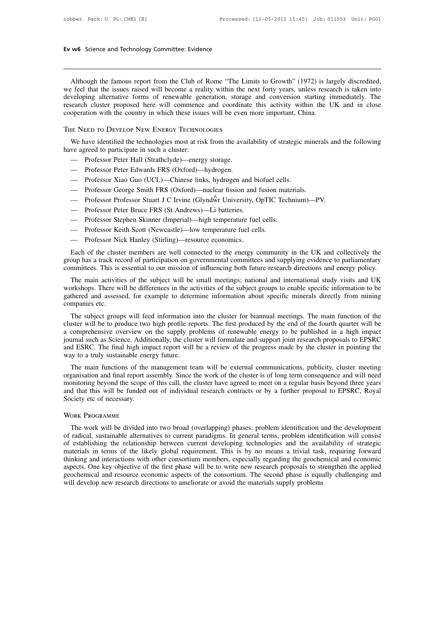w6 Science and Technology Committee: Evidence<br>Although the famous report from the Club of Rome "The Limits to Growth" (1972) is largely discredited,<br>refeel that the issues raised will become a reality within the next forty **Ev w6** Science and Technology Committee: Evidence<br> **EV W6** Science and Technology Committee: Evidence<br>
We feel that the issues raised will become a reality within the next forty years, unless research is taken into<br>
devel Ev w6 Science and Technology Committee: Evidence<br>
<br>
Although the famous report from the Club of Rome "The Limits to Growth" (1972) is largely discredited,<br>
we feel that the issues raised will become a reality within the ne Although the famous report from the Club of Rome "The Limits to Growth" (1972) is largely discredited, we feel that the issues raised will become a reality within the next forty years, unless research is taken into develop Although the famous report from the Club of Rome "The Limits to Growth" (1972) is largely discredited, we feel that the issues raised will become a reality within the next forty years, unless research is taken into develop Although the famous report from the Club of Rome "The Lin<br>we feel that the issues raised will become a reality within the n<br>developing alternative forms of renewable generation, storage<br>research cluster proposed here will We have identified the technologies most at risk from the availability of strategic minerals and the following<br>we have identified the result commence and coordinate this activity within the UK and in close<br>operation with t developing anchiance forms of fencwable generated to present the country in which these issue<br>cooperation with the country in which these issue<br>THE NEED TO DEVELOP NEW ENERGY TECHNOL.<br>We have identified the technologies mo

Superation with the country in which these issues will be even<br>
THE NEED TO DEVELOP NEW ENERGY TECHNOLOGIES<br>
We have identified the technologies most at risk from the availy<br>
we agreed to participate in such a cluster:<br>
— ENEED TO DEVELOP NEW ENERGY TECHNOLOGIES<br>
We have identified the technologies most at risk from the avair<br>
ve agreed to participate in such a cluster:<br>
— Professor Peter Hall (Strathclyde)—energy storage.<br>
— Professor Pete THE NEED TO DEVELOP NEW ENERGY IECHNOLOGIES<br>
We have identified the technologies most at risk from the availability of strategic n<br>
ve agreed to participate in such a cluster:<br>
— Professor Peter Hall (Strathclyde)—energy s We have identified the technologies most at risk from the availability of strategic mineral vearated to participate in such a cluster:<br>
— Professor Peter Hall (Strathclyde)—energy storage.<br>
— Professor Peter Edwards FRS (O

- 
- 
- Professor Peter Hall (Strathclyde)—energy storage.<br>
 Professor Peter Edwards FRS (Oxford)—hydrogen.<br>
 Professor Xiao Guo (UCL)—Chinese links, hydrogen and bi<br>
 Professor George Smith FRS (Oxford)—nuclear fission and 1
- Professor Peter Edwards FRS (Oxford)—hydrogen.<br>
 Professor Xiao Guo (UCL)—Chinese links, hydrogen and biofuel cells.<br>
 Professor George Smith FRS (Oxford)—nuclear fission and fusion mater<br>
 Professor Professor Stuart — Professor Xiao Guo (UCL)—Chinese links, hydrogen and biotuel ce<br>
— Professor George Smith FRS (Oxford)—nuclear fission and fusion n<br>
— Professor Professor Stuart J C Irvine (Glyndŵr University, OpTIC T<br>
— Professor Steph
- ve agreed to participate in such a cluster:<br>
 Professor Peter Hall (Strathclyde)—energy storage.<br>
 Professor Peter Edwards FRS (Oxford)—hydrogen.<br>
 Professor George Smith FRS (Oxford)—nuclear fission and fusion material
- 
- 
- 
- 

— Professor George Smith FRS (Oxford)—nuclear fission and 2<br>
— Professor Professor Stuart J C Irvine (Glyndŵr University, C<br>
— Professor Peter Bruce FRS (St Andrews)—Li batteries.<br>
— Professor Stephen Skinner (Imperial)—hi Frofessor Frofessor Buart J. C. II wile (GIJINAWE CIRVENT), OPTIC Techniquity 1.1.<br>
Trofessor Peter Bruce FRS (St Andrews)—Li batteries.<br>
Trofessor Stephen Skinner (Imperial)—high temperature fuel cells.<br>
Trofessor Nick Ha The society of the problem of the present record of participation of participation of the participation of participation on governmental committees and supplying evidence to parliamentary<br>
Committees. This is essential to - Professor Stephen Skinner (Imperial)—high temperature fuel cells.<br>
- Professor Keith Scott (Newcastle)—low temperature fuel cells.<br>
- Professor Nick Hanley (Stirling)—resource economics.<br>
Each of the cluster members are

— Protessor Ketth Scott (Newcastle)—low temperature tuel cells.<br>
— Professor Nick Hanley (Stirling)—resource economics.<br>
Each of the cluster members are well connected to the energy community in the UK and collectively the — Professor Nick Hanley (Stirling)—resource economics.<br>
Each of the cluster members are well connected to the energy community in the UK and collectively the<br>
group has a track record of participation on governmental commi Each of the cluster members are well connected to the energy community in the UK and collectively the group has a track record of participation on governmental committees and supplying evidence to parliamentary committees. Each of the cluster<br>group has a track recommittees. This is<br>The main activitier<br>workshops. There we<br>gathered and assess<br>companies etc.<br>The subject group mmittees. This is essential to our mission of influencing both future research directions and energy policy.<br>The main activities of the subject will be small meetings; national and international study visits and UK<br>orkshop The main activities of the subject will be small meetings; national and international study visits and UK workshops. There will be differences in the activities of the subject groups to enable specific information to be ga

Ine main activities of the subject will be sinan meetings, national and international study visits and OK<br>workshops. There will be differences in the activities of the subject groups to enable specific information to be<br>ga workshops. There will be differences in the activities of the stoject groups to enable specific imionation to be gathered and assessed, for example to determine information about specific minerals directly from mining comp gainered and assessed, for example to determine information about specific infierals directly from infining<br>companies etc.<br>The subject groups will feed information into the cluster for biannual meetings. The main function companies etc.<br>
The subject groups will feed information into the cluster for biannual meetings. The main function of the<br>
cluster will be to produce two high profile reports. The first produced by the end of the fourth qu The subject groups will leed information into the cluster for biannual meetings. The main function of the stare will be to produce two high profile reports. The first produced by the end of the fourth quarter will be compr cluster will be to produce two mgn profile reports. The first produced by the end of the fourth quarter will be<br>a comprehensive overview on the supply problems of renewable energy to be published in a high impact<br>journal s

a comprenensive overview on the supply problems of renewable energy to be published in a high impact<br>journal such as Science. Additionally, the cluster will formulate and support joint research proposals to EPSRC<br>and ESRC. bound such as science. Additionally, the cluster will fold individual eads support joint research proposals to EPSRC<br>and ESRC. The final high impact report will be a review of the progress made by the cluster in pointing t and ESRC. The final right implying<br>way to a truly sustainable ener<br>The main functions of the<br>organisation and final report as<br>monitoring beyond the scope o<br>and that this will be funded c<br>Society etc of necessary.<br>WORK PROG The work will be divided into two broad (overlapping) phases: but alternative and the dividend three years of that this will be funded out of individual research contracts or by a further proposal to EPSRC, Royal ciety etc

Society etc of necessary.<br>
WORK PROGRAMME<br>
The work will be divided into two broad (overlapping) phases: problem identification and the development<br>
of radical, sustainable alternatives to current paradigms. In general ter Society etc of necessary.<br>Society etc of necessary.<br>WORK PROGRAMME<br>The work will be divided into two broad (overlapping) phases: problem identification and the development<br>of radical, sustainable alternatives to current pa WORK PROGRAMME<br>The work will be divided into two broad (overlapping) phases: problem identification and the development<br>of radical, sustainable alternatives to current paradigms. In general terms, problem identification wi WORK PROGRAMME<br>The work will be divided into two broad (overlapping) phases: problem identification and the development<br>of radical, sustainable alternatives to current paradigms. In general terms, problem identification wi WORK PROGRAMME<br>The work will be divided into two broad (overlapping) phases: problem identification and the development<br>of radical, sustainable alternatives to current paradigms. In general terms, problem identification wi The work will be divided into two broad (overlapping) phases: problem identification and the development<br>of radical, sustainable alternatives to current paradigms. In general terms, problem identification will consist<br>of e of radical, sustainable alternatives to current paradigms. In general terms, problem idention of establishing the relationship between current developing technologies and the avaient materials in terms of the likely global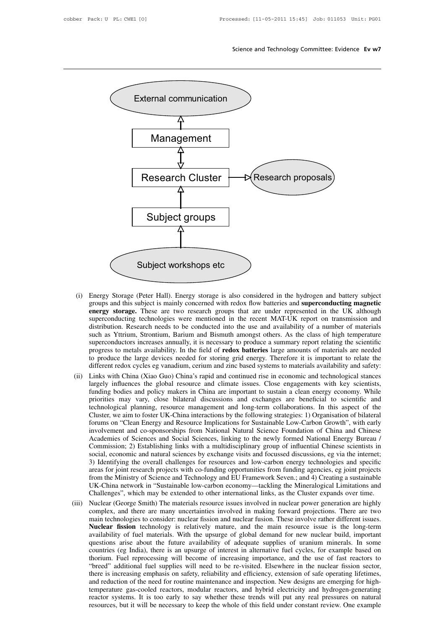

- **energy Storage.** (Peter Hall). Energy storage is also considered in the hydrogen and battery subject groups and this subject is mainly concerned with redox flow batteries and **superconducting magnetic energy storage**. T Energy Storage (Peter Hall). Energy storage is also considered in the hydrogen and battery subject groups and this subject is mainly concerned with redox flow batteries and **superconducting magnetic**<br> **energy storage.** The Energy Storage (Peter Hall). Energy storage is also considered in the hydrogen and battery subject<br>groups and this subject is mainly concerned with redox flow batteries and **superconducting magnetic**<br>**energy storage.** Thes Energy Storage (Peter Hall). Energy storage is also considered in the hydrogen and battery subject groups and this subject is mainly concerned with redox flow batteries and **superconducting magnetic energy storage**. Thes Energy Storage (Peter Hall). Energy storage is also considered in the hydrogen and battery subject<br>groups and this subject is mainly concerned with redox flow batteries and **superconducting magnetic**<br>**energy storage**. Thes groups and this subject is mainly concerned with redox flow batteries and **superconducting magnetic**<br>energy storage. These are two research groups that are under represented in the UK although<br>superconducting technologies **Example 19 Storage.** These are two research groups that are under represented in the UK although superconducting technologies were mentioned in the recent MAT-UK report on transmission and distribution. Research needs to superconducting technologies were mentioned in the recent MAT-UK report on transmission and<br>distribution. Research needs to be conducted into the use and availability of a number of materials<br>such as Yttrium, Strontium, Ba distribution. Research needs to be conducted into the use and availability of a number of materials<br>such as Yttrium, Strontium, Barium and Bismuth amongst others. As the class of high temperature<br>superconductors increases such as Yttrium, Strontium, Barium and Bismuth amongst others. As the class of high temperature<br>superconductors increases annually, it is necessary to produce a summary report relating the scientific<br>progress to metals ava
- superconductors increases annually, it is necessary to produce a summary report relating the scientific<br>progress to metals availability. In the field of **redox batteries** large amounts of materials are needed<br>to produce th progress to metals availability. In the field of **redox batteries** large amounts of materials are needed to produce the large devices needed for storing grid energy. Therefore it is important to relate the different redox to produce the large devices needed for storing grid energy. Therefore it is important to relate the different redox cycles eg vanadium, cerium and zinc based systems to materials availability and safety: Links with China different redox cycles eg vanadium, cerium and zinc based systems to materials availability and safety:<br>Links with China (Xiao Guo) China's rapid and continued rise in economic and technological stances<br>largely influences Links with China (Xiao Guo) China's rapid and continued rise in economic and technological stances largely influences the global resource and climate issues. Close engagements with key scientists, funding bodies and policy largely influences the global resource and climate issues. Close engagements with key scientists, funding bodies and policy makers in China are important to sustain a clean energy economy. While priorities may vary, close funding bodies and policy makers in China are important to sustain a clean energy economy. While priorities may vary, close bilateral discussions and exchanges are beneficial to scientific and technological planning, resou priorities may vary, close bilateral discussions and exchanges are beneficial to scientific and<br>technological planning, resource management and long-term collaborations. In this aspect of the<br>Cluster, we aim to foster UK-C is a technological planning, resource management and long-term collaborations. In this aspect of the Cluster, we aim to foster UK-China interactions by the following strategies: 1) Organisation of bilateral forums on "Clea Cluster, we aim to foster UK-China interactions by the following strategies: 1) Organisation of bilateral<br>forums on "Clean Energy and Resource Implications for Sustainable Low-Carbon Growth", with early<br>involvement and coforums on "Clean Energy and Resource Implications for Sustainable Low-Carbon Growth", with early<br>involvement and co-sponsorships from National Natural Science Foundation of China and Chinese<br>Academies of Sciences and Socia involvement and co-sponsorships from National Natural Science Foundation of China and Chinese<br>Academies of Sciences and Social Sciences, linking to the newly formed National Energy Bureau /<br>Commission; 2) Establishing link Academies of Sciences and Social Sciences, linking to the newly formed National Energy Bureau /<br>Commission; 2) Establishing links with a multidisciplinary group of influential Chinese scientists in<br>social, economic and nat Commission; 2) Establishing links with a multidisciplinary group of influential Chinese scientists in social, economic and natural sciences by exchange visits and focussed discussions, eg via the internet; 3) Identifying t Social, economic and natural sciences by exchange visits and focussed discussions, eg via the internet;<br>
3) Identifying the overall challenges for resources and low-carbon energy technologies and specific<br>
areas for joint 3) Identifying the overall challenges for resources and low-carbon energy technologies and specific areas for joint research projects with co-funding opportunities from funding agencies, eg joint projects from the Ministry
- areas for joint research projects with co-funding opportunities from funding agencies, eg joint projects<br>from the Ministry of Science and Technology and EU Framework Seven.; and 4) Creating a sustainable<br>UK-China network i from the Ministry of Science and Technology and EU Framework Seven.; and 4) Creating a sustainable UK-China network in "Sustainable low-carbon economy—tackling the Mineralogical Limitations and Challenges", which may be ex UK-China network in "Sustainable low-carbon economy—tackling the Mineralogical Limitations and Challenges", which may be extended to other international links, as the Cluster expands over time. Nuclear (George Smith) The m Challenges", which may be extended to other international links, as the Cluster expands over time.<br>Nuclear (George Smith) The materials resource issues involved in nuclear power generation are highly<br>complex, and there are Nuclear (George Smith) The materials resource issues involved in nuclear power generation are highly complex, and there are many uncertainties involved in making forward projections. There are two main technologies to cons complex, and there are many uncertainties involved in making forward projections. There are two<br>main technologies to consider: nuclear fission and nuclear fusion. These involve rather different issues.<br>**Nuclear fission** te main technologies to consider: nuclear fission and nuclear fusion. These involve rather different issues.<br>**Nuclear fission** technology is relatively mature, and the main resource issue is the long-term<br>availability of fuel Nuclear fission technology is relatively mature, and the main resource issue is the long-term availability of fuel materials. With the upsurge of global demand for new nuclear build, important questions arise about the fut availability of fuel materials. With the upsurge of global demand for new nuclear build, important questions arise about the future availability of adequate supplies of uranium minerals. In some countries (eg India), there questions arise about the future availability of adequate supplies of uranium minerals. In some countries (eg India), there is an upsurge of interest in alternative fuel cycles, for example based on thorium. Fuel reprocess countries (eg India), there is an upsurge of interest in alternative fuel cycles, for example based on thorium. Fuel reprocessing will become of increasing importance, and the use of fast reactors to "breed" additional fue thorium. Fuel reprocessing will become of increasing importance, and the use of fast reactors to "breed" additional fuel supplies will need to be re-visited. Elsewhere in the nuclear fission sector, there is increasing emp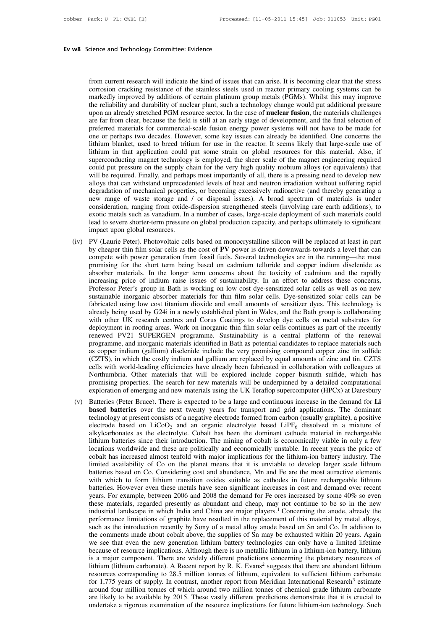From current research will indicate the kind of issues that can arise. It is becoming clear that the stress<br>corrosion cracking resistance of the stainless steels used in reactor primary cooling systems can be<br>markedly impr From current research will indicate the kind of issues that can arise. It is becoming clear that the stress<br>corrosion cracking resistance of the stainless steels used in reactor primary cooling systems can be<br>markedly impr rience and Technology Committee: Evidence<br>from current research will indicate the kind of issues that can arise. It is becoming clear that the stress<br>corrosion cracking resistance of the stainless steels used in reactor pr from current research will indicate the kind of issues that can arise. It is becoming clear that the stress<br>corrosion cracking resistance of the stainless steels used in reactor primary cooling systems can be<br>markedly impr from current research will indicate the kind of issues that can arise. It is becoming clear that the stress corrosion cracking resistance of the stainless steels used in reactor primary cooling systems can be markedly impr from current research will indicate the kind of issues that can arise. It is becoming clear that the stress corrosion cracking resistance of the stainless steels used in reactor primary cooling systems can be markedly impr from current research will indicate the kind of issues that can arise. It is becoming clear that the stress corrosion cracking resistance of the stainless steels used in reactor primary cooling systems can be markedly impr corrosion cracking resistance of the stainless steels used in reactor primary cooling systems can be markedly improved by additions of certain platinum group metals (PGMs). Whilst this may improve the reliability and durab markedly improved by additions of certain platinum group metals (PGMs). Whilst this may improve<br>the reliability and durability of nuclear plant, such a technology change would put additional pressure<br>upon an already stretc the reliability and durability of nuclear plant, such a technology change would put additional pressure<br>upon an already stretched PGM resource sector. In the case of **nuclear fusion**, the materials challenges<br>are far from upon an already stretched PGM resource sector. In the case of **nuclear fusion**, the materials challenges are far from clear, because the field is still at an early stage of development, and the final selection of preferred are far from clear, because the field is still at an early stage of development, and the final selection of preferred materials for commercial-scale fusion energy power systems will not have to be made for one or perhaps t preferred materials for commercial-scale fusion energy power systems will not have to be made for<br>one or perhaps two decades. However, some key issues can already be identified. One concerns the<br>lithium blanket, used to br one or perhaps two decades. However, some key issues can already be identified. One concerns the lithium blanket, used to breed tritium for use in the reactor. It seems likely that large-scale use of lithium in that applic lithium blanket, used to breed tritium for use in the reactor. It seems likely that large-scale use of lithium in that application could put some strain on global resources for this material. Also, if superconducting magne lithium in that application could put some strain on global resources for this material. Also, if superconducting magnet technology is employed, the sheer scale of the magnet engineering required could put pressure on the superconducting magnet technology is employed, the sheer scale of the magnet engineering required could put pressure on the supply chain for the very high quality niobium alloys (or equivalents) that will be required. Fina could put pressure on the supply chain for the very high quality niobium alloys (or equivalents) that will be required. Finally, and perhaps most importantly of all, there is a pressing need to develop new alloys that can will be required. Finally, and perhaps most importantly of all, there is a pressing need to develop new<br>alloys that can withstand unprecedented levels of heat and neutron irradiation without suffering rapid<br>degradation of alloys that can withstand unprecede<br>degradation of mechanical propertie<br>new range of waste storage and<br>consideration, ranging from oxide-<br>exotic metals such as vanadium. In<br>lead to severe shorter-term pressure<br>impact upon degradation of mechanical properties, or becoming excessively radioactive (and thereby generating a<br>new range of waste storage and / or disposal issues). A broad spectrum of materials is under<br>consideration, ranging from o hew range of waste storage and / or disposal issues). A broad spectrum of materials is under<br>consideration, ranging from oxide-dispersion strengthened steels (involving rare earth additions), to<br>exotic metals such as vanad

- consideration, ranging from oxide-dispersion strengthened steels (involving rare earth additions), to exotic metals such as vanadium. In a number of cases, large-scale deployment of such materials could lead to severe shor exotic metals such as vanadium. In a number or cases, large-scale deployment or such materials could<br>lead to severe shorter-term pressure on global production capacity, and perhaps ultimately to significant<br>impact upon glo lead to severe shorter-term pressure on global production capacity, and perhaps ultimately to signineant<br>impact upon global resources.<br>PV (Laurie Peter). Photovoltaic cells based on monocrystalline silicon will be replaced impact upon giobal resources.<br>
PV (Laurie Peter). Photovoltaic cells based on monocrystalline silicon will be replaced at least in part<br>
by cheaper thin film solar cells as the cost of PV power is driven downwards towards PV (Laurie Peter). Photovoltaic cells based on monocrystalline silicon will be replaced at least in part<br>by cheaper thin film solar cells as the cost of PV power is driven downwards towards a level that can<br>compete with po by cheaper thin film solar cells as the cost of **PV** power is driven downwards towards a level that can<br>compete with power generation from fossil fuels. Several technologies are in the running—the most<br>promising for the sh compete with power generation from fossil fuels. Several technologies are in the running—the most<br>promising for the short term being based on cadmium telluride and copper indium diselenide as<br>absorber materials. In the lon promising for the short term being based on cadmium telluride and copper indium diselenide as<br>absorber materials. In the longer term concerns about the toxicity of cadmium and the rapidly<br>increasing price of indium raise i absorber materials. In the longer term concerns about the toxicity of cadmium and the rapidly<br>increasing price of indium raise issues of sustainability. In an effort to address these concerns,<br>Professor Peter's group in Ba increasing price of indium raise issues of sustainability. In an effort to address these concerns,<br>Professor Peter's group in Bath is working on low cost dye-sensitized solar cells as well as on new<br>sustainable inorganic a Professor Peter's group in Bath is working on low cost dye-sensitized solar cells as well as on new sustainable inorganic absorber materials for thin film solar cells. Dye-sensitized solar cells can be fabricated using low sustainable inorganic absorber materials for thin film solar cells. Dye-sensitized solar cells can be fabricated using low cost titanium dioxide and small amounts of sensitizer dyes. This technology is already being used b fabricated using low cost titanium dioxide and small amounts of sensitizer dyes. This technology is already being used by G24i in a newly established plant in Wales, and the Bath group is collaborating with other UK resear already being used by G24i in a newly established plant in Wales, and the Bath group is collaborating<br>with other UK research centres and Corus Coatings to develop dye cells on metal substrates for<br>deployment in roofing are with other UK research centres and Corus Coatings to develop dye cells on metal substrates for deployment in roofing areas. Work on inorganic thin film solar cells continues as part of the recently renewed PV21 SUPERGEN pr deployment in roofing areas. Work on inorganic thin film solar cells continues as part of the recently<br>renewed PV21 SUPERGEN programme. Sustainability is a central platform of the renewal<br>programme, and inorganic materials renewed PV21 SUPERGEN programme. Sustainability is a central platform of the renewal<br>programme, and inorganic materials identified in Bath as potential candidates to replace materials such<br>as copper indium (gallium) disele programme, and inorganic materials identified in Bath as potential candidates to replace materials such<br>as copper indium (gallium) diselenide include the very promising compound copper zinc tin sulfide<br>(CZTS), in which the as copper matum (gallium) diselentic include the very promising compound copper zinc tin sulfide (CZTS), in which the costly indium and gallium are replaced by equal amounts of zinc and tin. CZTS cells with world-leading e (CZTS), in which the costly indium and gallium are replaced by equal amounts of zinc and tin. CZTS<br>cells with world-leading efficiencies have already been fabricated in collaboration with colleagues at<br>Northumbria. Other m
- cells with world-leading efficiencies have already been fabricated in collaboration with colleagues at Northumbria. Other materials that will be explored include copper bismuth sulfide, which has promising properties. The Northumbria. Other materials that will be explored include copper bismuth sulfide, which has<br>promising properties. The search for new materials will be underpinned by a detailed computational<br>exploration of emerging and n promising properties. The search for new materials will be underpinned by a detailed computational<br>exploration of emerging and new materials using the UK Teraflop supercomputer (HPCx) at Daresbury<br>Batteries (Peter Bruce). exploration of emerging and new materials using the UK lerantop supercomputer (HPCx) at Daresbury<br>Batteries (Peter Bruce). There is expected to be a large and continuous increase in the demand for Li<br>**based batteries** ove Batteries (Peter Bruce). There is expected to be a large and continuous increase in the demand for Li<br>based batteries over the next twenty years for transport and grid applications. The dominant<br>technology at present consi **based batteries** over the next twenty years for transport and grid applications. The dominant technology at present consists of a negative electrode formed from carbon (usually graphite), a positive electrode based on  $Li$ technology at present consists of a negative electrode formed from carbon (usually graphite), a positive electrode based on LiCoO<sub>2</sub> and an organic electrolyte based LiPF<sub>6</sub> dissolved in a mixture of alkylcarbonates as the electrode based on LiCoO<sub>2</sub> and an organic electrolyte based LiPF<sub>6</sub> dissolved in a mixture of alkylcarbonates as the electrolyte. Cobalt has been the dominant cathode material in rechargeable lithium batteries since thei alkylcarbonates as the electrolyte. Cobalt has been the dominant cathode material in rechargeable lithium batteries since their introduction. The mining of cobalt is economically viable in only a few locations worldwide an lithium batteries since their introduction. The mining of cobalt is economically viable in only a few locations worldwide and these are politically and economically unstable. In recent years the price of cobalt has increas locations worldwide and these are politically and economically unstable. In recent years the price of cobalt has increased almost tenfold with major implications for the lithium-ion battery industry. The limited availabili cobalt has increased almost tenfold with major implications for the lithium-ion battery industry. The limited availability of Co on the planet means that it is unviable to develop larger scale lithium batteries based on Co limited availability of Co on the planet means that it is unviable to develop larger scale lithium batteries based on Co. Considering cost and abundance, Mn and Fe are the most attractive elements with which to form lithiu batteries based on Co. Considering cost and abundance, Mn and Fe are the most attractive elements with which to form lithium transition oxides suitable as cathodes in future rechargeable lithium batteries. However even the with which to form lithium transition oxides suitable as cathodes in future rechargeable lithium<br>batteries. However even these metals have seen significant increases in cost and demand over recent<br>years. For example, betwe batteries. However even these metals have seen significant increases in cost and demand over recent<br>years. For example, between 2006 and 2008 the demand for Fe ores increased by some 40% so even<br>these materials, regarded p years. For example, between 2006 and 2008 the demand for Fe ores increased by some 40% so even<br>these materials, regarded presently as abundant and cheap, may not continue to be so in the new<br>industrial landscape in which I these materials, regarded presently as abundant and cheap, may not continue to be so in the new<br>industrial landscape in which India and China are major players.<sup>1</sup> Concerning the anode, already the<br>performance limitations industrial landscape in which India and China are major players.<sup>1</sup> Concerning the anode, already the performance limitations of graphite have resulted in the replacement of this material by metal alloys, such as the intro performance limitations of graphite have resulted in the replacement of this material by metal alloys, such as the introduction recently by Sony of a metal alloy anode based on Sn and Co. In addition to the comments made a such as the introduction recently by Sony of a metal alloy anode based on Sn and Co. In addition to<br>the comments made about cobalt above, the supplies of Sn may be exhausted within 20 years. Again<br>we see that even the new the comments made about cobalt above, the supplies of Sn may be exhausted within 20 years. Again<br>we see that even the new generation lithium battery technologies can only have a limited lifetime<br>because of resource implica we see that even the new generation lithium battery technologies can only have a limited lifetime<br>because of resource implications. Although there is no metallic lithium in a lithium-ion battery, lithium<br>is a major compone because of resource implications. Although there is no metallic lithium in a lithium-ion battery, lithium<br>is a major component. There are widely different predictions concerning the planetary resources of<br>lithium (lithium is a major component. There are widely different predictions concerning the planetary resources of lithium (lithium carbonate). A Recent report by R. K. Evans<sup>2</sup> suggests that there are abundant lithium resources correspon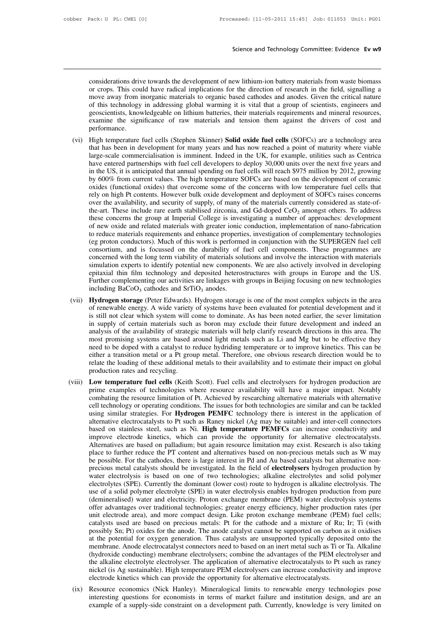Science and Technology Committee: Evidence Ev w9<br>considerations drive towards the development of new lithium-ion battery materials from waste biomass<br>or crops. This could have radical implications for the direction of rese Science and Technology Committee: Evidence Ev w9<br>
considerations drive towards the development of new lithium-ion battery materials from waste biomass<br>
or crops. This could have radical implications for the direction of re Science and Technology Committee: Evidence Ev w9<br>
considerations drive towards the development of new lithium-ion battery materials from waste biomass<br>
or crops. This could have radical implications for the direction of re considerations drive towards the development of new lithium-ion battery materials from waste biomass<br>or crops. This could have radical implications for the direction of research in the field, signalling a<br>move away from in considerations drive towards the development of new lithium-ion battery materials from waste biomass<br>or crops. This could have radical implications for the direction of research in the field, signalling a<br>move away from in considerations drive towards the development of new lithium-ion battery materials from waste biomass<br>or crops. This could have radical implications for the direction of research in the field, signalling a<br>move away from in performance. or crops. This could have radical implications for the direction of research in the field, signalling a<br>move away from inorganic materials to organic based cathodes and anodes. Given the critical nature<br>of this technology move away from inorganic materials to organic based cathodes and anodes. Given the critical nature<br>of this technology in addressing global warming it is vital that a group of scientists, engineers and<br>geoscientists, knowle

- or this technology in addressing global warming it is vital that a group of scientists, engineers and<br>geoscientists, knowledgeable on lithium batteries, their materials requirements and mineral resources,<br>examine the signi geoscientists, knowledgeable on lithium batteries, their materials requirements and mineral resources, examine the significance of raw materials and tension them against the drivers of cost and performance.<br>High temperatur examine the significance of raw materials and tension them against the drivers of cost and<br>performance.<br>High temperature fuel cells (Stephen Skinner) **Solid oxide fuel cells** (SOFCs) are a technology area<br>that has been in performance.<br>High temperature fuel cells (Stephen Skinner) **Solid oxide fuel cells** (SOFCs) are a technology area<br>that has been in development for many years and has now reached a point of maturity where viable<br>large-scale High temperature fuel cells (Stephen Skinner) **Solid oxide fuel cells** (SOFCs) are a technology area<br>that has been in development for many years and has now reached a point of maturity where viable<br>large-scale commercialis that has been in development for many years and has now reached a point of maturity where viable large-scale commercialisation is imminent. Indeed in the UK, for example, utilities such as Centrica have entered partnership that has been in development for many years and has now reached a point of maturity where viable large-scale commercialisation is imminent. Indeed in the UK, for example, utilities such as Centrica have entered partnershi have entered partnerships with fuel cell developers to deploy 30,000 units over the next five years and<br>in the US, it is anticipated that annual spending on fuel cells will reach \$975 million by 2012, growing<br>by 600% from in the US, it is anticipated that annual spending on fuel cells will reach \$975 million by 2012, growing<br>by 600% from current values. The high temperature SOFCs are based on the development of ceramic<br>oxides (functional o by 600% from current values. The high temperature SOFCs are based on the development of ceramic oxides (functional oxides) that overcome some of the concerns with low temperature fuel cells that rely on high Pt contents. H oxides (functional oxides) that overcome some of the concerns with low temperature fuel cells that<br>rely on high Pt contents. However bulk oxide development and deployment of SOFCs raises concerns<br>over the availability, and rely on high Pt contents. However bulk oxide development and deployment of SOFCs raises concerns<br>over the availability, and security of supply, of many of the materials currently considered as state-of-<br>the-art. These incl over the availability, and security of supply, of many of the materials currently considered as state-of-<br>the-art. These include rare earth stabilised zirconia, and Gd-doped  $CeO<sub>2</sub>$  amongst others. To address<br>these co the-art. These include rare earth stabilised zirconia, and Gd-doped  $CeO<sub>2</sub>$  amongst others. To address<br>these concerns the group at Imperial College is investigating a number of approaches: development<br>of new oxide and these concerns the group at Imperial College is investigating a number of approaches: development<br>of new oxide and related materials with greater ionic conduction, implementation of nano-fabrication<br>to reduce materials req of new oxide and related materials with greater ionic conduction, implementation of nano-fabrication<br>to reduce materials requirements and enhance properties, investigation of complementary technologies<br>(eg proton conductor to reduce materials requirements and enhance properties, investigation of complementary technologies<br>(eg proton conductors). Much of this work is performed in conjunction with the SUPERGEN fuel cell<br>consortium, and is focu (eg proton conductors). Much of this work is performed in conjunction with the SUPERGEN fuel cell<br>consortium, and is focussed on the durability of fuel cell components. These programmes are<br>concerned with the long term vi consortum, and is rocussed on the durability of ruel cell components. Inese programmes are<br>concerned with the long term viability of materials solutions and involve the interaction with materials<br>simulation experts to iden concerned with the long term viability of materials solutions and involve the interaction with materials<br>simulation experts to identify potential new components. We are also actively involved in developing<br>epitaxial thin f
- simulation experts to identity potential new components. We are also actively involved in developing<br>epitaxial thin film technology and deposited heterostructures with groups in Europe and the US.<br>Further complementing our epitaxial thin film technology and deposited neterostructures with groups in Europe and the US.<br>Further complementing our activities are linkages with groups in Beijing focusing on new technologies<br>including BaCoO<sub>3</sub> catho Further complementing our activities are inkages with groups in Beijing rocusing on new technologies<br>including BaCoO<sub>3</sub> cathodes and SrTiO<sub>3</sub> anodes.<br>**Hydrogen storage** (Peter Edwards). Hydrogen storage is one of the most mcluding BaCoO<sub>3</sub> cathodes and ST10<sub>3</sub> anodes.<br> **Hydrogen storage** (Peter Edwards). Hydrogen storage is one of the most complex subjects in the area<br>
of renewable energy. A wide variety of systems have been evaluated for p **Hydrogen storage** (Peter Edwards). Hydrogen storage is one of the most complex subjects in the area of renewable energy. A wide variety of systems have been evaluated for potential development and it is still not clear wh of renewable energy. A wide variety of systems have been evaluated for potential development and it<br>is still not clear which system will come to dominate. As has been noted earlier, the sever limitation<br>in supply of certai is still not clear which system will come to dominate. As has been noted earlier, the sever limitation<br>in supply of certain materials such as boron may exclude their future development and indeed an<br>analysis of the availab in supply of certain materials such<br>analysis of the availability of strateg<br>most promising systems are based a<br>need to be doped with a catalyst to i<br>either a transition metal or a Pt grou<br>relate the loading of these additi analysis of the availability of strategic materials will help clarity research directions in this area. The<br>most promising systems are based around light metals such as Li and Mg but to be effective they<br>need to be doped w most promising systems are based around light metals such as Li and Mg but to be effective they<br>need to be doped with a catalyst to reduce hydriding temperature or to improve kinetics. This can be<br>either a transition metal
- need to be doped with a catalyst to reduce hydriding temperature or to improve kinetics. This can be either a transition metal or a Pt group metal. Therefore, one obvious research direction would be to relate the loading o ether a transition metal or a Pt group metal. I nerefore, one obvious research direction would be to<br>relate the loading of these additional metals to their availability and to estimate their impact on global<br>production rat relate the loading of these additional metals to their availability and to estimate their impact on global<br>production rates and recycling.<br>**Low temperature fuel cells** (Keith Scott). Fuel cells and electrolysers for hydrog production rates and recycling.<br> **Low temperature fuel cells** (Keith Scott). Fuel cells and electrolysers for hydrogen production are<br>
prime examples of technologies where resource availability will have a major impact. No **Low temperature fuel cells** (Keith Scott). Fuel cells and electrolysers for hydrogen production are prime examples of technologies where resource availability will have a major impact. Notably combating the resource limit prime examples of technologies where resource availability will have a major impact. Notably combating the resource limitation of Pt. Achieved by researching alternative materials with alternative cell technology or operat combating the resource limitation of Pt. Achieved by researching alternative materials with alternative cell technology or operating conditions. The issues for both technologies are similar and can be tackled using similar cell technology or operating conditions. The issues for both technologies are similar and can be tackled<br>using similar strategies. For **Hydrogen PEMFC** technology there is interest in the application of<br>alternative electro using similar strategies. For **Hydrogen PEMFC** technology there is interest in the application of alternative electrocatalysts to Pt such as Raney nickel (Ag may be suitable) and inter-cell connectors based on stainless st alternative electrocatalysts to Pt such as Raney nickel (Ag may be suitable) and inter-cell connectors based on stainless steel, such as Ni. **High temperature PEMFCs** can increase conductivity and improve electrode kinetic based on stainless steel, such as Ni. **High temperature PEMFCs** can increase conductivity and improve electrode kinetics, which can provide the opportunity for alternative electrocatalysts. Alternatives are based on pallad improve electrode kinetics, which can provide the opportunity for alternative electrocatalysts. Alternatives are based on palladium; but again resource limitation may exist. Research is also taking place to further reduce Alternatives are based on palladium; but again resource limitation may exist. Research is also taking place to further reduce the PT content and alternatives based on non-precious metals such as W may be possible. For the place to further reduce the PT content and alternatives based on non-precious metals such as W may<br>be possible. For the cathodes, there is large interest in Pd and Au based catalysts but alternative non-<br>precious metal cat be possible. For the cathodes, there is large interest in Pd and Au based catalysts but alternative non-<br>precious metal catalysts should be investigated. In the field of **electrolysers** hydrogen production by<br>water electro precious metal catalysts should be investigated. In the field of **electrolysers** hydrogen production by water electrolysis is based on one of two technologies; alkaline electrolytes and solid polymer electrolytes (SPE). Cu water electrolysis is based on one of two technologies; alkaline electrolytes and solid polymer<br>electrolytes (SPE). Currently the dominant (lower cost) route to hydrogen is alkaline electrolysis. The<br>use of a solid polymer electrolytes (SPE). Currently the dominant (lower cost) route to hydrogen is alkaline electrolysis. The use of a solid polymer electrolyte (SPE) in water electrolysis enables hydrogen production from pure (demineralised) w use of a solid polymer electrolyte (SPE) in water electrolysis enables hydrogen production from pure (demineralised) water and electricity. Proton exchange membrane (PEM) water electrolysis systems offer advantages over tr (demineralised) water and electricity. Proton exchange membrane (PEM) water electrolysis systems offer advantages over traditional technologies; greater energy efficiency, higher production rates (per unit electrode area), offer advantages over traditional technologies; greater energy efficiency, higher production rates (per unit electrode area), and more compact design. Like proton exchange membrane (PEM) fuel cells; catalysts used are base unit electrode area), and more compact design. Like proton exchange membrane (PEM) fuel cells;<br>catalysts used are based on precious metals: Pt for the cathode and a mixture of Ru; Ir; Ti (with<br>possibly Sn; Pt) oxides for t catalysts used are based on precious metals: Pt for the cathode and a mixture of Ru; Ir; Ti (with possibly Sn; Pt) oxides for the anode. The anode catalyst cannot be supported on carbon as it oxidises at the potential for possibly Sn; Pt) oxides for the anode. The anode catalyst cannot be supported on carbon a<br>at the potential for oxygen generation. Thus catalysts are unsupported typically deposit<br>membrane. Anode electrocatalyst connectors at the potential for oxygen generation. Thus catalysts are unsupported typically deposited onto the<br>membrane. Anode electrocatalyst connectors need to based on an inert metal such as Ti or Ta. Alkaline<br>(hydroxide conductin membrane. Anode electrocatalyst connectors need to based on an inert metal such as 11 or 1a. Alkaline (hydroxide conducting) membrane electrolysers; combine the advantages of the PEM electrolyser and the alkaline electroly (nyaroxiae conducting) memorane electrolysers; combine the advantages of the PEM electrolyser and<br>the alkaline electrolyte electrolyser. The application of alternative electrocatalysts to Pt such as raney<br>nickel (is Ag sus
-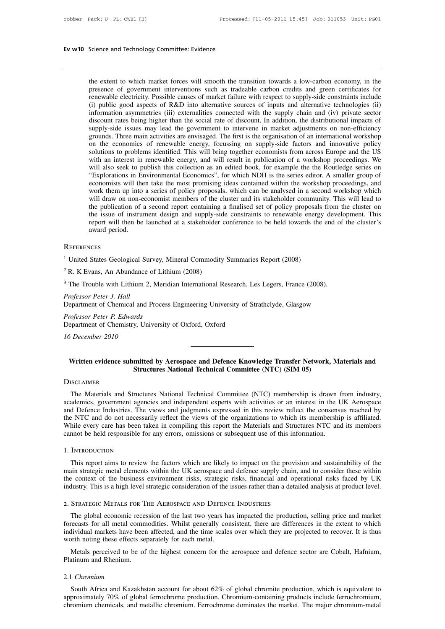Science and Technology Committee: Evidence<br>the extent to which market forces will smooth the transition towards a low-carbon economy, in the<br>presence of government interventions such as tradeable carbon credits and green c **Science and Technology Committee: Evidence**<br>the extent to which market forces will smooth the transition towards a low-carbon economy, in the<br>presence of government interventions such as tradeable carbon credits and green Science and Technology Committee: Evidence<br>the extent to which market forces will smooth the transition towards a low-carbon economy, in the<br>presence of government interventions such as tradeable carbon credits and green c the extent to which market forces will smooth the transition towards a low-carbon economy, in the presence of government interventions such as tradeable carbon credits and green certificates for renewable electricity. Poss the extent to which market forces will smooth the transition towards a low-carbon economy, in the presence of government interventions such as tradeable carbon credits and green certificates for renewable electricity. Poss the extent to which market forces will smooth the transition towards a low-carbon economy, in the presence of government interventions such as tradeable carbon credits and green certificates for renewable electricity. Poss the extent to which market forces will smooth the transition towards a low-carbon economy, in the presence of government interventions such as tradeable carbon credits and green certificates for renewable electricity. Poss presence of government interventions such as tradeable carbon credits and green certificates for<br>renewable electricity. Possible causes of market failure with respect to supply-side constraints include<br>(i) public good aspe renewable electricity. Possible causes of market failure with respect to supply-side constraints include (i) public good aspects of R&D into alternative sources of inputs and alternative technologies (ii) information asymm (i) public good aspects of R&D into alternative sources of inputs and alternative technologies (ii) information asymmetries (iii) externalities connected with the supply chain and (iv) private sector discount rates being h information asymmetries (iii) externalities connected with the supply chain and (iv) private sector discount rates being higher than the social rate of discount. In addition, the distributional impacts of supply-side issue discount rates being higher than the social rate of discount. In addition, the distributional impacts of supply-side issues may lead the government to intervene in market adjustments on non-efficiency grounds. Three main a supply-side issues may lead the government to intervene in market adjustments on non-efficiency<br>grounds. Three main activities are envisaged. The first is the organisation of an international workshop<br>on the economics of r grounds. Three main activities are envisaged. The first is the organisation of an international workshop<br>on the economics of renewable energy, focussing on supply-side factors and innovative policy<br>solutions to problems id on the economics of renewable energy, focussing on supply-side factors and innovative policy solutions to problems identified. This will bring together economists from across Europe and the US with an interest in renewable solutions to problems identified. This will bring together economists from across Europe and the US with an interest in renewable energy, and will result in publication of a workshop proceedings. We will also seek to publi with an interest in renewable energy, and will result in publication of a workshop proceedings. We<br>will also seek to publish this collection as an edited book, for example the the Routledge series on<br>"Explorations in Envir will also seek to publish this collection as an edited book, for example the the Routledge series on "Explorations in Environmental Economics", for which NDH is the series editor. A smaller group of economists will then ta "Explorations in Environmental Economics", for which NDH is the series editor. A smaller group of economists will then take the most promising ideas contained within the workshop proceedings, and work them up into a series economists will the<br>work them up into<br>will draw on non-e<br>the publication of ;<br>the issue of instrui<br>report will then be<br>award period.<br>sces 1 United States Geological Survey, Mineral Commodity Summaries Report (2008)<br>
2 R. K Evans, An Abundance of Lithium (2008) report will then be launched at a stakeholder<br>award period.<br>REFERENCES<br><sup>1</sup> United States Geological Survey, Mineral Commodity<br><sup>2</sup> R. K Evans, An Abundance of Lithium (2008)<br><sup>3</sup> The Trouble with Lithium 2, Meridian Internat

## **REFERENCES**

**REFERENCES**<br><sup>1</sup> United States Geological St<br><sup>2</sup> R. K Evans, An Abundance<br><sup>3</sup> The Trouble with Lithium 2<br>*Professor Peter J. Hall*<br>Department of Chemical and

<sup>1</sup> United States Geological Survey, Mineral Commodity Summaries Report (2008)<br>
<sup>2</sup> R. K Evans, An Abundance of Lithium (2008)<br>
<sup>3</sup> The Trouble with Lithium 2, Meridian International Research, Les Legers, France (2008).<br> <sup>1</sup> United States Geological Survey, Mineral Commodity Summaries Report (2008)<br>
<sup>2</sup> R. K Evans, An Abundance of Lithium (2008)<br>
<sup>3</sup> The Trouble with Lithium 2, Meridian International Research, Les Legers, France (2008).<br>

<sup>2</sup> R. K Evans, An Abundance of Litl<sup>3</sup> The Trouble with Lithium 2, Meri<br>*Professor Peter J. Hall*<br>Department of Chemical and Proces<br>*Professor Peter P. Edwards*<br>Department of Chemistry, Universit <sup>2</sup> R. K Evans, An Abundance of Lithium (2008)<br>
<sup>3</sup> The Trouble with Lithium 2, Meridian International Research, Les Legers, France (2008).<br> *Professor Peter J. Hall*<br>
Department of Chemical and Process Engineering Univer *Professor Peter J. Hall*<br>*Professor Peter J. Hall*<br>*Professor Peter P. Edwards*<br>Department of Chemistry, Uni<br>16 December 2010

## **Written evidence submitted by Aerospace and Defence Knowledge Transfer Network, Materials and<br>Written evidence submitted by Aerospace and Defence Knowledge Transfer Network, Materials and<br>Structures National Technical Com Structures National Technical Committee (NTC) (SIM 05)**<br> **Structures National Technical Committee (NTC) (SIM 05)**

## **DISCLAIMER**

Written evidence submitted by Aerospace and Defence Knowledge Transfer Network, Materials and<br>Structures National Technical Committee (NTC) (SIM 05)<br>The Materials and Structures National Technical Committee (NTC) membershi Written evidence submitted by Aerospace and Defence Knowledge Transfer Network, Materials and<br>Structures National Technical Committee (NTC) (SIM 05)<br>DISCLAIMER<br>The Materials and Structures National Technical Committee (NTC Written evidence submitted by Aerospace and Defence Knowledge Transfer Network, Materials and<br>
Structures National Technical Committee (NTC) (SIM 05)<br>
DISCLAIMER<br>
The Materials and Structures National Technical Committee ( **Structures National Technical Committee (NTC) (SIM 05)**<br>
DISCLAIMER<br>
The Materials and Structures National Technical Committee (NTC) membership is drawn from industry,<br>
academics, government agencies and independent exper DISCLAIMER<br>The Materials and Structures National Technical Committee (NTC) membership is drawn from industry,<br>academics, government agencies and independent experts with activities or an interest in the UK Aerospace<br>and De DISCLAIMER<br>The Materials and Structures National Technical Committee (NTC) membership is drawn 1<br>academics, government agencies and independent experts with activities or an interest in the U<br>and Defence Industries. The vi The method of the factors which are likely to impact on the provisions of the consenses clusted by Carel and do not necessarily reflect the views of the organizations to which its membership is affiliated.<br>This every care

## 1. Introduction

main strategic metal elements within the UK aerospace and defence supply chain as information.<br>
1. INTRODUCTION<br>
This report aims to review the factors which are likely to impact on the provision and sustainability of the<br> This context of the business environment risks, strategic risks, financial and operational risks faced by UK industry. This is a high level strategic consideration of the issues rather than a detailed analysis at product l I. INTRODUCTION<br>
This report aims to review the factors which are likely to impact on the provision and sustainability of the<br>
main strategic metal elements within the UK aerospace and defence supply chain, and to consider cannot be held responsible for any errors, omissions or subsequent use of this information.<br>
1. INTRODUCTION<br>
1. INTRODUCTION<br>
1. THIS report aims to review the factors which are likely to impact on the provision and susta The global economic recession of the last two years has impacted the provision and sosailare these within<br>in strategic metal elements within the UK aerospace and defence supply chain, and to consider these within<br>e context

For all metal connument risks, strategic risks, financial and operational risks faced by UK<br>industry. This is a high level strategic consideration of the issues rather than a detailed analysis at product level.<br>2. STRATEGI industry. This is a high level strategic consideration of the issues rather than a detailed analysis at product level.<br>
2. STRATEGIC METALS FOR THE AEROSPACE AND DEFENCE INDUSTRIES<br>
The global economic recession of the las 2. STRATEGIC METALS FOR THE AEROSPACE AND DEFENC<br>2. STRATEGIC METALS FOR THE AEROSPACE AND DEFENC<br>The global economic recession of the last two years has<br>forecasts for all metal commodities. Whilst generally cor-<br>individua STRATEGIC METALS FOR THE AEROSPACE AND DEFENCE INDUSTRIES<br>The global economic recession of the last two years has impacted the production, selling price and market<br>recasts for all metal commodities. Whilst generally consis forecasts for all metal commodities. Whilst generally consistent, there are differences in the extent to which<br>individual markets have been affected, and the time scales over which they are projected to recover. It is thus

## 2.1 *Chromium*

orth noting these effects separately for each metal.<br>
Metals perceived to be of the highest concern for the aerospace and defence sector are Cobalt, Hafnium,<br>
I Chromium<br>
South Africa and Kazakhstan account for about 62% o Metals perceived to be of the highest concern for the aerospace and defence sector are Cobalt, Hafnium,<br>Platinum and Rhenium.<br>2.1 Chromium<br>South Africa and Kazakhstan account for about 62% of global chromite production, wh South Africa and Kazakhstan account for about 62% of global chromite production, which is equivalent to approximately 70% of global ferrochrome production. Chromium-containing products include ferrochromium, chromium-metal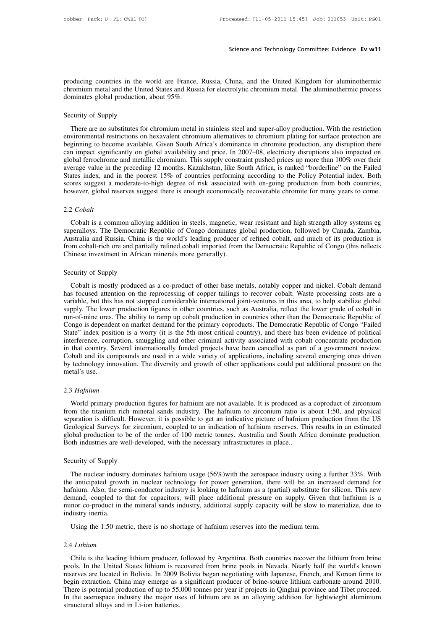Science and Technology Committee: Evidence Ev w11<br>producing countries in the world are France, Russia, China, and the United Kingdom for aluminothermic<br>chromium metal and the United States and Russia for electrolytic chrom Science and Technology Committee: Evidence Ev w11<br>producing countries in the world are France, Russia, China, and the United Kingdom for aluminothermic<br>chromium metal and the United States and Russia for electrolytic chrom producing countries in the world are France,<br>chromium metal and the United States and Russ<br>dominates global production, about 95%. producing countries in the web-<br>chromium metal and the Unite<br>dominates global production,<br>Security of Supply<br>There are no substitutes for

oducing countries in the world are France, Russia, China, and the United Kingdom for aluminothermic<br>romium metal and the United States and Russia for electrolytic chromium metal. The aluminothermic process<br>minates global p environmental and the United States and Russia for electrolytic chromium metal. The aluminothermic process<br>dominates global production, about 95%.<br>Security of Supply<br>There are no substitutes for chromium metal in stainless dominates global production, about 95%.<br>Security of Supply<br>There are no substitutes for chromium metal in stainless steel and super-alloy production. With the restriction<br>environmental restrictions on hexavalent chromium a Security of Supply<br>There are no substitutes for chromium metal in stainless steel and super-alloy production. With the restriction<br>environmental restrictions on hexavalent chromium alternatives to chromium plating for surf Security of Supply<br>There are no substitutes for chromium metal in stainless steel and super-alloy production. With the restriction<br>environmental restrictions on hexavalent chromium alternatives to chromium plating for surf Steturly of Suppry<br>There are no substitutes for chromium metal in stainless steel and super-alloy production. With the restriction<br>environmental restrictions on hexavalent chromium alternatives to chromium plating for surf There are no substitutes for chromium metal in stainless steel and super-alloy production. With the restriction<br>environmental restrictions on hexavalent chromium alternatives to chromium plating for surface protection are<br> environmental restrictions on hexavalent chromium alternatives to chromium plating for surface protection are beginning to become available. Given South Africa's dominance in chromite production, any disruption there can i beginning to become available. Given South Africa's dominance in chromite production, any disruption there can impact significantly on global availability and price. In 2007–08, electricity disruptions also impacted on glo average value in the preceding 12 months. Kazakhstan, like South Africa, is ranked "borderline" on the Failed<br>States index, and in the poorest 15% of countries performing according to the Policy Potential index. Both<br>score

## 2.2 *Cobalt*

scores suggest a moderate-to-high degree of risk associated with on-going production from both countries,<br>however, global reserves suggest there is enough economically recoverable chromite for many years to come.<br>2.2 *Coba* Australia and Russia. China is the world's leading producer of refined chromite for many years to come.<br>
2.2 *Cobalt*<br>
Cobalt is a common alloying addition in steels, magnetic, wear resistant and high strength alloy system From cobalt is a common alloying addition in steels, magnetic, wear resistant and high strength alloy systems eg<br>superalloys. The Democratic Republic of Congo dominates global production, followed by Canada, Zambia,<br>Austra 2.2 *Cobalt*<br>Cobalt is a common alloying addition in steels, magnetic, we<br>superalloys. The Democratic Republic of Congo dominates g<br>Australia and Russia. China is the world's leading producer of<br>from cobalt-rich ore and pa Cobalt is a common alloyir<br>superalloys. The Democratic<br>Australia and Russia. China i<br>from cobalt-rich ore and partia<br>Chinese investment in Africar<br>Security of Supply<br>Cobalt is mostly produced istralia and Russia. China is the world's leading producer of refined cobalt, and much of its production is<br>sim cobalt-rich ore and partially refined cobalt imported from the Democratic Republic of Congo (this reflects<br>inn

From cobalt-rich ore and partially refined cobalt imported from the Democratic Republic of Congo (this reflects<br>Chinese investment in African minerals more generally).<br>Security of Supply<br>Cobalt is mostly produced as a co-p Chinese investment in African minerals more generally).<br>
Security of Supply<br>
Cobalt is mostly produced as a co-product of other base metals, notably copper and nickel. Cobalt demand<br>
has focused attention on the reprocessi Security of Supply<br>Cobalt is mostly produced as a co-product of other base metals, notably copper and nickel. Cobalt demand<br>has focused attention on the reprocessing of copper tailings to recover cobalt. Waste processing c Security of Supply<br>Cobalt is mostly produced as a co-product of other base metals, notably copper and nickel. Cobalt demand<br>has focused attention on the reprocessing of copper tailings to recover cobalt. Waste processing c Cobalt is mostly produced as a co-product of other base metals, notably copper and nickel. Cobalt demand<br>has focused attention on the reprocessing of copper tailings to recover cobalt. Waste processing costs are a<br>variable Cobalt is mostly produced as a co-product of other base metals, notably copper and nickel. Cobalt demand<br>has focused attention on the reprocessing of copper tailings to recover cobalt. Waste processing costs are a<br>variable has focused attention on the reprocessing of copper tailings to recover cobalt. Waste processing costs are a variable, but this has not stopped considerable international joint-ventures in this area, to help stabilize glob variable, but this has not stopped considerable international joint-ventures in this area, to help stabilize global<br>supply. The lower production figures in other countries, such as Australia, reflect the lower grade of cob supply. The lower production figures in other countries, such as Australia, reflect the lower grade of cobalt in<br>run-of-mine ores. The ability to ramp up cobalt production in countries other than the Democratic Republic of run-of-mine ores. The ability to ramp up cobalt production in countries other than the Democratic Republic of Congo is dependent on market demand for the primary coproducts. The Democratic Republic of Congo "Failed State" Congo is depende<br>State" index posi<br>interference, corr<br>in that country. S<br>Cobalt and its co<br>by technology in<br>metal's use.<br>2.3 Hafnium World primary production figures for hafnium are not available. It is produced as a coproduct of zirconium<br>World primary production figures for hafnium are not available. It is produced as a coproduct of zirconium<br>World pr

## 2.3 *Hafnium*

From the titanium rich mineral sands industry. The hafnium are not available. It is produced as a coproduct of zirconium<br>The titanium rich mineral sands industry. The hafnium to zirconium ratio is about 1:50, and physical<br> Separation is difficult. However, it is production figures for hafnium are not available. It is produced as a coproduct of zirconium from the titanium rich mineral sands industry. The hafnium to zirconium ratio is about 1: 2.3 *Hafnium*<br>World primary production figures for hafnium are not available. It is produced as a coproduct of zirconium<br>from the titanium rich mineral sands industry. The hafnium to zirconium ratio is about 1:50, and phys 2.3 *Hafnium*<br>World primary production figures for hafnium are not available. It is produced as a coproduct of zirconium<br>from the titanium rich mineral sands industry. The hafnium to zirconium ratio is about 1:50, and phys E.5 *Hajniam*<br>World primary production figures for hafnium are not available. It is produced as<br>from the titanium rich mineral sands industry. The hafnium to zirconium ratio is<br>separation is difficult. However, it is possi separation is difficult. However, it is possible to get an indicative picture of hafnium production from the US<br>Geological Surveys for zirconium, coupled to an indication of hafnium reserves. This results in an estimated<br>g Fological Surveys for zirconium, coupled to an indication of hafnium reserves. This results in an estimated<br>bbal production to be of the order of 100 metric tonnes. Australia and South Africa dominate production.<br>the indus

global production to be of the order of 100 metric tonnes. Australia and South Africa dominate production.<br>Both industries are well-developed, with the necessary infrastructures in place..<br>Security of Supply<br>The nuclear in Both industries are well-developed, with the necessary infrastructures in place..<br>Security of Supply<br>The nuclear industry dominates hafnium usage (56%)with the aerospace industry using a further 33%. With<br>the anticipated g Security of Supply<br>The nuclear industry dominates hafnium usage (56%)with the aerospace industry using a further 33%. With<br>the anticipated growth in nuclear technology for power generation, there will be an increased deman Security of Supply<br>The nuclear industry dominates hafnium usage (56%)with the aerospace industry using a further 33%. With<br>the anticipated growth in nuclear technology for power generation, there will be an increased deman Free nuclear indust<br>the anticipated grows<br>hafnium. Also, the se<br>demand, coupled to<br>minor co-product in industry inertia.<br>Using the 1:50 me The intertain mustry dominates namium usage (50%) and the actospace mustry using a run exercition and exercition. Also, the semi-conductor industry is looking to hafnium as a (partial) substitute for similar and, coupled

## 2.4 *Lithium*

Using the 1:50 metric, there is no shortage of hafnium reserves into the medium term.<br>Using the 1:50 metric, there is no shortage of hafnium reserves into the medium term.<br>4 Lithium<br>Chile is the leading lithium producer, f Using the 1:50 metric, there is no shortage of hafnium reserves into the medium term.<br>
2.4 Lithium<br>
Chile is the leading lithium producer, followed by Argentina. Both countries recover the lithium from brine<br>
pools. In the Using the 1:50 metric, there is no shortage of hafnium reserves into the medium term.<br>
2.4 Lithium<br>
Chile is the leading lithium producer, followed by Argentina. Both countries recover the lithium from brine<br>
pools. In the 2.4 *Lithium*<br>Chile is the leading lithium producer, followed by Argentina. Both countries recover the lithium from brine<br>pools. In the United States lithium is recovered from brine pools in Nevada. Nearly half the world's 2.4 *Lithium*<br>Chile is the leading lithium producer, followed by Argentina. Both countries recover the lithium from brine<br>pools. In the United States lithium is recovered from brine pools in Nevada. Nearly half the world's ZET Landam<br>
Chile is the leading lithium producer, followed by Argentina. Both countries recover the lithium from brine<br>
pools. In the United States lithium is recovered from brine pools in Nevada. Nearly half the world's Chile is the leading lithium producer,<br>pools. In the United States lithium is re<br>reserves are located in Bolivia. In 2009 l<br>begin extraction. China may emerge as :<br>There is potential production of up to 55,<br>In the aeerospa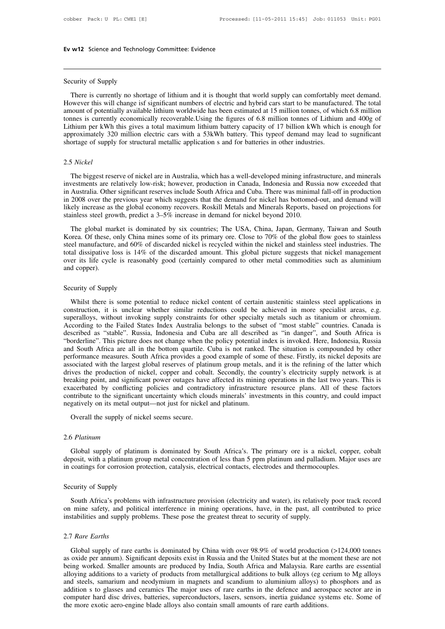Ev w12 Science and Technolog<br>
Security of Supply<br>
There is currently no shorta **There is currently no shortage of lithium and it is thought that world supply can comfortably meet demand.**<br>There is currently no shortage of lithium and it is thought that world supply can comfortably meet demand.<br>Neveve Security of Supply<br>There is currently no shortage of lithium and it is thought that world supply can comfortably meet demand.<br>However this will change isf significant numbers of electric and hybrid cars start to be manufac Security of Supply<br>There is currently no shortage of lithium and it is thought that world supply can comfortably meet demand.<br>However this will change isf significant numbers of electric and hybrid cars start to be manufac Security of Supply<br>There is currently no shortage of lithium and it is thought that world supply can comfortably meet demand.<br>However this will change isf significant numbers of electric and hybrid cars start to be manufac Security of Supply<br>There is currently no shortage of lithium and it is thought that world supply can comfortably meet demand.<br>However this will change isf significant numbers of electric and hybrid cars start to be manufac There is currently no shortage of lithium and it is thought that world supply can comfortably meet demand.<br>However this will change isf significant numbers of electric and hybrid cars start to be manufactured. The total<br>am There is currently no shortage of lithium and it is thought that world supply can comfortably meet demand.<br>However this will change isf significant numbers of electric and hybrid cars start to be manufactured. The total<br>am

## 2.5 *Nickel*

The biggest reserve of nickel are in Australia, which has a well-developed mining infrastructure, and minerals<br>The biggest reserve of nickel are in Australia, which has a well-developed mining infrastructure, and minerals<br> approximately 320 million electric cars with a 53kWh battery. This typeof demand may lead to sugnificant<br>shortage of supply for structural metallic application s and for batteries in other industries.<br>2.5 Nickel<br>The bigges shortage of supply for structural metallic application s and for batteries in other industries.<br>
2.5 Nickel<br>
The biggest reserve of nickel are in Australia, which has a well-developed mining infrastructure, and minerals<br>
i 2.5 Nickel<br>The biggest reserve of nickel are in Australia, which has a well-developed mining infrastructure, and minerals<br>investments are relatively low-risk; however, production in Canada, Indonesia and Russia now exceede 2.5 Nickel<br>The biggest reserve of nickel are in Australia, which has a well-developed mining infrastructure, and minerals<br>investments are relatively low-risk; however, production in Canada, Indonesia and Russia now exceede The biggest reserve of nickel are in Australia, which has a well-developed mining infrastructure, and minerals<br>investments are relatively low-risk; however, production in Canada, Indonesia and Russia now exceeded that<br>in A In Australia. Other significant reserves include South Africa and Cuba. There was minimal fall-off in production<br>in 2008 over the previous year which suggests that the demand for nickel has bottomed-out, and demand will<br>li

Korea. Of these, only China mines some of its primary ore. Close to 70% of the global flow goes to stainless steel manufacture, and 60% of discarded nickel is recycled within the nickel and stainless steel industries. The in Tussiani. Once the previous year which suggests that the demand for nickel has bottomed-out, and demand will<br>likely increase as the global economy recovers. Roskill Metals and Minerals Reports, based on projections for<br> It is the global economy recovers. Roskill Metals and Minerals Reports, based on projections for stainless steel growth, predict a 3–5% increase in demand for nickel beyond 2010.<br>The global market is dominated by six count neely message as the global market is dominated by six countries; The USA, China, Japan, Germany, Taiwan and South Korea. Of these, only China mines some of its primary ore. Close to 70% of the global flow goes to stainles The global manufacture, The global manufacture, copper).<br>Secret manufacture, total dissipative lover its life cycle and copper). Sorea. Of these, only China F<br>steel manufacture, and 60% of<br>total dissipative loss is 14%<br>over its life cycle is reasona<br>and copper).<br>Security of Supply<br>Whilst there is some poten

al dissipative loss is 14% of the discarded amount. This global picture suggests that nickel management<br>er its life cycle is reasonably good (certainly compared to other metal commodities such as aluminium<br>d copper).<br>Whils over its life cycle is reasonably good (certainly compared to other metal commodities such as aluminium<br>and copper).<br>Security of Supply<br>Whilst there is some potential to reduce nickel content of certain austenitic stainles Security of Supply<br>
Whilst there is some potential to reduce nickel content of certain austenitic stainless steel applications in<br>
construction, it is unclear whether similar reductions could be achieved in more specialist Security of Supply<br>Whilst there is some potential to reduce nickel content of certain austenitic stainless steel applications in<br>construction, it is unclear whether similar reductions could be achieved in more specialist a Security of Supply<br>Whilst there is some potential to reduce nickel content of certain austenitic stainless steel applications in<br>construction, it is unclear whether similar reductions could be achieved in more specialist a Whilst there is some potential to reduce nickel content of certain austenitic stainless steel applications in construction, it is unclear whether similar reductions could be achieved in more specialist areas, e.g. superall Whilst there is some potential to reduce nickel content of certain austenitic stainless steel applications in construction, it is unclear whether similar reductions could be achieved in more specialist areas, e.g. superall construction, it is unclear whether similar reductions could be achieved in more specialist areas, e.g. superalloys, without invoking supply constraints for other specialty metals such as titanium or chromium. According to superalloys, without invoking supply constraints for other specialty metals such as titanium or chromium.<br>According to the Failed States Index Australia belongs to the subset of "most stable" countries. Canada is<br>described According to the Failed States Index Australia belongs to the subset of "most stable" countries. Canada is described as "stable". Russia, Indonesia and Cuba are all described as "in danger", and South Africa is "borderline described as "stable". Russia, Indonesia and Cuba are all described as "in danger", and South Africa is "borderline". This picture does not change when the policy potential index is invoked. Here, Indonesia, Russia and Sou "borderline". This picture does not change when the policy potential index is invoked. Here, Indonesia, Russia and South Africa are all in the bottom quartile. Cuba is not ranked. The situation is compounded by other perfo and South Africa are all in the bottom quartile. Cuba is not ranked. The situation is compounded by other performance measures. South Africa provides a good example of some of these. Firstly, its nickel deposits are associ associated with the largest global reserves of platinum group metals, and it is the refining of the latter which drives the production of nickel, copper and cobalt. Secondly, the country's electricity supply network is at

## 2.6 *Platinum*

gatively on its metal output—not just for nickel and platinum.<br>
Overall the supply of nickel seems secure.<br>
S Platinum<br>
Global supply of platinum is dominated by South Africa's. The primary ore is a nickel, copper, cobalt<br> deposit, with a platinum is dominated by South Africa's. The primary ore is a nickel, copper, cobalt deposit, with a platinum group metal concentration of less than 5 ppm platinum and palladium. Major uses are in coatings Overall the supply of nickel seems secure.<br>
2.6 *Platinum*<br>
Global supply of platinum is dominated by South Africa's. The primary ore is a nickel, coppe<br>
deposit, with a platinum group metal concentration of less than 5 pp 2.6 *Platinum*<br>Global supply of platinum<br>deposit, with a platinum group<br>in coatings for corrosion prote<br>Security of Supply<br>South Africa's problems wi

Global supply of platinum is dominated by South Africa's. The primary ore is a nickel, copper, cobalt posit, with a platinum group metal concentration of less than 5 ppm platinum and palladium. Major uses are coatings for deposit, with a platinum group metal concentration of less than 5 ppm platinum and palladium. Major uses are<br>in coatings for corrosion protection, catalysis, electrical contacts, electrodes and thermocouples.<br>Security of S in coatings for corrosion protection, catalysis, electrical contacts, electrodes and thermocou<br>Security of Supply<br>South Africa's problems with infrastructure provision (electricity and water), its relatively<br>on mine safety Security of Supply<br>
South Africa's problem<br>
on mine safety, and po<br>
instabilities and supply p<br>
2.7 *Rare Earths*<br>
Global supply of rare

South Africa's problems with infrastructure provision (electricity and water), its relatively poor track record<br>mine safety, and political interference in mining operations, have, in the past, all contributed to price<br>tabi on mine safety, and political interference in mining operations, have, in the past, all contributed to price<br>instabilities and supply problems. These pose the greatest threat to security of supply.<br>2.7 Rare Earths<br>Global s instabilities and supply problems. These pose the greatest threat to security of supply.<br>
2.7 Rare Earths<br>
Global supply of rare earths is dominated by China with over 98.9% of world production (>124,000 tonnes<br>
as oxide p 2.7 Rare Earths<br>
Global supply of rare earths is dominated by China with over 98.9% of world production (>124,000 tonnes<br>
as oxide per annum). Significant deposits exist in Russia and the United States but at the moment th 2.7 Rare Earths<br>
Global supply of rare earths is dominated by China with over 98.9% of world production (>124,000 tonnes<br>
as oxide per annum). Significant deposits exist in Russia and the United States but at the moment th Global supply of rare earths is dominated by China with over 98.9% of world production (>124,000 tonnes as oxide per annum). Significant deposits exist in Russia and the United States but at the moment these are not being Global supply of rare earths is dominated by China with over 98.9% of world production (>124,000 tonnes as oxide per annum). Significant deposits exist in Russia and the United States but at the moment these are not being as oxide per annum). Significant deposits exist in Russia and the United States but at the mo<br>being worked. Smaller amounts are produced by India, South Africa and Malaysia. Rare e<br>alloying additions to a variety of produc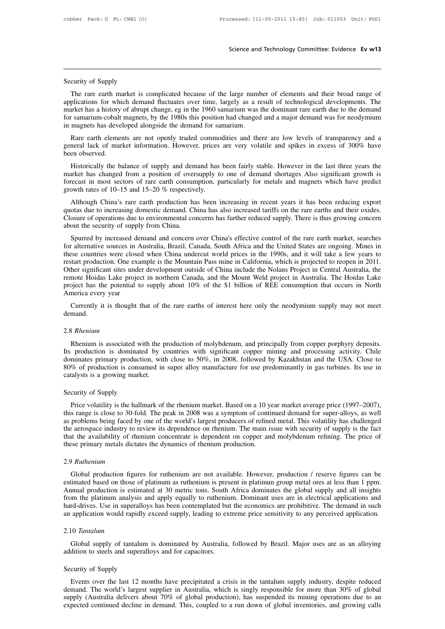Security of Supply<br>The rare earth market is c Science and Technology Committee: Evidence Ev w13<br>
The rare earth market is complicated because of the large number of elements and their broad range of<br>
plications for which demand fluctuates over time, largely as a resul Security of Supply<br>The rare earth market is complicated because of the large number of elements and their broad range of<br>applications for which demand fluctuates over time, largely as a result of technological developments Security of Supply<br>The rare earth market is complicated because of the large number of elements and their broad range of<br>applications for which demand fluctuates over time, largely as a result of technological developments Security of Supply<br>The rare earth market is complicated because of the large number of elements and their broad range of<br>applications for which demand fluctuates over time, largely as a result of technological developments Security of Supply<br>
The rare earth market is complicated because of the large number of elements and their broad range of<br>
applications for which demand fluctuates over time, largely as a result of technological developmen The rare earth market is complicated because of the large number of elements and their broad range of plications for which demand fluctuates over time, largely as a result of technological developments. The arket has a his The rate earth market is compineded because of the rate intimeted of elements and their broad range of applications for which demand fluctuates over time, largely as a result of technological developments. The market has a market has a history of abrupt change, eg in the 1960 samarium was the dominant rare earth due to the demand<br>for samarium-cobalt magnets, by the 1980s this position had changed and a major demand was for neodymium<br>in magne

From a samarium-cobalt magnets, by the 1980s this position had changed and a major demand was for neodymium<br>magnets has developed alongside the demand for samarium.<br>Rare earth elements are not openly traded commodities and

in magnets has developed alongside the demand for samarium.<br>
Rare earth elements are not openly traded commodities and there are low levels of transparency and a<br>
general lack of market information. However, prices are ver Rare earth elements are not openly traded commodities and there are low levels of transparency and a general lack of market information. However, prices are very volatile and spikes in excess of 300% have been observed.<br>
H Kate eatli elements are not openly traded commo<br>general lack of market information. However, prices<br>been observed.<br>Historically the balance of supply and demand has<br>market has changed from a position of oversupply to<br>forec en observed.<br>Historically the balance of supply and demand has been fairly stable. However in the last three years the trket has changed from a position of oversupply to one of demand shortages Also significant growth is r Historically the balance of supply and demand has been fairly stable. However in the last three years the market has changed from a position of oversupply to one of demand shortages Also significant growth is forecast in m

Thistoricany the batance of supply and definant has been fairly stable. However in the fast three years the market has changed from a position of oversupply to one of demand shortages Also significant growth is forecast in market has changed from a position of over-<br>forecast in most sectors of rare earth consum<br>growth rates of 10–15 and 15–20 % respective<br>Although China's rare earth production ha<br>quotas due to increasing domestic demand. Ch<br> by increased demand and concern over China's effective control of the rare earths and their oxides.<br>Spurred by increasing domestic demand. China has also increased tariffs on the rare earths and their oxides.<br>Spurred of op Although China's rare earth production has been increasing in recent years it has been reducing export quotas due to increasing domestic demand. China has also increased tariffs on the rare earths and their oxides. Closure

Atthough China's Tate earth production has been increasing in recent years it has been reducing export<br>quotas due to increasing domestic demand. China has also increased tariffs on the rare earths and their oxides.<br>Closure quotas due to increasing domestic demand. Cinia has also increased tarrits on the rate earths and then oxides.<br>Closure of operations due to environmental concerns has further reduced supply. There is thus growing concern<br>a Crosule of operations due to environmental concerns has funner reduced supply. There is thus growing concern<br>about the security of supply from China.<br>Spurred by increased demand and concern over China's effective control o Spurred by increased demand and concern over China's effective control of the rare earth market, searches for alternative sources in Australia, Brazil, Canada, South Africa and the United States are ongoing. Mines in these Spurred by increased demand and concern over China's effective control of the rare earth market, searches for alternative sources in Australia, Brazil, Canada, South Africa and the United States are ongoing. Mines in these for alternative sources in A<br>these countries were closed<br>restart production. One exa<br>Other significant sites unde<br>remote Hoidas Lake projec<br>project has the potential to<br>America every year<br>Currently it is thought t See countries were closed when China undercut world prices in the 1990s, and it will take a few years to start production. One example is the Mountain Pass mine in California, which is projected to reopen in 2011. Her sign

demand.

## 2.8 *Rhenium*

The neutrical every year<br>
Currently it is thought that of the rare earths of interest here only the neodymium supply may not meet<br>
Thenium<br>
Rhenium<br>
Rhenium is associated with the production of molybdenum, and principally Currently it is thought that of the rare earths of interest here only the neodymium supply may not meet<br>demand.<br>2.8 *Rhenium*<br>Rhenium is associated with the production of molybdenum, and principally from copper porphyry de demand.<br>
2.8 *Rhenium*<br>
Rhenium is associated with the production of molybdenum, and principally from copper porphyry deposits.<br>
Its production is dominated by countries with significant copper mining and processing activi 2.8 *Rhenium*<br>
Rhenium is associated with the production of molybdenum, and principally from copper porphyry deposits.<br>
Its production is dominated by countries with significant copper mining and processing activity. Chile 2.8 *Rhenium*<br>Rhenium is associated with the p<br>Its production is dominated by c<br>dominates primary production, wit<br>80% of production is consumed in<br>catalysts is a growing market.<br>Security of Supply Rhenium is associated with<br>Its production is dominated<br>dominates primary production<br>80% of production is consum<br>catalysts is a growing market.<br>Security of Supply<br>Price volatility is the hallma minates primary production, with close to 50%, in 2008, followed by Kazakhstan and the USA. Close to % of production is consumed in super alloy manufacture for use predominantly in gas turbines. Its use in talysts is a gro

the 30% of production is consumed in super alloy manufacture for use predominantly in gas turbines. Its use in<br>catalysts is a growing market.<br>Security of Supply<br>Price volatility is the hallmark of the rhenium market. Based extractalysts is a growing market.<br>Security of Supply<br>Price volatility is the hallmark of the rhenium market. Based on a 10 year market average price (1997–2007),<br>this range is close to 30-fold. The peak in 2008 was a symp Security of Supply<br>
Price volatility is the hallmark of the rhenium market. Based on a 10 year market average price (1997–2007),<br>
this range is close to 30-fold. The peak in 2008 was a symptom of continued demand for super Security of Supply<br>Price volatility is the hallmark of the rhenium market. Based on a 10 year market average price (1997–2007),<br>this range is close to 30-fold. The peak in 2008 was a symptom of continued demand for super-a Security of Supply<br>Price volatility is the hallmark of the rhenium market. Based on a 10 year market average price (1997–2007),<br>this range is close to 30-fold. The peak in 2008 was a symptom of continued demand for super-a France industry to review its dependence on rhenium. The main issue with security of supply is the fact<br>at the availability of rhenium concentrate is dependent on copper and molybdenum refining. The price of<br>the availabili

## 2.9 *Ruthenium*

that the availability of rhenium concentrate is dependent on copper and molybdenum refining. The price of these primary metals dictates the dynamics of rhenium production.<br>
2.9 *Ruthenium*<br>
Global production figures for ru Annual production figures for ruthenium are not available. However, production */* reserve figures can be estimated based on those of platinum are not available. However, production */* reserve figures can be estimated bas From the platinum<br>
2.9 Ruthenium<br>
Global production figures for ruthenium are not available. However, production / reserve figures can be<br>
estimated based on those of platinum as ruthenium is present in platimun group meta 2.9 Ruthenium<br>Global production figures for ruthenium are not available. However, production / reserve figures can be<br>estimated based on those of platinum as ruthenium is present in platimun group metal ores at less than 1 2.9 *Rainentum*<br>Global production figures for ruthenium are not available. However, production / reserve figures can be<br>estimated based on those of platinum as ruthenium is present in platimun group metal ores at less than From the platinum analysis and apply equally to ruthenium. Dominant uses are in electrical applications and rd-drives. Use in superalloys has been contemplated but the economics are prohibitive. The demand in such applicat and a hard-drives. Use in superalloys has been contemplated but<br>an application would rapidly exceed supply, leading to ext<br>2.10 Tantalum<br>Global supply of tantalum is dominated by Australia,<br>addition to steels and superallo

## 2.10 *Tantalum*

Global supply of tantalum is dominated by Australia, followed by Brazil. Major uses are as an alloying<br>addition to steels and superalloys and for capacitors.<br>Security of Supply<br>Events over the last 12 months have precipita

Global supply of tantalum is dominated by Australia, followed by Brazil. Major uses are as an alloying<br>dition to steels and superalloys and for capacitors.<br>curity of Supply<br>Events over the last 12 months have precipitated Global supply of tantalum is dominated by Australia, followed by Brazil. Major uses are as an alloying<br>addition to steels and superalloys and for capacitors.<br>Security of Supply<br>Events over the last 12 months have precipita supply (Australia delivers about 70% of global production), has suspended its mining about 20 and analying Events over the last 12 months have precipitated a crisis in the tantalum supply industry, despite reduced demand. supply (Australia delivers about 70% of global production), has suspended its mining operations due to an expected continued decline in demand. This, coupled to a run down of global inventories, and growing calls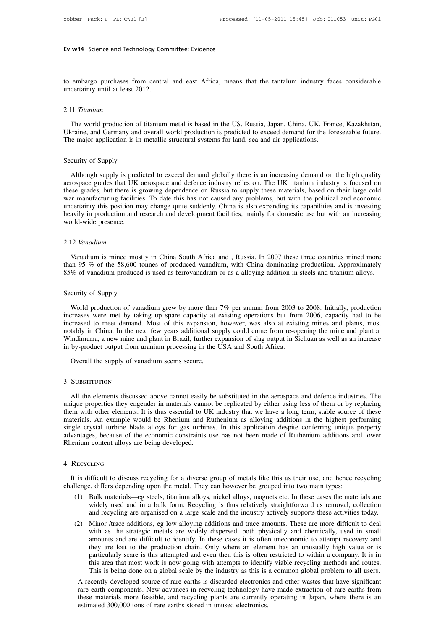Ev w14 Science and Technology Committee: Evidence<br>
to embargo purchases from central and east Africa, means that the tantalum industry faces considerable<br>
uncertainty until at least 2012. Ev w14 Science and Technology Con<br>
to embargo purchases from centra<br>
uncertainty until at least 2012.

## 2.11 *Titanium*

embargo purchases from central and east Africa, means that the tantalum industry faces considerable<br>certainty until at least 2012.<br>11 Titanium<br>The world production of titanium metal is based in the US, Russia, Japan, China to embargo purchases from central and east Africa, means that the tantalum industry faces considerable<br>uncertainty until at least 2012.<br>2.11 Titanium<br>The world production of titanium metal is based in the US, Russia, Japan The world production of titanium metal is based in the US, Russia, Japan, China, UK, Franculation is in metallic structural systems for land, sea and air applications. 2.11 *Ittanum*<br>The world production of tit<br>Ukraine, and Germany and ov<br>The major application is in m<br>Security of Supply<br>Although supply is predicte

The world production of titanium metal is based in the US, Russia, Japan, China, UK, France, Kazakhstan, Graine, and Germany and overall world production is predicted to exceed demand for the foreseeable future.<br>
ie major Ukraine, and Germany and overall world production is predicted to exceed demand for the foreseeable future.<br>The major application is in metallic structural systems for land, sea and air applications.<br>Security of Supply<br>Alt The major application is in metallic structural systems for land, sea and air applications.<br>Security of Supply<br>Although supply is predicted to exceed demand globally there is an increasing demand on the high quality<br>aerosp Security of Supply<br>Although supply is predicted to exceed demand globally there is an increasing demand on the high quality<br>aerospace grades that UK aerospace and defence industry relies on. The UK titanium industry is foc Security of Supply<br>Although supply is predicted to exceed demand globally there is an increasing demand on the high quality<br>aerospace grades that UK aerospace and defence industry relies on. The UK titanium industry is foc Although supply is predicted to exceed demand globally there is an increasing demand on the high quality aerospace grades that UK aerospace and defence industry relies on. The UK titanium industry is focused on these grade Although supply is predicted to exceed demand globally there is an increasing demand on the high quality aerospace grades that UK aerospace and defence industry relies on. The UK titanium industry is focused on these grade

## 2.12 *Vanadium*

certainty this position may change quite suddenly. China is also expanding its capabilities and is investing<br>avily in production and research and development facilities, mainly for domestic use but with an increasing<br>pridn production and research and development racilities, mainly for domestic use but with an increasing<br>world-wide presence.<br>2.12 Vanadium<br>wandium is mined mostly in China South Africa and , Russia. In 2007 these three countr 85% of vanadium is mined mostly in China South Africa and, Russia. In 2007 these three countries mined more than 95 % of the 58,600 tonnes of produced vanadium, with China dominating production. Approximately allow and tit 2.12 vanaatum<br>Vanadium is mined mostly<br>than 95 % of the 58,600 ton<br>85% of vanadium produced is<br>Security of Supply<br>World production of vanadi

vanadium is mined mostly in China South Africa and, Kussia. In 2007 these three countries mined more<br>an 95 % of the 58,600 tonnes of produced vanadium, with China dominating production. Approximately<br>% of vanadium produced than 95 % of the 58,000 tonnes of produced vanadium, with China dominating production. Approximately 85% of vanadium produced is used as ferrovanadium or as a alloying addition in steels and titanium alloys.<br>Security of Su So% or vanadum produced is used as rerrovanadum or as a alloying addition in steels and titanium alloys.<br>Security of Supply<br>World production of vanadium grew by more than 7% per annum from 2003 to 2008. Initially, producti Security of Supply<br>World production of vanadium grew by more than 7% per annum from 2003 to 2008. Initially, production<br>increases were met by taking up spare capacity at existing operations but from 2006, capacity had to b Security of Supply<br>World production of vanadium grew by more than 7% per annum from 2003 to 2008. Initially, production<br>increases were met by taking up spare capacity at existing operations but from 2006, capacity had to b World production of vanadium grew by more than 7% per annum from 2003 to increases were met by taking up spare capacity at existing operations but from increased to meet demand. Most of this expansion, however, was also at Treases were met by taking up spare capacity at a<br>creased to meet demand. Most of this expansion,<br>tably in China. In the next few years additional sup<br>indimurra, a new mine and plant in Brazil, further ex<br>by-product output

## 3. SUBSTITUTION

by-product output from uranium processing in the USA and South Africa.<br>
Overall the supply of vanadium seems secure.<br>
SUBSTITUTION<br>
All the elements discussed above cannot easily be substituted in the aerospace and defence University of vanadium seems secure.<br>
2. SUBSTITUTION<br>
All the elements discussed above cannot easily be substituted in the aerospace and defence industries. The<br>
unique properties they engender in materials cannot be repl Them with other elements discussed above cannot easily be substituted in the aerospace and defence industries. The<br>
unique properties they engender in materials cannot be replicated by either using less of them or by repla 3. SUBSTITUTION<br>All the elements discussed above cannot easily be substituted in the aerospace and defence industries. The<br>unique properties they engender in materials cannot be replicated by either using less of them or b 3. SUBSTITUTION<br>All the elements discussed above cannot easily be substituted in the aerospace and defence industries. The<br>unique properties they engender in materials cannot be replicated by either using less of them or b All the elements discussed above cannot easily be substituted in the aerospace and defence industries. The unique properties they engender in materials cannot be replicated by either using less of them or by replacing them All the elements discussed above cannot easily<br>unique properties they engender in materials cannot<br>them with other elements. It is thus essential to U.<br>materials. An example would be Rhenium and R<br>single crystal turbine bl It is difficult to discuss recycling for a diverse group of metals like this as their use, and hence recycling<br>It is difficult to discuss recycling for a diverse group of metals like this as their use, and hence recycling<br>

## 4. Recycling

challenge, because of the economic constraints use has not been made of Ruthenium additions and<br>Rhenium content alloys are being developed.<br>4. RECYCLING<br>It is difficult to discuss recycling for a diverse group of metals li

- (1) Recycling<br>
(1) Bulk materials—eg steels, titanium alloys, nickel alloys, magnets etc. In these cases the materials are<br>
(1) Bulk materials—eg steels, titanium alloys, nickel alloys, magnets etc. In these cases the mate Example ifficult to discuss recycling for a diverse group of metals like this as their use, and hence recycling<br>
e, differs depending upon the metal. They can however be grouped into two main types:<br>
Bulk materials—eg stee Example if ficult to discuss recycling for a diverse group of metals like this as their use, and hence recycling<br>
e, differs depending upon the metal. They can however be grouped into two main types:<br>
Bulk materials—eg ste is difficult to discuss recycling for a diverse group of metals like this as their use, and hence recycling llenge, differs depending upon the metal. They can however be grouped into two main types:<br>
(1) Bulk materials—eg
- where the strategic metals are widely strategic metals are widely used and in a bulk materials --eg steels, titanium alloys, magnets extered. In these cases the materials are widely used and in a bulk form. Recycling is th and are difficult to identify. In these cases it is often restricted to within a company. It is in particularly scan example and recycling are organised on a large scale and the industry actively supports these activities Bulk materials—eg steels, titanium alloys, nickel alloys, magnets etc. In these cases the materials are widely used and in a bulk form. Recycling is thus relatively straightforward as removal, collection and recycling are widely used and in a bulk form. Recycling is thus relatively straightforward as removal, collection<br>and recycling are organised on a large scale and the industry actively supports these activities today.<br>Minor /trace addit and recycling are organised on a large scale and the industry actively supports these activities today.<br>Minor /trace additions, eg low alloying additions and trace amounts. These are more difficult to deal<br>with as the stra Minor /trace additions, eg low alloying additions and trace amounts. These are more difficult to deal<br>with as the strategic metals are widely dispersed, both physically and chemically, used in small<br>amounts and are difficu a a readificult to identify. In these cases it is often uneconomic to attempt recovery and<br>they are lost to the production chain. Only where an element has an unusually high value or is<br>particularly scare is this attempted amounts and are difficult to identify. In these cases it is often uneconomic to attempt recovery and<br>they are lost to the production chain. Only where an element has an unusually high value or is<br>particularly scare is this

they are lost to the production chain. Only where an element has an unusually high value or is particularly scare is this attempted and even then this is often restricted to within a company. It is in this area that most w these materials more feasible, and recycling plants are currently operating in Japan, where there is an estimated 300,000 tons of rare earths stored in unused electronics.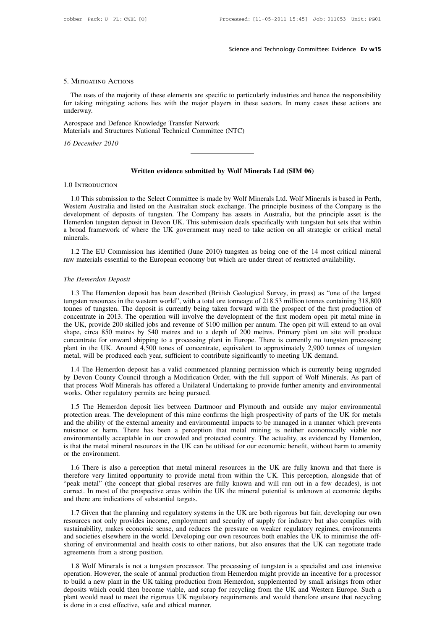## 5. Mitigating Actions

Science and Technology Committee: Evidence Ev w15<br>MITIGATING ACTIONS<br>The uses of the majority of these elements are specific to particularly industries and hence the responsibility<br>t taking mitigating actions lies with the 5. MITIGATING ACTIONS<br>The uses of the majority of these elements are specific to particularly industries and hence the responsibility<br>for taking mitigating actions lies with the major players in these sectors. In many case underway. 5. MITIGATING ACTIONS<br>The uses of the majority of these elements are specific to partic<br>for taking mitigating actions lies with the major players in the<br>underway.<br>Aerospace and Defence Knowledge Transfer Network<br>Materials 5. MITIGATING ACTIONS<br>The uses of the majority of these elements are specific to particularl<br>for taking mitigating actions lies with the major players in these se<br>underway.<br>Aerospace and Defence Knowledge Transfer Network<br> The uses of the majority of<br>for taking mitigating actions<br>underway.<br>Aerospace and Defence Know<br>Materials and Structures National<br>16 December 2010

Exposible Superly Max and Technical Committee (NTC)<br> **Written evidence submitted by Wolf Minerals Ltd (SIM 06)** 

## 1.0 Introduction

Written evidence submitted by Wolf Minerals Ltd (SIM 06)<br>
1.0 This submission to the Select Committee is made by Wolf Minerals Ltd. Wolf Minerals is based in Perth,<br>
1.0 This submission to the Select Committee is made by W Written evidence submitted by Wolf Minerals Ltd (SIM 06)<br>1.0 INTRODUCTION<br>1.0 This submission to the Select Committee is made by Wolf Minerals Ltd. Wolf Minerals is based in Perth,<br>Western Australia and listed on the Austr Written evidence submitted by Wolf Minerals Ltd (SIM 06)<br>1.0 INTRODUCTION<br>1.0 This submission to the Select Committee is made by Wolf Minerals Ltd. Wolf Minerals is based in Perth,<br>Western Australia and listed on the Austr Written evidence submitted by Wort Minerals Ltd (SIM 06)<br>1.0 INTRODUCTION<br>1.0 This submission to the Select Committee is made by Wolf Minerals Ltd. Wolf Minerals is based in Perth,<br>Western Australia and listed on the Austr 1.0 INTRODUCTION<br>1.0 This submission to the Select Committee is made by Wolf Minerals Ltd. Wolf Minerals is based in Perth,<br>Western Australia and listed on the Australian stock exchange. The principle business of the Compa minerals. 1.2 The EU Commission has identified (June 2010) tungsten as being one of the 14 most critical mineral exerem Australia and listed on the Australian stock exchange. The principle business of the Company is the velopment of research russianal and medicid content and medicid divelopment of deposits of tungsten. The Company has assets in Australia, but the principle asset is<br>Hemerdon tungsten deposit in Devon UK. This submission deals specifica a broad framework of where the UK government may need to take action on all strategic or critical metal<br>minerals.<br>1.2 The EU Commission has identified (June 2010) tungsten as being one of the 14 most critical mineral<br>raw m

1.2 The EU Commission has identified (June 2010) tungsten as being one of the 14 most critical mineral<br>w materials essential to the European economy but which are under threat of restricted availability.<br>e Hemerdon Deposit 1.2 The EU Commission has identified (June 2010) tungsten as being one of the 14 most critical mineral<br>raw materials essential to the European economy but which are under threat of restricted availability.<br>The Hemerdon Dep The Hemerdon Deposit<br>The Hemerdon Deposit<br>1.3 The Hemerdon deposit has been described (British Geological Survey, in press) as "one of the largest<br>tungsten resources in the western world", with a total ore tonneage of 218. The Hemerdon Deposit<br>1.3 The Hemerdon deposit has been described (British Geological Survey, in press) as "one of the largest<br>tungsten resources in the western world", with a total ore tonneage of 218.53 million tonnes con The Hemerdon Deposit<br>1.3 The Hemerdon deposit has been described (British Geological Survey, in press) as "one of the largest<br>tungsten resources in the western world", with a total ore tonneage of 218.53 million tonnes con 1.3 The Hemerdon Deposit has been described (British Geological Survey, in press) as "one of the largest tungsten resources in the western world", with a total ore tonneage of 218.53 million tonnes containing 318,800 tonne 1.3 The Hemerdon deposit has been described (British Geological Survey, in press) as "one of the largest tungsten resources in the western world", with a total ore tonneage of 218.53 million tonnes containing 318,800 tonne tungsten resources in the western world", with a total ore tonneage of 218.53 million tonnes containing 318,800 tonnes of tungsten. The deposit is currently being taken forward with the prospect of the first production of tonnes of tungsten. The deposit is currently being taken forward with the prospect of the first prod<br>concentrate in 2013. The operation will involve the development of the first modern open pit meta<br>the UK, provide 200 ski 1.4 The Hemerdon deposit has a valid commenced planning permission which is currently and produce incentrate for onward shipping to a processing plant in Europe. There is currently no tungsten processing and in the UK. Aro by provides the concentrate of onward by 540 metres and to a depth of 200 metres. Primary plant on site will produce<br>concentrate for onward shipping to a processing plant in Europe. There is currently no tungsten processin

shape, ences by that a solution of a depth of 200 method. That y plant of the win product concentrate for onward shipping to a processing plant in Europe. There is currently no tungsten processing plant in the UK. Around 4 plant in the UK. Around 4,500 tones of concentrate, e<br>plant in the UK. Around 4,500 tones of concentrate, e<br>metal, will be produced each year, sufficient to contribut<br>1.4 The Hemerdon deposit has a valid commenced pl<br>by De The Hemerdon deposit has a valid commenced planning permission which is currently being upgraded<br>
Devon County Council through a Modification Order, with the full support of Wolf Minerals. As part of<br>
a Modification Order,

1.4 The Hemerdon deposit has a valid commenced planning permission which is currently being upgraded<br>by Devon County Council through a Modification Order, with the full support of Wolf Minerals. As part of<br>that process Wol and the ability Council through a Modification Order, with the full support of Wolf Minerals. As part of that process Wolf Minerals has offered a Unilateral Undertaking to provide further amenity and environmental works. O numies and the term is a model and protectation of the minisal state or harmonic state or that process Wolf Minerals has offered a Unilateral Undertaking to provide further amenity and environmental works. Other regulatory mark process wor Enfinence in solicited a Unitatival Undertaking to provide fainter amendy and environmental<br>works. Other regulatory permits are being pursued.<br>1.5 The Hemerdon deposit lies between Dartmoor and Plymouth an is that the metal mineral resources in the UK can be utilised for our economic benefit, without harm to amenity of the external amenity and environmental impacts to be managed in a manner which prevents nuisance or harm. T protection areas. The development of this mine confirms the high prospectivity of parts of the UK for metals and the ability of the external amenity and environmental impacts to be managed in a manner which prevents nuisan The ability of the external amenity and environmental impacts to be managed in a manner which prevents isance or harm. There has been a perception that metal mining is neither economically viable nor vironmentally acceptab therefore very limited when we was a several minimizary of the metal minimizate or harm. There has been a perception that metal mining is neither economically viable nor environmentally acceptable in our crowded and protec

environmentally acceptable in our crowded and protected country. The actuality, as evidenced by Hemerdon, is that the metal mineral resources in the UK can be utilised for our economic benefit, without harm to amenity or t Extinct the metal mineral resources in the UK can be utilised for our economic benefit, without harm to amenity<br>or the environment.<br>1.6 There is also a perception that metal mineral resources in the UK are fully known and therefore very limited opportunity to provide metal from within the UK. This perception, alongside that of "peak metal" (the concept that global reserves are fully known and will run out in a few decades), is not correct. 1.6 There is also a perception that metal mineral resources in the UK are fully known and that there is<br>refore very limited opportunity to provide metal from within the UK. This perception, alongside that of<br>eak metal" (th Therefore very limited opportunity to provide metal from within the UK. This perception, alongside that of "peak metal" (the concept that global reserves are fully known and will run out in a few decades), is not correct.

Superior Conservance of the concept that global reserves are fully known and will run out in a few decades), is not correct. In most of the prospective areas within the UK the mineral potential is unknown at economic depth From the two correct. In most of the prospective areas within the UK the mineral potential is unknown at economic depths and there are indications of substantial targets.<br>
1.7 Given that the planning and regulatory systems shorted. In most of the prospective ducial wireline of the infinite potential is different at vectionity and there are indications of substantial targets.<br>
1.7 Given that the planning and regulatory systems in the UK are b 1.7 Given that the planning and regular<br>resources not only provides income, em<br>sustainability, makes economic sense, a<br>and societies elsewhere in the world. De<br>shoring of environmental and health cos<br>agreements from a stro 1.8 Wolf Minerals is not a tungsten processor. The processing of tungsten is a specialisty but also complies with stainability, makes economic sense, and reduces the pressure on weaker regulatory regimes, environments d so operation. However, the scale of annual production from Hemerdon supplemented by small arisings from the same and societies elsewhere in the world. Developing our own resources both enables the UK to minimise the off-<br>shor

and societies elsewhere in the world. Developing our own resources both enables the UK to minimise the off-<br>shoring of environmental and health costs to other nations, but also ensures that the UK to minimise the off-<br>shor deposits which could then become viable, and scrap for recycling from the UK can negotiate trade agreements from a strong position.<br>
1.8 Wolf Minerals is not a tungsten processor. The processing of tungsten is a specialist all 1.8 Wolf Minerals is not a tungsten processor. The processing of tungsten is a specialist and cost intensive<br>operation. However, the scale of annual production from Hemerdon might provide an incentive for a processor<br>t 1.8 Wolf Minerals is not a tungsten processor. T<br>operation. However, the scale of annual production<br>to build a new plant in the UK taking production fi<br>deposits which could then become viable, and scra<br>plant would need to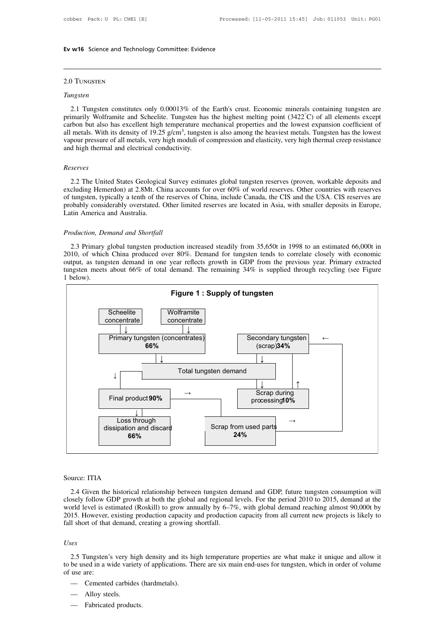## 2.0 Tungsten

## *Tungsten*

2.1 Tungsten<br>
2.1 Tungsten constitutes only 0.00013% of the Earth's crust. Economic minerals containing tungsten are<br>
imarily Wolframite and Scheelite. Tungsten has the highest melting point (3422°C) of all elements except **Primarily Wolframite and Scheelite. Tungsten has the Earth's crust. Economic minerals containing tungsten are primarily Wolframite and Scheelite. Tungsten has the highest melting point (3422<sup>°</sup>C) of all elements except c** 2.0 Tungsten<br>
Tungsten<br>
2.1 Tungsten constitutes only 0.00013% of the Earth's crust. Economic minerals containing tungsten are<br>
primarily Wolframite and Scheelite. Tungsten has the highest melting point  $(3422^{\circ}C)$  of a 2.0 TUNGSTEN<br>
Tungsten<br>
2.1 Tungsten constitutes only 0.00013% of the<br>
primarily Wolframite and Scheelite. Tungsten has<br>
carbon but also has excellent high temperature n<br>
all metals. With its density of 19.25 g/cm<sup>3</sup>, tun % of the Earth's crust. Economic minerals containing tungsten are<br>gsten has the highest melting point  $(3422^{\circ}C)$  of all elements except<br>rature mechanical properties and the lowest expansion coefficient of<br>, tungsten is Tungsten<br>2.1 Tungsten constitutes only 0.00013% of the Earth's crust. Economic minerals containing tungsten are<br>primarily Wolframite and Scheelite. Tungsten has the highest melting point  $(3422^{\circ}C)$  of all elements exce 2.1 Tungsten constitutes only 0.00013% of the<br>primarily Wolframite and Scheelite. Tungsten has<br>carbon but also has excellent high temperature mall metals. With its density of 19.25  $g/cm^3$ , tungste<br>vapour pressure of all m

## *Reserves*

metals. With its density of 19.25 g/cm<sup>3</sup>, tungsten is also among the heaviest metals. Tungsten has the lowest<br>pour pressure of all metals, very high moduli of compression and elasticity, very high thermal creep resistance vapour pressure of all metals, very high moduli of compression and elasticity, very high thermal creep resistance<br>and high thermal and electrical conductivity.<br>Reserves<br>2.2 The United States Geological Survey estimates glo and high thermal and electrical conductivity.<br> *Reserves*<br>
2.2 The United States Geological Survey estimates global tungsten reserves (proven, workable deposits and<br>
excluding Hemerdon) at 2.8Mt. China accounts for over 60 Reserves<br>2.2 The United States Geological Survey estimates global tungsten reserves (proven, workable deposits and<br>excluding Hemerdon) at 2.8Mt. China accounts for over 60% of world reserves. Other countries with reserves<br> Reserves<br>
2.2 The United States Geologica<br>
excluding Hemerdon) at 2.8Mt. Ch<br>
of tungsten, typically a tenth of the<br>
probably considerably overstated.<br>
Latin America and Australia. 2.2 The United States Geological Survexcluding Hemerdon) at 2.8Mt. China according Hemerdon) at 2.8Mt. China according tensilism and Australia.<br>Production, Demand and Shortfall<br>Production, Demand and Shortfall<br>2.3 Primary

tungsten, typically a tenth of the reserves of China, include Canada, the CIS and the USA. CIS reserves are obably considerably overstated. Other limited reserves are located in Asia, with smaller deposits in Europe, tin A probably considerably overstated. Other limited reserves are located in Asia, with smaller deposits in Europe,<br>Latin America and Australia.<br>Production, Demand and Shortfall<br>2010, of which China produced over 80%. Demand fo Latin America and Australia.<br> *Production, Demand and Shortfall*<br>
2.3 Primary global tungsten production increased steadily from 35,650t in 1998 to an estimated 66,000t in<br>
2010, of which China produced over 80%. Demand fo Production, Demand and Shortfall<br>
2.3 Primary global tungsten production increased steadily from 35,650t in 1998 to an estimated 66,000t in<br>
2010, of which China produced over 80%. Demand for tungsten tends to correlate cl Production, Demand and Shortfall<br>2.3 Primary global tungsten production increased steadily from 35,650t in 1998 to an estimated 66,000t in<br>2010, of which China produced over 80%. Demand for tungsten tends to correlate clos



urce: ITIA<br>2.4 Given the historical relationship between tungsten demand and GDP, future tungsten consumption will<br>2.4 Given the historical relationship between tungsten demand and GDP, future tungsten consumption will<br>3.4 Source: ITIA<br>
2.4 Given the historical relationship between tungsten demand and GDP, future tungsten consumption will<br>
closely follow GDP growth at both the global and regional levels. For the period 2010 to 2015, demand a Source: ITIA<br>2.4 Given the historical relationship between tungsten demand and GDP, future tungsten consumption will<br>closely follow GDP growth at both the global and regional levels. For the period 2010 to 2015, demand at Source: ITIA<br>
2.4 Given the historical relationship between tungsten demand and GDP, future tungsten consumption will<br>
closely follow GDP growth at both the global and regional levels. For the period 2010 to 2015, demand a Source: ITIA<br>
2.4 Given the historical relationship between tungsten de<br>
closely follow GDP growth at both the global and regional l<br>
world level is estimated (Roskill) to grow annually by 6–79<br>
2015. However, existing pro

## *Uses*

2.5 Tungsten's very high density and its high temperature properties are what make it unique and allow it be used in a wide variety of applications. There are six main end-uses for tungsten, which in order of volume use a 2015. However, existing production capacity and production capacity from all current new projects is likely to fall short of that demand, creating a growing shortfall.<br>
Uses<br>
2.5 Tungsten's very high density and its high t fall short of that<br>
Uses<br>
2.5 Tungsten's<br>
to be used in a w<br>
of use are:<br>
— Cemented -<br>
2.5 Tungsten's very high density and its hibe used in a wide variety of applications. The<br>
use are:<br>
— Cemented carbides (hardmetals).<br>
— Alloy steels. es<br>2.5 Tungsten's very hi<br>be used in a wide varie<br>use are:<br>— Cemented carbide<br>— Alloy steels.<br>— Fabricated produc 2.5 Tungsten's very high<br>be used in a wide variety<br>use are:<br>— Cemented carbides (<br>— Alloy steels.<br>— Fabricated products.

- 
- 
-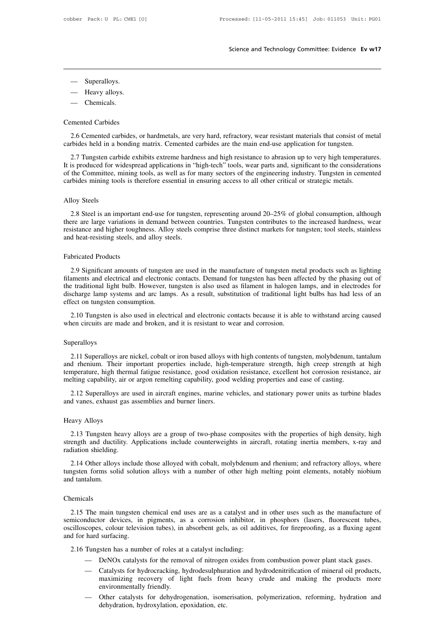- 
- Superalloys.<br>— Heavy alloys. — Superalloys.<br>— Heavy alloys.<br>— Chemicals. — Superalloys.<br>
— Heavy alloys.<br>
— Chemicals.
- 

— Superalloys.<br>
— Heavy alloys.<br>
— Chemicals.<br>
Cemented Carbides<br>
2.6 Cemented carbides, or 2.6 Cemented Carbides,<br>
2.6 Cemented carbides, or hardmetals, are very hard, refractory, wear resistant materials that consist of metal<br>
2.6 Cemented carbides, or hardmetals, are very hard, refractory, wear resistant mater Cemented Carbides<br>
2.6 Cemented carbides held in a bonding matrix. Cemented carbides are the main end-use application for tungsten.<br>
2.7 Tungsten carbide exhibits extreme hardness and high resistance to abrasion up to very

2.6 Cemented carbides, or hardmetals, are very hard, refractory, wear resistant materials that consist of metal<br>
2.7 Tungsten carbide exhibits extreme hardness and high resistance to abrasion up to very high temperatures.<br> Cemented Carbides<br>
2.6 Cemented carbides, or hardmetals, are very hard, refractory, wear resistant materials that consist of metal<br>
carbides held in a bonding matrix. Cemented carbides are the main end-use application for Committee Carbides, or hardmetals, are very hard, refractory, wear resistant materials that consist of metal<br>carbides held in a bonding matrix. Cemented carbides are the main end-use application for tungsten.<br>2.7 Tungsten 2.6 Cemented carbides, or hardmetals, are very hard, refractory, wear resistant materials that consist of m carbides held in a bonding matrix. Cemented carbides are the main end-use application for tungsten.<br>2.7 Tungsten c 2.7 Tungsten carbide exhibits extreme hardness and high resistance to abrasion up to very high temperatures.<br>It is produced for widespread applications in "high-tech" tools, wear parts and, significant to the consideration is produced for widespread applications in "high-tech" tools, wear parts and, significant to the considerations<br>the Committee, mining tools, as well as for many sectors of the engineering industry. Tungsten in cemented<br>rbi

of the Committee, mining tools, as well as for many sectors of the engineering industry. Tungsten in cemented<br>carbides mining tools is therefore essential in ensuring access to all other critical or strategic metals.<br>Alloy carbides mining tools is therefore essential in ensuring access to all other critical or strategic metals.<br>Alloy Steels<br>2.8 Steel is an important end-use for tungsten, representing around 20–25% of global consumption, alth Alloy Steels<br>
2.8 Steel is an important end-use for tungster<br>
there are large variations in demand between<br>
resistance and higher toughness. Alloy steels co<br>
and heat-resisting steels, and alloy steels.<br>
Februaried Product 2.8 Steel is an important e<br>there are large variations in<br>resistance and higher tough<br>and heat-resisting steels, and<br>Fabricated Products<br>2.9 Significant amounts of

Figure 2.9 Significant amounts of tungsten are used in the manufacture of tungsten rontributes to the increased hardness, wear sistance and higher toughness. Alloy steels comprise three distinct markets for tungsten; tool Fabricated Products<br>and heat-resisting steels, and alloy steels comprise three distinct markets for tungsten; tool steels, stainless<br>and heat-resisting steels, and alloy steels.<br>Fabricated Products<br>2.9 Significant amounts Fabricated Products<br>
2.9 Significant amounts of tungsten are used in the manufacture of tungsten metal products such as lighting<br>
filaments and electrical and electronic contacts. Demand for tungsten has been affected by t Fabricated Products<br>2.9 Significant amounts of tungsten are used in the manufacture of tungsten metal products such as lighting<br>filaments and electrical and electronic contacts. Demand for tungsten has been affected by the Fabricated Products<br>2.9 Significant amounts of tungster<br>filaments and electrical and electronic<br>the traditional light bulb. However, t<br>discharge lamp systems and arc lamp<br>effect on tungsten consumption.<br>2.10 Tungsten is al 2.9 Significant amounts of tungsten are used in the manufacture of tungsten metal products such as lighting aments and electrical and electronic contacts. Demand for tungsten has been affected by the phasing out of e tradi 2.9 Sigmineant amounts of tangsten are used in the manufacture of tangsten ine filaments and electrical and electronic contacts. Demand for tungsten has been aff the traditional light bulb. However, tungsten is also used a

## Superalloys

2.10 Tungsten is also used in electrical and electronic contacts because it is able to withstand arcing caused<br>hen circuits are made and broken, and it is resistant to wear and corrosion.<br>peralloys<br>2.11 Superalloys are nic 2.10 Tungsten is also used in electrical and electronic contacts because it is able to withstand arcing caused<br>when circuits are made and broken, and it is resistant to wear and corrosion.<br>Superalloys<br>2.11 Superalloys are when circuits are made and broken, and it is resistant to wear and corrosion.<br>
Superalloys<br>
2.11 Superalloys are nickel, cobalt or iron based alloys with high contents of tungsten, molybdenum, tantalum<br>
and rhenium. Their 2.11 Superalloys are nickel, cobalt or iron based alloys with high contents of tungsten, molybdenum, tantalum<br>and rhenium. Their important properties include, high-temperature strength, high creep strength at high<br>temperat peralloys<br>2.11 Superalloys are nickel, cobalt or iron based alloys with high contents of tungsten, molybdenum, tantalum<br>d rhenium. Their important properties include, high-temperature strength, high creep strength at high<br> 2.11 Superalloys are nickel, cobalt or iron based alloys wand rhenium. Their important properties include, high-<br>temperature, high thermal fatigue resistance, good oxidati<br>melting capability, air or argon remelting capabil temperature, high ther<br>melting capability, air<br>2.12 Superalloys are<br>and vanes, exhaust gas<br>Heavy Alloys<br>2.13 Tungsten heav

2.12 Superalloys are used in aircraft engines, marine vehicles, and stationary power units as turbine blades<br>d vanes, exhaust gas assemblies and burner liners.<br>2.13 Tungsten heavy alloys are a group of two-phase composites 2.12 Superalloys are used in aircraft engines, marine vehicles, and stationary power units as turbine blades<br>and vanes, exhaust gas assemblies and burner liners.<br>Heavy Alloys<br>2.13 Tungsten heavy alloys are a group of two-p and vanes, exhaust gas a<br>Heavy Alloys<br>2.13 Tungsten heavy<br>strength and ductility. A<br>radiation shielding.<br>2.14 Other alloys inclu extry Alloys<br>2.13 Tungsten heavy alloys are a group of two-phase composites with the properties of high density, high<br>ength and ductility. Applications include counterweights in aircraft, rotating inertia members, x-ray an The 2.13 Tungsten heavy alloys are a group of two-phase composites with the properties of high density, high strength and ductility. Applications include counterweights in aircraft, rotating inertia members, x-ray and radi 2.13 Tungsten hettength and ductil<br>and and ductil<br>radiation shielding.<br>2.14 Other alloys<br>tungsten forms sol<br>and tantalum.

## Chemicals

2.14 Other alloys include those alloyed with cobalt, molybdenum and rhenium; and refractory alloys, where<br>ngsten forms solid solution alloys with a number of other high melting point elements, notably niobium<br>d tantalum.<br>2 tungsten forms solid solution alloys with a number of other high melting point elements, notably niobium<br>and tantalum.<br>Chemicals<br>2.15 The main tungsten chemical end uses are as a catalyst and in other uses such as the manu and tantalum.<br>
Chemicals<br>
2.15 The main tungsten chemical end uses are as a catalyst and in other uses such as the manufacture of<br>
semiconductor devices, in pigments, as a corrosion inhibitor, in phosphors (lasers, fluores Chemicals<br>
2.15 The main tungsten c<br>
semiconductor devices, in<br>
oscilloscopes, colour televisi<br>
and for hard surfacing.<br>
2.16 Tungsten has a numb 2.15 The main tungsten chemical end uses are as a catalyst and<br>miconductor devices, in pigments, as a corrosion inhibitor, i<br>cilloscopes, colour television tubes), in absorbent gels, as oil addi<br>d for hard surfacing.<br>2.16 The main tungsten chemical end uses are as a catalyst and in other uses such as the manufacture of<br>
nductor devices, in pigments, as a corrosion inhibitor, in phosphors (lasers, fluorescent tubes,<br>
copes, colour television

- 
- mature of distribution and the productor devices, in pignents, as a corrosion inhibitor, in phosphors (lasers, nuorescent tubes, copes, colour television tubes), in absorbent gels, as oil additives, for fireproofing, as a s, colour television tubes), in absorbent gels, as oli additives, for inteproofing, as a fluxing agent<br>surfacing.<br>the sten has a number of roles at a catalyst including:<br>DeNOx catalysts for the removal of nitrogen oxides f surfacing.<br>
sten has a number of roles at a<br>
DeNOx catalysts for the remov<br>
Catalysts for hydrocracking, hy<br>
maximizing recovery of lig<br>
environmentally friendly.<br>
Other catalysts for dehydrog<br>
dehydration hydroxylation en Tungsten has a number of roles at a catalyst including:<br>
— DeNOx catalysts for the removal of nitrogen oxides from combustion power plant stack gases.<br>
— Catalysts for hydrocracking, hydrodesulphuration and hydrodenitrific DeNOx catalysts for the removal of nitrogen<br>Catalysts for hydrocracking, hydrodesulphura<br>maximizing recovery of light fuels from<br>environmentally friendly.<br>Other catalysts for dehydrogenation, isome<br>dehydration, hydroxylati
-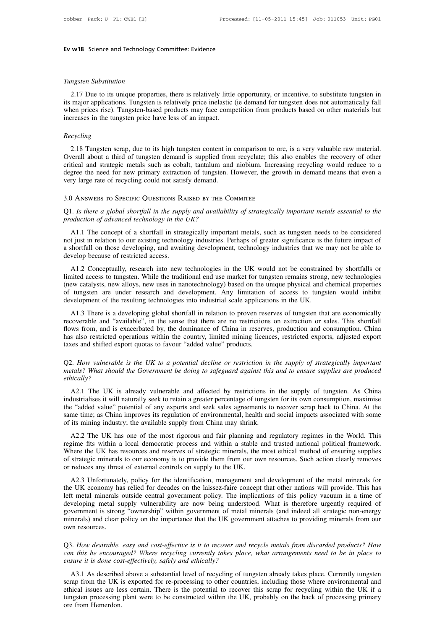**Ev w18** Science and Technology<br> *Tungsten Substitution*<br>
2.17 Due to its unique propert 2.17 Due to its unique properties, there is relatively little opportunity, or incentive, to substitute tungsten in<br>2.17 Due to its unique properties, there is relatively little opportunity, or incentive, to substitute tung Tungsten Substitution<br>2.17 Due to its unique properties, there is relatively little opportunity, or incentive, to substitute tungsten in<br>its major applications. Tungsten is relatively price inelastic (ie demand for tungste Tungsten Substitution<br>2.17 Due to its unique properties, there is relatively little opportunity, or incentive, to substitute tungsten in<br>its major applications. Tungsten is relatively price inelastic (ie demand for tungste Tungsten Substitution<br>2.17 Due to its unique properties, there is relatively little opportunity, or incentive, to substitute tungsten in<br>its major applications. Tungsten is relatively price inelastic (ie demand for tungste major applications. Tungsten is relatively price inelastic (ie demand for tungsten does not automatically fall<br>then prices rise). Tungsten-based products may face competition from products based on other materials but<br>reas

## *Recycling*

When prices rise). Tungsten-based products may face competition from products based on other materials but<br>increases in the tungsten price have less of an impact.<br>Recycling<br>2.18 Tungsten scrap, due to its high tungsten con Franceases in the tungsten price have less of an impact.<br>
Recycling<br>
2.18 Tungsten scrap, due to its high tungsten content in comparison to ore, is a very valuable raw material.<br>
Overall about a third of tungsten demand is Recycling<br>2.18 Tungsten scrap, due to its high tungsten content in comparison to ore, is a very valuable raw material.<br>Overall about a third of tungsten demand is supplied from recyclate; this also enables the recovery of Recycling<br>
2.18 Tungsten scrap, due to its high tungsten content in comparison to ore,<br>
Overall about a third of tungsten demand is supplied from recyclate; this als<br>
critical and strategic metals such as cobalt, tantalum The advanced strategic metals such as cobalt, tantalum and niobium. Increasing recycling would reduce to a degree the need for new primary extraction of tungsten. However, the growth in demand means that even a very large From a strategic metals such as cobalt, tantalum and niobium. Increasing recycling would reduce to a degree the need for new primary extraction of tungsten. However, the growth in demand means that even a very large rate o

A 1.1 The concept of a shortfall in the supply and availability of strategically important metals essential to the polaction of advanced technology in the UK?<br>A1.1 The concept of a shortfall in strategically important meta 3.0 ANSWERS TO SPECIFIC QUESTIONS RAISED BY THE COMMITEE<br>Q1. Is there a global shortfall in the supply and availability of strategically important metals essential to the<br>production of advanced technology in the UK?<br>A1.1 T 3.0 ANSWERS TO SPECIFIC QUESTIONS RAISED BY THE COMMITEE<br>Q1. Is there a global shortfall in the supply and availability of strategically important metals essential to the<br>production of advanced technology in the UK?<br>A1.1 Q1. Is there a global shortfall in the supp<br>production of advanced technology in the<br>A1.1 The concept of a shortfall in strat<br>not just in relation to our existing technolca<br>shortfall on those developing, and await<br>develop oduction of advanced technology in the UK?<br>A1.1 The concept of a shortfall in strategically important metals, such as tungsten needs to be considered<br>t just in relation to our existing technology industries. Perhaps of gre

A1.1 The concept of a shortfall in strategically important metals, such as tungsten needs to be considered<br>not just in relation to our existing technology industries. Perhaps of greater significance is the future impact of ATT The concept of a shortian in strategically important incluss, such as tungsten nects to be constrained<br>not just in relation to our existing technology industries. Perhaps of greater significance is the future impact of not just in relation to our existing technology muastries. I emaps or greater significance is the ruture impact of a shortfall on those developing, and awaiting development, technology industries that we may not be able to develop because of restricted access.<br>A1.2 Conceptually, research into new technologies in the UK would not be constrained initial access to tungsten. While the traditional end use market for tungsten remains strong (new c A1.2 Conceptually, research into new technologies in the UK would not be constrained by shortfalls or inted access to tungsten. While the traditional end use market for tungsten remains strong, new technologies ew catalyst First Conceptually, research mild hew detinologies in the OK would not be constrained by shortans of limited access to tungsten. While the traditional end use market for tungsten remains strong, new technologies (new catal

minca access to dingsten. While the diadutohan end use market for dingsten remains stong, new technologies (new catalysts, new alloys, new uses in nanotechnology) based on the unique physical and chemical properties of tun has also restricted operations within the country, limited mining licences, restricted properties and chemical properties of tungsten are under research and development. Any limitation of access to tungsten would inhibit d or tangster are under research and development. Any immation<br>development of the resulting technologies into industrial scale applicati<br>A1.3 There is a developing global shortfall in relation to proven rese<br>recoverable and A1.3 There is a developing global shortfall in relation to proven reserves of tungsten that are economically recoverable and "available", in the sense that there are no restrictions on extraction or sales. This shortfall f *metals* and "available", in the sense that there are no restrictions on extraction or sales. This shortfall flows from, and is exacerbated by, the dominance of China in reserves, production and consumption. China has also

## *ethically?*

Access and shifted export quotas to favour "added value" products.<br>
And the UK is already to a potential decline or restriction in the supply of strategically important<br>
A2.1 The UK is already vulnerable and affected by re Q2. How vulnerable is the UK to a potential decline or restriction in the supply of strategically important metals? What should the Government be doing to safeguard against this and to ensure supplies are produced ethicall Q2. How vulnerable is the UK to a potential decline or restriction in the supply of strategically important metals? What should the Government be doing to safeguard against this and to ensure supplies are produced ethicall Same time; as China improves its regulation of environmental, health and to ensure supplies are produced ethically?<br>A 2.1 The UK is already vulnerable and affected by restrictions in the supply of tungsten. As China indus of its minimized with the substrated by restrictions in<br>thically?<br>A2.1 The UK is already vulnerable and affected by restrictions in<br>industrialises it will naturally seek to retain a greater percentage of tungste<br>the "added A2.1 The UK is already vulnerable and affected by restrictions in the supply of tungsten. As China<br>dustrialises it will naturally seek to retain a greater percentage of tungsten for its own consumption, maximise<br>e "added v Ex.1 The GK is ancady vaniciable and articled by testrictions in the supply of dingster. As China<br>industrialises it will naturally seek to retain a greater percentage of tungsten for its own consumption, maximise<br>the "adde

mausuranses it will naturally seek to cleant a gicalce percentage of unigsten for its own consumption, maximise<br>the "added value" potential of any exports and seek sales agreements to recover scrap back to China. At the<br>sa of strategic minerals to our economy is to provide them from our own resources. Such action clearly removes the world. This regime fits within a local democratic process and fair planning and regulatory regimes in the Worl same time; as China improves its regulation of environmental, health and social impacts associated with some of its mining industry; the available supply from China may shrink.<br>
A2.2 The UK has one of the most rigorous and A2.2 The UK has one of the most rigorous and fair planning and regulatory regimes in the World. This gime fits within a local democratic process and within a stable and trusted national political framework.<br>here the UK has Azz The UK has one of the most rigorous and ran planning and regulatory regimes in the world. This regime fits within a local democratic process and within a stable and trusted national political framework.<br>Where the UK ha

legal metal minerals to our economy is to provide them from our own resources. Such action clearly removes of strategic minerals to our economy is to provide them from our own resources. Such action clearly removes or redu Whete the OK has itsources and reserves of strategic infinerast, the most culical inction of ensuring supplies<br>of strategic minerals to our economy is to provide them from our own resources. Such action clearly removes<br>or or strategic initials to our coolonity is to provide them from our own resources. Such action clearly removes<br>or reduces any threat of external controls on supply to the UK.<br>A2.3 Unfortunately, policy for the identificatio A2.3 Unfortunately, policy for the identification, management and development of the metal minerals for<br>the UK economy has relied for decades on the laissez-faire concept that other nations will provide. This has<br>the UK ec developing metal supply vulnerability are now being understood. What is therefore urgently required of government is strong "ownership" within government of metal minerals (and indeed all strategic non-energy minerals) and Eurement is strong "ownership" within government of metal minerals (and indeed all strategic non-energy<br>minerals) and clear policy on the importance that the UK government attaches to providing minerals from our<br>own resour

As How desirable, easy and cost-effective is it to recover and recycle metals from discarded products? How<br>
A3.1 As described above a substantial level of recycling of tungsten already takes place. Currently tungsten<br>
A3.1

Q3. How desirable, easy and cost-effective is it to recover and recycle metals from discarded products? How<br>can this be encouraged? Where recycling currently takes place, what arrangements need to be in place to<br>ensure it Q3. How desirable, easy and cost-effective is it to recover and recycle metals from discarded products? How can this be encouraged? Where recycling currently takes place, what arrangements need to be in place to ensure it Let the method of the encouraged? Where recycling currently takes place, what arrangements need to be in place to ensure it is done cost-effectively, safely and ethically?<br>A 3.1 As described above a substantial level of re Figure it is done costant<br>ansure it is done costand that<br>scrap from the UK is<br>ethical issues are le-<br>tungsten processing<br>ore from Hemerdon.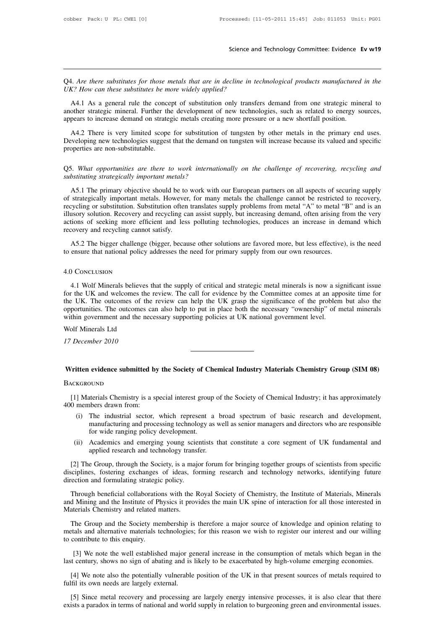Science and Technology Committee: Evidence Ev w19<br>Q4. Are there substitutes for those metals that are in decline in technological products manufactured in the<br>UK? How can these substitutes be more widely applied? Science an<br>
Q4. Are there substitutes for those metals that are in decline in te<br>
UK? How can these substitutes be more widely applied?<br>
A4.1 As a general rule the concept of substitution only transfe

A. Are there substitutes for those metals that are in decline in technological products manufactured in the K? How can these substitutes be more widely applied?<br>A4.1 As a general rule the concept of substitution only trans Q4. Are there substitutes for those metals that are in decline in technological products manufactured in the UK? How can these substitutes be more widely applied?<br>A4.1 As a general rule the concept of substitution only tra Q4. Are there substitutes for those metals that are in decline in technological products manufactured in the UK? How can these substitutes be more widely applied?<br>
A4.1 As a general rule the concept of substitution only tr

A 4.1 As a general rule the concept of substitution only transfers demand from one strategic mineral to ther strategic mineral. Further the development of new technologies, such as related to energy sources, pears to incre DR? How can mese substitutes be more widely applied?<br>
A4.1 As a general rule the concept of substitution only transfers demand from one strategic mineral to<br>
another strategic mineral. Further the development of new techno appears to increase demand on strategic metals creating more pressure or a new shortfall position.<br>A4.2 There is very limited scope for substitution of tungsten by other metals in the primary end uses.<br>Developing new techn appears to increase demand on strategic metals creating more pressure or a new shortfall position.<br>A4.2 There is very limited scope for substitution of tungsten by other metals in the primary end uses.<br>Developing new techn A4.2 There is very limited scope for substitution<br>Developing new technologies suggest that the demand<br>properties are non-substitutable.<br>Q5. What opportunities are there to work international<br>substituting strategically impo

Eveloping new technologies suggest that the demand on tungsten will increase because its valued and specific<br>poperties are non-substitutable.<br>5. What opportunities are there to work internationally on the challenge of reco properties are non-substitutable.<br>
Q5. What opportunities are there to work internationally on the challenge of recovering, recycling and<br>
substituting strategically important metals?<br>
A5.1 The primary objective should be Q5. What opportunities are there to work internationally on the challenge of recovering, recycling and substituting strategically important metals?<br>A5.1 The primary objective should be to work with our European partners on Q5. What opportunities are there to work internationally on the challenge of recovering, recycling and substituting strategically important metals?<br>A5.1 The primary objective should be to work with our European partners on Actions *Substituting strategically important metals?*<br>
Abstituting *strategically important metals?*<br>
A5.1 The primary objective should be to work with our European partners on all aspects of securing supply<br>
of strategic A5.1 The primary objective should be to of strategically important metals. However recycling or substitution. Substitution often illusory solution. Recovery and recycling cations of seeking more efficient and less recovery As trategically important metals. However, for many metals the challenge cannot be restricted to recovery, eycling or substitution. Substitution often translates supply problems from metal "A" to metal "B" and is an usory or stategically important meaths. The vector, for many meaths are entancing calmed "A" to metal "E<br>recycling or substitution. Substitution often translates supply, but increasing demand, often arising fractions of seeking

## 4.0 Conclusion

A5.2 The bigger challenge (bigger, because other solutions are favored more, but less effective), is the need<br>ensure that national policy addresses the need for primary supply from our own resources.<br>1.1 Wolf Minerals beli AS.2 The bigger challenge (bigger, because other solutions are favored more, but less effective), is the need<br>to ensure that national policy addresses the need for primary supply from our own resources.<br>4.0 CoNCLUSION<br>4.1 to ensure that national policy addresses the need for primary supply from our own resources.<br>
4.0 CoNCLUSION<br>
4.1 Wolf Minerals believes that the supply of critical and strategic metal minerals is now a significant issue<br> 4.0 Concluston<br>4.1 Wolf Minerals believes that the supply of critical and strategic metal minerals is now a significant issue<br>for the UK and welcomes the review. The call for evidence by the Committee comes at an apposite 4.0 Conclusion<br>4.1 Wolf Minerals believes that the supply of critical and strategic metal minerals is now a sig<br>for the UK and welcomes the review. The call for evidence by the Committee comes at an app<br>the UK. The outcome 4.1 Wolf Minerals believes<br>for the UK and welcomes the<br>the UK. The outcomes of the<br>opportunities. The outcomes<br>within government and the ne<br>Wolf Minerals Ltd<br>17 December 2010 for the UK and welcomes the<br>the UK. The outcomes of the<br>opportunities. The outcomes or<br>within government and the ne<br>Wolf Minerals Ltd<br>17 December 2010

## Wolf Minerals Ltd<br>Wolf Minerals Ltd<br>17 December 2010<br>Written evidence submitted by the Society of Chemical Industry Materials Chemistry Group (SIM 08)<br>BACKGROUND

## **BACKGROUND**

(11) Tritten evidence submitted by the Society of Chemical Industry Materials Chemistry Group (SIM 08)<br>
(11) Materials Chemistry is a special interest group of the Society of Chemical Industry; it has approximately<br>
(1) Th Written evidence submitted by<br>BACKGROUND<br>[1] Materials Chemistry is a sp<br>400 members drawn from:<br>(i) The industrial sector,<br>manufacturing and proce

- (i) The industrial sector, which represent a broad spectrum of basic research and development,<br>
(i) The industrial sector, which represent a broad spectrum of basic research and development,<br>
(i) The industrial sector, whi manufacturing and processing technology as well as senior managers and directors who are responsible<br>for wide ranging policy development.<br>Academics and amerging voung scientists that constitute a core responsible for wide For Muslim Chemistry is a special interest group<br>the distribution and the industrial sector, which represent a<br>manufacturing and processing technology as<br>for wide ranging policy development.<br>Academics and emerging young sc (i) Materials Chemistry is a special interest group of the Society of Chemical Industry; it has approximately<br>
(i) The industrial sector, which represent a broad spectrum of basic research and development,<br>
manufacturing a Abour members drawn from:<br>
(i) The industrial sector, which represent a broad spectrum of basic research and development,<br>
manufacturing and processing technology as well as senior managers and directors who are responsibl
	-

(i) The industrial sector, which represent a broad spectrum of basic research and development,<br>manufacturing and processing technology as well as senior managers and directors who are responsible<br>for wide ranging policy de manufacturing and processing technology as well as senior managers and directors who are responsible<br>for wide ranging policy development.<br>(ii) Academics and emerging young scientists that constitute a core segment of UK fu for wide ranging policy development.<br>
(ii) Academics and emerging young scien<br>
applied research and technology transf<br>
[2] The Group, through the Society, is a major<br>
disciplines, fostering exchanges of ideas, for<br>
directi

The Group, through the Society, is a major forum for bringing together groups of scientists from specific<br>
(2) The Group, through the Society, is a major forum for bringing together groups of scientists from specific<br>
scip applied research and technology transfer.<br>
[2] The Group, through the Society, is a major forum for bringing together groups of scientists from specific<br>
disciplines, fostering exchanges of ideas, forming research and tech [2] The Group, through the Society, is a majdisciplines, fostering exchanges of ideas, folirection and formulating strategic policy.<br>Through beneficial collaborations with the land Mining and the Institute of Physics it pr Exercis and formulating strategic policy.<br>Through beneficial collaborations with the Royal Society of Chemistry, the Institute of Materials, Minerals<br>d Mining and the Institute of Physics it provides the main UK spine of i method and formulating strategic policy.<br>
Through beneficial collaborations with the Royal Society of Chemistry, the Institute of Materials, Minerals<br>
and Mining and the Institute of Physics it provides the main UK spine o Through beneficial collaboration<br>and Mining and the Institute of Ph<br>Materials Chemistry and related n<br>The Group and the Society me<br>metals and alternative materials to<br>to contribute to this enquiry.<br>[3] We note the well est

Forming and the institute of Priystes it provides the main OK spine of interaction for an those interested in<br>terials Chemistry and related matters.<br>The Group and the Society membership is therefore a major source of knowl Materials Chemistry and related matters.<br>
The Group and the Society membership is therefore a major source of knowledge and opinion relating to<br>
metals and alternative materials technologies; for this reason we wish to reg The Group and the Society membersing is therefore a major source of knowledge and opmion relating to etals and alternative materials technologies; for this reason we wish to register our interest and our willing contribute

[3] We note the well established major general increase in the consumption of metals which began in the st century, shows no sign of abating and is likely to be exacerbated by high-volume emerging economies.<br>[4] We note al

Iast century, shows no sign of abating and is likely to be exacerbated by high-volume emerging economies.<br>
[4] We note also the potentially vulnerable position of the UK in that present sources of metals required to fulfil [4] We note also the potentially vulnerable position of the UK in that present sources of metals required to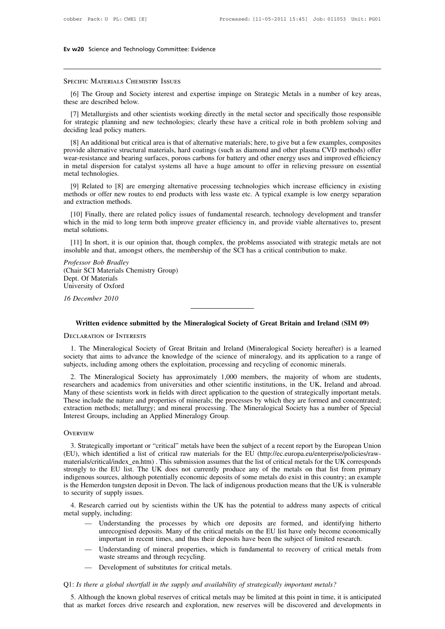ECIFIC MATERIALS CHEMISTRY ISSUES<br>
[6] The Group and Society interest and expertise impinge on Strategic Metals in a number of key areas,<br>
see are described below. SPECIFIC MATERIALS CHEMISTR<br>SPECIFIC MATERIALS CHEMISTR<br>[6] The Group and Society if<br>these are described below.<br>[7] Metallurgists and other so

ECIFIC MATERIALS CHEMISTRY ISSUES<br>[6] The Group and Society interest and expertise impinge on Strategic Metals in a number of key areas,<br>see are described below.<br>[7] Metallurgists and other scientists working directly in t SPECIFIC MATERIALS CHEMISTRY ISSUES<br>
[6] The Group and Society interest and expertise impinge on Strategic Metals in a number of key areas,<br>
these are described below.<br>
[7] Metallurgists and other scientists working direct SPECIFIC MATERIALS CHEMISTRY I<br>
[6] The Group and Society inte<br>
these are described below.<br>
[7] Metallurgists and other scient<br>
for strategic planning and new te<br>
deciding lead policy matters.<br>
[8] An additional but critic [6] The Group and Society interest and expertise impinge on Strategic Metals in a number of key areas,<br>see are described below.<br>[7] Metallurgists and other scientists working directly in the metal sector and specifically t

these are described below.<br>
[7] Metallurgists and other scientists working directly in the metal sector and specifically those responsible<br>
for strategic planning and new technologies; clearly these have a critical role in [7] Metallurgists and other scientists working directly in the metal sector and specifically those responsible<br>for strategic planning and new technologies; clearly these have a critical role in both problem solving and<br>dec If we all metal dispersion for extensions working unectly in the inetal sector and specifically those responsible<br>for strategic planning and new technologies; clearly these have a critical role in both problem solving and<br> deciding lead policy matters.<br>
[8] An additional but critical area is that of alternative materials; here, to give but a few examples, composites<br>
provide alternative structural materials, hard coatings (such as diamond an [8] An additional but critical area is that of alternative materials; here, to give but a few examples, composites ovide alternative structural materials, hard coatings (such as diamond and other plasma CVD methods) offer [6] All additional but critical area is that of attentiative materials, here, to give but a few examples, composites<br>provide alternative structural materials, hard coatings (such as diamond and other plasma CVD methods) of provide attenuative sutcurian<br>wear-resistance and bearing si<br>in metal dispersion for catal<br>metal technologies.<br>[9] Related to [8] are emeritieds or offer new routes<br>and extraction methods.<br>[10] Finally, there are related

metal dispersion for catalyst systems all have a huge amount to offer in relieving pressure on essential<br>tal technologies.<br>[9] Related to [8] are emerging alternative processing technologies which increase efficiency in ex metal technologies.<br>
[9] Related to [8] are emerging alternative processing technologies which increase efficiency in existing<br>
methods or offer new routes to end products with less waste etc. A typical example is low ener [9] Related to [8]<br>methods or offer new<br>and extraction metho<br>[10] Finally, there<br>which in the mid to<br>metal solutions.<br>[11] In short, it is exthods or offer new routes to end products with less waste etc. A typical example is low energy separation<br>d extraction methods.<br>[10] Finally, there are related policy issues of fundamental research, technology developmen insolution methods.<br>
Insulty, there are related policy issues of fundamental research, technology development and transfer<br>
which in the mid to long term both improve greater efficiency in, and provide viable alternatives [10] Finally, there are related<br>which in the mid to long term b<br>metal solutions.<br>[11] In short, it is our opinior<br>insoluble and that, amongst othe<br>*Professor Bob Bradley*<br>(Chair SCI Materials Chemistry<br>Dept. Of Materials

insoluble and that, amongst others, the membership of the SCI has a critical contribution to make.<br> *Professor Bob Bradley*<br>
(Chair SCI Materials Chemistry Group)<br>
Dept. Of Materials<br>
University of Oxford metal solutions.<br>
[11] In short, it is our op<br>
insoluble and that, amongst<br> *Professor Bob Bradley*<br>
(Chair SCI Materials Chem<br>
Dept. Of Materials<br>
University of Oxford<br>
Materials [11] In short, it is our opinion<br>insoluble and that, amongst othe<br>*Professor Bob Bradley*<br>(Chair SCI Materials Chemistry<br>Dept. Of Materials<br>University of Oxford<br>16 December 2010 *16 insoluble and that, amongst of*<br>*Professor Bob Bradley*<br>(Chair SCI Materials Chemist<br>Dept. Of Materials<br>University of Oxford<br>16 December 2010 *Written evidence submitted by the Mineralogical Society of Great Britain and Ireland (SIM 09)*<br> *Written evidence submitted by the Mineralogical Society of Great Britain and Ireland (SIM 09)*<br> **WRITEND OF INTERESTS** (Chair SCI Materials Chemistry Group)<br>Dept. Of Materials<br>University of Oxford<br>16 December 2010<br>Written evidence submitted by t<br>DECLARATION OF INTERESTS

Viction evidence submitted by the Mineralogical Society of Great Britain and Ireland (SIM 09)<br>ECLARATION OF INTERESTS<br>1. The Mineralogical Society of Great Britain and Ireland (Mineralogical Society hereafter) is a learned **Society of Great Britain and Ireland (SIM 09)**<br>DECLARATION OF INTERESTS<br>1. The Mineralogical Society of Great Britain and Ireland (Mineralogical Society hereafter) is a learned<br>society that aims to advance the knowledge o Written evidence submitted by the Mineralogical Society of Great Britain and Ireland (SIM 09)<br>DECLARATION OF INTERESTS<br>1. The Mineralogical Society of Great Britain and Ireland (Mineralogical Society hereafter) is a learne ECLARATION OF INTERESTS<br>2. The Mineralogical Society of Great Britain and Ireland (Mineralogical Society hereafter) is a learned<br>2. The Mineralogical Society the knowledge of the science of mineralogy, and its application

DECLARATION OF INTERESTS<br>1. The Mineralogical Society of Great Britain and Ireland (Mineralogical Society hereafter) is a learned<br>society that aims to advance the knowledge of the science of mineralogy, and its application 1. The Mineralogical Society of Great Britain and Ireland (Mineralogical Society hereafter) is a learned society that aims to advance the knowledge of the science of mineralogy, and its application to a range of subjects, The Mineralogical Society of Oreat Binani and field (Mineralogical Society fieldate) is a featured society that aims to advance the knowledge of the science of mineralogy, and its application to a range of subjects, includ society that all as to advance the Khowledge of the science of inheralogy, and its application to a range of subjects, including among others the exploitation, processing and recycling of economic minerals.<br>2. The Mineralo Subjects, including among others the exploriation, processing and 2. The Mineralogical Society has approximately 1,000 m researchers and academics from universities and other scientift Many of these scientists work in fiel 3. Strategically important or "critical" metals have been the subject of a recent report and concentrated;<br>traction methods; metallurgy; and mineral processing. The Mineralogical Society has a number of Special<br>terest Grou

## **OVERVIEW**

(EU), which identified a list of critical raw materials, we processed by which idey including an applied Mineralogy Group.<br>The Mineralogical Society has a number of Special Interest Groups, including an Applied Mineralogy materials (critical) independent of "critical" metals have been the subject of a recent report by the European Union (EU), which identified a list of critical" metals have been the subject of a recent report by the Europea Strangly important or "critical" metals have been the subject of a recent report by the European Union<br>(EU), which identified a list of critical raw materials for the EU (http://ec.europa.eu/enterprise/policies/raw-<br>materi OVERVIEW<br>3. Strategically important or "critical" metals have been the subject of a recent report by the European Union<br>(EU), which identified a list of critical raw materials for the EU (http://ec.europa.eu/enterprise/pol 3. Strategically important or "critical" metals have been the subject of a recent report by the European Union (EU), which identified a list of critical raw materials for the EU (http://ec.europa.eu/enterprise/policies/raw 3. Strategically important or "ctyle"<br>(EU), which identified a list of comaterials/critical/index\_en.htm).<br>strongly to the EU list. The UK<br>indigenous sources, although pote<br>is the Hemerdon tungsten deposit<br>to security of s 2. Research carried out by scientists within the UK has the potential to address many aspects of critical specifical intervals/critical/index\_en.htm). This submission assumes that the list of critical metals for the UK cor materialsocritical/moex\_en.ntm<br>strongly to the EU list. The<br>indigenous sources, although p<br>is the Hemerdon tungsten depoto<br>to security of supply issues.<br>4. Research carried out by<br>metal supply, including:<br>— Understanding t ous sources, although potentially economic deposits of some metals do exist in this country; an example<br>
(emerdon tungsten deposit in Devon. The lack of indigenous production means that the UK is vulnerable<br>
rity of supply

- recommended the UK is vulnerable<br>f supply issues.<br>th carried out by scientists within the UK has the potential to address many aspects of critical<br>in characteristical metals on the critical metals on the EU list have only is a f supply issues.<br>
She carried out by scientists within the UK has the potential to address many aspects of critical,<br>
it is including:<br>
Understanding the processes by which ore deposits are formed, and identifying hit esearch carried out by scientists within the UK has the potential to address many aspects of critical upply, including:<br>
— Understanding the processes by which ore deposits are formed, and identifying hitherto unrecognised In carried out by scientists whilm the Or<br>i, including:<br>Understanding the processes by which<br>unrecognised deposits. Many of the critica<br>important in recent times, and thus their de<br>Understanding of mineral properties, whi<br> — Understanding the processes by which ore dep<br>unrecognised deposits. Many of the critical metals of<br>important in recent times, and thus their deposits ha<br>— Understanding of mineral properties, which is fun<br>waste streams
- Important in recent times, and thus their deposits have been the subject of limited research.<br>
 Understanding of mineral properties, which is fundamental to recovery of critical metals<br>
waste streams and through recycling
	-

5. Although the known global reserves of critical metals may be limited to recovery of critical metals from<br>
5. Although the known global reserves of critical metals may be limited at this point in time, it is anticipated<br> waste streams and through recycling.<br>
— Development of substitutes for critical metals.<br>
Q1: *Is there a global shortfall in the supply and availability of strategically important metals?*<br>
5. Although the known global res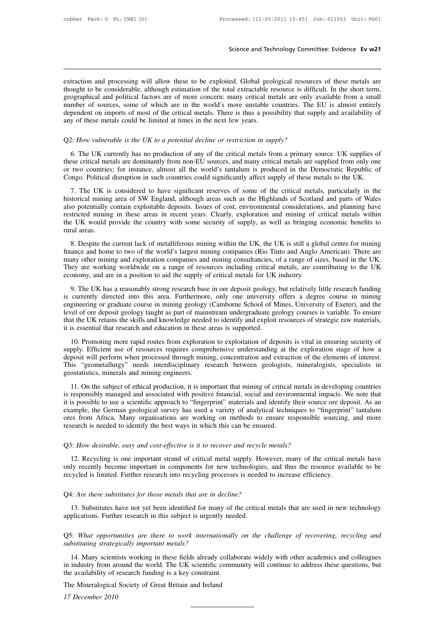Science and Technology Committee: Evidence Ev w21<br>
Extraction and processing will allow these to be exploited. Global geological resources of these metals are<br>
thought to be considerable, although estimation of the total e Science and Technology Committee: Evidence Ev w21<br>extraction and processing will allow these to be exploited. Global geological resources of these metals are<br>thought to be considerable, although estimation of the total ext Science and Technology Committee: Evidence Ev w21<br>extraction and processing will allow these to be exploited. Global geological resources of these metals are<br>thought to be considerable, although estimation of the total ext extraction and processing will allow these to be exploited. Global geological resources of these metals are thought to be considerable, although estimation of the total extractable resource is difficult. In the short term, extraction and processing will allow these to be exploited. Global geological resources of these metals are thought to be considerable, although estimation of the total extractable resource is difficult. In the short term, extraction and processing will allow these to be exploited. Global geol<br>thought to be considerable, although estimation of the total extractable re<br>geographical and political factors are of more concern: many critical me<br>n thought to be considerable, although estimation of the total extractable resource is difficed geographical and political factors are of more concern: many critical metals are only a number of sources, some of which are in

mber of sources, some of which are in the world's more unstable countries. The EU is almost entirely<br>pendent on imports of most of the critical metals. There is thus a possibility that supply and availability of<br>y of these dependent on imports of most of the critical metals. There is thus a possibility that supply and availability of<br>any of these metals could be limited at times in the next few years.<br>Q2: How vulnerable is the UK to a potent any of these metals could be limited at times in the next few years.<br>
Q2: How vulnerable is the UK to a potential decline or restriction in supply?<br>
6. The UK currently has no production of any of the critical metals from Q2: How vulnerable is the UK to a potential decline or restriction in supply?<br>
6. The UK currently has no production of any of the critical metals from a primary source. UK supplies of<br>
these critical metals are dominantly 7. The UK currently has no production of any of the critical metals from a primary source. UK supplies of these critical metals are dominantly from non-EU sources, and many critical metals are supplied from only one two co

6. The UK currently has no production of any of the critical metals from a primary source. UK supplies of these critical metals are dominantly from non-EU sources, and many critical metals are supplied from only one or two also potential metals are dominantly from non-EU sources, and many critical metals are supplied from only one<br>or two countries; for instance, almost all the world's tantalum is produced in the Democratic Republic of<br>Congo. restricted mining in these areas in recent years. Clearly, exploration and mining of critical metals to the UK.<br>T. The UK is considered to have significant reserves of some of the critical metals, particularly in the histo The UK is considered to have significant reserves of some of the critical metals, particularly in the historical mining area of SW England, although areas such as the Highlands of Scotland and parts of Wales also potential 7. The UK is<br>7. The UK is<br>historical mining<br>also potentially verticed mining<br>the UK would p<br>rural areas.<br>8. Despite the From the current lack of metalliferous mining within the UK, the UK is still a global centre of metallity contain exploitable deposits. Issues of cost, environmental considerations, and planning have stricted mining in the finance and mining and exploration companies and mining consultancies, of a range of sizes, based in the UK would provide the country with some security exploration and mining of critical metals within the UK would provide

many other mining in these areas in recent years. Clearly, exploration and mining of critical metals within the UK would provide the country with some security of supply, as well as bringing economic benefits to rural area The UK would provide the country with some security of supply, as well as bringing economic benefits to rural areas.<br>
8. Despite the current lack of metalliferous mining within the UK, the UK is still a global centre for m the UK would provide the country with some security of supply, as well as bringing economic benefits to rural areas.<br>
8. Despite the current lack of metalliferous mining within the UK, the UK is still a global centre for m 8. Despite the current lack of metalliferous mining within the UK, the UK is still a global centre for mining<br>ance and home to two of the world's largest mining companies (Rio Tinto and Anglo American). There are<br>any other In the word of the world's largest mining whall the OK, the OK Is sud a global centre for liming and home to those of the world's largest mining companies (Rio Tinto and Anglo American). There are many other mining and exp

mance and none to two of the world's largest infining companies (Rio Time and Yugo Timerican). There are many other mining and exploration companies and mining consultancies, of a range of sizes, based in the UK.<br>They are If they are working und captoration companes and iming constantness, or a range of sizes, based in the OK.<br>They are working worldwide on a range of resources including critical metals, are contributing to the UK<br>economy, a They are working workwide on a range of resources including erricant inclusive,<br>economy, and are in a position to aid the supply of critical metals for UK industry.<br>9. The UK has a reasonably strong research base in ore de 9. The UK has a reasonably strong research base in ore deposit geology, is currently directed into this area. Furthermore, only one university engineering or graduate course in mining geology (Camborne School of Mevel of o 1. The Course is a customer of this area. Furthermore, only one university offers a degree course in mining gineering or graduate course in mining egology (Camborne School of Mines, University of Exeter), and the vel of or suppression and the use of resources in minima geology (Camborne School of Mines, University of Exeter), and the evel of ore deposit geology taught as part of mainstream undergraduate geology courses is variable. To ensure

deposit geology taught as part of mainstream undergraduate geology courses is variable. To ensure that the UK retains the skills and knowledge needed to identify and exploit resources of strategic raw materials, it is esse This "geometallurgy" needs interdisciplinary research between geologists, mineralogists, specialists in geostatistics, minerals and mining engineers.<br>This "geometallurgy" needs interdisciplinary research between geologists that the UK retains the skills and knowledge needed to identify and exploit resources of strategic raw materials,<br>it is essential that research and education in these areas is supported.<br>10. Promoting more rapid routes fro 10. Promoting more rapid routes from exploration to exploitation of deposits is vital in ensuring security of<br>pply. Efficient use of resources requires comprehensive understanding at the exploration stage of how a<br>posit wi is responsibly managed and social environmental in a depositive interaction of the elements of how a deposit will perform when processed through mining, concentration and extraction of the elements of interest.<br>This "geome

Exercise of resolution when processed through mining, concentration and extraction of the elements of interest.<br>This "geometallurgy" needs interdisciplinary research between geologists, mineralogists, specialists in geosta exposit will perform when processed unough mining, concentration and extraction of the effections of interest.<br>This "geometallurgy" needs interdisciplinary research between geologists, mineralogists, specialists in<br>geostat Firms geometaniary recess interdisciplinary research octwoch geologists, mineratogists, specialists in geostatistics, minerals and mining engineers.<br>
11. On the subject of ethical production, it is important that mining of 11. On the subject of ethical production, it is important that mining of critical<br>is responsibly managed and associated with positive financial, social and enviro<br>it is possible to use a scientific approach to "fingerprint Is responsibly managed and associated with positive financial, social and environmental in<br>it is possible to use a scientific approach to "fingerprint" materials and identify their source<br>example, the German geological sur

If the German geological survey has used a variety of analytical techniques to "fingerprint" tantalum<br>
In Africa. Many organisations are working on methods to ensure responsible sourcing, and more<br>
In Africa. Many organisa ores from Africa. Many organisations are working on methods to ensure responsible sourcing, and more research is needed to identify the best ways in which this can be ensured.<br>
Q3: *How desirable, easy and cost-effective i* research is needed to identify the best ways in which this can be ensured.<br>
Q3: How desirable, easy and cost-effective is it to recover and recycle metals?<br>
12. Recycling is one important strand of critical metal supply. H Q3: *How desirable, easy and cost-effective is it to recover and recycle m*<br>12. Recycling is one important strand of critical metal supply. Howe<br>only recently become important in components for new technologies, a<br>recycled 12. Recycling is one important strand of critical metal supply. However, many of the critical metals have ly recently become important in components for new technologies, and thus the resource available to be eycled is lim

recycled is limited. Further research into recycling processes is needed to increase efficiency.<br>
13. Substitutes for those metals that are in decline?<br>
13. Substitutes have not yet been identified for many of the critical Q4: *Are there substitutes for those metals that are in decline?*<br>13. Substitutes have not yet been identified for many of the critical metals that are used in new technology<br>applications. Further research in this subject Q4: *Are there substitutes for those metals that are in a*<br>13. Substitutes have not yet been identified for man<br>applications. Further research in this subject is urgent!<br>Q5: *What opportunities are there to work internati* 

13. Substitutes have not yet been identified for many of the critical metals that are used in new technology<br>plications. Further research in this subject is urgently needed.<br>For What opportunities are there to work interna applications. Further research in this subject is urgently needed.<br>
Q5: What opportunities are there to work internationally on the challenge of recovering, recycling and<br>
substituting strategically important metals?<br>
14. Q5: What opportunities are there to work internationally<br>substituting strategically important metals?<br>14. Many scientists working in these fields already collab<br>in industry from around the world. The UK scientific comm<br>the Q5: What opportunities are there to work internationally on t<br>substituting strategically important metals?<br>14. Many scientists working in these fields already collaborate<br>in industry from around the world. The UK scientifi <sup>14</sup> Many scienting analogue<br>
<sup>14</sup> Many scienting<br>
<sup>17</sup> December 2010<br>
<sup>17</sup> December 2010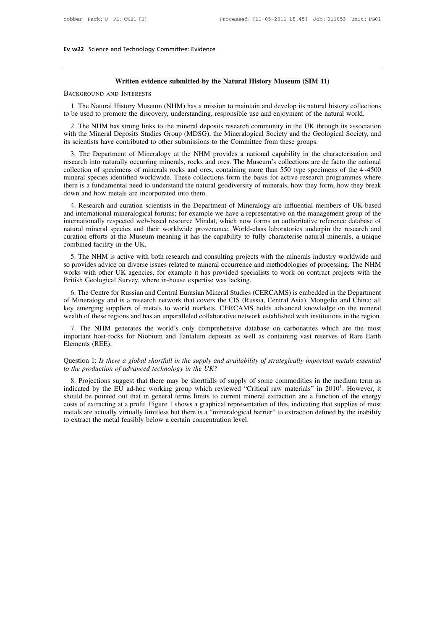## **Written evidence submitted by the Natural History Museum (SIM 11)**

**1.** Written evidence submitted by the Natural History Museum (SIM 11)<br>1. The Natural History Museum (NHM) has a mission to maintain and develop its natural history collections<br>be used to promote the discovery, understandi **to be used to promote the discovery, understanding, responsible use and enjoyment of the natural history collections**<br>to be used to promote the discovery, understanding, responsible use and enjoyment of the natural world.

**EXECT WRITE STRONG WATERESTS**<br>2. The Natural History Museum (NHM) has a mission to maintain and develop its natural history collections<br>be used to promote the discovery, understanding, responsible use and enjoyment of the WHERESTS<br>
1. The Natural History Museum (NHM) has a mission to maintain and develop its natural history collections<br>
to be used to promote the discovery, understanding, responsible use and enjoyment of the natural world.<br> EXAGROUND AND INTERESTS<br>
1. The Natural History Museum (NHM) has a mission to maintain and develop its natural history collections<br>
to be used to promote the discovery, understanding, responsible use and enjoyment of the n

1. The Natural History Museum (NHM) has a mission to maintain and develop its natural history collections<br>be used to promote the discovery, understanding, responsible use and enjoyment of the natural world.<br>2. The NHM has to be used to promote the discovery, understanding, responsible use and enjoyment of the natural world.<br>
2. The NHM has strong links to the mineral deposits research community in the UK through its association<br>
with the Mi 2. The NHM has strong links to the mineral deposits research community in the UK through its association with the Mineral Deposits Studies Group (MDSG), the Mineralogical Society and the Geological Society, and its scient 2. The NHM has strong links to the inheral deposits research community in the OK through its association<br>with the Mineral Deposits Studies Group (MDSG), the Mineralogical Society and the Geological Society, and<br>its scienti with the Mineral Deposits studies Group (MDSO), the Mineralogical society and the Geological society, and<br>its scientists have contributed to other submissions to the Committee from these groups.<br>3. The Department of Minera down and how metals are incorporated into the NHM pro-<br>created into naturally occurring minerals, rocks and or<br>collection of specimens of minerals rocks and ores, co<br>mineral species identified worldwide. These collections<br> 5. The Department of Mineratogy at the NriM provides a hadional capability in the characterisation and earth into naturally occurring minerals, rocks and ores. The Museum's collections are de facto the national llection of research into naturally occurring infierals, tocks and ores. The Museum's conections are de racto the hational<br>collection of specimens of minerals rocks and ores, containing more than 550 type specimens of the 4~4500<br>miner

conection of specifield worldwide. These collections form the basis for active research programmes where there is a fundamental need to understand the natural geodiversity of minerals, how they form, how they break down an nimeral species identified worldwide. These conections form the basis for active research programmes where<br>there is a fundamental need to understand the natural geodiversity of minerals, how they form, how they break<br>down there is a fundamental need to understand the hadral geodiversity of influential, now they form, now they break<br>down and how metals are incorporated into them.<br>4. Research and curation scientists in the Department of Miner down and now metals are incorpored<br>
4. Research and curation scient<br>
and international mineralogical for<br>
internationally respected web-base<br>
natural mineral species and their<br>
curation efforts at the Museum m<br>
combined fa 4. Research and curation scientists in the Department of Mineratogy are influential members of OK-based<br>d internationally respected web-based resource Mindat, which now forms an authoritative reference database of<br>tural mi and mieralional mineralogical forums; for example we have a representative on the management group of the insternationally respected web-based resource Mindat, which now forms an authoritative reference database of natural

mernationary respected web-based resource Mindat, which how forms an authoritative reference database of natural mineral species and their worldwide provenance. World-class laboratories underpin the research and curation e matural initial species and their worldwide provenance. World-class<br>curation efforts at the Museum meaning it has the capability to fully<br>combined facility in the UK.<br>5. The NHM is active with both research and consulting mbined facility in the UK.<br>
5. The NHM is active with both research and consulting projects with the minerals industry worldwide and<br>
provides advice on diverse issues related to mineral occurrence and methodologies of pro

5. The NHM is active with both research and consulting projects with the minerals industry worldwide and<br>so provides advice on diverse issues related to mineral occurrence and methodologies of processing. The NHM<br>works wit S. The NHM is active with both research and consuming projects with the inherals mustuy worldwide and<br>so provides advice on diverse issues related to mineral occurrence and methodologies of processing. The NHM<br>works with o so provides advice of diverse issues related to filmeral occurrence and inethodologies of processing. The NHM<br>works with other UK agencies, for example it has provided specialists to work on contract projects with the<br>Brit itish Geological Survey, where in-house expertise was lacking.<br>
6. The Centre for Russian and Central Eurasian Mineral Studies (CERCAMS) is embedded in the Department<br>
Mineralogy and is a research network that covers the C 6. The Centre for Russian and Central Eurasian Mineral Studies (CERCAMS) is embedded in the Department of Mineralogy and is a research network that covers the CIS (Russia, Central Asia), Mongolia and China; all key emergin 6. The Centre for Russian and Central Eurasian Mineral Studies (CERCAMS) is embedded in the Department<br>of Mineralogy and is a research network that covers the CIS (Russia, Central Asia), Mongolia and China; all<br>key emergin

Rey energing supplies of metals to world makets. CERCANIS holds advanced knowledge of the infielal wealth of these regions and has an unparalleled collaborative network established with institutions in the region.<br>
7. The *the inportant host-rocks for Niobium and Tantalum deposits as well as containing vast reserves of Rare Earth*<br>*Elements (REE).*<br>*Question 1: Is there a global shortfall in the supply and availability of strategically impo* 

8. Projections suggest that there may be shortfalls of supply of some commodities which are the mediate the ments (REE).<br>
also containing vast reserves of Rare Earth<br>
ements (REE).<br>
also a section 1: Is there a global sho indicated by the EU ad-hoc working group which reviewed "Critical raw materials" in 2010<sup>1</sup>. However, the production of advanced technology in the UK?<br>8. Projections suggest that there may be shortfalls of supply of some c *Example 1*<br>*Etals essential*<br>dium term as<br>. However, it<br>of the energy<br>pplies of most Show 1: Is there a global shortfall in the supply and availability of strategically important metals essential<br>to the production of advanced technology in the UK?<br>8. Projections suggest that there may be shortfalls of supp Question 1: *Is there a global shortfall in the supply and availability of strategically important metals essential<br>to the production of advanced technology in the UK?<br>8. Projections suggest that there may be shortfalls of* Question 1. *Is there a global shortjall in the supply and avaliability of strategically important metals essentiat<br>to the production of advanced technology in the UK?<br>8. Projections suggest that there may be shortfalls o* to the production of davanced technology in the UK?<br>
8. Projections suggest that there may be shortfalls of supply<br>
indicated by the EU ad-hoc working group which reviewed "<br>
should be pointed out that in general terms li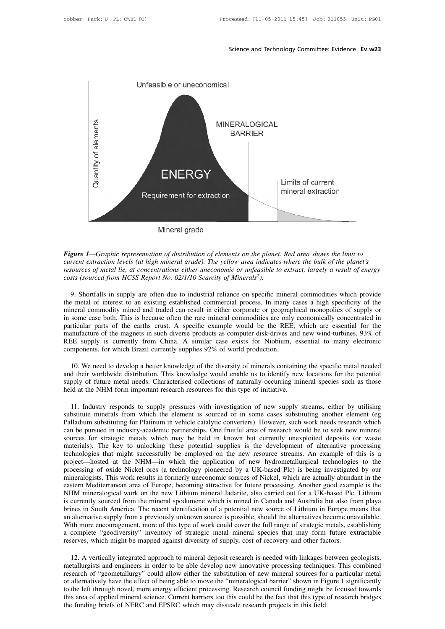

*current extraction levels (at high mineral grade). The yellow area indicates where the bulk of the planet's*<br>*current extraction levels (at high mineral grade). The yellow area indicates where the bulk of the planet's*<br>*r Mineral grade*<br>*<i>rigure 1—Graphic representation of distribution of elements on the planet. Red area shows the limit to***<br>***current extraction levels (at high mineral grade). The yellow area indicates where the bulk of the costare 1—Graphic representation of distribution of elements on the planet. Red area shows the limit to* current extraction levels (at high mineral grade). The yellow area indicates where the bulk of the planet's resource **gure 1**—Graphic representation of distribution of elements on the planet. Red area shows the limit to<br>rrent extraction levels (at high mineral grade). The yellow area indicates where the bulk of the planet's<br>sources of me

Figure 1—Graphic representation of distribution of elements on the planet. Red area shows the limit to<br>current extraction levels (at high mineral grade). The yellow area indicates where the bulk of the planet's<br>resources o current extraction levels (at high mineral grade). The yellow area indicates where the bulk of the planet's<br>resources of metal lie, at concentrations either uneconomic or unfeasible to extract, largely a result of energy<br>c resources of metal lie, at concentrations either uneconomic or unfeasible to extract, largely a result of energy<br>costs (sourced from HCSS Report No. 02/1/10 Scarcity of Minerals<sup>2</sup>).<br>9. Shortfalls in supply are often due t costs (sourced from HCSS Report No. 02/1/10 Scarcity of Minerals<sup>2</sup>).<br>9. Shortfalls in supply are often due to industrial reliance on specific mineral commodities which provide<br>the metal of interest to an existing establis 9. Shortfalls in supply are often due to industrial reliance on specific mineral commodities which provide the metal of interest to an existing established commercial process. In many cases a high specificity of the minera 9. Shortfalls in supply are often due to industrial reliance on specific mineral commodities which provide the metal of interest to an existing established commercial process. In many cases a high specificity of the minera the metal of interest to an existing established commercial process. In many c<br>mineral commodity mined and traded can result in either corporate or geograpl<br>in some case both. This is because often the rare mineral commodi 10. Some case both. This is because often the rare mineral commodities are only economically concentrated in riticular parts of the earths crust. A specific example would be the REE, which are essential for the nunfacture particular parts of the earths crust. A specific example would be the REE, which are essential for the manufacture of the magnets in such diverse products as computer disk-drives and new wind-turbines. 93% of REE supply is

manufacture of the magnets in such diverse products as computer disk-drives and new wind-turbines. 93% of REE supply is currently from China. A similar case exists for Niobium, essential to many electronic components, for REE supply is currently from China. A similar case exists for Niobium, essential to many electronic components, for which Brazil currently supplies 92% of world production.<br>10. We need to develop a better knowledge of the

11. Industry responds to supply pressures with investigation of new supply streams, either by utilising substitute minerals from which the element is sourced or in some cases substituting another element (eg Palladium subs 10. We need to develop a better knowledge of the diversity of minerals containing the specific metal needed<br>and their worldwide distribution. This knowledge would enable us to identify new locations for the potential<br>suppl and their worldwide distribution. This knowledge would enable us to identify new locations for the potential<br>supply of future metal needs. Characterised collections of naturally occurring mineral species such as those<br>held can be pursued in industry-academic partnerships. One fruitful area of research would be to seek new mineral sources for strategic metals which may be held in known but currently unexploited deposits (or waste materials). held at the NHM form important research resources for this type of initiative.<br>
11. Industry responds to supply pressures with investigation of new supply streams, either by utilising<br>
substitute minerals from which the el 11. Industry responds to supply pressures with investigation of new supply streams, either by utilising substitute minerals from which the element is sourced or in some cases substituting another element (eg Palladium subs 11. Industry responds to supply pressures with investigation of new supply streams, either by utilising substitute minerals from which the element is sourced or in some cases substituting another element (eg Palladium subs substitute minerals from which the element is sourced or in some cases substituting another element (eg<br>Palladium substituting for Platinum in vehicle catalytic converters). However, such work needs research which<br>can be p Palladium substituting for Platinum in vehicle catalytic converters). However, such work needs research which<br>can be pursued in industry-academic partnerships. One fruitful area of research would be to seek new mineral<br>sou can be pursued in industry-academic partnerships. One fruitful area of research would be to seek new mineral sources for strategic metals which may be held in known but currently unexploited deposits (or waste materials). sources for strategic metals which may be held in known but currently unexploited deposits (or waste materials). The key to unlocking these potential supplies is the development of alternative processing technologies that materials). The key to unlocking these potential supplies is the development of alternative processing technologies that might successfully be employed on the new resource streams. An example of this is a project—hosted at technologies that might successfully be employed on the new resource streams. An example of this is a project—hosted at the NHM—in which the application of new hydrometallurgical technologies to the processing of oxide Nic project—hosted at the NHM—in which the application of new hydrometallurgical technologies to the processing of oxide Nickel ores (a technology pioneered by a UK-based Plc) is being investigated by our mineralogists. This w processing of oxide Nickel ores (a technology pioneered by a UK-based Plc) is being investigated by our mineralogists. This work results in formerly uneconomic sources of Nickel, which are actually abundant in the eastern mineralogists. This work results in formerly uneconomic sources of Nickel, which are actually abundant in the eastern Mediterranean area of Europe, becoming attractive for future processing. Another good example is the NHM eastern Mediterranean area of Europe, becoming attractive for future processing. Another good example is the NHM mineralogical work on the new Lithium mineral Jadarite, also carried out for a UK-based Plc. Lithium is curre NHM mineralogical work on the new Lithium mineral Jadarite, also carried out for a UK-based Plc.<br>is currently sourced from the mineral spodumene which is mined in Canada and Australia but also fre<br>brines in South America. ines in South America. The recent identification of a potential new source of Lithium in Europe means that<br>alternative supply from a previously unknown source is possible, should the alternatives become unavailable.<br>ith mo

is an alternative supply from a previously unknown source is possible, should the alternatives become unavailable.<br>With more encouragement, more of this type of work could cover the full range of strategic metals, establis With more encouragement, more of this type of work could cover the full range of strategic metals, establishing<br>a complete "geodiversity" inventory of strategic metal mineral species that may form future extractable<br>reserv a complete "geodiversity" inventory of strategic metal mineral species that may form future extractable<br>reserves, which might be mapped against diversity of supply, cost of recovery and other factors.<br>12. A vertically inte reserves, which might be mapped against diversity of supply, cost of recovery and other factors.<br>
12. A vertically integrated approach to mineral deposit research is needed with linkages between geologists,<br>
metallurgists 12. A vertically integrated approach to mineral deposit research is needed with linkages between geologists, metallurgists and engineers in order to be able develop new innovative processing techniques. This combined resea 12. A vertically integrated approach to mineral deposit research is needed with linkages benefillurgists and engineers in order to be able develop new innovative processing technique research of "geometallurgy" could allow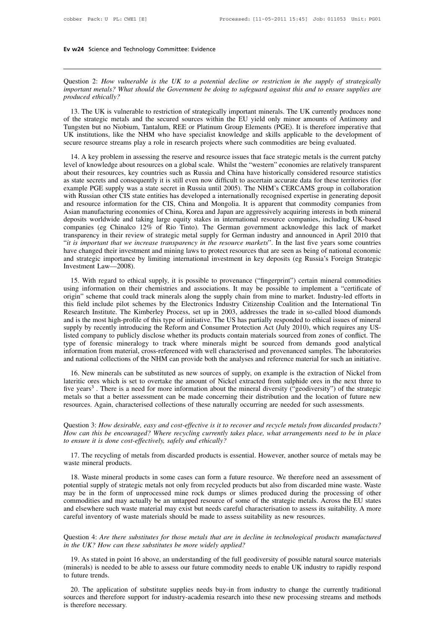Ev w24 Science and Technology Committee: Evidence<br>
<br>
Question 2: *How vulnerable is the UK to a potential decline or restriction in the supply of strategically*<br>
important metals? What should the Government be doing to saf **is the VM24** Science and Technology Committee: Evidence<br>*Question 2: How vulnerable is the UK to a potential decline or restriction in the supply of strategically<br>important metals? What should the Government be doing to s* **Formal Example 19 Science and Technology Committee:** Evidence<br> **produced** ethically *important metals? What should the Government be doing to safeguard against this and to ensure supplies are produced ethically?<br> produce* 

13. The UK is vulnerable is the UK to a potential decline or restriction in the supply of strategically portant metals? What should the Government be doing to safeguard against this and to ensure supplies are produced ethi Question 2: How vulnerable is the UK to a potential decline or restriction in the supply of strategically<br>important metals? What should the Government be doing to safeguard against this and to ensure supplies are<br>produced Question 2: How vulnerable is the UK to a potential decline or restriction in the supply of strategically<br>important metals? What should the Government be doing to safeguard against this and to ensure supplies are<br>produced Example in the UK is vulnerable to restriction of strategically important minerals. The UK currently produces are produced ethically?<br>
13. The UK is vulnerable to restriction of strategically important minerals. The UK cur Tungsten but no Niobium, Tantalum, REE or Platinum Group Elements (PGE). It is therefore imperative that UK institutions, like the NHM who have specialist knowledge and skills applicable to the development of secure resour 13. The UK is vulnerable to restriction of strategically important minerals. The UK currently produces none<br>the strategic metals and the secured sources within the EU yield only minor amounts of Antimony and<br>mgsten but no For the strategic metals and the secured sources within the EU yield only minor amounts of Antimony and<br>Tungsten but no Niobium, Tantalum, REE or Platinum Group Elements (PGE). It is therefore imperative that<br>UK institutio

Fungsten but no Niobium, Tantalum, REE or Platinum Group Elements (PGE). It is therefore imperative that UK institutions, like the NHM who have specialist knowledge and skills applicable to the development of secure resour Last interest and consequently it is still even now difficult to ascertain accurate development of secure resource streams play a role in research projects where such commodities are being evaluated.<br>
14. A key problem in example PGE supply was a state secret in Russia until 2005). The NHM's CERCAMS group in energy deposits are being evaluated.<br>
14. A key problem in assessing the reserve and resource issues that face strategic metals is the Make the state of the measure of the measure projects where start commonities are deng cyntatica.<br>
14. A key problem in assessing the reserve and resource issues that face strategic metals is the current patchy<br>
14. A key 14. A key problem in assessing the reserve and resource issues that face strategic metals is the current patchy<br>level of knowledge about resources on a global scale. Whilst the "western" economies are relatively transparen level of knowledge about resources on a global scale. Whilst the "western" economies are relatively transparent<br>about their resources, key countries such as Russia and China have historically considered resource statistics about their resources, key countries such as Russia and China have historically considered resource statistics<br>as state secrets and consequently it is still even now difficult to ascertain accurate data for these territori as state secrets and consequently it is still even now difficult to ascertain accurate data for these territories (for example PGE supply was a state secret in Russia until 2005). The NHM's CERCAMS group in collaboration w example PGE supply was a state secret in Russia until 2005). The NHM's CERCAMS group in collaboration<br>with Russian other CIS state entities has developed a internationally recognised expertise in generating deposit<br>and res and resource information for the CIS, China and Mongolia. It is apparent that commodity companies from Asian manufacturing economies of China, Korea and Japan are aggressively acquiring interests in both mineral deposits w Asian manufacturing economies of China, Korea and Japan are aggressively acquiring interests in both mineral deposits worldwide and taking large equity stakes in international resource companies, including UK-based compani deposits worldwide and taking<br>companies (eg Chinalco 12%<br>transparency in their review o<br>"*it is important that we increase*<br>have changed their investment<br>and strategic importance by li<br>Investment Law—2008).<br>15. With regard Insparency in their review of strategic metal supply for German industry and announced in April 2010 that<br>is important that we increase transparency in the resource markets". In the last five years some countries<br>we change using information on their chemistries and associations. It may be possible to implement a network changed their investment and mining laws to protect resource markets". In the last five years some countries have changed t

In the understandant minimism and strategic importance but have changed their investment and mining laws to protect resources that are seen as being of national economic and strategic importance by limiting international i and strategic importance by limiting international investment in key deposits (eg Russia's Foreign Strategic<br>Investment Law—2008).<br>15. With regard to ethical supply, it is possible to provenance ("fingerprint") certain min Investment Law—2008).<br>
15. With regard to ethical supply, it is possible to provenance ("fingerprint") certain mineral commodities<br>
using information on their chemistries and associations. It may be possible to implement a and is the most high-profile of this type of initiative. The US has partially resulted from zones of confligential susing information on their chemistries and associations. It may be possible to implement a "certificate of 15. With regard to ethical supply, it is possible to provenance ("fingerprint") certain mineral commodities using information on their chemistries and associations. It may be possible to implement a "certificate of origin" using information on their chemistries and associations. It may be possible to implement a "certificate of origin" scheme that could track minerals along the supply chain from mine to market. Industry-led efforts in this f origin" scheme that could track minerals along the supply chain from mine to market. Industry-led efforts in<br>this field include pilot schemes by the Electronics Industry Citizenship Coalition and the International Tin<br>Rese this field include pilot schemes by the Electronics Industry Citizenship Coalition and the International Tin Research Institute. The Kimberley Process, set up in 2003, addresses the trade in so-called blood diamonds and is Research Institute. The Kimberley Process, set up in 2003, addresses the trade in so-called blood diamonds and is the most high-profile of this type of initiative. The US has partially responded to ethical issues of minera 16. New minerals provided as new sources of supply by recently introducing the Reform and Consumer Protection Act (July 2010), which requires any USted company to publicly disclose whether its products contain materials so Later Company to publicly disclose whether its products contain materials sourced from zones of conflict. The<br>type of forensic mineralogy to track where minerals might be sourced from zones of conflict. The<br>information fro

type of forensic mineralogy to track where minerals might be sourced from demands good analytical<br>information from material, cross-referenced with well characterised and provenanced samples. The laboratories<br>and national information from material, cross-referenced with well characterised and provenanced samples. The laboratories and national collections of the NHM can provide both the analyses and reference material for such an initiative and national collections of the NHM can provide both the analyses and reference material for such an initiative<br>16. New minerals can be substituted as new sources of supply, on example is the extraction of Nickel from<br>late In the minerals can be substituted as hew solices of supply, on example is the extraction of Nickel rion lateritic ores which is set to overtake the amount of Nickel extracted from sulphide ores in the next three to five y *How can this be encouraged?* Where recycling currently takes place, what arrangements need to be in place to ensure it is done cost-effectively, safely and ethically? ("geodiversity") of the strategic metals so that a bet

Invertigary and the more information about the inherarch metals so that a better assessment can be made concerning their despointed and the metally occurr<br>*the ensures.* Again, characterised collections of these naturally Fraction 3: How desirable, easy and cost-effective is it to recover and recycle metals from discarded products?<br>
the recouraged? Where recycling currently takes place, what arrangements need to be in place<br>
ensure it is do Question 3: How desirable, easy and cost-effective is it to recover and recycle metals from discarded products?<br>How can this be encouraged? Where recycling currently takes place, what arrangements need to be in place<br>to en

18. Wastern in startight and this be encouraged? Where recycling currently takes place, what arrangements need to be in place<br>
ensure it is done cost-effectively, safely and ethically?<br>
17. The recycling of metals from dis potential supply of strategic metals not only from recycled products is essential. However, another source of metals may be waste mineral products.<br>
18. Waste mineral products in some cases can form a future resource. We t may be in the form of metals from discarded products is essential. However, another source of metals may be waste mineral products.<br>
18. Waste mineral products in some cases can form a future resource. We therefore need an 17. The recycling of metals from discarded products is essential. However, another source of metals may be waste mineral products.<br>
18. Waste mineral products in some cases can form a future resource. We therefore need an and elsewhere such waste mineral products in some cases can form a future resource. We therefore need an assessment of potential supply of strategic metals not only from recycled products but also from discarded mine waste The material products in some cases can form a future resource. We therefore need an potential supply of strategic metals not only from recycled products but also from discarded mine may be in the form of unprocessed mine potential supply of strategic metals not only from recycled products out also from discarded infine waste. Wastemay be in the form of unprocessed mine rock dumps or slimes produced during the processing of other commoditie *inay be in the form of unprocessed mine rock dumps or simes producommodities and may actually be an untapped resource of some of the stand elsewhere such waste material may exist but needs careful characterisa careful inv* 

19. as stated in point 16 above, an understanding of the full geodiversity of possible natural sources.<br>
19. As stated in point 16 above, an understanding of the full geodiversity of possible natural source materials<br>
19. Careful inventory of waste materials should be made to assess suitability as new resources.<br>Question 4: Are there substitutes for those metals that are in decline in technological products manufactured<br>in the UK? How can t Question 4: *Are there*<br>in the UK? How can<br>19. As stated in poi<br>(minerals) is needed to<br>to future trends.<br>20. The application 20. The application of substitutes be more widely applied?<br>
19. As stated in point 16 above, an understanding of the full geodiversity of possible natural source materials<br>
inerals) is needed to be able to assess our futur In the OK: How can these substitutes be more wately applied:<br>
19. As stated in point 16 above, an understanding of the full geodiversity of possible natural source materials<br>
(minerals) is needed to be able to assess our f 19. As stated in point 16 above, an understanding of the full geodiversity of possible natural source materials (minerals) is needed to be able to assess our future commodity needs to enable UK industry to rapidly respond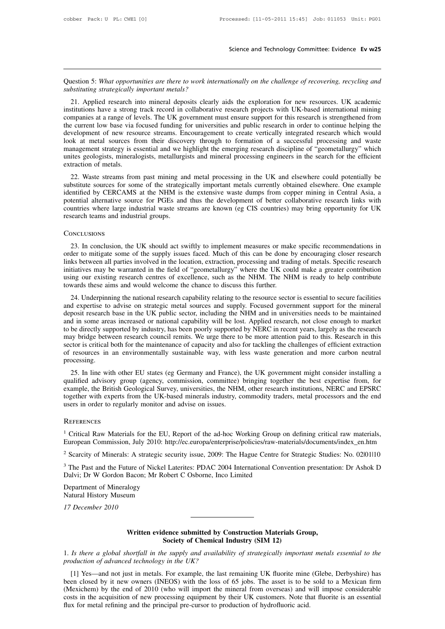Science and Technology Committee: Evidence Ev w25<br>Question 5: *What opportunities are there to work internationally on the challenge of recovering, recycling and*<br>abstituting strategically important metals? *substituting strategically important metals?*

21. Applied research into mineral deposits clearly aids the exploration for new resources. UK academic by the exploration for new resources. UK academic stitutions have a strong track record in collaborative research proje institutions have a strong track record in contractionally on the challenge of recovering, recycling and<br>substituting strategically important metals?<br>21. Applied research into mineral deposits clearly aids the exploration Question 5: What opportunities are there to work internationally on the challenge of recovering, recycling and<br>substituting strategically important metals?<br>21. Applied research into mineral deposits clearly aids the explor Question 5: What opportunities are there to work internationally on the challenge of recovering, recycling and<br>substituting strategically important metals?<br>21. Applied research into mineral deposits clearly aids the explor Development of new resource streams. Encouragement to create vertically integrated research into mineral deposits clearly aids the exploration for new resources. UK academic institutions have a strong track record in colla Substituting strutegically important metals?<br>
21. Applied research into mineral deposits clearly aids the exploration for new resources. UK academic<br>
institutions have a strong track record in collaborative research projec 21. Applied research into mineral deposits clearly aids the exploration for new resources. UK academic institutions have a strong track record in collaborative research projects with UK-based international mining companies institutions have a strong track record in collaborative research projects with UK-based international mining<br>companies at a range of levels. The UK government must ensure support for this research is strengthened from<br>the companies at a range of le<br>the current low base via f<br>development of new reso<br>look at metal sources fr<br>management strategy is es<br>unites geologists, minerale<br>extraction of metals.<br>22. Waste streams fron Examely of new resource streams. Encouragement to create vertically integrated research which would be at metal sources from their discovery through to formation of a successful processing and waste unagement strategy is e Substitute sources from their discovery through to formation of a successful processing and wasted management strategy is essential and we highlight the emerging research discipline of "geometallurgy" which unites geologis

From the strategy is essential and we highlight the emerging research discipline of "geometallurgy" which unites geologists, mineralogists, metallurgists and mineral processing engineers in the search for the efficient ext management stategy is essential and we inginight the enterging research discipline of geoinetantity winth<br>unites geologists, mineralogists, metallurgists and mineral processing engineers in the search for the efficient<br>ext annes geologists, inneralogists, inetalingists and initial processing eigencers in the search for the efficient<br>extraction of metals.<br>22. Waste streams from past mining and metal processing in the UK and elsewhere could po Extraction of metals.<br>
22. Waste streams from past mining an<br>
substitute sources for some of the strategi<br>
identified by CERCAMS at the NHM is<br>
potential alternative source for PGEs and<br>
countries where large industrial wa identified by CERCAMS at the NHM is the extensive waste dumps from copper mining in Central Asia, a<br>potential alternative source for PGEs and thus the development of better collaborative research links with<br>countries where

## **CONCLUSIONS**

CONCLUSIONS<br>
CONCLUSIONS<br>
23. In conclusion, the UK should act swiftly to implement measures or make specific recommendations in<br>
23. In conclusion, the UK should act swiftly to implement measures or make specific recommen links between all parties involved in the field of "general measures or make specific recommendations in order to mitigate some of the supply issues faced. Much of this can be done by encouraging closer research links betw Conclusions<br>
23. In conclusion, the UK should act swiftly to implement measures or make specific recommendations in<br>
order to mitigate some of the supply issues faced. Much of this can be done by encouraging closer researc CONCLUSIONS<br>
23. In conclusion, the UK should act swiftly to implement measures or make specific recommendations in<br>
order to mitigate some of the supply issues faced. Much of this can be done by encouraging closer researc It using our existing research centres of excellence, such as the NHM. The NHM is ready to help contribute<br>towards these aims and would welcome the chance to discuss this further.<br>24. Underpinning the national research cap 25. In conclusion, the OK should act swiftly to implement measures of make specific recommendations in<br>der to mitigate some of the supply issues faced. Much of this can be done by encouraging closer research<br>ks between all Find the support of the supply issues raced. Much of this can be done by encouraging closer research<br>initiatives may be warranted in the field of "geometallurgy" where the UK could make a greater contribution<br>using our exi

initiatives may be warranted in the field of "geometallurgy" where the UK could make a greater contribution using our existing research centres of excellence, such as the NHM. The NHM is ready to help contribute towards th mutatives may be warranted in the field of geometaningy where the OK collid make a greater contribution<br>using our existing research centres of excellence, such as the NHM. The NHM is ready to help contribute<br>towards these towards these aims and would welcome the chance to discuss this further.<br>
24. Underpinning the national research capability relating to the resource sector is essential to secure facilities<br>
and expertise to advise on stra dowards these anns and would wercome the chance to discuss this further.<br>24. Underpinning the national research capability relating to the resource sector is essential to secure facilities<br>and expertise to advise on strate 24. Underpinning the national research capability relating to the resource sector is essential to secure facilities and expertise to advise on strategic metal sources and supply. Focused government support for the mineral and expertise to advise on strategic metal sources and supply. Focused government support for the mineral deposit research base in the UK public sector, including the NHM and in universities needs to be maintained and in s processing. 25. In line with other EU states (eg Germany and France), the UK government might consider installing a alified advisory group (agency, commission, committee) bringing together the best expertise from, for the maintenance For the different advisory in a state of capacity and shorter in electing valid to this. Research in this sector is critical both for the maintenance of capacity and also for tackling the challenges of efficient extraction

may onage between research council remns. We arge there to be note attention part to uns. Research in this sector is critical both for the maintenance of capacity and also for tackling the challenges of efficient extractio Sector is critical both for the manneriality sustainable way, with less waste generation and more carbon neutral<br>processing.<br>25. In line with other EU states (eg Germany and France), the UK government might consider instal or resources in an environmentary sustainable way, while processing.<br>
25. In line with other EU states (eg Germany and France),<br>
qualified advisory group (agency, commission, committee)<br>
example, the British Geological Sur example, the British Geological Survey, universities, the NHM, other research institutions, NERC and EPSRC together with experts from the UK-based minerals industry, commodity traders, metal processors and the end users in European Commission, July 2010: http://ec.europa/enterprise/policies/raw-materials/documents/index\_en.htm<br>
<sup>1</sup> Critical Raw Materials for the EU, Report of the ad-hoc Working Group on defining critical raw materials,<br>
<sup>1</sup>

## **REFERENCES**

users in order to regularly monitor and advise on issues.<br>
<sup>1</sup> Critical Raw Materials for the EU, Report of the ad-hoc Working Group on defining critical raw materials,<br>
European Commission, July 2010: http://ec.europa/ent REFERENCES<br>
<sup>1</sup> Critical Raw Materials for the EU, Report of the ad-hoc Working Group on defining critical raw materials,<br>
European Commission, July 2010: http://ec.europa/enterprise/policies/raw-materials/documents/index\_ <sup>1</sup> Critical Raw Materials for the EU, Report of the ad-hoc Working Group (European Commission, July 2010: http://ec.europa/enterprise/policies/raw-ma<br><sup>2</sup> Scarcity of Minerals: A strategic security issue, 2009: The Hague C

European Commission, July 2010: http://www.fat.com/<br>2 Scarcity of Minerals: A strategic sec<br>3 The Past and the Future of Nickel L<br>Dalvi; Dr W Gordon Bacon; Mr Robe<br>Department of Mineralogy<br>Natural History Museum Example Commission, sary 2010; impire<br>
<sup>2</sup> Scarcity of Minerals: A strategic security<br>
<sup>3</sup> The Past and the Future of Nickel Lateri<br>
Department of Mineralogy<br>
Natural History Museum<br>
17 December 2010 <sup>3</sup> The Past and the Future of Nickel Laterites: PDAC 2004 International Convention presentation: Dr Ashok D Dalvi; Dr W Gordon Bacon; Mr Robert C Osborne, Inco Limited<br>Department of Mineralogy<br>Natural History Museum<br>17 De

## Written evidence submitted by Construction Materials Group,<br>Society of Chemical Industry (SIM 12) **Society of Chemical Industry (SIM 12)**<br>
Society of Chemical Industry (SIM 12)<br> *Le supply and availability of strategically import*

17 *December 2010*<br> **1.** *Is there a global shortfall in the supply and availability of strategically important metals essential to the***<br>
production of advanced technology in the UK?<br>
<b>1. Is the UK?** *production of advanced technology in the UK?*<br>**production of advanced technology in the UK?**<br>**production of advanced technology in the UK?**<br>[1] Yes—and not just in metals. For example, the last

**Example 10** Written evidence submitted by Construction Materials Group,<br> *Is there a global shortfall in the supply and availability of strategically important metals essential to the oduction of advanced technology in th* **Society of Chemical Industry (SIM 12)**<br>
1. Is there a global shortfall in the supply and availability of strategically important metals essential to the<br>
production of advanced technology in the UK?<br>
[1] Yes—and not just Society of Chemical Industry (SIM 12)<br>
1. Is there a global shortfall in the supply and availability of strategically important metals essential to the<br>
production of advanced technology in the UK?<br>
[1] Yes—and not just in 1. Is there a global shortfall in the supply and availability of strategically important metals essential to the production of advanced technology in the UK?<br>
[1] Yes—and not just in metals. For example, the last remaining Figure a global shortpatt in the supply and avaliability of strategically important production of advanced technology in the UK?<br>
[1] Yes—and not just in metals. For example, the last remaining UK fluorite mine<br>
been clos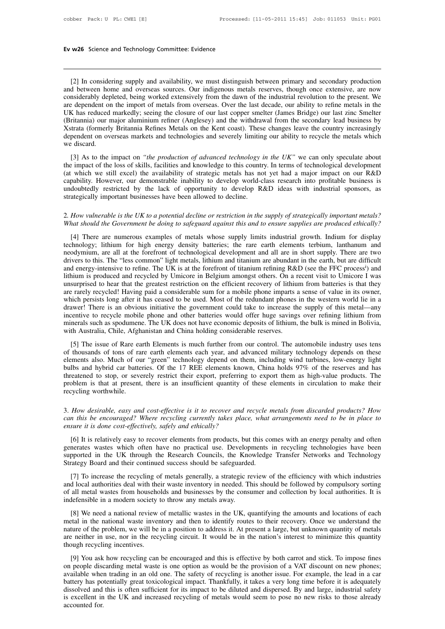w26 Science and Technology Committee: Evidence<br>
[2] In considering supply and availability, we must distinguish between primary and secondary production<br>
d between home and overseas sources. Our indigenous metals reserves, **Ev w26** Science and Technology Committee: Evidence<br>
[2] In considering supply and availability, we must distinguish between primary and secondary production<br>
and between home and overseas sources. Our indigenous metals re **Ev w26** Science and Technology Committee: Evidence<br> **Considering supply and availability**, we must distinguish between primary and secondary production<br>
and between home and overseas sources. Our indigenous metals reserve [2] In considering supply and availability, we must distinguish between primary and secondary production<br>and between home and overseas sources. Our indigenous metals reserves, though once extensive, are now<br>considerably de [2] In considering supply and availability, we must distinguish between primary and secondary production<br>and between home and overseas sources. Our indigenous metals reserves, though once extensive, are now<br>considerably de [2] In considering supply and availability, we must distinguish between primary and secondary production and between home and overseas sources. Our indigenous metals reserves, though once extensive, are now considerably de [2] In considering supply and availability, we must distinguish between primary and secondary production and between home and overseas sources. Our indigenous metals reserves, though once extensive, are now considerably de and between home and overseas sources. Our indigenous metals reserves, though once extensive, are now considerably depleted, being worked extensively from the dawn of the industrial revolution to the present. We are depend considerably dep<br>are dependent on<br>UK has reduced<br>(Britannia) our n<br>Xstrata (formerly<br>dependent on ove<br>we discard.<br>[3] As to the i External on the import of metals non overseas. Over the last decade, our ability to fellie inetas in the X has reduced markedly; seeing the closure of our last copper smelter (James Bridge) our last zinc Smelter ritannia) The imaginary, see the costal of our hast copper sinctual (James Bridge) our hast zine since (Britannia) our major aluminium refiner (Anglesey) and the withdrawal from the secondary lead business by Xstrata (formerly Brita

(Britania) our major mainmain reiner (Vinglesey) and the while which we discolledly lead business by<br>Xstrata (formerly Britannia Refines Metals on the Kent coast). These changes leave the country increasingly<br>dependent on Existing to overseas markets and technologies and severely limiting our ability to recycle the metals which<br>we discard.<br>[3] As to the impact on *"the production of advanced technology in the UK"* we can only speculate abou undoubtedly restricted by the lack of opportunity to develop R&D ideas with industrial sponsors, as strategically important businesses have been allowed technology in the UK" we can only speculate about the impact of the l [3] As to the impact on "*the production of advanced technology* if the impact of the loss of skills, facilities and knowledge to this countripate to the several technology in the availability of strategic metals has no c the impact of the loss of skills, facilities and knowledge to this country. In terms of technological development<br>(at which we still excel) the availability of strategic metals has not yet had a major impact on our R&D<br>cap (at which we still excel) the availability of strategic metals has not yet had a major impact on our R&D capability. However, our demonstrable inability to develop world-class research into profitable business is undoubted

doubtedly restricted by the lack of opportunity to develop R&D ideas with industrial sponsors, as<br>ategically important businesses have been allowed to decline.<br>How vulnerable is the UK to a potential decline or restriction trategically important businesses have been allowed to decline.<br>
2. How vulnerable is the UK to a potential decline or restriction in the supply of strategically important metals?<br>
What should the Government be doing to sa 2. How vulnerable is the UK to a potential decline or restriction in the supply of strategically important metals?<br>What should the Government be doing to safeguard against this and to ensure supplies are produced ethically 2. How vulnerable is the UK to a potential decline or restriction in the supply of strategically important metals?<br>What should the Government be doing to safeguard against this and to ensure supplies are produced ethically 2. How vanished is the OK to a potential accurte of restriction in the suppry of strategically important metals.<br>What should the Government be doing to safeguard against this and to ensure supplies are produced ethically?<br> If the mean include the coverance of metals whose supply limits industrial growth. Indium for display technology; lithium for high energy density batteries; the rare earth elements terbium, lanthanum and neodymium, are al [4] There are numerous examples of metals whose supply limits industrial growth. Indium for display technology; lithium for high energy density batteries; the rare earth elements terbium, lanthanum and neodymium, are all a technology; lithium for high energy density batteries; the rare earth elements terbium, lanthanum and neodymium, are all at the forefront of technological development and all are in short supply. There are two drivers to t neodymium, are all at the forefront of technological development and all are in short supply. There are two drivers to this. The "less common" light metals, lithium and titanium are abundant in the earth, but are difficult drivers to this. The "less common" light metals, lithium and ittanium are abundant in the earth, but are difficult<br>and energy-intensive to refine. The UK is at the forefront of titanium refining R&D (see the FFC process<sup>i</sup> and energy-intensive to refine. The UK is at the forefront of titanium refining R&D (see the FFC process<sup>i</sup>) and<br>lithium is produced and recycled by Umicore in Belgium amongst others. On a recent visit to Umicore I was<br>uns lithium is produced and recycled by Umicore in Belgium amongst others. On a recent visit to Umicore I was unsurprised to hear that the greatest restriction on the efficient recovery of lithium from batteries is that they a drawer! There is an obvious initiative the government could take to increase the supply of this metal—any<br>incentive to recycle mobile phone and other batteries would offer huge savings over refining lithium from<br>minerals s Fractive Considerable sum for a mook phone impais a sense of value in its owner, ich persists long after it has ceased to be used. Most of the redundant phones in the western world lie in a wwer! There is an obvious initia which persists ong anter it has ceased to be used. Most of the reductional phones in the western word he in a<br>drawer! There is an obvious initiative the government could take to increase the supply of this metal—any<br>incent

elements also. Much of our "green" technology depend on them, including wind turbines, low-energy light bulk is mined in Bolivia, with Australia, Chile, Afghanistan and China holding considerable reserves.<br>
[5] The issue o minerals such as spodumene. The UK does not have economic deposits of lithium, the bulk is mined in Bolivia, with Australia, Chile, Afghanistan and China holding considerable reserves.<br>
[5] The issue of Rare earth Elements If the start as spotular of the control of the contribution of the start is much in the start is much in the start is much further from our control. The automobile industry uses tens of thousands of tons of rare earth elem what Australia, Clinc, Argualansian and Clinia holding considerable reserves.<br>
[5] The issue of Rare earth Elements is much further from our control. The automobile industry uses tens<br>
of thousands of tons of rare earth el [5] The issue of Rare ea<br>of thousands of tons of ra<br>elements also. Much of ou<br>bulbs and hybrid car batte<br>threatened to stop, or seve<br>problem is that at present,<br>recycling worthwhile. elements also. Much of our "green" technology depend on them, including wind turbines, low-energy light<br>bulbs and hybrid car batteries. Of the 17 REE elements known, China holds 97% of the reserves and has<br>threatened to st *can this and hybrid car batteries.* Of the 17 REE elements known, China holds 97% of the reserves and has threatened to stop, or severely restrict their export, preferring to export them as high-value products. The proble

## *ensure in threatened to stop, or severely restrict their export, preterring* problem is that at present, there is an insufficient quantity of recycling worthwhile.<br> *a. How desirable, easy and cost-effective is it to reco*

Expling worthwhile.<br>
How desirable, easy and cost-effective is it to recover and recycle metals from discarded products? How<br>
in this be encouraged? Where recycling currently takes place, what arrangements need to be in pl 3. How desirable, easy and cost-effective is it to recover and recycle metals from discarded products? How can this be encouraged? Where recycling currently takes place, what arrangements need to be in place to ensure it i S. How desirable, easy and cost-effective is it to recover and recycle metals from discarded products? How can this be encouraged? Where recycling currently takes place, what arrangements need to be in place to ensure it i Strategy Board and their expective is a to recover that regele has the same this be encouraged? Where recycling currently takes place, what ensure it is done cost-effectively, safely and ethically?<br>
[6] It is relatively ea Sure it is done cost-effectively, safely and ethically?<br>
[6] It is relatively easy to recover elements from products, but this comes with an energy penalty and often<br>
nerates wastes which often have no practical use. Devel [6] It is relatively easy to recover elements from products, but this comes with an energy penalty and often generates wastes which often have no practical use. Developments in recycling technologies have been supported in

For all metal wastes which often have no practical use. Developments in recycling technologies have been<br>supported in the UK through the Research Councils, the Knowledge Transfer Networks and Technology<br>Strategy Board and generates wastes which order have no praetical dse. Develops<br>supported in the UK through the Research Councils, the Kno<br>Strategy Board and their continued success should be safeguarde<br>[7] To increase the recycling of metal The increase the recycling of metals generally, a strategic review of the efficiency with which industries<br>d local authorities deal with their waste inventory in needed. This should be followed by compulsory sorting<br>all me

[7] To increase the recycling of metals generally, a strategic review of the efficiency with which industries and local authorities deal with their waste inventory in needed. This should be followed by compulsory sorting o Figure increase the very engage of metals, a strategie concert of the embedding with which massiness of all metal wastes from households and businesses by the consumer and collection by local authorities. It is indefensibl are neither in use, nor in the recycling circuit. It would be in the nation's interest to minimize this quantity of each metal in the national waste inventory and then to identify routes to their recovery. Once we understa or all metal wastes from hoasthough<br>indefensible in a modern society<br>[8] We need a national review<br>metal in the national waste inver<br>nature of the problem, we will be<br>are neither in use, nor in the recy<br>though recycling in [8] We need a national review of metallic wastes in the UK, quantifying the amounts and locations of each<br>tatal in the national waste inventory and then to identify routes to their recovery. Once we understand the<br>ture of The metal in the national waste inventory and then to identify routes to their recovery. Once we understand the mature of the problem, we will be in a position to address it. At present a large, but unknown quantity of met

able when trading metal waste inventory and then to held in y loades to them recovery. Once we understand the nature of the problem, we will be in a position to address it. At present a large, but unknown quantity of metal battery has potentially great toxicological impact. Thankfully, it takes a very long time before it is adequately of metals are neither in use, nor in the recycling circuit. It would be in the nation's interest to minimize discolved and this is often sufficient for its impact to be diluted and dispersed. By and large, induction is method in provision for a VAT discount on new phones;<br>available when trading in an old one. The safety of recycl [9] You ask how recycling can be encouraged and this is effective by both carrot and stick. To impose fines on people discarding metal waste is one option as would be the provision of a VAT discount on new phones; availabl [9] You ask<br>on people disc<br>available when<br>battery has po<br>dissolved and<br>is excellent in<br>accounted for.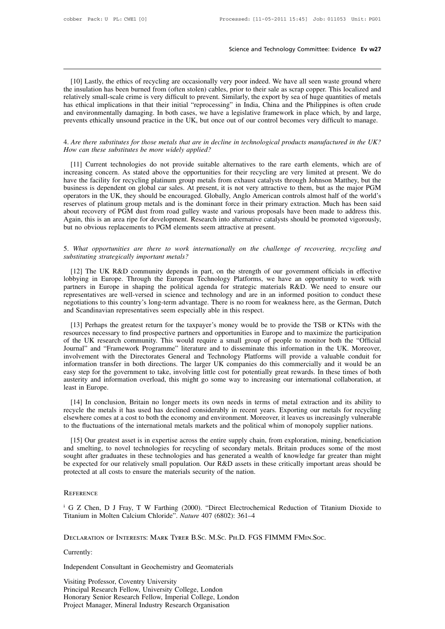Science and Technology Committee: Evidence Ev w27<br>
[10] Lastly, the ethics of recycling are occasionally very poor indeed. We have all seen waste ground where<br>
insulation has been burned from (often stolen) cables, prior t Science and Technology Committee: Evidence Ev w27<br>[10] Lastly, the ethics of recycling are occasionally very poor indeed. We have all seen waste ground where<br>the insulation has been burned from (often stolen) cables, prior Science and Technology Committee: Evidence Ev w27<br>
[10] Lastly, the ethics of recycling are occasionally very poor indeed. We have all seen waste ground where<br>
the insulation has been burned from (often stolen) cables, pri [10] Lastly, the ethics of recycling are occasionally very poor indeed. We have all seen waste ground where the insulation has been burned from (often stolen) cables, prior to their sale as scrap copper. This localized and [10] Lastly, the ethics of recycling are occasionally very poor indeed. We have all seen waste ground where the insulation has been burned from (often stolen) cables, prior to their sale as scrap copper. This localized and [10] Lastly, the ethics of recycling are occasionally very poor indeed. We have all seen waste ground where the insulation has been burned from (often stolen) cables, prior to their sale as scrap copper. This localized and Inclusion has been builded from (often stolen) cables, phot to their sale as scrap copper. This localized and<br>relatively small-scale crime is very difficult to prevent. Similarly, the export by sea of huge quantities of me relatively small-scale crime is very difficult to prevent. Similarly, the export by sea of huge quantities of metals<br>has ethical implications in that their initial "reprocessing" in India, China and the Philippines is ofte

Events ethically unsound practice in the UK, but once out of our control becomes very difficult to manage.<br> *Are there substitutes for those metals that are in decline in technological products manufactured in the UK?*<br> *W* Figures and the substitutes for those metals that are in decline in technological products manufactured in the UK?<br>How can these substitutes be more widely applied?<br>[11] Current technologies do not provide suitable alterna 4. Are there substitutes for those metals that are in decline in technological products manufactured in the UK?<br>How can these substitutes be more widely applied?<br>[11] Current technologies do not provide suitable alternativ 4. Are there substitutes for those metals that are in decline in technological products manufactured in the UK?<br>
How can these substitutes be more widely applied?<br>
[11] Current technologies do not provide suitable alternat How can these substitutes be more widely applied?<br>
[11] Current technologies do not provide suitable alternatives to the rare earth elements, which are of<br>
increasing concern. As stated above the opportunities for their re [11] Current technologies do not provide suitable alternatives to the rare earth elements, which are of increasing concern. As stated above the opportunities for their recycling are very limited at present. We do have the [11] Current technologies do not provide suitable alternatives to the rare earth elements, which are of increasing concern. As stated above the opportunities for their recycling are very limited at present. We do have the increasing concern. As stated above the opportunities for their recycling are very limited at present. We do have the facility for recycling platinum group metals from exhaust catalysts through Johnson Matthey, but the bus have the facility for recycling platinum group metals from exhaust catalysts throusiness is dependent on global car sales. At present, it is not very attractive to operators in the UK, they should be encouraged. Globally, streamed are to the challenge of recovering, the challenge of recovering, respectively and about recovery of PGM dust from road gulley waste and various proposals have been made to address this. Again, this is an area ripe reserves of platinum group metals and is the dominant force in their primary extraction. Much has been said<br>about recovery of PGM dust from road gulley waste and various proposals have been made to address this.<br>Again, thi

Figure 1.12] The UK R&D community depends in part, on the strength of our government officials in effective and bestituting strategically important metals?<br>
[12] The UK R&D community depends in part, on the strength of our S. What opportunities are there to work internationally on the challenge of recovering, recycling and<br>substituting strategically important metals?<br>[12] The UK R&D community depends in part, on the strength of our governmen 5. What opportunities are there to work internationally on the challenge of recovering, recycling and substituting strategically important metals?<br>[12] The UK R&D community depends in part, on the strength of our governmen 5. What opportunities are there to work internationally on the challenge of recovering, recycling and substituting strategically important metals?<br>
[12] The UK R&D community depends in part, on the strength of our governme substituting strategically important metals?<br>
[12] The UK R&D community depends in part, on the strength of our government officials in effective<br>
lobbying in Europe. Through the European Technology Platforms, we have an o [12] The UK R&D community depends in part, on the strength of oulobbying in Europe. Through the European Technology Platforms, we hartners in Europe in shaping the political agenda for strategic material representatives ar bying in Europe. Through the European Technology Platforms, we have an opportunity to work with<br>trtners in Europe in shaping the political agenda for strategic materials R&D. We need to ensure our<br>presentatives are well-ve partners in Europe in shaping the political agenda for strategic materials R&D. We need to ensure our representatives are well-versed in science and technology and are in an informed position to conduct these negotiations

representatives are well-versed in science and technology and are in an informed position to conduct these megotiations to this country's long-term advantage. There is no room for weakness here, as the German, Dutch and Sc negotiations to this country's long-term advantage. There is no room for weakness here, as the German, Dutch<br>and Scandinavian representatives seem especially able in this respect.<br>[13] Perhaps the greatest return for the t and Scandinavian representatives seem especially able in this respect.<br>
[13] Perhaps the greatest return for the taxpayer's money would be to provide the TSB or KTNs with the<br>
resources necessary to find prospective partne ITAT Perhaps the greatest return for the taxpayer's money would be to provide the TSB or KTNs with the resources necessary to find prospective partners and opportunities in Europe and to maximize the participation of the U [13] Perhaps the greatest return for the taxpayer's money would be to provide the TSB or KTNs with the resources necessary to find prospective partners and opportunities in Europe and to maximize the participation of the U resources necessary to find prospective partners and opportunities in Europe and to maximize the participation<br>of the UK research community. This would require a small group of people to monitor both the "Official<br>Journal" of the UK research<br>Journal" and "Frame<br>involvement with the<br>information transfer<br>easy step for the governation<br>austerity and informations<br>least in Europe.<br>[14] In conclusion volvement with the Directorates General and Technology Platforms will provide a valuable conduit for<br>formation transfer in both directions. The larger UK companies do this commercially and it would be an<br>sy step for the go information transfer in both directions. The larger UK companies do this commercially and it would be an easy step for the government to take, involving little cost for potentially great rewards. In these times of both aus

elsewhere omes at a cost to both the economy and environment. Moreover, it leaves us increasing our international collaboration, at least in Europe.<br>
[14] In conclusion, Britain no longer meets its own needs in terms of me to the fluctuations overload, this might go some way to increasing our international collaboration, at least in Europe.<br>
[14] In conclusion, Britain no longer meets its own needs in terms of metal extraction and its abilit [14] In conclusion, Britain no longer meets its own needs in terms of metal extraction and its ability to cycle the metals it has used has declined considerably in recent years. Exporting our metals for recycling expertenc

[14] In conclusion, Britain no longer meets its own needs in terms of metal extraction and its ability to recycle the metals it has used has declined considerably in recent years. Exporting our metals for recycling elsewhe recycle the metals it has used has declined considerably in recent years. Exporting our metals for recycling elsewhere comes at a cost to both the economy and environment. Moreover, it leaves us increasingly vulnerable to elsewhere comes at a cost to both the economy and environment. Moreover, it leaves us increasingly vulnerable<br>to the fluctuations of the international metals markets and the political whim of monopoly supplier nations.<br>[15 to the fluctuations of the international metals markets and the political v<br>[15] Our greatest asset is in expertise across the entire supply chain, f<br>and smelting, to novel technologies for recycling of secondary metals<br>so sought anti- graduates in these technologies and has generated a wealth of knowledge rat greater than inight<br>be expected for our relatively small population. Our R&D assets in these critically important areas should be<br>pro

## **REFERENCE**

The Calcium Chloride". Our Next Deasts in these chiteany important and protected at all costs to ensure the materials security of the nation.<br>
REFERENCE<br>
<sup>1</sup> G Z Chen, D J Fray, T W Farthing (2000). "Direct Electrochemical

## Independent Consultant in Geochemistry and Geomaterials<br>
Visiting Professor, Coventry University<br>
Visiting Professor, Coventry University

Currently:

DECLARATION OF INTERESTS: MARK TYRER B.SC.<br>Currently:<br>Independent Consultant in Geochemistry and Geor<br>Visiting Professor, Coventry University<br>Principal Research Fellow, University College, Lo<br>Honorary Senior Research Fello DECLARATION OF INTERESTS. MARK TTREK B.SC. M.SC. TH.D. TV<br>Currently:<br>Independent Consultant in Geochemistry and Geomaterials<br>Visiting Professor, Coventry University<br>Principal Research Fellow, University College, London<br>Hon Currently:<br>Independent Consultant in Geochemistry and Geomaterials<br>Visiting Professor, Coventry University<br>Principal Research Fellow, University College, London<br>Honorary Senior Research Fellow, Imperial College, London<br>Pro Independent Consultant in Geochemistry and Geomaterials<br>Visiting Professor, Coventry University<br>Principal Research Fellow, University College, London<br>Honorary Senior Research Fellow, Imperial College, London<br>Project Manage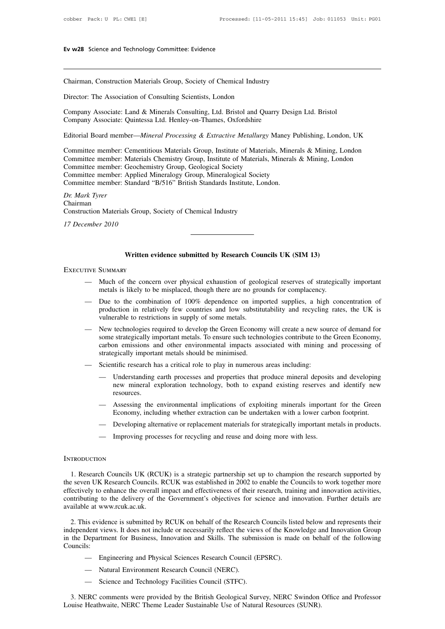Ev w28 Science and Technology Committee: Evidence<br>
Chairman, Construction Materials Group, Society of Chemical Industry<br>
Director: The Association of Consulting Scientists, London

Ev w28 Science and Technology Committee: Evidence<br>
Chairman, Construction Materials Group, Society of Chemical Industry<br>
Director: The Association of Consulting Scientists, London<br>
Company Associate: Land & Minerals Consul Chairman, Construction Materials Group, Society of Chemical Industry<br>Director: The Association of Consulting Scientists, London<br>Company Associate: Land & Minerals Consulting, Ltd. Bristol and Quarry Design Ltd. Bristol<br>Com Company Associate: Land & Minerals Consulting, Ltd. Bristol and Quarry Design Ltd. Bristol<br>Company Associate: Quintessa Ltd. Henley-on-Thames, Oxfordshire<br>Editorial Board member—*Mineral Processing & Extractive Metallurgy* Director: The Association of Consulting Scientists, London<br>Company Associate: Land & Minerals Consulting, Ltd. Bristol and Quarry Design Ltd. Bristol<br>Company Associate: Quintessa Ltd. Henley-on-Thames, Oxfordshire<br>Editoria

Company Associate: Land & Minerals Consulting, Ltd. Bristol and Quarry Design Ltd. Bristol<br>Company Associate: Quintessa Ltd. Henley-on-Thames, Oxfordshire<br>Editorial Board member—*Mineral Processing & Extractive Metallurgy* Company Associate: Land & Minerals Consulting, Ltd. Bristol and Quarry Design Ltd. Bristol<br>Company Associate: Quintessa Ltd. Henley-on-Thames, Oxfordshire<br>Editorial Board member—*Mineral Processing & Extractive Metallurgy* Company Associate: Quintessa Ltd. Henley-on-Thames, Oxfordshire<br>Editorial Board member—*Mineral Processing & Extractive Metallurgy* M<br>Committee member: Cementitious Materials Group, Institute of Materials<br>Committee member: Editorial Board member—*Mineral Processing & Extractive Metallurgy* Maney Pul<br>Committee member: Cementitious Materials Group, Institute of Materials, Mineral<br>Committee member: Materials Chemistry Group, Institute of Materi Editorial Board member—*Mineral Processing & Extractive Metallurgy* Maney P<br>Committee member: Cementitious Materials Group, Institute of Materials, Mineral<br>Committee member: Materials Chemistry Group, Institute of Material Committee member: Materials Chemistry Group, Institute of Materials, Minerals & Mining, London<br>
Committee member: Geochemistry Group, Geological Society<br>
Committee member: Applied Mineralogy Group, Mineralogical Society<br>
C Committee member: Materials Chemistry Group, Histate of Materials, Committee member: Geochemistry Group, Geological Society Committee member: Applied Mineralogy Group, Mineralogical Society Committee member: Standard "B/51

Chairman **Committee member: Applied Committee member: Standard** *Dr. Mark Tyrer***<br>***Dr. Mark Tyrer***<br>Chairman<br>Construction Materials Group.<br>***17 December 2010* Chairman<br>Construction Materials Group, So<br>*17 December 2010*<br>**Written evi<br>EXECUTIVE SUMMARY** 

## **Written evidence submitted by Research Councils UK (SIM 13)**

- Written evidence submitted by Research Councils UK (SIM 13)<br>TIVE SUMMARY<br>— Much of the concern over physical exhaustion of geological reserves of strategically important<br>metals is likely to be misplaced, though there are n Written evidence submitted by Research Councils UK (SIM 13)<br>SUMMARY<br>Much of the concern over physical exhaustion of geological reserves of strategica<br>metals is likely to be misplaced, though there are no grounds for compla
- Written evidence submitted by Research Councils UK (SIM 13)<br>
TIVE SUMMARY<br>
 Much of the concern over physical exhaustion of geological reserves of strategically important<br>
metals is likely to be misplaced, though there ar SUMMARY<br>Much of the concern over physical exhaustion of geological reserves of strategically important<br>metals is likely to be misplaced, though there are no grounds for complacency.<br>Due to the combination of 100% dependenc SUMMARY<br>Much of the concern over physical exhaustion of geolometals is likely to be misplaced, though there are no gro<br>Due to the combination of 100% dependence on imp<br>production in relatively few countries and low substit
- Much of the concern over physical exhaustion of geological reserves of strategically important<br>metals is likely to be misplaced, though there are no grounds for complacency.<br>
 Due to the combination of 100% dependence o metals is likely to be misplaced, though there are no grounds for complacency.<br>
Due to the combination of 100% dependence on imported supplies, a high concentration of<br>
production in relatively few countries and low substi Due to the combination of 100% dependence on imported supplies, a high concentration of production in relatively few countries and low substitutability and recycling rates, the UK is vulnerable to restrictions in supply of Due to the combination of 100% dependence on mip<br>production in relatively few countries and low substitt<br>vulnerable to restrictions in supply of some metals.<br>New technologies required to develop the Green Econom<br>some strat vulnerable to restrictions in supply of some metals.<br>
— New technologies required to develop the Green Economy will create a new sou<br>
some strategically important metals. To ensure such technologies contribute to th<br>
carbo New technologies required to develop the Green Economy will create a new source of demand for<br>some strategically important metals. To ensure such technologies contribute to the Green Economy,<br>carbon emissions and other env is trategically important metals. To ensure such technologies contribute to the Green Economy,<br>on emissions and other environmental impacts associated with mining and processing of<br>gically important metals should be minimi
- 
- Scientific research has a critical role to play in numerous areas including:<br>
 Understanding earth processes and properties that produce mineral deposits and developing<br>
new mineral exploration technology, both to expand Scientific research has a critical role to play in numerous areas including:<br>
— Understanding earth processes and properties that produce mineral deposits and developing<br>
new mineral exploration technology, both to expand — Understanding earth processes and properties that produce mineral deposits and developing<br>new mineral exploration technology, both to expand existing reserves and identify new<br>resources.<br>— Assessing the environmental imp
	- Assessing the environmental implications of exploiting minerals important for the Green<br>Economy, including whether extraction can be undertaken with a lower carbon footprint.<br>— Developing alternative or replacement mater
	-
	-

## **INTRODUCTION**

1. Research Councils UK (RCUK) is a strategic partnership set up to champion the research supported by<br>
1. Research Councils UK (RCUK) is a strategic partnership set up to champion the research supported by<br>
1. Research Co The seven UK Research Councils UK (RCUK) is a strategic partnership set up to champion the research supported by<br>the seven UK Research Councils. RCUK was established in 2002 to enable the Councils to work together more<br>eff EXECTIVE 1 INTRODUCTION<br>
1. Research Councils UK (RCUK) is a strategic partnership set up to champion the research supported by<br>
the seven UK Research Councils. RCUK was established in 2002 to enable the Councils to work t INTRODUCTION<br>1. Research Councils UK (RCUK) is a strategic partnership set up to champion the research supported by<br>the seven UK Research Councils. RCUK was established in 2002 to enable the Councils to work together more<br> INTRODUCTION<br>
1. Research Councils UK (RCU<br>
the seven UK Research Councils. I<br>
effectively to enhance the overall i<br>
contributing to the delivery of th<br>
available at www.rcuk.ac.uk.<br>
2. This evidence is submitted by 1. Research Councils UK (RCUK) is a strategic partnership set up to champion the research supported by eseven UK Research Councils. RCUK was established in 2002 to enable the Councils to work together more evertively to en the seven UK Research Councils. RCUK was established in 2002 to enable the Councils to work together more effectively to enhance the overall impact and effectiveness of their research, training and innovation activities, c

effectively to enhance the overall impact and effectiveness of their research, training and innovation activities,<br>contributing to the delivery of the Government's objectives for science and innovation. Further details are Councils: Example and Wet Science is submitted by RCUK on behalf of the Research Councils list<br>dent views. It does not include or necessarily reflect the views of the Knov<br>Department for Business, Innovation and Skills. The submissi is evidence is submitted by RCUK on behalf of the Research dent views. It does not include or necessarily reflect the vie Department for Business, Innovation and Skills. The subm ls:<br>
— Engineering and Physical Sciences Re in the Department for Business, Innovation and Skills. The submission is made on behalf of the following<br>
Councils:<br>
— Engineering and Physical Sciences Research Council (EPSRC).<br>
— Natural Environment Research Council (NE

- 
- 
- 

3. Matural Environment Research Council (CPSRC).<br>
3. NERC comments were provided by the British Geological Survey, NERC Swindon Office and Professor<br>
3. NERC comments were provided by the British Geological Survey, NERC Sw — Engineering and Physical Sciences Research Council (EPSRC).<br>
— Natural Environment Research Council (NERC).<br>
— Science and Technology Facilities Council (STFC).<br>
3. NERC comments were provided by the British Geological S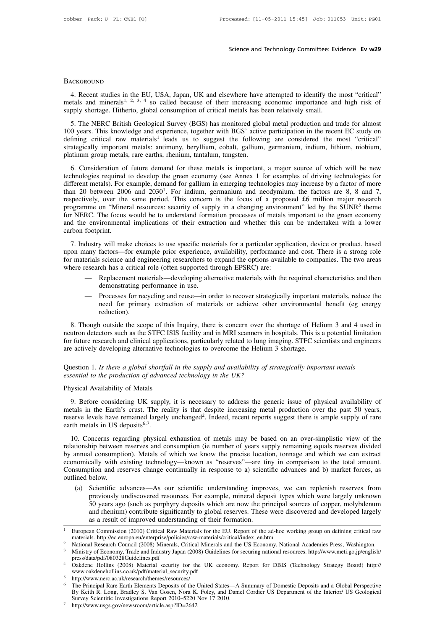## **BACKGROUND**

Science and Technology Committee: Evidence Ev w29<br>
4. Recent studies in the EU, USA, Japan, UK and elsewhere have attempted to identify the most "critical"<br>
tals and minerals<sup>1, 2, 3, 4</sup> so called because of their increasi BACKGROUND<br>4. Recent studies in the EU, USA, Japan, UK and elsewhere have attempted to identify the most "critical"<br>metals and minerals<sup>1, 2, 3, 4</sup> so called because of their increasing economic importance and high risk of BACKGROUND<br>4. Recent studies in the EU, USA, Japan, UK and elsewhere have attempted to identify the<br>metals and minerals<sup>1, 2, 3, 4</sup> so called because of their increasing economic importance an<br>supply shortage. Hitherto, gl

SuckGROUND<br>
4. Recent studies in the EU, USA, Japan, UK and elsewhere have attempted to identify the most "critical"<br>
stals and minerals<sup>1, 2, 3, 4</sup> so called because of their increasing economic importance and high risk o BACKGROUND<br>
4. Recent studies in the EU, USA, Japan, UK and elsewhere have attempted to identify the most "critical"<br>
metals and minerals<sup>1, 2, 3, 4</sup> so called because of their increasing economic importance and high risk 4. Recent studies in the EU, USA, Japan, UK and elsewhere have attempted to identify the most "critical" metals and minerals<sup>1, 2, 3, 4</sup> so called because of their increasing economic importance and high risk of supply sh F. Recent staties in the E.C. 63A, stapan, OK and essewhere have antempted to identify the most Critical metals and minerals<sup>1, 2, 3, 4</sup> so called because of their increasing economic importance and high risk of supply sh supply shortage. Hitherto, global consumption of critical metals has been relatively small.<br>
5. The NERC British Geological Survey (BGS) has monitored global metal production and trade for almost<br>
100 years. This knowledge 5. The NERC British Geological Survey (BGS) has monitored global metal production and trade for almost 0 years. This knowledge and experience, together with BGS' active participation in the recent EC study on fining critic The rights betweed and experience, together with BGS' active participation in the recent EC study on defining critical raw materials<sup>1</sup> leads us to suggest the following are considered the most "critical" strategically im

For years. Fins knowledge and experience, together with Deta active participation in the feeding certical"<br>defining critical raw materials<sup>1</sup> leads us to suggest the following are considered the most "critical"<br>strategical denting errical Taw Inaccials Leads a<br>strategically important metals: antimony,<br>platinum group metals, rare earths, rhenium<br>6. Consideration of future demand for<br>technologies required to develop the greee<br>different metals) mony, beryllium, cobalt, gallium, germanium, indium, lithium, niobium, rhenium, tantalum, tungsten.<br>
and for these metals is important, a major source of which will be new<br>
are green economy (see Annex 1 for examples of d strategically important inctars. antimony, ocrymam, coolar, gamulin, germanium, matum, matum, moorum, platinum group metals, rare earths, rhenium, tantalum, tungsten.<br>6. Consideration of future demand for these metals is i prannal group metals, rate cartis, memann, tandatum, tangsten.<br>
6. Consideration of future demand for these metals is important, a major source of which will be new<br>
technologies required to develop the green economy (see programme on "Mineral resources: security of supply in a changing environment" led by the  $SUNR<sup>5</sup>$  theme 6. Consideration of future demand for these metals is important, a major source of which will be new technologies required to develop the green economy (see Annex 1 for examples of driving technologies for different metal technologies required to develop the green economy (see Annex 1 for examples of driving technologies for different metals). For example, demand for gallium in emerging technologies may increase by a factor of more than 20 different metals). For example, demand for gallium in emerging technologies may increase by a factor of more<br>than 20 between 2006 and 2030<sup>1</sup>. For indium, germanium and neodymium, the factors are 8, 8 and 7,<br>respectively, 2. Industry will make choices to use specific materials for a proposed for million major research or Nineral resources: security of supply in a changing environment" led by the SUNR<sup>5</sup> theme r NERC. The focus would be to u Expectively, over the same period. This concern is the tocus of a proposed zo fillmon inajor research<br>programme on "Mineral resources: security of supply in a changing environment" led by the SUNR<sup>5</sup> theme<br>for NERC. The fo

for NERC. The focus would be to understand formation processes of metals important to the green economy<br>and the environmental implications of their extraction and whether this can be undertaken with a lower<br>carbon footprin For NERC. The focas would be to understand formation processes of inclusion<br>and the environmental implications of their extraction and whether this ca<br>carbon footprint.<br>7. Industry will make choices to use specific materia footprint.<br>
dustry will make choices to use specific materials for a particular application, device or product, based<br>
any factors—for example prior experience, availability, performance and cost. There is a strong role<br>
e y will make choices to use specific mate<br>factors—for example prior experience,<br>i science and engineering researchers to<br>ch has a critical role (often supported the<br>Replacement materials—developing alte<br>demonstrating perfor distry with make enotes to disc specific materials for a particular application, device of product, based<br>any factors—for example prior experience, availability, performance and cost. There is a strong role<br>erials science

- 
- networs—tor example prior experience, availability, performance and cost. There is a strong fore science and engineering researchers to expand the options available to companies. The two areas ch has a critical role (often reduction).

Replacement materials—developing alternative materials with the required characteristics and then<br>demonstrating performance in use.<br>Though outside the recycling and reuse—in order to recover strategically important materia demonstrating performance in use.<br>
— Processes for recycling and reuse—in order to recover strategically important materials, reduce the<br>
need for primary extraction of materials or achieve other environmental benefit (eg For future research and reuse—in order to recover strategically important materials, reduce the<br>need for primary extraction of materials or achieve other environmental benefit (eg energy<br>reduction).<br>8. Though outside the s and it is alternative technologies to overcome the stategically important<br>are actively outside the scope of this Inquiry, there is concern over the shortage of Hel<br>neutron detectors such as the STFC ISIS facility and in MR 8. Though outside the scope of this Inquiry, there is concern over the shortage of Helium 3 and 4 used in neutron detectors such as the STFC ISIS facility and in MRI scanners in hospitals. This is a potential limitation fo 8. Though outside the scope of this Inquiry, there is concern over the neutron detectors such as the STFC ISIS facility and in MRI scanners in here for future research and clinical applications, particularly related to lun For future research and clinical application<br>are actively developing alternative technical are actively developing alternative technical<br>Cluestian 1. Is there a global shortfall is<br>essential to the production of advanced<br>P

9. Before considering unchinated element gives to overtestive the fitting starting.<br>
1. Is there a global shortfall in the supply and availability of strategically important metals<br>
1. Is the production of advanced technol Question 1. Is there a global shortfall in the supply and availability of strategically important metals<br>essential to the production of advanced technology in the UK?<br>Physical Availability of Metals<br>9. Before considering U Question 1. *Is there a global shortfall in the supply and availability of strategically important metals*<br>essential to the production of advanced technology in the UK?<br>Physical Availability of Metals<br>9. Before considering essential to the production of advance<br>Physical Availability of Metals<br>9. Before considering UK supply,<br>metals in the Earth's crust. The rea<br>reserve levels have remained largely<br>earth metals in US deposits<sup>6,7</sup>.<br>10. Concer Superior Systeal Availability of Metals<br>
9. Before considering UK supply, it is necessary to address the generic issue of physical availability of<br>
tetals in the Earth's crust. The reality is that despite increasing metal 9. Before considering UK supply, it is necessary to address the generic issue of physical availability of metals in the Earth's crust. The reality is that despite increasing metal production over the past 50 years, reserve

by a buote considering of supply, it is necessary to address the generic issue of physical availability of metals in the Earth's crust. The reality is that despite increasing metal production over the past 50 years, reser receive levels have remained largely unchanged<sup>2</sup>. Indeed, recent reports suggest there is ample supply of rare earth metals in US deposits<sup>6,7</sup>.<br>10. Concerns regarding physical exhaustion of metals may be based on an over earth metals in US deposits<sup>6,7</sup>.<br>
10. Concerns regarding physical exhaustion of metals may be based on an over-simplistic view of the<br>
relationship between reserves and consumption (ie number of years supply remaining equ Exam Inclusion 10.<br>
10. Concerns regarded by annual consumption<br>
by annual consumption<br>
economically with e<br>
Consumption and respectively<br>
(a) Scientific a<br>
previously reviously (a) Concerns regarding physical exhaustion of metals may be based on an over-simplistic view of the tionship between reserves and consumption (ie number of years supply remaining equals reserves divided annual consumption) hip between reserves and consumption (ie number of years supply remaining equals reserves divided<br>il consumption). Metals of which we know the precise location, tonnage and which we can extract<br>cally with existing technolo

I consumption). Metals of which we know the precise location, tonnage and which we can extract<br>cally with existing technology—known as "reserves"—are tiny in comparison to the total amount.<br>totion and reserves change conti cally with existing technology—known as "reserves"—are tiny in comparison to the total amount.<br>
totion and reserves change continually in response to a) scientific advances and b) market forces, as<br>
below.<br>
Scientific adva Consumption and reserves change continually in response to a) scientific advances and b) market forces, as<br>outlined below.<br>(a) Scientific advances—As our scientific understanding improves, we can replenish reserves from<br>p previously undiscovered resources. For example, mineral deposit types which were largely unknown<br>50 years ago (such as porphyry deposits which are now the principal sources of copper, molybdenum<br>and rhenium) contribute sig 50 years ago (such as porphyry deposits which are now the principal sources of copper, molybdenum<br>and rhenium) contribute significantly to global reserves. These were discovered and developed largely<br>as a result of improv

<sup>&</sup>lt;sup>1</sup> European Commission (2010) Critical Raw Materials for the EU. Report of the ad-hoc working group on defining critical raw

press/data/pdf/080328Guidelines.pdf<br>Oakdene Hollins (2008) Material security for the UK economy. Report for DBIS (Technology Strategy Board) http://

www.oakdenehollins.co.uk/pdf/material\_security.pdf

<sup>5</sup> http://www.nerc.ac.uk/research/themes/resources/

Mational Research Council (2008) Minerals, Critical Minerals and the US Economy. National Academies Press, Washington.<br>
Ministry of Economy, Trade and Industry Japan (2008) Guidelines for securing national resources. http: Ministry of Economy, Trade and Industry Japan (2008) Guidelines for securing national resources. http://www.meti.go.jp/english/<br>press/data/pdf/080328Guidelines.pdf<br>Oakdene Hollins (2008) Material security for the UK econom press/data/pdf/080328Guidelines.pdf<br>
4 Oakdene Hollins (2008) Material security for the UK economy. I<br>
www.oakdenehollins.co.uk/pdf/material\_security.pdf<br>
5 http://www.nerc.ac.uk/research/themes/resources/<br>
6 The Principal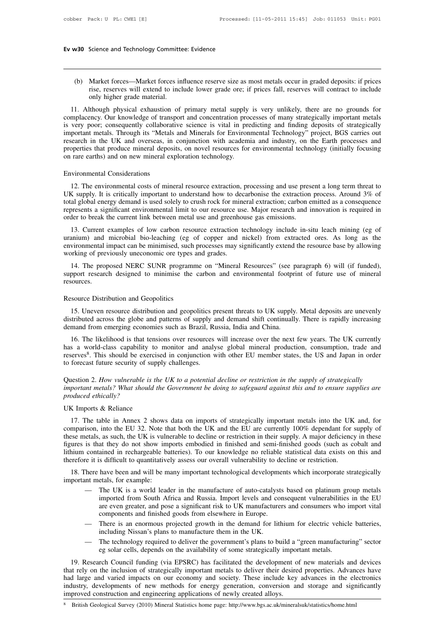(b) Market forces—Market forces influence reserve size as most metals occur in graded deposits: if prices<br>rise, reserves will extend to include lower grade ore; if prices fall, reserves will contract to include<br>only higher Science and Technology Committee: Evidence<br>
Market forces—Market forces influence reserve size as most metals occur in graded deposits: if prices<br>
rise, reserves will extend to include lower grade ore; if prices fall, rese Ev w30 Science and Technology Committee: Evidence<br>
(b) Market forces—Market forces influence reserve size as most metals occur in graded deposits: if prices<br>
rise, reserves will extend to include lower grade ore; if prices 11. Although physical exhaustion of primary metal supply is very unlikely, there are no grounds for the Machaustion of primary metal supply is very unlikely, there are no grounds for the material.<br>
11. Although physical ex

(b) Market forces—Market forces influence reserve size as most metals occur in graded deposits: if prices<br>rise, reserves will extend to include lower grade ore; if prices fall, reserves will contract to include<br>only higher (b) Market forces—Market forces influence reserve size as most metals occur in graded deposits: if prices rise, reserves will extend to include lower grade ore; if prices fall, reserves will contract to include only higher Fig. 2013. Through physical exhaustion of primary metal supply is very unlikely, there are no grounds for complacency. Our knowledge of transport and concentration processes of many strategically important metals is very p research in the UK and overseas, in conjunction with academia and industry, there are no grounds for complacency. Our knowledge of transport and concentration processes of many strategically important metals is very poor; omy migner grade materiar.<br>
11. Although physical exhaustion of primary metal supply is very unlikely, there are no grounds for<br>
complacency. Our knowledge of transport and concentration processes of many strategically imp is very poor; consequently collaborative science is vital in predicting and finding deposits of strategically important metals. Through its "Metals and Minerals for Environmental Technology" project, BGS carries out resear is very poor; consequently collaboration<br>important metals. Through its "Metals<br>research in the UK and overseas, in<br>properties that produce mineral deposi<br>on rare earths) and on new mineral exp<br>Environmental Considerations<br> 12. The environmental considerations<br>
12. The environmental resources of mineral deposits, on novel resources for environmental technology (initially focusing<br>
12. The environmental Considerations<br>
12. The environmental co

Environmental considerations<br>properties that produce mineral deposits, on novel resources for environmental technology (initially focusing<br>on rare earths) and on new mineral exploration technology.<br>Environmental Considerat total global energy demand is used solely to crush rock for mineral extraction, processing and use present a long term threat to UK supply. It is critically important to understand how to decarbonise the extraction process Environmental Considerations<br>12. The environmental costs of mineral resource extraction, processing and use present a long term threat to<br>UK supply. It is critically important to understand how to decarbonise the extractio Environmental Considerations<br>
12. The environmental costs of mineral resource extraction, processing and use pres<br>
UK supply. It is critically important to understand how to decarbonise the extraction<br>
total global energy 12. The environmental costs of mineral resource extraction, processing and use present a long term threat to K supply. It is critically important to understand how to decarbonise the extraction process. Around 3% of al glo 12. The environmental costs of initieral resource extraction, processing and use present a long term uneat to UK supply. It is critically important to understand how to decarbonise the extraction process. Around 3% of tota

Environmental impact can be minimised, such processes may significantly extend the resource base by allowing or<br>total global energy demand is used solely to crush rock for mineral extraction; carbon emitted as a consequenc total global energy demand is used solely to crush rock for mineral extraction; carbon emitted as a consequence<br>represents a significant environmental limit to our resource use. Major research and innovation is required in der to break the current link between metal use and greenhouse gas emissions.<br>
13. Current examples of low carbon resource extraction technology include in-situ leach mining (eg of<br>
ninium) and microbial bio-leaching (eg o 13. Current examples of low carbon resource extraction technology include in-situ leach mining (eg of uranium) and microbial bio-leaching (eg of copper and nickel) from extracted ores. As long as the environmental impact c

14. The proposed NERC SUNR programme on "Mineral Resources" (see paragraph 6) will (if funded),<br>pport research designed to minimise the carbon and environmental footprint of future use of mineral<br>sources.<br>5. Uneven resourc

support research designed to minimise the carbon and environmental footprint of future use of mineral resources.<br>Resource Distribution and Geopolitics<br>15. Uneven resource distribution and geopolitics present threats to UK demand from emerging economies are existed and environmental receptive resources.<br>
Resource Distribution and Geopolitics<br>
15. Uneven resource distribution and geopolitics present threats to UK supply<br>
distributed across th 15. Uneven resource distribution and geopolitics present threats to UK supply. Metal deposits are unevenly<br>15. Uneven resource distribution and geopolitics present threats to UK supply. Metal deposits are unevenly<br>16. The

Resource Distribution and Geopolitics<br>15. Uneven resource distribution and geopolitics present threats to UK supply. Metal deposits are unevenly<br>distributed across the globe and patterns of supply and demand shift continua reserves<sup>8</sup>. This should be exercised in conjunction with other EU member states, the US and Japan in order neven resource distribution and geopolitics present threats to UK supply. Metal deposits are unevenly and across the globe and patterns of supply and demand shift continually. There is rapidly increasing from emerging econ The formulation and geoponics positivated across the globe and patterns of supply a<br>demand from emerging economies such as Brazil, Ru<br>16. The likelihood is that tensions over resources<br>has a world-class capability to moni definant from emerging economies such as Diazri, reassia, multi and emita.<br>
16. The likelihood is that tensions over resources will increase over the next few years. The UK currently<br>
has a world-class capability to monito *i*mportant metals? What should the Government be doing to safeguard against this and to ensure supplies are production, consumption, trade and reserves<sup>8</sup>. This should be exercised in conjunction with other EU member stat *produced as a world-class capability*<br>*reserves<sup>8</sup>. This should be exerto forecast future security of sumportant metals? What should produced ethically?*<br>*Produced ethically?*<br>*UK Imports & Reliance* 

## Exercises Altride Sciences Associates to forecast future security of supp<br>Question 2. How vulnerable is the<br>important metals? What should the<br>produced ethically?<br>UK Imports & Reliance<br>17. The table in Annex 2 should be FU

17. The table in Annex 2 shows data on imports of strategically aportant metals? What should the Government be doing to safeguard against this and to ensure supplies are protocol et thically?<br>
17. The table in Annex 2 show Question 2. How vulnerable is the UK to a potential decline or restriction in the supply of strategically<br>important metals? What should the Government be doing to safeguard against this and to ensure supplies are<br>produced important metals? What should the Government be doing to safeguard against this and to ensure supplies are<br>produced ethically?<br>UK Imports & Reliance<br>17. The table in Annex 2 shows data on imports of strategically important produced ethically?<br>UK Imports & Reliance<br>17. The table in Annex 2 shows data on imports of strategically important metals into the UK and, for<br>comparison, into the EU 32. Note that both the UK and the EU are currently 100 UK Imports & Reliance<br>17. The table in Annex 2 shows data on imports of strategically important metals into the UK and, for<br>comparison, into the EU 32. Note that both the UK and the EU are currently 100% dependant for supp The table in Annex 2 shows data on imports of strategically important metals into the UK comparison, into the EU 32. Note that both the UK and the EU are currently 100% dependant for these metals, as such, the UK is vulner 17. The table in Almex 2 shows data on imports of strategically important metals into the UK and, for mparison, into the EU 32. Note that both the UK and the EU are currently 100% dependant for supply of see metals, as suc comparison, into the EU 32. Note that both the UK and the EU are currently 100% dependant for supply of these metals, as such, the UK is vulnerable to decline or restriction in their supply. A major deficiency in these fig is that they do not show imports embodied in finished and semi-finished goods (such as cobalt and<br>contained in rechargeable batteries). To our knowledge no reliable statistical data exists on this and<br>re it is difficult to

- imported in rechargeable batteries). To our knowledge no reliable statistical data exists on this and<br>s difficult to quantitatively assess our overall vulnerability to decline or restriction.<br>have been and will be many imp is difficult to quantitatively assess our overall vulnerability to decline or restriction.<br>
have been and will be many important technological developments which incorporate strategically<br>
etals, for example:<br>
The UK is a have been and will be many important technological developmer<br>etals, for example:<br>The UK is a world leader in the manufacture of auto-catalysts<br>imported from South Africa and Russia. Import levels and con<br>are even greater, metric is a world leader in the manufacture of auto-catalysts based on platinum group metals<br>
imported from South Africa and Russia. Import levels and consequent vulnerabilities in the EU<br>
are even greater, and pose a sign East, for example.<br>The UK is a world leader in the manufacture of auto-catalys<br>imported from South Africa and Russia. Import levels and co<br>are even greater, and pose a significant risk to UK manufacture<br>components and fini — The OK Is a world leader in the manufacture of alto-catalysts based on platinum group metals<br>
imported from South Africa and Russia. Import levels and consequent vulnerabilities in the EU<br>
are even greater, and pose a si are even greater, and pose a significant risk to UK manufacturers and consumers who import vital<br>components and finished goods from elsewhere in Europe.<br>— There is an enormous projected growth in the demand for lithium for
	-
	-

19. Components and finished goods from elsewhere in Europe.<br>
20. There is an enormous projected growth in the demand for lithium for electric vehicle batteries,<br>
20. The technology required to deliver the government's plan There is an enormous projected growth in the demand for lithium for electric vehicle batteries,<br>including Nissan's plans to manufacture them in the UK.<br>— The technology required to deliver the government's plans to build a including Nissan's plans to manufacture them in the UK.<br>
— The technology required to deliver the government's plans to build a "green manufacturing" sector<br>
eg solar cells, depends on the availability of some strategicall The technology required to deliver the government's plans to build a "green manufacturing" sector<br>
eg solar cells, depends on the availability of some strategically important metals.<br>
19. Research Council funding (via EPSR improved construction and engineering applications of newly created alloys.<br>
19. Research Council funding (via EPSRC) has facilitated the development of new materials and that rely on the inclusion of strategically importa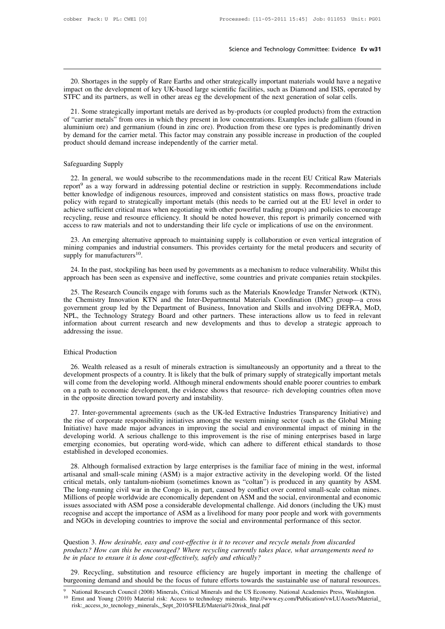20. Shortages in the supply of Rare Earths and other strategically important materials would have a negative pact on the development of key UK-based large scientific facilities, such as Diamond and ISIS, operated by FC and Science and Technology Committee: Evidence Ev w31<br>20. Shortages in the supply of Rare Earths and other strategically important materials would have a negative<br>impact on the development of key UK-based large scientific faci Science and Technology Committee: Evidence Ev w<br>
20. Shortages in the supply of Rare Earths and other strategically important materials would have a negati<br>
impact on the development of key UK-based large scientific facili

20. Shortages in the supply of Rare Earths and other strategically important materials would have a negative pact on the development of key UK-based large scientific facilities, such as Diamond and ISIS, operated by FC and 20. Shortages in the supply of Rare Earths and other strategically important materials would have a negative impact on the development of key UK-based large scientific facilities, such as Diamond and ISIS, operated by STFC 20. Shortages in the supply of Rare Earths and other strategically important materials would have a negative<br>impact on the development of key UK-based large scientific facilities, such as Diamond and ISIS, operated by<br>STFC mpact on the development of key UK-based large scientific facilities, such as Diamond and ISIS, operated by STFC and its partners, as well in other areas eg the development of the next generation of solar cells.<br>21. Some s product should demand increase independently of the carrier metal.<br>
The carrier metals' from ores in which they present in low concentrations<br>
aluminium ore) and germanium (found in zinc ore). Production from the<br>
by deman 21. Some stategreamy import<br>of "carrier metals" from ores in<br>aluminium ore) and germanium<br>by demand for the carrier metal<br>product should demand increase<br>Safeguarding Supply<br>22. In general, we would sub

minium ore) and germanium (tound in zinc ore). Production from these ore types is predominantly driven<br>demand for the carrier metal. This factor may constrain any possible increase in production of the coupled<br>oduct should by demand for the carrier metal. This factor may constrain any possible increase in production of the coupled<br>product should demand increase independently of the carrier metal.<br>Safeguarding Supply<br>22. In general, we would Better knowledge of indigenous resources, improved and consistent the recent EU Critical Raw Materials<br>report<sup>9</sup> as a way forward in addressing potential decline or restriction in supply. Recommendations include<br>better kno Safeguarding Supply<br>22. In general, we would subscribe to the recommendations made in the recent EU Critical Raw Materials<br>report<sup>9</sup> as a way forward in addressing potential decline or restriction in supply. Recommendation Safeguarding Supply<br>22. In general, we would subscribe to the recommendations made in the recent EU Critical Raw Materials<br>report<sup>9</sup> as a way forward in addressing potential decline or restriction in supply. Recommendation 22. In general, we would subscribe to the recommendations made in the recent EU Critical Raw Materials report<sup>9</sup> as a way forward in addressing potential decline or restriction in supply. Recommendations include better kno 22. In general, we would subscribe to the recommendations made in the recent EU Critical Raw Materials report<sup>9</sup> as a way forward in addressing potential decline or restriction in supply. Recommendations include better kno ther knowledge of indigenous resources, improved and consistent statistics on mass flows, proactive trade<br>licy with regard to strategically important metals (this needs to be carried out at the EU level in order to<br>hieve s policy with regard to strategically important metals (this needs to be carried out at the EU level in order to<br>achieve sufficient critical mass when negotiating with other powerful trading groups) and policies to encourage increase and resource efficient critical mass when negotiating with other powerful trading groups) and policies to encourage<br>recycling, reuse and resource efficiency. It should be noted however, this report is primarily co

External and a resolute enterting. It should be holded however, this report is printially concerned with cross to raw materials and not to understanding their life cycle or implications of use on the environment.<br>23. An em 23. An emerging alternative approach to maintaining supply is collaboration or even vertical integration of<br>mining companies and industrial consumers. This provides certainty for the metal producers and security of<br>supply

25. The cheral and industrial consumers. This provides certainty for the metal producers and security of pply for manufacturers<sup>10</sup>.<br>24. In the past, stockpiling has been used by governments as a mechanism to reduce vulner Supply for manufacturers<sup>10</sup>.<br>
24. In the past, stockpiling has been used by governments as a mechanism to reduce vulnerability. Whilst this<br>
approach has been seen as expensive and ineffective, some countries and private 24. In the past, stockpiling has been used by governments as a mechanism to reduce vulnerability. Whilst this<br>approach has been seen as expensive and ineffective, some countries and private companies retain stockpiles.<br>25. 24. In the past, stockpiling has been used by governments as a mechanism to reduce vulnerability. Whilst this approach has been seen as expensive and ineffective, some countries and private companies retain stockpiles.<br>25. income above are a sexpensive and ineffective, some countries and private companies retain stockpiles.<br>
25. The Research Councils engage with forums such as the Materials Knowledge Transfer Network (KTN),<br>
the Chemistry In 25. The Research Councils engage with forums such as the Materials Knowledge Transfer Network (KTN), the Chemistry Innovation KTN and the Inter-Departmental Materials Coordination (IMC) group—a cross government group led b NPL, the Technology Strategy Board and other partners. These interactions allow us to feed in relevant<br>information about current research and new developments and thus to develop a strategic approach to<br>addressing the issu

FL, the Technology Strategy Board and other partners. These interactions allow us to feed in relevant<br>formation about current research and new developments and thus to develop a strategic approach to<br>dressing the issue.<br>26 mformation about current research and new developments and thus to develop a strategic approach to<br>addressing the issue.<br>Ethical Production<br>26. Wealth released as a result of minerals extraction is simultaneously an opport Ethical Production<br>
26. Wealth released as a result of minerals extraction is simultaneously an opportunity and a threat to the<br>
development prospects of a country. It is likely that the bulk of primary supply of strategic Ethical Production<br>26. Wealth released as a result of minerals extraction is simultaneously an opportunity and a threat to the<br>development prospects of a country. It is likely that the bulk of primary supply of strategical development prospects of a country. It is likely that the bulk of primary supply of strategically important metals will come from the developing world. Although mineral endowments should enable poorer countries to embark o 26. Wealth released as a result of minerals extraction is simultaneously an opportunity and a threat to the velopment prospects of a country. It is likely that the bulk of primary supply of strategically important metals I development prospects of a country. It is likely that the bulk of primary supply of strategically important metals will come from the developing world. Although mineral endowments should enable poorer countries to embark o

will come from the developing world. Although mineral endowments should enable poorer countries to embark<br>on a path to economic development, the evidence shows that resource- rich developing countries to embark<br>on a path t on a path to economic development, the evidence shows that resource- rich developing countries often move<br>in the opposite direction toward poverty and instability.<br>27. Inter-governmental agreements (such as the UK-led Extr in the opposite direction toward poverty and instability.<br>
27. Inter-governmental agreements (such as the UK-led Extractive Industries Transparency Initiative) and<br>
the rise of corporate responsibility initiatives amongst the rise of corporate responsibility initiatives amongst the western mining sector (such as the Global Mining<br>Initiative) have made major advances in improving the social and environmental impact of mining in the<br>developin 28. Although formalised extraction by large enterprises is the familiar face of mining sector (such as the Global Mining itative) have made major advances in improving the social and environmental impact of mining in the v Initiative) have made major advances in improving the social and environmental impact of mining in the developing world. A serious challenge to this improvement is the rise of mining enterprises based in large emerging eco

developing world. A serious challenge to this improvement is the rise of mining enterprises based in large emerging economies, but operating word-wide, which can adhere to different ethical standards to those established i emerging economies, but operating word-wide, which can adhere to different ethical standards to those established in developed economies.<br>
28. Although formalised extraction by large enterprises is the familiar face of min established in developed economies.<br>
28. Although formalised extraction by large enterprises is the familiar face of mining in the west, informal<br>
artisanal and small-scale mining (ASM) is a major extractive activity in th 28. Although formalised extraction by large enterprises is the familiar face of mining in the west, informal artisanal and small-scale mining (ASM) is a major extractive activity in the developing world. Of the listed crit 28. Although formalised extraction by large enterprises is the familiar face of mining in the west, informal artisanal and small-scale mining (ASM) is a major extractive activity in the developing world. Of the listed crit and and small-scale mining (ASM) is a major extractive activity in the developing world. Of the liste critical metals, only tantalum-niobium (sometimes known as "coltan") is produced in any quantity by ASM. The long-runnin The long-tummig civit wat in the Congo is, in part, caused by conflict over control sinan-scale cotan innes.<br>
Millions of people worldwide are economically dependent on ASM and the social, environmental and economic<br>
issue *products* of people worldwide are economically dependent on ASM and the social, environmental and economic issues associated with ASM pose a considerable developmental challenge. Aid donors (including the UK) must recogni

*be in place to ensure it is done cost-effectively, safely and environmental per* environmental per and NGOs in developing countries to improve the social and environmental per Question 3. How desirable, easy and cost-effe 29. Recycling, substitution and resource effective is it to recover and recycle metals from discarded oducts? How can this be encouraged? Where recycling currently takes place, what arrangements need to in place to ensure Question 3. How desirable, easy and cost-effective is it to recover and recycle metals from discarded<br>products? How can this be encouraged? Where recycling currently takes place, what arrangements need to<br>be in place to en

risk:\_access\_to\_tecnology\_minerals,\_Sept\_2010/\$FILE/Material%20risk\_final.pdf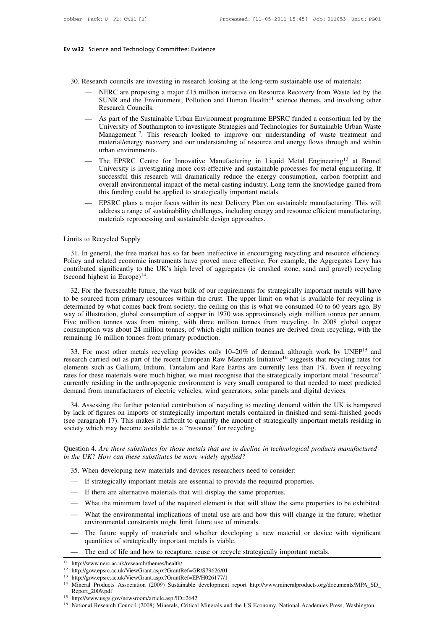- 
- **30.** Research councils are investing in research looking at the long-term sustainable use of materials:<br>
 NERC are proposing a major £15 million initiative on Resource Recovery from Waste led by the<br>
SUNR and the Environ Science and Technology Committee: Evidence<br>
Mesearch councils are investing in research looking at the long-term sustainable use of materials:<br>
— NERC are proposing a major £15 million initiative on Resource Recovery from The Environment Summittee: Evidence<br>
SUNR and the Environment, Pollution and Human Health<sup>11</sup> science themes, and involving other<br>
SUNR and the Environment, Pollution and Human Health<sup>11</sup> science themes, and involving othe The Councils are investing<br>
RERC are proposing a n<br>
SUNR and the Environn<br>
Research Councils.<br>
As part of the Sustainabl<br>
University of Southampt
	- Nesearch councils are investing in research looking at the long-term sustainable use of materials:<br>
	 NERC are proposing a major £15 million initiative on Resource Recovery from Waste led by the<br>
	SUNR and the Environment, rch councils are investing in research looking at the long-term sustainable use of materials:<br>NERC are proposing a major £15 million initiative on Resource Recovery from Waste led by the<br>SUNR and the Environment, Pollution MERC are proposing a major £15 million initiative on Resource Recovery from Waste led by the SUNR and the Environment, Pollution and Human Health<sup>11</sup> science themes, and involving other Research Councils.<br>As part of the Su NERC are proposing a major £15 million initiative on Resource Recovery from Waste led by the<br>SUNR and the Environment, Pollution and Human Health<sup>11</sup> science themes, and involving other<br>Research Councils.<br>As part of the Su SUNR and the Environment<br>Research Councils.<br>As part of the Sustainable<br>University of Southampton<br>Management<sup>12</sup>. This rese<br>material/energy recovery aurban environments.<br>The EPSRC Centre for<br>University is investigating — As part of the Sustainable Urban Environment programme EPSRC funded a consortium led by the<br>
	University of Southampton to investigate Strategies and Technologies for Sustainable Urban Waste<br>
	Management<sup>12</sup>. This research As part of the Sustainable Urban Environment programme EPSRC funded a consortium led by the University of Southampton to investigate Strategies and Technologies for Sustainable Urban Waste Management<sup>12</sup>. This research loo
	- University of Southampton to investigate Strategies and Technologies for Sustainable Urban Waste Management<sup>12</sup>. This research looked to improve our understanding of waste treatment and material/energy recovery and our und Management<sup>12</sup>. This research looked to improve our understanding of waste treatment and<br>material/energy recovery and our understanding of resource and energy flows through and within<br>urban environments.<br>The EPSRC Centre f material/energy recovery and our understanding of resource and ene<br>urban environments.<br>The EPSRC Centre for Innovative Manufacturing in Liquid Me<br>University is investigating more cost-effective and sustainable proce<br>succes — The EPSRC Centre for Innovative Manufacturing in Liquid Metal Engineering<sup>13</sup> at Brunel<br>University is investigating more cost-effective and sustainable processes for metal engineering. If<br>successful this research will dr The EPSRC Centre for Innovative Manufacturing in Liquid Metal Engineering<sup>13</sup> at Brunel University is investigating more cost-effective and sustainable processes for metal engineering. If successful this research will dram University is investigating more cost-effective and sustainable successful this research will dramatically reduce the energy coverall environmental impact of the metal-casting industry. Lon this funding could be applied to
- this funding could be app<br>
 EPSRC plans a major foc<br>
address a range of sustain<br>
materials reprocessing and<br>
Limits to Recycled Supply<br>
31. In general, the free market has

31. In general, the free market has so far been ineffective in encouraging recycling and resource efficiency. address a range of sustainability challenges, including energy and resource efficient manufacturing,<br>materials reprocessing and sustainable design approaches.<br>Limits to Recycled Supply<br>31. In general, the free market has materials reprocessing and sustainable design approaches.<br>
Limits to Recycled Supply<br>
31. In general, the free market has so far been ineffective in encouraging recycling and resource efficiency.<br>
Policy and related econom Limits to Recycled Supply<br>
31. In general, the free market ha<br>
Policy and related economic instrure<br>
contributed significantly to the UK<br>
(second highest in Europe)<sup>14</sup>.<br>
32. For the foreseeable future, the 31. In general, the free market has so far been ineffective in encouraging recycling and resource efficiency.<br>
Ilicy and related economic instruments have proved more effective. For example, the Aggregates Levy has<br>
Intri 31. In general, the free market has so far been ineffective in encouraging recycling and resource efficiency.<br>Policy and related economic instruments have proved more effective. For example, the Aggregates Levy has<br>contri

Policy and related economic instruments have proved more effective. For example, the Aggregates Levy has contributed significantly to the UK's high level of aggregates (ie crushed stone, sand and gravel) recycling (second contributed significantly to the UK's high level of aggregates (ie crushed stone, sand and gravel) recycling (second highest in Europe)<sup>14</sup>.<br>
32. For the foreseeable future, the vast bulk of our requirements for strategic Five million tonnes was from mining, with three million tonnes are derived from recycling.<br>The minimal of the same method of our requirements for strategically important metals will have<br>to be sourced from primary resourc 32. For the foreseeable future, the vast bulk of our requirements for strategically important metals will have to be sourced from primary resources within the crust. The upper limit on what is available for recycling is d 32. For the foreseeable future, the vast bulk of our requirements for strategically important metals will have<br>to be sourced from primary resources within the crust. The upper limit on what is available for recycling is<br>d way of illustration, global consumption of copper in 1970 was approximately eight million tonnes per anum.<br>Five million tonnes was from mining, with three million tonnes from recycling. In 2008 global copper consumption wa

research carried out as part of the recent European Raw Materials Initiative<sup>16</sup> suggests that recycling rates for Five million tonnes was from mining, with three million tonnes from recycling. In 2008 global copper<br>Five million tonnes was from mining, with three million tonnes from recycling. In 2008 global copper<br>consumption was abou row minimized was not 24 million tonnes, of which eight million tonnes are derived from recycling, with the remaining 16 million tonnes from primary production.<br>33. For most other metals recycling provides only 10–20% of d currently residing in the anthropogenic environment is very small compared to that needed to meet predicted research carried out as part of the recent European Raw Materials Initiative<sup>16</sup> suggests that recycling rates for 33. For most other metals recycling provides only 10–20% of demand, although work by UNEP research carried out as part of the recent European Raw Materials Initiative<sup>16</sup> suggests that recycling ra elements such as Gallium 34. Assessing the further potential contribution of recycling to meeting and such as Gallium, Indium, Tantalum and Rare Earths are currently less that recycling rates for ements such as Gallium, Indium, Tantalum and Rare E belements such as Gallium, Indium, Tantalum and Rare Earths are currently less than 1%. Even if recycling rates for these materials were much higher, we must recognise that the strategically important metal "resource" curr

Fraces for these materials were much higher, we must recognise that the strategically important metal "resource"<br>currently residing in the anthropogenic environment is very small compared to that needed to meet predicted<br>d society which may become available as a "resource" for recycling.<br>
Society which manufacturers of electric vehicles, wind generators, solar J<br>
34. Assessing the further potential contribution of recycling to meetin<br>
by lac 34. Assessing the further potential contribution of recycling to meeting demand within the UK is hampered<br>by lack of figures on imports of strategically important metals contained in finished and semi-finished goods<br>(see p <sup>34.</sup> Assessing the further potential contribution of recycling to meeting<br>by lack of figures on imports of strategically important metals contained<br>(see paragraph 17). This makes it difficult to quantify the amount of str

See paragraph 17). This makes it difficult to quantity the amount of strategically impociety which may become available as a "resource" for recycling.<br>
also 4. Are there substitutes for those metals that are in decline in measured and the temperature as a measured to recycling.<br>
1991 and the UK? How can these substitutes be more widely applied?<br>
1995. When developing new materials and devices researchers need to consider:<br>
1995. When develo Question 4. Are there substitutes for those metals that are in decline in technological products manufactured<br>in the UK? How can these substitutes be more widely applied?<br>35. When developing new materials and devices resea

- 
- 
- 
- 
- details the UK? How can these substitutes be more widely applied?<br>
35. When developing new materials and devices researchers need to consider:<br>  $\blacksquare$  If strategically important metals are essential to provide the required 35. When developing new materials and devices researchers need to consider:<br>
— If strategically important metals are essential to provide the required properties.<br>
— If there are alternative materials that will display the If strategically important metals and devices researchers heed to constitute the required if there are alternative materials that will display the same propert What the minimum level of the required element is that will al — If suategreary important metals are essential to provide the required properties.<br>
— If there are alternative materials that will display the same properties.<br>
— What the minimum level of the required element is that wil If there are alternative materials that will display the same<br>What the minimum level of the required element is that w<br>What the environmental implications of metal use are anc<br>environmental constraints might limit future u — What the minimum level of the required element is that will allow the same properties to 1<br>— What the environmental implications of metal use are and how this will change in the fut<br>environmental constraints might limit
	-
	-

<sup>13</sup> http://gow.epsrc.ac.uk/ViewGrant.aspx?GrantRef=EP/H026177/1

quantities of strategically important inctais is viable.<br>
— The end of life and how to recapture, reuse or recycle strategically important metals.<br>
<sup>11</sup> http://www.nerc.ac.uk/ViewGrant.aspx?GrantRef=GR/S79626/01<br>
<sup>13</sup> http Report\_2009.pdf 16 http://www.nerc.ac.uk/research/themes/health/<br>
16 http://gow.epsrc.ac.uk/ViewGrant.aspx?GrantRef=GR/S79626/01<br>
16 http://gow.epsrc.ac.uk/ViewGrant.aspx?GrantRef=EP/H026177/1<br>
14 Mineral Products Association (2009) Susta

<sup>&</sup>lt;sup>15</sup> http://www.usgs.gov/newsroom/article.asp?ID=2642<br><sup>16</sup> National Research Council (2008) Minerals, Critical Minerals and the US Economy. National Academies Press, Washington.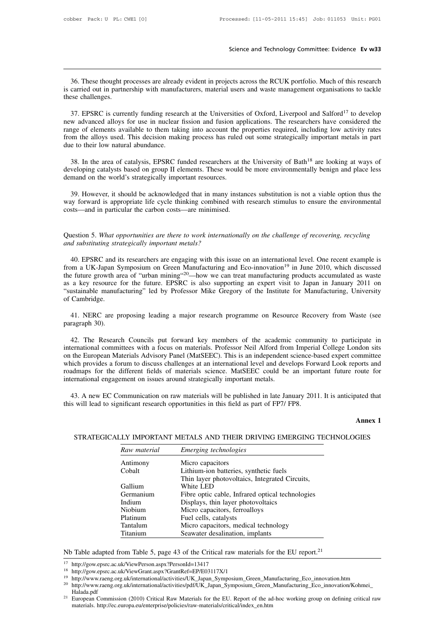Science and Technology Committee: Evidence Ev w33<br>36. These thought processes are already evident in projects across the RCUK portfolio. Much of this research<br>carried out in partnership with manufacturers, material users a Science and Technology Committee: Evidence Ev w33<br>36. These thought processes are already evident in projects across the RCUK portfolio. Much of this research<br>is carried out in partnership with manufacturers, material user 36. These thought positions carried out in partners<br>these challenges.<br>37. EPSRC is curre

36. These thought processes are already evident in projects across the RCUK portfolio. Much of this research carried out in partnership with manufacturers, material users and waste management organisations to tackle see ch 36. These thought processes are already evident in projects across the RCUK portfolio. Much of this research<br>is carried out in partnership with manufacturers, material users and waste management organisations to tackle<br>the 36. These thought processes are already evident in projects across the RCUK portfolio. Much of this research is carried out in partnership with manufacturers, material users and waste management organisations to tackle the is carried out in partnership with manufacturers, material users and waste management organisations to tackle<br>these challenges.<br>37. EPSRC is currently funding research at the Universities of Oxford, Liverpool and Salford<sup>1</sup> these challenges.<br>
37. EPSRC is currently funding resear<br>
new advanced alloys for use in nuclear<br>
range of elements available to them taki<br>
from the alloys used. This decision mak<br>
due to their low natural abundance.<br>
38. 37. EPSRC is currently funding research at the Universities of Oxford, Liverpool and Salford<sup>17</sup> to develop<br>w advanced alloys for use in nuclear fission and fusion applications. The researchers have considered the<br>nge of new advanced alloys for use in nuclear fission and fusion applications. The researchers have considered the range of elements available to them taking into account the properties required, including low activity rates from range of elements available to them taking into account the from the alloys used. This decision making process has ruled due to their low natural abundance.<br>38. In the area of catalysis, EPSRC funded researchers at the dev

23. In the area of catalysis, EPSRC funded researchers at the University of Bath<sup>18</sup> are looking at ways of veloping catalysts based on group II elements. These would be more environmentally benign and place less mand on t 38. In the area of catalysis, EPSRC funded researchers at the University of Bath<sup>18</sup> are looking at ways of developing catalysts based on group II elements. These would be more environmentally benign and place less demand 38. In the area of catalysis, EPSRC funded researchers at the developing catalysts based on group II elements. These would lemand on the world's strategically important resources.<br>39. However, it should be acknowledged tha

39. However, it should be acknowledged that in many instances substitution is not a viable option thus the way forward is appropriate life cycle thinking combined with research stimulus to ensure the environmental costs—an way forward is appropriate life cycle thinking combined with research stimulus to ensure the environmental costs—and in particular the carbon costs—are minimised.<br>
Question 5. What opportunities are there to work internati

40. EPSRC and its researchers are there to work internationally on the challenge of recovering, recycling and substituting strategically important metals?<br>40. EPSRC and its researchers are engaging with this issue on an in Question 5. What opportunities are there to work internationally on the challenge of recovering, recycling<br>and substituting strategically important metals?<br>40. EPSRC and its researchers are engaging with this issue on an i Question 5. What opportunities are there to work internationally on the challenge of recovering, recycling<br>and substituting strategically important metals?<br>40. EPSRC and its researchers are engaging with this issue on an i Question 5. What opportunities are there to work internationally on the challenge of recovering, recycling<br>and substituting strategically important metals?<br>40. EPSRC and its researchers are engaging with this issue on an i and substituting strategically important metals?<br>
40. EPSRC and its researchers are engaging with this issue on an international level. One recent example is<br>
from a UK-Japan Symposium on Green Manufacturing and Eco-innova 40. EPSRC and if<br>from a UK-Japan S<br>the future growth and<br>as a key resource<br>"sustainable manufa<br>of Cambridge.<br>41. NERC are p the future growth area of "urban mining"<sup>20</sup>—how we can treat manufacturing products accumulated as waste<br>as a key resource for the future. EPSRC is also supporting an expert visit to Japan in January 2011 on<br>"sustainable Sustainable manufacturing" led by Professor Mike Gregory of the Institute for Manufacturing, University<br>of Cambridge.<br>41. NERC are proposing leading a major research programme on Resource Recovery from Waste (see<br>paragraph

ustainable manufacturing" led by Professor Mike Gregory of the Institute for Manufacturing, University<br>Cambridge.<br>41. NERC are proposing leading a major research programme on Resource Recovery from Waste (see<br>ragraph 30).<br> of Cambridge.<br>
41. NERC are proposing leading a major research programme on Resource Recovery from Waste (see<br>
paragraph 30).<br>
42. The Research Councils put forward key members of the academic community to participate in<br> 41. NERC are proposing leading a major research programme on Resource Recovery from Waste (see<br>paragraph 30).<br>42. The Research Councils put forward key members of the academic community to participate in<br>international comm 41. NERC are proposing leading a major research programme on Resource Recovery from Waste (see<br>paragraph 30).<br>42. The Research Councils put forward key members of the academic community to participate in<br>international comm paragraph 30).<br>42. The Research Councils put forward key members of the academic community to participate in<br>international committees with a focus on materials. Professor Neil Alford from Imperial College London sits<br>on th international committees with a focus on materials. Professor Neil Alford from Imperial College London sits<br>on the European Materials Advisory Panel (MatSEEC). This is an independent science-based expert committee<br>which pr ernational committees with a focus on materials. Professor Neil Alford from Imperial College London sits<br>the European Materials Advisory Panel (MatSEEC). This is an independent science-based expert committee<br>nich provides which provides a forum to discuss challenges at an international level and develops Forward Look reports and<br>roadmaps for the different fields of materials science. MatSEEC could be an important future route for<br>internatio

route for<br>
aated that<br> **Annex 1**<br>
GIES 3. A new EC Communication on raw materials will be published in late January 2011. It is anticipated that will lead to significant research opportunities in this field as part of FP7/ FP8.<br> **Annex 1**<br>
STRATEGICALLY IMPORTA

|              | STRATEGICALLY IMPORTANT METALS AND THEIR DRIVING EMERGING TECHNO |
|--------------|------------------------------------------------------------------|
| Raw material | Emerging technologies                                            |
| Antimony     | Micro capacitors                                                 |
| Cobalt       | Lithium-ion batteries, synthetic fuels                           |
|              | Thin layer photovoltaics, Integrated Circuits,                   |
| Gallium      | White LED                                                        |
| Germanium    | Fibre optic cable, Infrared optical technologies                 |
| Indium       | Displays, thin layer photovoltaics                               |
| Niobium      | Micro capacitors, ferroalloys                                    |
| Platinum     | Fuel cells, catalysts                                            |
| Tantalum     | Micro capacitors, medical technology                             |
| Titanium     | Seawater desalination, implants                                  |

<sup>18</sup> http://gow.epsrc.ac.uk/ViewGrant.aspx?GrantRef=EP/E03117X/1

<sup>19</sup> http://www.raeng.org.uk/international/activities/UK\_Japan\_Symposium\_Green\_Manufacturing\_Eco\_innovation.htm

<sup>&</sup>lt;sup>20</sup> http://www.raeng.org.uk/international/activities/pdf/UK\_Japan\_Symposium\_Green\_Manufacturing\_Eco\_innovation/Kohmei\_ Halada.pdf

<sup>21</sup> European Commission (2010) Critical Raw Materials for the EU. Report of the ad-hoc working group on defining critical raw materials. http://www.raeng.org.uk/international/activities/UK\_Japan\_Symposium\_Green\_Manufacturin http://gow.epsrc.ac.uk/ViewPerson.aspx?PersonId=13417<br>http://gow.epsrc.ac.uk/ViewGrant.aspx?GrantRef=EP/E03117X/1<br>http://www.raeng.org.uk/international/activities/UK\_Japan\_Symposium\_Green\_Mar<br>http://www.raeng.org.uk/intern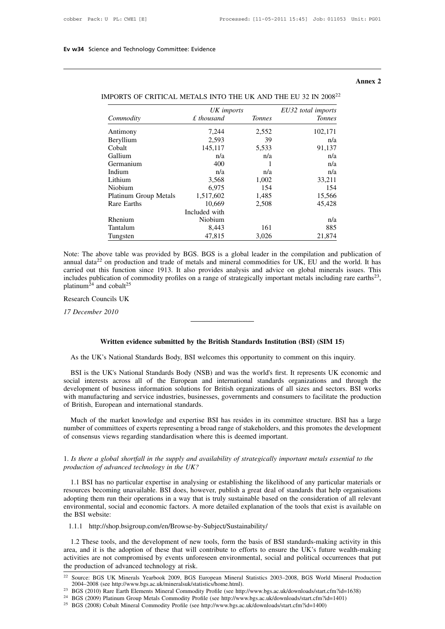## **Annex 2**

|                                                                            |               |               |                    | Annex 2 |
|----------------------------------------------------------------------------|---------------|---------------|--------------------|---------|
| IMPORTS OF CRITICAL METALS INTO THE UK AND THE EU 32 IN 2008 <sup>22</sup> |               |               |                    |         |
|                                                                            | UK imports    |               | EU32 total imports |         |
| Commodity                                                                  | $£$ thousand  | <b>Tonnes</b> | <b>Tonnes</b>      |         |
| Antimony                                                                   | 7,244         | 2,552         | 102,171            |         |
| Beryllium                                                                  | 2,593         | 39            | n/a                |         |
| Cobalt                                                                     | 145,117       | 5,533         | 91,137             |         |
| Gallium                                                                    | n/a           | n/a           | n/a                |         |
| Germanium                                                                  | 400           |               | n/a                |         |
| Indium                                                                     | n/a           | n/a           | n/a                |         |
| Lithium                                                                    | 3,568         | 1,002         | 33,211             |         |
| Niobium                                                                    | 6,975         | 154           | 154                |         |
| Platinum Group Metals                                                      | 1,517,602     | 1,485         | 15,566             |         |
| Rare Earths                                                                | 10.669        | 2,508         | 45,428             |         |
|                                                                            | Included with |               |                    |         |
| Rhenium                                                                    | Niobium       |               | n/a                |         |
| Tantalum                                                                   | 8,443         | 161           | 885                |         |
| Tungsten                                                                   | 47,815        | 3,026         | 21,874             |         |

| IMPORTS OF CRITICAL METALS INTO THE UK AND THE EU 32 IN 2008 <sup>22</sup> |  |  |  |  |  |  |  |  |  |
|----------------------------------------------------------------------------|--|--|--|--|--|--|--|--|--|
|----------------------------------------------------------------------------|--|--|--|--|--|--|--|--|--|

annual data<sup>22</sup> on production and trade of metals and mineral commodities for UK, EU and the world. It has carried out this function since 1913. It also provides analysis and advice on global minerals issues. This includes Exhenium<br>
Tantalum<br>
Tantalum<br>  $8,443$ <br>
Tungsten<br>  $47,815$ <br>  $3,026$ <br>  $21,874$ <br>
Note: The above table was provided by BGS. BGS is a global leader in the compilation and publication of<br>
annual data<sup>22</sup> on production and trad Fungsten 47,815 3,026 21,874<br>
Note: The above table was provided by BGS. BGS is a global leader in the compilation and publication of<br>
annual data<sup>22</sup> on production and trade of metals and mineral commodities for UK, EU a , **Plantiful Example 11**<br>
Note: The above table was provided b<br>
annual data<sup>22</sup> on production and trade<br>
carried out this function since 1913.<br>
includes publication of commodity pro-<br>
platinum<sup>24</sup> and cobalt<sup>25</sup><br>
Research C annual data<sup>22</sup> on production a<br>carried out this function sinc<br>includes publication of commo<br>platinum<sup>24</sup> and cobalt<sup>25</sup><br>Research Councils UK<br>17 December 2010

**Written evidence submitted by the British Standards Institution (BSI) (SIM 15)**<br>
Written evidence submitted by the British Standards Institution (BSI) (SIM 15)<br>
C's National Standards Body, BSI welcomes this opportunity t

As the UK's National Standards Body, BSI welcomes this opportunity to comment on this inquiry.<br>
As the UK's National Standards Body, BSI welcomes this opportunity to comment on this inquiry.<br>
BSI is the UK's National Stand Written evidence submitted by the British Standards Institution (BSI) (SIM 15)<br>As the UK's National Standards Body, BSI welcomes this opportunity to comment on this inquiry.<br>BSI is the UK's National Standards Body (NSB) an Written evidence submitted by the British Standards Institution (BSI) (SIM 15)<br>As the UK's National Standards Body, BSI welcomes this opportunity to comment on this inquiry.<br>BSI is the UK's National Standards Body (NSB) an Written evidence submitted by the British Standards Institution (BSI) (SIM 15)<br>As the UK's National Standards Body, BSI welcomes this opportunity to comment on this inquiry.<br>BSI is the UK's National Standards Body (NSB) an As the UK's National Standards Body, BSI welcomes this opportunity to comment on this inquiry.<br>BSI is the UK's National Standards Body (NSB) and was the world's first. It represents UK economic and<br>social interests across As the UK's National Standards Body, BSI welcom<br>BSI is the UK's National Standards Body (NSB) as<br>social interests across all of the European and i<br>development of business information solutions for B<br>with manufacturing and BSI is the UK's National Standards Body (NSB) and was the world's first. It represents UK economic and<br>cial interests across all of the European and international standards organizations and through the<br>velopment of busine number of committees of experts representing a broad range of stakeholders, and through the development of business information solutions for British organizations of all sizes and sectors. BSI works with manufacturing and

with manufacturing and service industries, businesses, governments and consumers to facilitate the production<br>of British, European and international standards.<br>Much of the market knowledge and expertise BSI has resides in 1. *Is there a global shortfall in the supply and availability of strategically important metals essential to the*<br>1. *Is there a global shortfall in the supply and availability of strategically important metals essential* 

*production of advanced technology in the UK?*<br>*production of advanced technology in the UK?*<br>*production of advanced technology in the UK?*<br>*production of advanced technology in the UK?*<br>*production of any particular mate* 

1.1 BSI has no particular expertise in analysing or establishing the likelihood of any particular materials or<br>
1.1 BSI has no particular expertise in analysing or establishing the likelihood of any particular materials or 1. Is there a global shortfall in the supply and availability of strategically important metals essential to the production of advanced technology in the UK?<br>
1.1 BSI has no particular expertise in analysing or establishi 1. Is there a global shortfall in the supply and availability of strategically important metals essential to the production of advanced technology in the UK?<br>1.1 BSI has no particular expertise in analysing or establishing 1. Is there a global shortfall in the supply and availability of strategically important metals essential to the production of advanced technology in the UK?<br>
1.1 BSI has no particular expertise in analysing or establishin production of advanced<br>1.1 BSI has no parti<br>resources becoming un<br>adopting them run their<br>environmental, social a<br>the BSI website:<br>1.1.1 http://shop.bsi 1.1.1 http://shop.bsigroup.com/en/Browse-by-Subject/Sustainability<br>
1.1.1 http://shop.bsigroup.com/en/Browse-by-Subject/Sustainability/<br>
1.2 These tools, and the development of new tools, form the basis of BSI standards-ma 1.1.1 http://shop.bsigroup.com/en/Browse-by-Subject/Sustainability<br>
1.2 These tools, and the development of new tools, form the basis of BSI standards-making activity in this<br>
1.1.1 http://shop.bsigroup.com/en/Browse-by-Su

are a and it is the adoption of these that will contribute to efforts to ensure the UK's future wealth-making activity in this area, and it is the adoption of these that will contribute to efforts to ensure the UK's future activities are not compromised by events unforeseen environmental, social and political occurrences that put the production of advanced technology at risk. 1.1.1 http://shop.bsigroup.com/en/Browse-by-Subject/Sustainability/<br>
1.2 These tools, and the development of new tools, form the basis of BSI standards-making activity in this<br>
area, and it is the adoption of these that wi area, and it is the adoption of these that will contribute to efforts to ensure the UK's future wealth-making<br>activities are not compromised by events unforeseen environmental, social and political occurrences that put<br>the activities are not compromised by events unforeseen environmental, social and political occurrences th<br>
the production of advanced technology at risk.<br>
<sup>22</sup> Source: BGS UK Minerals Yearbook 2009, BGS European Mineral Stati

the production of advanced technology at risk.<br>
<sup>22</sup> Source: BGS UK Minerals Yearbook 2009, BGS European Mineral Statistics 2003–2008, BGS Wor<br>
2004–2008 (see http://www.bgs.ac.uk/mineralsuk/statistics/home.html).<br>
<sup>23</sup> BG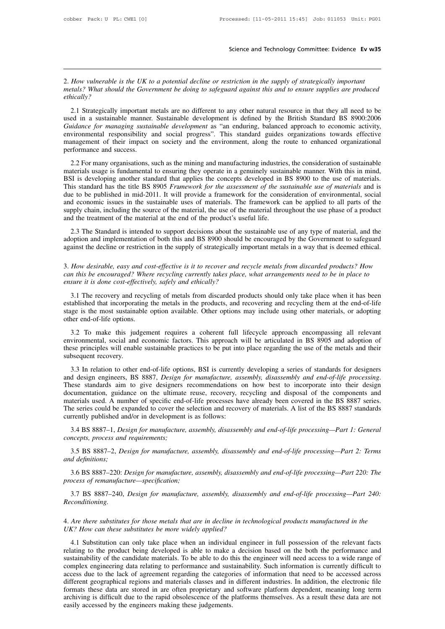2. *How vulnerable is the UK to a potential decline or restriction in the supply of strategically important*<br>2. *How vulnerable is the UK to a potential decline or restriction in the supply of strategically important*<br>2. **metals?** What should the Government be doing to safeguard against this and to ensure supplies are produced ethically?<br>*metals?* What should the Government be doing to safeguard against this and to ensure supplies are prod *ethically?*

2.1 Strategically important metals are no different to any other natural resource in that they all need to be not a sustainable manner. Sustainable development is defined by the British Standard BS 8900:2006 in a sustainab 2. How vulnerable is the UK to a potential decline or restriction in the supply of strategically important<br>metals? What should the Government be doing to safeguard against this and to ensure supplies are produced<br>ethically *Guidance for managing sustainable development* as "an enduring, balanced approach to ensure supplies are produced ethically?<br> *Guidance for managing sustainable development* is defined by the British Standard BS 8900:2006 environmental responsibility and social progress". This standard guides organization is the subject of the subject of the subject of the subject of the subject of the social progress of the social progress in that the subj ethically?<br>
2.1 Strategically important metals are no different to any other natural resource in that they all need to be<br>
used in a sustainable manner. Sustainable development is defined by the British Standard BS 8900:20 2.1 Strategically important n<br>used in a sustainable manner.<br>Guidance for managing sustain<br>environmental responsibility a<br>management of their impact of<br>performance and success.<br>2.2 For many organisations, s 2.1 Buddence for manging sustainable development is defined by the British Standard BS 8900:2006 iddance for managing sustainable development as "an enduring, balanced approach to economic activity, vironmental responsibil Guidance for managing sustainable development is defined by the Brisin Sulfidate B5 0500.2500<br>Guidance for managing sustainable development as "an enduring, balanced approach to economic activity,<br>environmental responsibil

For managing sustainable development as an endaring, balanced approach to economic activity,<br>environmental responsibility and social progress". This standard guides organizations towards effective<br>management of their impac management of their impact on society and the environment, along the route to enhanced organizational<br>performance and success.<br>2.2 For many organisations, such as the mining and manufacturing industries, the consideration management of their impact on society and the environment, along the foate to emfanced organizational<br>performance and success.<br>2.2 For many organisations, such as the mining and manufacturing industries, the consideration 2.2 For many organisations, such as the mining and manufacturing industries, the consideration of sustainable materials usage is fundamental to ensuring they operate in a genuinely sustainable manner. With this in mind, BS 2.2 For many organisations, such as the mining and manufacturing industries, the consideration of sustainable materials usage is fundamental to ensuring they operate in a genuinely sustainable manner. With this in mind, BS due to be published in mid-2011. It will provide a framework for the consideration of environmental, social<br>and economic issues in the sustainable uses of materials. The framework can be applied to all parts of the<br>supply 2.3 The Standard is intended to support of the assessment of the sustainable use of materials and is it is to be published in mid-2011. It will provide a framework for the consideration of environmental, social deconomic i This standard has the three D3000 FT and work for the assessment by the standardie ase of materials and is<br>due to be published in mid-2011. It will provide a framework for the consideration of environmental, social<br>and eco and economic issues in the sustainable uses of materials. The framework can be applied to all parts of the supply chain, including the source of the material, the use of the material throughout the use phase of a product a

3. The Standard is intended to support decisions about the sustainable use of any type of material, and the adoption and implementation of both this and BS 8900 should be encouraged by the Government to safeguard against t 2.3 The Standard is intended to support decisions about the sustainable use of any type of material, and the adoption and implementation of both this and BS 8900 should be encouraged by the Government to safeguard against

*ensure in and implementation of both this and BS 8900 should be encouraged by the Government to safeguard* against the decline or restriction in the supply of strategically important metals in a way that is deemed ethical

values and the decline or restriction in the supply of strategically important metals in a way that is deemed ethical.<br> *How desirable, easy and cost-effective is it to recover and recycle metals from discarded products? H* From discarded products? How can this be encouraged? Where recycling currently takes place, what arrangements need to be in place to ensure it is done cost-effectively, safely and ethically?<br>
3.1 The recovery and recycling S. How desirable, easy and cost-effective is it to recover and recycle metals from discarded products? How can this be encouraged? Where recycling currently takes place, what arrangements need to be in place to ensure it i of this be encouraged? When<br>can this be encouraged? When<br>ensure it is done cost-effective.<br>3.1 The recovery and recycle<br>established that incorporating<br>stage is the most sustainable<br>other end-of-life options.<br>3.2 To make th Sure it is done cost-effectively, safely and ethically?<br>
3.1 The recovery and recycling of metals from discarded products should only take place when it has been<br>
tablished that incorporating the metals in the products, an

3.1 The recovery and recycling of metals from discarded products should only take place when it has been established that incorporating the metals in the products, and recovering and recycling them at the end-of-life stage or the stage is the most sustainable option available. Other options may include using other materials, or adopting<br>established that incorporating the metals in the products, and recovering and recycling them at the end-of stage is the most sustainable stage is the most sustainable stage is the most sustainable end-of-life options.<br>3.2 To make this judenvironmental, social and these principles will enable subsequent recovery.<br>3.3 In relation 3.2 To make this judgement requires a coherent full lifecycle approach encompassing all relevant<br>vironmental, social and economic factors. This approach will be articulated in BS 8905 and adoption of<br>see principles will en

3.2 To make this judgement requires a coherent full lifecycle approach encompassing all relevant<br>environmental, social and economic factors. This approach will be articulated in BS 8905 and adoption of<br>these principles wil documentation, social and economic factors. This applicated will be antecided in Do 0505 and disposition of these principles will enable sustainable practices to be put into place regarding the use of the metals and their subsequent recovery.<br>
3.3 In relation to other end-of-life options, BSI is currently developing a series of standards for designers<br>
and design engineers, BS 8887, *Design for manufacture, assembly, disassembly and end-of-*3.3 In relation to other end-of-life options, BSI is currently developing a series of standards for designers and design engineers, BS 8887, *Design for manufacture, assembly, disassembly and end-of-life processing*. These 3.3 In relation to other end-of-life options, BSI is currently<br>and design engineers, BS 8887, *Design for manufacture*, *ass*<br>These standards aim to give designers recommendations c<br>documentation, guidance on the ultimate a design engineers, BS 8887, *Design for manufacture*, *assembly, assassembly and end-of-life processing*.<br>
ese standards aim to give designers recommendations on how best to incorporate into their design<br>
cumentation, gui First standards and to give designers and documentation, guidance on the ultimate materials used. A number of specific end-of the scurrently published and/or in development is 3.4 BS 8887–1, *Design for manufacture*, *conc* aterials used. A number of specific end-of-life processes have already been covered in the BS 8887 stenes.<br>
as exeries could be expanded to cover the selection and recovery of materials. A list of the BS 8887 standards<br>
re The series could be expanded to cover the selection and recovery of materials. A list of the BS 8887 standards<br>currently published and/or in development is as follows:<br>*3.4* BS 8887–1, *Design for manufacture, assembly, di* 

3.4 BS 8887-1, *Design for manufacture*, *asse*<br>*concepts, process and requirements;*<br>3.5 BS 8887-2, *Design for manufacture, ass*<br>*and definitions;*<br>3.6 BS 8887-220: *Design for manufacture, as*<br>*process of remanufacture—* 

3.4 BS 8887–1, *Design for manufacture, assembly, disassembly and end-of-life processing—Part 1: General*<br>ncepts, process and requirements;<br>3.5 BS 8887–2, *Design for manufacture, assembly, disassembly and end-of-life proc* 3.5 BS 8887–2, *Design for manufacture, assembly, disassembly and end-of-life processing—Part 2: Terms d definitions;*<br>3.6 BS 8887–220: *Design for manufacture, assembly, disassembly and end-of-life processing—Part 220:* 4. Are there substitutes for those metals that are in decline in technological processing—Part 220: The<br>2. *Are there substitute-specification*;<br>3.7 BS 8887–240, *Design for manufacture, assembly, disassembly and end-of-li* 

*Reconditioning.* <sup>27</sup> 3.7 BS 8887–240, *Design for manufacture, assembly, disassembly and end-of-life processing—Part 240:*<br>*Reconditioning.*<br><sup>4</sup>. *Are there substitutes for those metals that are in decline in technological products manufa* 

4.1 Substitution can only take place when an individual engineer in full possession and the relevant facts where substitutes for those metals that are in decline in technological products manufactured in the K? How can the Reconditioning.<br>
4. Are there substitutes for those metals that are in decline in technological products manufactured in the<br>
UK? How can these substitutes be more widely applied?<br>
4.1 Substitution can only take place when 4. Are there substitutes for those metals that are in decline in technological products manufactured in the UK? How can these substitutes be more widely applied?<br>4.1 Substitution can only take place when an individual engi 4. Are there substitutes for those metals that are in decline in technological products manufactured in the UK? How can these substitutes be more widely applied?<br>4.1 Substitution can only take place when an individual engi access different geographical regions and materials classes and in technological products manigratured in the<br>due to the relevant facts relating to the product being developed is able to make a decision based on the both t 24. The calculation can only take place when an individual engineer in full possession of the relevant facts relating to the product being developed is able to make a decision based on the both the performance and sustaina 4.1 Substitution can only take place when an individual engineer in full possession of the relevant facts relating to the product being developed is able to make a decision based on the both the performance and sustainabil relating to the product being developed is able to make a decision based on the both the performance and sustainability of the candidate materials. To be able to do this the engineer will need access to a wide range of com sustainability of the candidate materials. To be able to do the complex engineering data relating to performance and sust access due to the lack of agreement regarding the categor different geographical regions and materia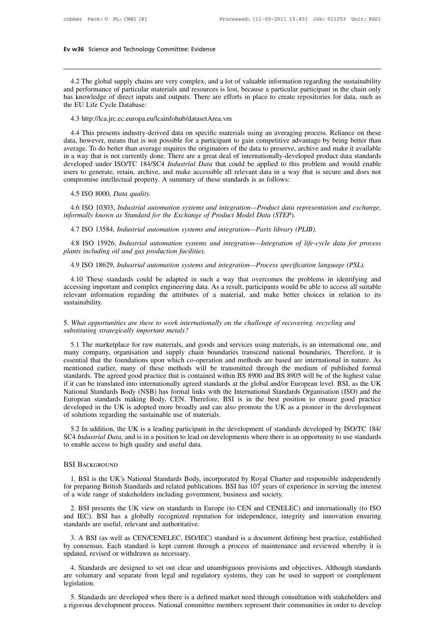w36 Science and Technology Committee: Evidence<br>4.2 The global supply chains are very complex, and a lot of valuable information regarding the sustainability<br>4 performance of particular materials and resources is lost, beca **EV W36** Science and Technology Committee: Evidence<br> **4.2** The global supply chains are very complex, and a lot of valuable information regarding the sustainability<br>
and performance of particular materials and resources is **EV W36** Science and Technology Committee: Evidence<br> **A.2** The global supply chains are very complex, and a lot of valuable information regarding the sustainability<br>
and performance of particular materials and resources is 4.2 The global supply chains are<br>and performance of particular mate<br>has knowledge of direct inputs and<br>the EU Life Cycle Database:<br>4.3 http://lca.jrc.ec.europa.eu/lcai 4.2 The global supply chains are very complex, and a lot of valuable information regarding the sustainability<br>and performance of particular materials and resources is lost, because a particular participant in the chain onl 4.2 The global supply chains are very complex, and a lot of valuable information regarding the sustainability<br>d performance of particular materials and resources is lost, because a particular participant in the chain only<br>

and performance of particular materials and resources is fost, because a particular participant in the chain only<br>has knowledge of direct inputs and outputs. There are efforts in place to create repositories for data, such and the EU Life Cycle Database:<br>
4.3 http://lca.jrc.ec.europa.eu/lcainfohub/datasetArea.vm<br>
4.4 This presents industry-derived data on specific materials using an averaging process. Reliance on these<br>
data, however, means 4.3 http://lca.jrc.ec.europa.eu/lcainfohub/datasetArea.vm<br>4.4 This presents industry-derived data on specific materials using an averaging process. Reliance on these<br>data, however, means that is not possible for a particip 4.3 http://lca.jrc.ec.europa.eu/lcainfohub/datasetArea.vm<br>4.4 This presents industry-derived data on specific materials using an averaging process. Reliance on these<br>data, however, means that is not possible for a particip 1.9 Interpretational data on specific materials using an averaging process. Reliance on these data, however, means that is not possible for a participant to gain competitive advantage by being better than average. To do be 4.4 This presents industry-derived data on specific materials using an averaging p data, however, means that is not possible for a participant to gain competitive advaraverage. To do better than average requires the origin a, nowever, means that is not po<br>erage. To do better than average re<br>a way that is not currently done.<br>veloped under ISO/TC 184/SC4<br>ers to generate, retain, archive, an<br>mpromise intellectual property. A<br>4.5 ISO 8000, *Data* a way that is not currently done. There are a great deal of internationally-developed product data standards veloped under ISO/TC 184/SC4 *Industrial Data* that could be applied to this problem and would enable ers to gene developed under ISO/TC 184/SC4 *Industrial Data* that could be applied to this problem and would enable users to generate, retain, archive, and make accessible all relevant data in a way that is secure and does not comprom

4.8 ISO 15926, *Industrial automation systems and integration—Integration of life-cycle data for process* plants including oil and gas production facilities. 4.5 ISO 8000, *Data quality.*<br>4.6 ISO 10303, *Industrial automation systems and integration—Product data representation and exchange,*<br>formally known as *Standard for the Exchange of Product Model Data (STEP).*<br>4.7 ISO 135 *informally known as Standard for the Exchange of Product Model Data (STEP).*<br>4.7 ISO 13584, *Industrial automation systems and integration—Parts library (PLIB).*<br>4.8 ISO 15926, *Industrial automation systems and integrati* Formally known as Standard for the Exchange of Product Model Data (STEP).<br>1.7 ISO 13584, *Industrial automation systems and integration—Parts library (PLIB).*<br>1.8 ISO 15926, *Industrial automation systems and integration—I* 

4.7 ISO 13584, *Industrial automation systems and integration—Parts library (PLIB)*.<br>4.8 ISO 15926, *Industrial automation systems and integration—Integration of life-cycle data for process*<br>*mts including oil and gas prod* accessing important and complex engineering data. As a result, participants including oil and gas production facilities.<br>
4.9 ISO 18629, *Industrial automation systems and integration—Process specification language (PSL)*. Frank including oil and gas production facilities.<br>
1.9 ISO 18629, *Industrial automation systems and integration—Process specification language (PSL)*.<br>
1.10 These standards could be adapted in such a way that overcomes t sustainability. 4.10 These standards could be adapted in such a way that overcomes the problems in identifying and accessing important and complex engineering data. As a result, participants would be able to access all suitable relevant i 4.10 These standards could be adapted in such a<br>accessing important and complex engineering data. As<br>relevant information regarding the attributes of a<br>sustainability.<br>5. What opportunities are there to work internationall

Experiment information regarding the attributes of a material, and make better choices in relation to its<br>stainability.<br>What opportunities are there to work internationally on the challenge of recovering, recycling and<br>bst Sustainability.<br>
5. What opportunities are there to work internationally on the challenge of recovering, recycling and<br>
substituting strategically important metals?<br>
5.1 The marketplace for raw materials, and goods and ser 5. What opportunities are there to work internationally on the challenge of recovering, recycling and substituting strategically important metals?<br>5.1 The marketplace for raw materials, and goods and services using materia 5. What opportunities are there to work internationally on the challenge of recovering, recycling and<br>substituting strategically important metals?<br>5.1 The marketplace for raw materials, and goods and services using materia standards. The marketplace for raw materials, and goods and services using materials, is an international one, and<br>substituting strategically important metals?<br>5.1 The marketplace for raw materials, and goods and services International one, and substitutionally important metals.<br>
5.1 The marketplace for raw materials, and goods and services using materials, is an international one, and<br>
many company, organisation and supply chain boundaries 5.1 The marketplace for raw materials, and goods and services using materials, is an international one, and many company, organisation and supply chain boundaries transcend national boundaries. Therefore, it is essential t many company, organisation and supply chain boundaries transcend national boundaries. Therefore, it is essential that the foundations upon which co-operation and methods are based are international in nature. As mentioned essential that the foundations upon which co-operation and methods are based are international in nature. As<br>mentioned earlier, many of these methods will be transmitted through the medium of published formal<br>standards. Th mentioned earlier, many of these methods will be transr<br>standards. The agreed good practice that is contained within<br>if it can be translated into internationally agreed standards at<br>National Standards Body (NSB) has formal Fit can be translated into internationally agreed standards at the global and/or European level. BSI, as the UK<br>titional Standards Body (NSB) has formal links with the International Standards Organisation (ISO) and the<br>rro In the call of distance into internationally agreed standards at the groot antivor European tever. BS1, as the GK<br>National Standards Body (NSB) has formal links with the International Standards Organisation (ISO) and the<br>E Furopean standards making Body, CEN. Therefore<br>European standards making Body, CEN. Therefore<br>developed in the UK is adopted more broadly and ca<br>of solutions regarding the sustainable use of materials<br>5.2 In addition, the

1. BSI is a leading participant in the development of standards developed by ISO/IC 184/<br>14 *Industrial Data*, and is in a position to lead on developments where there is an opportunity to use standards<br>15 BACKGROUND<br>1. BS SC4 *Industrial Data*, and is in a position to lead on developments where there is an opportunity to use standards<br>to enable access to high quality and useful data.<br>BSI BACKGROUND<br>1. BSI is the UK's National Standards Body to enable access to high quality and useful data.<br>
BSI BACKGROUND<br>
1. BSI is the UK's National Standards Body, incorporated by Royal Charter ar<br>
for preparing British Standards and related publications. BSI has 107 years o SI BACKGROUND<br>
1. BSI is the UK's National Standards Body, incorporated by Royal Charter and responsible independently<br>
1. BSI presents the UK view on standards in Europe (to CEN and CENELEC) and internationally (to ISO<br>
1 1. BSI is the UK's National Standards Body, inco<br>for preparing British Standards and related publicatio<br>of a wide range of stakeholders including governmen<br>2. BSI presents the UK view on standards in Eura<br>and IEC). BSI has

BSI BACKGROUND<br>
1. BSI is the UK's National Standards Body, incorporated by Royal Charter and responsible independently<br>
for preparing British Standards and related publications. BSI has 107 years of experience in serving The preparing British Standards and related publications. BST has 107 years of experience in serving the interest<br>a wide range of stakeholders including government, business and society.<br>2. BSI presents the UK view on stan

by a which standard is kept current through a process of maintenance and reviewed whereby it is updated, revised or withdrawn as necessary.<br>
2. BSI presents the UK view on standards in Europe (to CEN and CENELEC) and inter 2. BSI presents the UK view on standards in Europe (to CEN and CENELEC) and internationally (to ISO and IEC). BSI has a globally recognized reputation for independence, integrity and innovation ensuring standards are usefu 4. Standards are useful, relevant and authoritative.<br>
3. A BSI (as well as CEN/CENELEC, ISO/IEC) standard is a document defining best practice, established<br>
consensus. Each standard is kept current through a process of mai 3. A BSI (as well as CEN/CENELEC, ISO/IEC) standard is a document defining best practice, established<br>by consensus. Each standard is kept current through a process of maintenance and reviewed whereby it is<br>updated, revised

legislation. France and Fevered whereby it is<br>dated, revised or withdrawn as necessary.<br>4. Standards are designed to set out clear and unambiguous provisions and objectives. Although standards<br>5. Standards are developed when there is a a 4. Standards are designed to set out clear and unambiguous provisions and objectives. Although standards are voluntary and separate from legal and regulatory systems, they can be used to support or complement legislation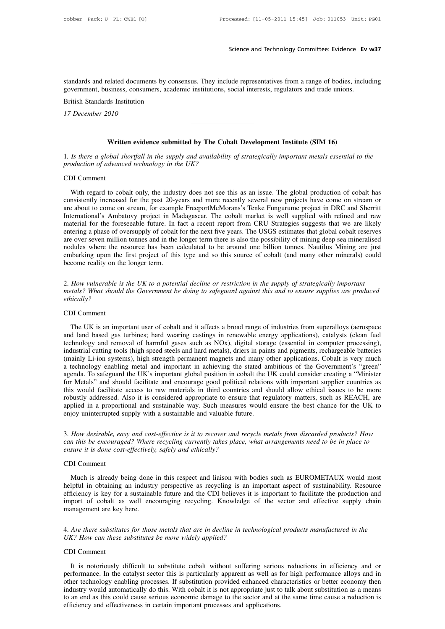Science and Technology Committee: Evidence Ev w37<br>standards and related documents by consensus. They include representatives from a range of bodies, including<br>government, business, consumers, academic institutions, social Science and Technology Committee: Evidence Evidence Evidence Constandards and related documents by consensus. They include representatives from a range of bodies, include government, business, consumers, academic instituti Standards and related documents by compovernment, business, consumers, acad<br>British Standards Institution<br>17 December 2010 *17* Islamdards and related documer<br>17 December 2010<br>17 December 2010

Most interests, consumers, academic mistications, social interests, regulators and trade amons.<br>
ds Institution<br>
Written evidence submitted by The Cobalt Development Institute (SIM 16)<br>
obal shortfall in the supply and ava 1*7 December 2010*<br> **1***. Is there a global shortfall in the supply and availability of strategically important metals essential to the***<br>
<b>1** *production of advanced technology in the UK? Production 17 December 2010*<br>*production of advanced technology in the UK?*<br>**production of advanced technology in the UK?**<br>**production of advanced technology in the UK? Writt**<br>1. *Is there a global s*<br>*production of advanc*<br>CDI Comment<br>With regard to col

Written evidence submitted by The Cobalt Development Institute (SIM 16)<br>Is there a global shortfall in the supply and availability of strategically important metals essential to the<br>DI Comment<br>With regard to cobalt only, t 1. Is there a global shortfall in the supply and availability of strategically important metals essential to the production of advanced technology in the UK?<br>
CDI Comment<br>
With regard to cobalt only, the industry does not Frontier and global shortpail in the supply and avaliability of strategically important metals essential to the<br>production of advanced technology in the UK?<br>CDI Comment<br>With regard to cobalt only, the industry does not see IDI Comment<br>
With regard to cobalt only, the industry does not see this as an issue. The global production of cobalt has<br>
consistently increased for the past 20-years and more recently several new projects have come on str CDI Comment<br>With regard to cobalt only, the industry does not see this as an issue. The global production of cobalt has<br>consistently increased for the past 20-years and more recently several new projects have come on strea With regard to cobalt only, the industry does not see this as an issue. The global production of cobalt has consistently increased for the past 20-years and more recently several new projects have come on stream or are abo With regard to cobalt only, the industry does not see this as an issue. The global production of cobalt has consistently increased for the past 20-years and more recently several new projects have come on stream or are abo consistently increased for the past 20-years and more recently several new projects have come on stream or are about to come on stream, for example FreeportMcMorans's Tenke Fungurume project in DRC and Sherritt Internation are about to come on stream, for example FreeportMcMorans's Tenke Fungurume project in DRC and Sherritt International's Ambatovy project in Madagascar. The cobalt market is well supplied with refined and raw material for t International's Ambatovy project in Madagascar. The cobalt market is well supplied with refined and raw material for the foreseeable future. In fact a recent report from CRU Strategies suggests that we are likely entering are over seven million tonnes and in the longer term there is also the possibility of mining deep sea mineralised *are over seven million tonnes and in the longer term there is also the possibility of mining deep sea mineralised*<br>nodules where the resource has been calculated to be around one billion tonnes. Nautilus Mining are just<br>e

*ethically?* metals? What should the Government be doing to safeguard against this and to ensure supplies are produced ethically?<br>CDI Comment<br>The UK is an important user of cobalt and it affects a broad range of industries from superal How vulnerable is the UK to a potential decline or restriction in the supply of strategically important<br>tals? What should the Government be doing to safeguard against this and to ensure supplies are produced<br>ically?<br>DI Com

2. How values is the OK to a potential decline of restriction in the supply of strategically important<br>metals? What should the Government be doing to safeguard against this and to ensure supplies are produced<br>ethically?<br>CD The UK is an important user of cobalt and it affects a broad range of industries from superalloys (aerospace<br>and land based gas turbines; hard wearing castings in renewable energy applications), catalysts (clean fuel<br>techn EDI Comment<br>
The UK is an important user of cobalt and it affects a broad range of industries from superalloys (aerospace<br>
and land based gas turbines; hard wearing castings in renewable energy applications), catalysts (cl CDI Comment<br>The UK is an important user of cobalt and it affects a broad range of industries from superalloys (aerospace<br>and land based gas turbines; hard wearing castings in renewable energy applications), catalysts (clea The UK is an important user of cobalt and it affects a broad range of industries from superalloys (aerospace and land based gas turbines; hard wearing castings in renewable energy applications), catalysts (clean fuel techn The UK is an important user of cobalt and it affects a broad range of industries from superalloys (aerospace and land based gas turbines; hard wearing castings in renewable energy applications), catalysts (clean fuel techn and land based gas turbines; hard wearing castings in renewable energy applications), catalysts (clean fuel<br>technology and removal of harmful gases such as NOx), digital storage (essential in computer processing),<br>industri technology and removal of harmful gases such as NOx), digital storage (essential in computer processing), industrial cutting tools (high speed steels and hard metals), driers in paints and pigments, rechargeable batteries industrial cutting tools (high speed steels and hard metals), driers in paints and pigments, rechargeable batteries (mainly Li-ion systems), high strength permanent magnets and many other applications. Cobalt is very much (mainly Li-ion systems), high strength permanent magnets and many other applications. Cobalt is very much a technology enabling metal and important in achieving the stated ambitions of the Government's "green" agenda. To s a technology enabling metal and important in achieving the stated ambitions of the Government's "green" agenda. To safeguard the UK's important global position in cobalt the UK could consider creating a "Minister for Metal For Metals and should facilitate and encourage good pointcal relations with important supplier countries as<br>this would facilitate access to raw materials in third countries and should allow ethical issues to be more<br>robust *can this would rachitate access to raw materials in third countries and should allow ethical issues to be more*<br>*cobustly addressed. Also it is considered appropriate to ensure that regulatory matters, such as REACH, are* 

*ensure is a proportional and sustainable way. Such measures applied in a proportional and sustainable way. Such measures venjoy uninterrupted supply with a sustainable and valuable future 3. How desirable, easy and cost-e* enjoy uninterrupted s<br>3. How desirable, ea<br>can this be encourag<br>ensure it is done cos.<br>CDI Comment<br>Much is already b

How desirable, easy and cost-effective is it to recover and recycle metals from discarded products? How<br>in this be encouraged? Where recycling currently takes place, what arrangements need to be in place to<br>sure it is done Figure 1.1 The measurable, easy and cost-effective is a to recover and recycle metals from discurded products: How<br>can this be encouraged? Where recycling currently takes place, what arrangements need to be in place to<br>ens Figure 1. The effectively, safely and ethically?<br>
CDI Comment<br>
Much is already being done in this respect and liaison with bodies such as EUROMETAUX would most<br>
helpful in obtaining an industry perspective as recycling is FIFT CON Comment<br>
Much is already being done in this respect and liaison with bodies such as EUROMETAUX would most<br>
helpful in obtaining an industry perspective as recycling is an important aspect of sustainability. Resour CDI Comment<br>
Much is already being done<br>
helpful in obtaining an industr-<br>
efficiency is key for a sustainal<br>
import of cobalt as well enc<br>
management are key here. Much is already being done in this tespect and hason while bodies such as EUROMETAUX would host<br>helpful in obtaining an industry perspective as recycling is an important aspect of sustainability. Resource<br>efficiency is key *UK?* How can these substitutes be more widely applied?<br>
The fiftiency is key for a sustainable future and the CDI believes it is<br>
import of cobalt as well encouraging recycling. Knowledge of<br>
management are key here.<br>
4. import of cobalt as well encouraging recycling. Knowledge of the sector and effective supply chain<br>management are key here.<br>4. Are there substitutes for those metals that are in decline in technological products manufactur

The *Are there substitutes for those metals that are in decline in technological products manufactured in the*<br>
It *How can these substitutes be more widely applied?*<br>
It is notoriously difficult to substitute cobalt witho A. Are there substitutes for those metals that are in decline in technological products manufactured in the UK? How can these substitutes be more widely applied?<br>
CDI Comment<br>
It is notoriously difficult to substitute coba A. *Are there substitutes by those metals that are in decline in technological products mandjaculed in the UK? How can these substitutes be more widely applied?*<br>CDI Comment<br>It is notoriously difficult to substitute cobalt ID Comment<br>It is notoriously difficult to substitute cobalt without suffering serious reductions in efficiency and or<br>performance. In the catalyst sector this is particularly apparent as well as for high performance alloys CDI Comment<br>It is notoriously difficult to substitute cobalt without suffering serious reductions in efficiency and or<br>performance. In the catalyst sector this is particularly apparent as well as for high performance alloy It is notoriously difficult to substitute cobalt without suffering seriou performance. In the catalyst sector this is particularly apparent as well as fother technology enabling processes. If substitution provided enhanced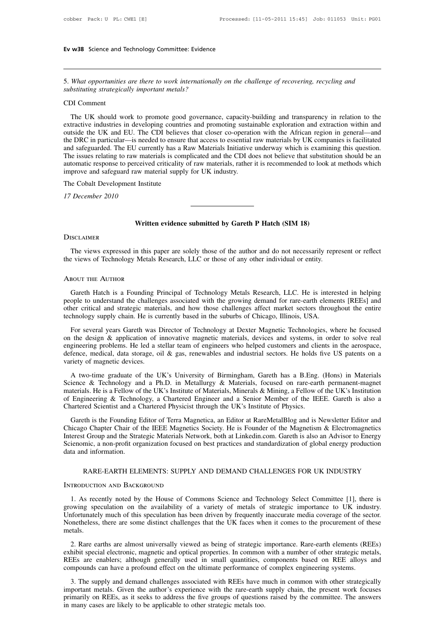5. *What opportunities are there to work internationally on the challenge of recovering, recycling and* **Ev w38** Science and Technology Committee: Evidence<br>*5. What opportunities are there to work internationally*<br>*substituting strategically important metals?*<br>CDI Comment

Ev w38 Science and Technology Committee: Evidence<br>
5. What opportunities are there to work internationally on the challenge of recovering, recycling and<br>
substituting strategically important metals?<br>
CDI Comment<br>
The UK sh What opportunities are there to work internationally on the challenge of recovering, recycling and<br>DI Comment<br>The UK should work to promote good governance, capacity-building and transparency in relation to the<br>tractive in 5. What opportunities are there to work internationally on the challenge of recovering, recycling and<br>substituting strategically important metals?<br>CDI Comment<br>The UK should work to promote good governance, capacity-buildin S. What opportunities are there to work internationally on the challenge of recovering, recycling and<br>substituting strategically important metals?<br>CDI Comment<br>The UK should work to promote good governance, capacity-buildin substituting strategically important metals?<br>
CDI Comment<br>
The UK should work to promote good governance, capacity-building and transparency in relation to the<br>
extractive industries in developing countries and promoting s CDI Comment<br>The UK should work to promote good governance, capacity-building and transparency in relation to the<br>extractive industries in developing countries and promoting sustainable exploration and extraction within and The UK should work to promote good governance, capacity-building and transparency in relation to the extractive industries in developing countries and promoting sustainable exploration and extraction within and outside the The UK should work to promote good governance, capacity-building and transparency in relation to the extractive industries in developing countries and promoting sustainable exploration and extraction within and outside the extractive industries in developing countries and promoting sustain outside the UK and EU. The CDI believes that closer co-operation the DRC in particular—is needed to ensure that access to essential and safeguarded. The E outside the OK and EO. The CDI beneves<br>the DRC in particular—is needed to ensure t<br>and safeguarded. The EU currently has a Ra<br>The issues relating to raw materials is comp<br>automatic response to perceived criticality o<br>impro and safeguarded. The EU curr<br>The issues relating to raw mat<br>automatic response to perceive<br>improve and safeguard raw m<br>The Cobalt Development Insti<br>17 December 2010

## Written evidence submitted by Gareth P Hatch (SIM 18)<sup>*Written evidence submitted by Gareth P Hatch* (SIM 18)<sup>*Written*</sup></sup>

## **DISCLAIMER**

Written evidence submitted by Gareth P Hatch (SIM 18)<br>The views expressed in this paper are solely those of the author and do not necessarily represent or reflect<br>exiews of Technology Metals Research, LLC or those of any o Written evidence submitted by Gareth P Hatch (SIM 18)<br>DISCLAIMER<br>The views expressed in this paper are solely those of the author and do not necessarily repre-<br>the views of Technology Metals Research, LLC or those of any o Writter<br>DISCLAIMER<br>The views expressed in this p<br>the views of Technology Metals<br>About the Author

The views expressed in this paper are solely those of the author and do not necessarily represent or reflect<br>
e views of Technology Metals Research, LLC or those of any other individual or entity.<br>
BOUT THE AUTHOR<br>
Gareth The views expressed in this paper are solely those of the author and do not necessarily represent or reflect<br>the views of Technology Metals Research, LLC or those of any other individual or entity.<br>ABOUT THE AUTHOR<br>Gareth the views of Technology Metals Research, LLC or those of any other individual or entity.<br>
ABOUT THE AUTHOR<br>
Gareth Hatch is a Founding Principal of Technology Metals Research, LLC. He is interested in helping<br>
people to un The AUTHOR<br>
Gareth Hatch is a Founding Principal of Technology Metals Research, LLC. He is intere<br>
people to understand the challenges associated with the growing demand for rare-earth eleme<br>
other critical and strategic m For several years Gareth materials, and how those challenges affect market sectors throughout the entire opple to understand the challenges associated with the growing demand for rare-earth elements [REEs] and her critical

Gareth Hatch is a Founding Principal of Technology Metals Research, LLC. He is interested in helping<br>people to understand the challenges associated with the growing demand for rare-earth elements [REEs] and<br>other critical engthe to understand the challenges associated with the growing demand for rare-earth elements [REEs] and other critical and strategic materials, and how those challenges affect market sectors throughout the entire technol proper to understand and strategic materials, and how those challenges affect market sectors throughout the entire technology supply chain. He is currently based in the suburbs of Chicago, Illinois, USA.<br>For several years other critical and strategic materials, and how those challenges affect market sectors throughout the entire technology supply chain. He is currently based in the suburbs of Chicago, Illinois, USA.<br>For several years Gareth For several years Gareth was Director of Technology at Dexter Magnetic Technologies, where he focused<br>the design & application of innovative magnetic materials, devices and systems, in order to solve real<br>gineering problem For Several years of the design & application of innovative magnetic materials, devices and systems, in order to solve real<br>engineering problems. He led a stellar team of engineers who helped customers and clients in the a

on an exergent capproach of minimal materials, and systems, in order to serve real defence, medical, data storage, oil & gas, renewables and industrial sectors. He holds five US patents on a variety of magnetic devices.<br>A of Engineering Accords and intervels who helped classmess that checks in the defence, medical, data storage, oil & gas, renewables and industrial sectors. He holds five US patents on a variety of magnetic devices.<br>A two-ti and strength and strategy, on a gast, renewlated and industrial steeds. The holds is<br>variety of magnetic devices.<br>A two-time graduate of the UK's University of Birmingham, Gareth has a B.Eng.<br>Science & Technology and a Ph. A two-time graduate of the UK's University of Birmingham, Gareth has a B.Eng. (Hons) in Materials<br>ience & Technology and a Ph.D. in Metallurgy & Materials, focused on rare-earth permanent-magnet<br>terrials. He is a Fellow of The Wallem of the UK's Institute of Materials, focused on ran-earth permanent-magnet materials. He is a Fellow of the UK's Institute of Materials, Minerals & Mining, a Fellow of the UK's Institution of Engineering & Techno

Because Countered Strategic Materials, Ninerals, Ninerals & Mining, a Fellow of the UK's Institution<br>of Engineering & Technology, a Chartered Engineer and a Senior Member of the IEEE. Gareth is also a<br>Chartered Scientist a Sciencering & Technology, a Chartered Engineer and a Senior Member of the IEEE. Gareth is also a Chartered Scientist and a Chartered Physicist through the UK's Institute of Physics.<br>
Gareth is the Founding Editor of Terra of Engineering & Technology, a Chartered Engineer and a Senior Member of the IEEE. Gareth is also a Chartered Scientist and a Chartered Physicist through the UK's Institute of Physics.<br>
Gareth is the Founding Editor of Ter Eth is the Founding Editor of Terra Magnetica, an Editor at KareMetablog and is Newsletter Editor and<br>to Chapter Chair of the IEEE Magnetics Society. He is Founder of the Magnetism & Electromagnetics<br>t Group and the Strate Interest Group and the Strategic Materials Network, both at Linkedin.com. Gareth is also an Advisor to Energy<br>Scienomic, a non-profit organization focused on best practices and standardization of global energy production<br>d

1. As recently noted by the House of Commons Science and Technology Select Committee [1], there is<br>
1. As recently noted by the House of Commons Science and Technology Select Committee [1], there is<br>
1. As recently noted b RARE-EARTH ELEMENTS: SUPPLY AND DEMAND CHALLENGES FOR UK INDUSTRY<br>INTRODUCTION AND BACKGROUND<br>1. As recently noted by the House of Commons Science and Technology Select Committee [1], there is<br>growing speculation on the av RARE-EARTH ELEMENTS: SUPPLY AND DEMAND CHALLENGES FOR UK INDUSTRY<br>INTRODUCTION AND BACKGROUND<br>1. As recently noted by the House of Commons Science and Technology Select Committee [1], there is<br>growing speculation on the av RAKE-EAKTH ELEMENTS: SUPPLY AND DEMAND CHALLENGES FOR UK INDUSTRY<br>INTRODUCTION AND BACKGROUND<br>1. As recently noted by the House of Commons Science and Technology Select Committee [1], there is<br>growing speculation on the av metals. 1. As recently noted by the House of Commons Science and Technology Select Committee [1], there is<br>owing speculation on the availability of a variety of metals of strategic importance to UK industry.<br>fortunately much of th exhibit speculation on the availability of a variety of metals of strategic importance to UK industry.<br>Unfortunately much of this speculation has been driven by frequently inaccurate media coverage of the sector.<br>Nonethele

Linfortunately much of this speculation has been driven by frequently inaccurate media coverage of the sector.<br>Nonetheless, there are some distinct challenges that the UK faces when it comes to the procurement of these met Construction and or any operator and sole and the UK faces when it comes to the procurement of the metals.<br>
2. Rare earths are almost universally viewed as being of strategic importance. Rare-earth elements (RE exhibit spe 2. Rare earths are almost universally viewed as being of strategic importance. Rare-earth elements (REEs)<br>hibit special electronic, magnetic and optical properties. In common with a number of other strategic metals,<br>EEs ar 2. Rare earths are almost universally viewed as being of strategic importance. Rare-earth elements (REEs) exhibit special electronic, magnetic and optical properties. In common with a number of other strategic metals, REEs

2. The supply and demand challenges associated with REEs have much an inversally in Reference and optical properties. In common with a number of other strategic metals, REEs are enablers; although generally used in small q REEs are enablers; although generally used in small quantities, compounds can have a profound effect on the ultimate performance of 3. The supply and demand challenges associated with REEs have negrorant metals. Given the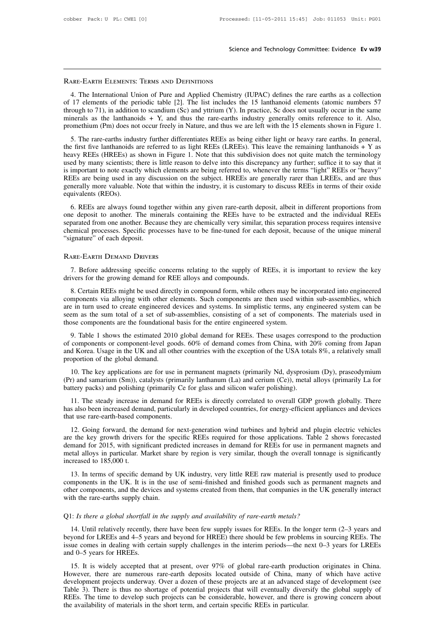## Scien<br>Rare-Earth Elements: Terms and Definitions<br>Rare-Earth Elements: Terms and Definitions

Science and Technology Committee: Evidence Ev w39<br>ARE-EARTH ELEMENTS: TERMS AND DEFINITIONS<br>4. The International Union of Pure and Applied Chemistry (IUPAC) defines the rare earths as a collection<br>17 elements of the period **EXART ELEMENTS:** TERMS AND DEFINITIONS<br>4. The International Union of Pure and Applied Chemistry (IUPAC) defines the rare earths as a collection<br>of 17 elements of the periodic table [2]. The list includes the 15 lanthanoid RARE-EARTH ELEMENTS: TERMS AND DEFINITIONS<br>4. The International Union of Pure and Applied Chemistry (IUPAC) defines the rare earths as a collection<br>of 17 elements of the periodic table [2]. The list includes the 15 lanthan **EXAMPLE EXAMPLE ENERGY STAND DEFINITIONS**<br>
4. The International Union of Pure and Applied Chemistry (IUPAC) defines the rare earths as a collection<br>
of 17 elements of the periodic table [2]. The list includes the 15 lanth RARE-EARTH ELEMENTS: TERMS AND DEFINITIONS<br>4. The International Union of Pure and Applied Chemistry (IUPAC) defines the rare earths as a collection<br>of 17 elements of the periodic table [2]. The list includes the 15 lanthan 4. The International Union of Pure and Applied Chemistry (IUPAC) defines the rare earths as a collection 17 elements of the periodic table [2]. The list includes the 15 lanthanoid elements (atomic numbers 57 rough to 71), 4. The international Union of Tare and Applica Chemistry (CFAC) defines the fact clatis as a concetion<br>of 17 elements of the periodic table [2]. The list includes the 15 lanthanoid elements (atomic numbers 57<br>through to 7

or 17 cleares or the periodic table [2]. The fist includes the 13 familially declined to acome intimeles 37 through to 71), in addition to scandium (Sc) and yttrium (Y). In practice, Sc does not usually occur in the same unough to 71), in addition to scalidatin (30) and yuridin (1). In practice, se does not usually occur in the same<br>minerals as the lanthanoids + Y, and thus the rare-earths industry generally omits reference to it. Also,<br>p innerals as the familianoids + 1, and thus the fac-cartus modstry generally of mis ference to it. Also, promethium (Pm) does not occur freely in Nature, and thus we are left with the 15 elements shown in Figure 1.<br>5. The r From the first five lands are being the relative in Fracture, and thus we are left with the 15 elements shown in Figure 1.<br>
5. The rare-earths industry further differentiates REEs as being either light or heavy rare earths 5. The rare-earths industry further differentiates REEs as being either light or heavy rare earths. In general, the first five lanthanoids are referred to as light REEs (LREEs). This leave the remaining lanthanoids + Y as the first five lanthanoids a<br>heavy REEs (HREEs) as<br>used by many scientists; t<br>is important to note exact<br>REEs are being used in a<br>generally more valuable.<br>equivalents (REOs).<br>6. REEs are always for Four CELES (IRCLES) as shown in Figure 1. Note that this subdivision does not quite inatent the terminology<br>ed by many scientists; there is little reason to delve into this discrepancy any further; suffice it to say that i one of privative symmany scientists, there is intie reason to deve into this disclusive any further, surface it to say that it<br>is important to note exactly which elements are being referred to, whenever the terms "light" R

is important to note exactly which elements are oeing referred to, whenever the terms right. KEEs of heavy REEs are being used in any discussion on the subject. HREEs are generally rarer than LREEs, and are thus generally REES are oling used in any used ssion on the subject. TREES are generally rater than EREES, and are this generally more valuable. Note that within the industry, it is customary to discuss REEs in terms of their oxide equiv equivalents (REOs).<br>
6. REEs are always found together with<br>
one deposit to another. The minerals con<br>
separated from one another. Because they a<br>
chemical processes. Specific processes hav<br>
"signature" of each deposit.<br>
R France and the secure are they are chemically very similar, this separation process requires intensive<br>emical processes. Specific processes have to be fine-tuned for each deposit, because of the unique mineral<br>ignature" of chemical processes. Specific processes have to be fine-tuned for each<br>
"signature" of each deposit.<br>
RARE-EARTH DEMAND DRIVERS<br>
7. Before addressing specific concerns relating to the supply of F<br>
drivers for the growing de

STARTH DEMAND DRIVERS<br>
1. Before addressing specific concerns relating to the supply of REEs, it is important to review the key<br>
1. Before addressing specific concerns relating to the supply of REEs, it is important to rev **EXARTH DEMAND DRIVERS**<br>
7. Before addressing specific concerns relating to the supply of REEs, it is important to review the key<br>
drivers for the growing demand for REE alloys and compounds.<br>
8. Certain REEs might be used FARE-EARTH DEMAND DRIVERS<br>
7. Before addressing specific concerns relating to the supply of REEs, it is important to review the key<br>
drivers for the growing demand for REE alloys and compounds.<br>
8. Certain REEs might be us 7. Before addressing specific concerns relating to the supply of REEs, it is important to review the key drivers for the growing demand for REE alloys and compounds.<br>8. Certain REEs might be used directly in compound form, The foundational basis for the supply of KEEs, it is in drivers for the growing demand for REE alloys and compounds.<br>8. Certain REEs might be used directly in compound form, while others may be in components via alloying w 8. Certain REEs might be used directly in compound form, while others may be incorporated into engineered mponents via alloying with other elements. Such components are then used within sub-assemblies, which is in turn use of components via alloying with other elements. Such components are then used within sub-assemblies, which are in turn used to create engineered devices and systems. In simplistic terms, any engineered system can be seem a

and Korea. Usage in the UK and all other countries with the exception of the USA totals 8%, a relatively small proportion of the global demand comes with the exception of components are the foundational basis for the entir are in turn asca to create engineered vectors<br>seem as the sum total of a set of sub-<br>those components are the foundational<br>9. Table 1 shows the estimated 201<br>of components or component-level good<br>and Korea. Usage in the UK 9. Table 1 shows the estimated 2010 global demand for REEs. These usages correspond to the production<br>
9. Table 1 shows the estimated 2010 global demand for REEs. These usages correspond to the production<br>
components or co 9. Table 1 shows the estimated 2010 global demand for REEs. These usages correspond to the production<br>of components or component-level goods. 60% of demand comes from China, with 20% coming from Japan<br>and Korea. Usage in battery packs) and polishing (primarily Ce for glass and silicon wafer polishing).<br>
11. The steady increase in the UK and all other countries with the exception of the USA total<br>
proportion of the global demand.<br>
10. The

d Korea. Usage in the UK and all other countries with the exception of the USA totals 8%, a relatively small<br>oportion of the global demand.<br>10. The key applications are for use in permanent magnets (primarily Nd, dysprosiu

proportion of the global demand.<br>
10. The key applications are for use in permanent magnets (primarily Nd, dysprosium (Dy), praseodymium<br>
(Pr) and samarium (Sm)), catalysts (primarily lanthanum (La) and cerium (Ce)), metal 10. The key applications are for use in p<br>(Pr) and samarium (Sm)), catalysts (primaribattery packs) and polishing (primarily Ce<br>11. The steady increase in demand for I<br>has also been increased demand, particularly<br>that use 12. Going forward, the demand for REEs is directly correlated to overall GDP growth globally. There they packs) and polishing (primarily Ce for glass and silicon wafer polishing).<br>
11. The steady increase in demand for REE

battery packs) and polishing (primarily Ce for glass and silicon water polishing).<br>
11. The steady increase in demand for REEs is directly correlated to overall GDP growth globally. There<br>
has also been increased demand, p 11. The steady increase in demand for REEs is directly correlated to overall GDP growth globally. There has also been increased demand, particularly in developed countries, for energy-efficient appliances and devices that metal alloys in particular and the state of the state of overall GDI grown groany. There has also been increased demand, particularly in developed countries, for energy-efficient appliances and devices that use rare-earththat use rare-earth-based com<br>that use rare-earth-based cor<br>12. Going forward, the dare the key growth drivers<br>demand for 2015, with signified<br>metal alloys in particular. M<br>increased to 185,000 t.<br>13. In terms of specific 12. Going forward, the demand for next-generation wind turbines and hybrid and plugin electric vehicles<br>
the key growth drivers for the specific REEs required for those applications. Table 2 shows forecasted<br>
mand for 2015 12. Oomg forward, the demand for hext-generation while turbines and hybrid and pright electric ventices<br>are the key growth drivers for the specific REEs required for those applications. Table 2 shows forecasted<br>demand for

demand for 2015, with significant predicted increases in demand for REEs for use in permanent magnets and metal alloys in particular. Market share by region is very similar, though the overall tonnage is significantly incr demand for 2015, with significant predicted increases in demand for REEs for use in permanent magnets and metal alloys in particular. Market share by region is very similar, though the overall tonnage is significantly incr mponents in the UK. It is in the use of semi-finished and finished goods such as permanent magnets and<br>ner components, and the devices and systems created from them, that companies in the UK generally interact<br>th the rare-

14. Until relatively recently, there have been few supply issues for REEs. In the longer term  $(2-3)$  years and other components, and the devices and systems created from them, that companies in the UK generally interact<br>with the rare-earths supply chain.<br>Q1: *Is there a global shortfall in the supply and availability of rare-earth* with the rare-earths supply chain.<br>
Q1: *Is there a global shortfall in the supply and availability of rare-earth metals?*<br>
14. Until relatively recently, there have been few supply issues for REEs. In the longer term (2–3 beyond for LREEs and 4–5 years and beyond for HREE) there should be few problems in sourcing REEs. The issue comes in dealing with certain supply challenges in the interim periods—the next 0–3 years for LREEs and 0–5 years 1: Is there a global shortfall in the supply and availability of rare-earth metals?<br>
14. Until relatively recently, there have been few supply issues for REEs. In the longer term (2–3 years and<br>
yond for LREEs and 4–5 year 14. Until relatively recently, there have been few supply issues for REEs. In the longer term (2–3 years and beyond for LREEs and 4–5 years and beyond for HREE) there should be few problems in sourcing REEs. The issue come

development projects underway. Over a dozen of these projects are at an advanced stage of development ( $\geq$ – $\geq$ )  $\geq$   $\geq$   $\geq$   $\geq$   $\geq$   $\geq$   $\geq$   $\geq$   $\geq$   $\geq$   $\geq$   $\geq$   $\geq$   $\geq$   $\geq$   $\geq$   $\geq$   $\ge$ There is thus no shortage of potential projects that will eventually diversify the global supply challenges in the interim periods—the next 0–3 years for LREEs and 0–5 years for HREEs.<br>15. It is widely accepted that at pre REES. The time to develop such cream supply chancinges in the interim periods—the hext o—y years for ENEEs and 0–5 years for HREEs.<br>15. It is widely accepted that at present, over 97% of global rare-earth production origin 15. It is widely accepted that at present, over 97% of global rare-earth produc<br>However, there are numerous rare-earth deposits located outside of China, man<br>development projects underway. Over a dozen of these projects ar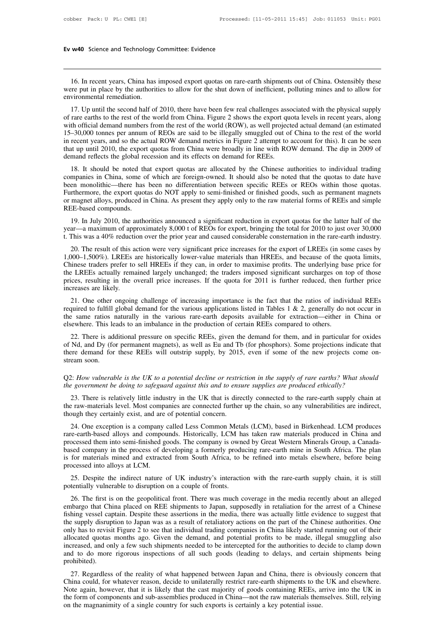16. In recent years, China has imposed export quotas on rare-earth shipments out of China. Ostensibly these<br>16. In recent years, China has imposed export quotas on rare-earth shipments out of China. Ostensibly these<br>the pu Ev w40 Science and Technology Committee: Evidence<br>
16. In recent years, China has imposed export quotas on rare-earth shipments out of China. Ostensibly these<br>
were put in place by the authorities to allow for the shut dow Ev w40 Science and Technology Committee: Evidence<br>
16. In recent years, China has imposed export quotas on rare-earth shipments out of China. Ostensibly these<br>
were put in place by the authorities to allow for the shut dow

16. In recent years, China has imposed export quotas on rare-earth shipments out of China. Ostensibly these<br>ree put in place by the authorities to allow for the shut down of inefficient, polluting mines and to allow for<br>vi 16. In recent years, China has imposed export quotas on rare-earth shipments out of China. Ostensibly these were put in place by the authorities to allow for the shut down of inefficient, polluting mines and to allow for e 16. In recent years, China has imposed export quotas on rare-earth shipments out of China. Ostensibly these were put in place by the authorities to allow for the shut down of inefficient, polluting mines and to allow for e 15–30,000 tonnes per annum of REOs are said to be illegally smuggled out of China. Ostensiony these were put in place by the authorities to allow for the shut down of inefficient, polluting mines and to allow for environme were put in place by the authorities to allow for the shift down of ineflictent, portuing innes and to allow for<br>environmental remediation.<br>17. Up until the second half of 2010, there have been few real challenges associat 17. Up until the second half of 2010, there have been few real challenges associated with the physical supply<br>of rare earths to the rest of the world from China. Figure 2 shows the export quota levels in recent years, alon of rare earths to the rest of the world from China. Figure 2 shows the export quota levels in recent years, along<br>with official demand numbers from the rest of the world (ROW), as well projected actual demand (an estimated The eatus to the rest of the world from China. Figure 2 shows the export quota levels in fecent years, along<br>th official demand numbers from the rest of the world (ROW), as well projected actual demand (an estimated<br>-30,00 With official defination funibles if off the ext of the world (KOW), as well projected actual definated and settinated 15–30,000 tonnes per annum of REOs are said to be illegally smuggled out of China to the rest of the wo

15–50,000 tollies per annull of KEOs are said to be inegally sindggled out of Clinia to the rest of the world<br>in recent years, and so the actual ROW demand metrics in Figure 2 attempt to account for this). It can be seen<br>t In recent years, and so the actual NOW definant inferits in Figure 2 attempt to account for this). It can be seen<br>that up until 2010, the export quotas from China were broadly in line with ROW demand. The dip in 2009 of<br>de or magnet alloys, produced in China. As present they apply only to the raw material forms of REEs and simple sention intervals. The up in 2009 of demand reflects the global recession and its effects on demand for REEs.<br>
18 definant reflects the global red<br>18. It should be noted the<br>companies in China, some of<br>been monolithic—there has<br>Furthermore, the export quots<br>or magnet alloys, produced in<br>REE-based compounds.<br>19. In July 2010, the autho 19. It should be hoted that export quotas are anocated by the Chinese authorities to murvidual trading<br>mpanies in China, some of which are foreign-owned. It should also be noted that the quotas to date have<br>en monolithic—t companies in China, some of which are foreign-owned. It should also be hoted that the quotas to date have<br>been monolithic—there has been no differentiation between specific REEs or REOs within those quotas.<br>Furthermore, th been mononinc—inete has been no unterentiation between specific KEEs of KEOs within those quotas.<br>Furthermore, the export quotas do NOT apply to semi-finished or finished goods, such as permanent magnets<br>or magnet alloys,

REE-based compounds.<br>
19. In July 2010, the authorities announced a significant reduction in export quotas for the latter half of the<br>
year—a maximum of approximately 8,000 t of REOs for export, bringing the total for 2010

REE-based compounds.<br>
19. In July 2010, the authorities announced a significant reduction in export quotas for the latter half of the<br>
year—a maximum of approximately 8,000 t of REOs for export, bringing the total for 2010 19. In July 2010, the authorities announced a significant reduction in export quotas for the latter half of the year—a maximum of approximately 8,000 t of REOs for export, bringing the total for 2010 to just over 30,000 t. For the LREEs actually remained a significant reduction in export quotas to the latter han of the pear—a maximum of approximately 8,000 t of REOs for export, bringing the total for 2010 to just over 30,000 t. This was a 4 prices, result of this action were very significant price increases for the export of LREEs (in some cases by 1,000–1,500%). LREEs are historically lower-value materials than HREEs, and because of the quota limits, Chinese 20. The result of this a  $1,000-1,500\%$ ). LREEs a Chinese traders prefer to the LREEs actually remains prices, resulting in the concreases are likely.<br>21. One other ongoing 20. The result of uns action were very significant price increases for the export of LKEEs (in some cases by<br>
200–1,500%). LREEs are historically lower-value materials than HREEs, and because of the quota limits,<br>
innese t 1,000–1,000–1,000–2,200%). EXEES are instorted prover-value materials than TREES, and decades of the quota films, Chinese traders prefer to sell HREEs if they can, in order to maximise profits. The underlying base price f

the LREEs actually remained largely unchanged; the traders imposed significant surcharges on top of those prices, resulting in the overall price increases. If the quota for 2011 is further reduced, then further price incre the EKEEs actually reliable largely unchanged, the tradets imposed significant sucharges on the prices, resulting in the overall price increases. If the quota for 2011 is further reduced, then fincreases are likely.<br>21. On 21. One other ongoing challenge of increasing importance is the fact that the ratios of individual REEs quired to fulfill global demand for the various applications listed in Tables 1 & 2, generally do not occur in e same 21. One other ongoing challenge of increasing importance is the fact that the ratios of individual REEs required to fulfill global demand for the various applications listed in Tables 1 & 2, generally do not occur in the

21. One onlet ongoing channelige of increasing importance is the fact that the ratios of individual KEEs<br>required to fulfill global demand for the various applications listed in Tables 1 & 2, generally do not occur in<br>the required to full the same ratios in<br>the same ratios in<br>elsewhere. This le<br>22. There is add<br>of Nd, and Dy (for<br>there demand for<br>stream soon.<br>O2: How vulneral Examples. This ideas to an initial<br>area in a production or detain tends conjugate to others.<br>Of Nd, and Dy (for permanent magnets), as well as Eu and Tb (for phosphors). Some projections indicate that<br>there demand for thes 22. There is additional pressure on specific REEs, given the demand for them, and in particular for oxides of Nd, and Dy (for permanent magnets), as well as Eu and Tb (for phosphors). Some projections indicate that there d

23. There is relatively little industrip supply, by 2015, even if some of the new projects come on-<br>2: How vulnerable is the UK to a potential decline or restriction in the supply of rare earths? What should<br>2 government b the raw-materials level. Most companies are connected further up the chain, so any vulnerable is the UK to a potential decline or restriction in the supply of rare earths? What should the government be doing to safeguard a Q2: How vulnerable is the UK to a potential decline or restrict<br>the government be doing to safeguard against this and to enst<br>23. There is relatively little industry in the UK that is dire<br>the raw-materials level. Most com

21. How vulnerable is the UK to a potential decline or restriction in the supply of rare earths? What should<br>2 government be doing to safeguard against this and to ensure supplies are produced ethically?<br>23. There is relat the government be doing to safeguard against this and to ensure supplies are produced ethically?<br>
23. There is relatively little industry in the UK that is directly connected to the rare-earth supply chain at<br>
the raw-mate 23. There is relatively little industry in the UK that is directly connected to the rare-earth supply chain at<br>the raw-materials level. Most companies are connected further up the chain, so any vulnerabilities are indirect 25. There is relatively little multisty in the OK that is directly connected to the rate-earth supply chain at<br>the raw-materials level. Most companies are connected further up the chain, so any vulnerabilities are indirect ine raw-inaterials level. Most companies are connected ruriner up the chain, so any vulnerabilities are indirect, though they certainly exist, and are of potential concern.<br>
24. One exception is a company called Less Commo mough they certainly exist, and are<br>
24. One exception is a company<br>
processed them into semi-finished g<br>
based company in the process of de<br>
is for materials mined and extracts<br>
processed into alloys at LCM.<br>
25. Despite 24. One exception is a company called Less Common Metas (LCM), based in Binkelmead. LCM produces<br>re-earth-based alloys and compounds. Historically, LCM has taken raw materials produced in China and<br>ocessed them into semi-f rate-earth-based anoys and compounds. This<br>containly, ECM has<br>processed them into semi-finished goods. The company is owned<br>based company in the process of developing a formerly produ<br>is for materials mined and extracted f

sed company in the process of developing a formerly producing rare-earth mine in South Africa. The plan<br>for materials mined and extracted from South Africa, to be refined into metals elsewhere, before being<br>ocessed into al is for materials mined and extracted from South Africa, to be refined into metals elsewhere, before being<br>processed into alloys at LCM.<br>25. Despite the indirect nature of UK industry's interaction with the rare-earth suppl processed into alloys at LCM.<br>
25. Despite the indirect nature of UK industry's interaction with the rare-earth supply chain, it is still<br>
potentially vulnerable to disruption on a couple of fronts.<br>
26. The first is on th 25. Despite the indirect nature of UK industry's interaction with the rare-earth supply chain, it is still<br>potentially vulnerable to disruption on a couple of fronts.<br>26. The first is on the geopolitical front. There was m 25. Despite the indirect nature of OK industry's interaction while trans-earth supply chain, it is sun<br>potentially vulnerable to disruption on a couple of fronts.<br>26. The first is on the geopolitical front. There was much potentially vulnerable to distuption on a couple of fionts.<br>26. The first is on the geopolitical front. There was much coverage in the media recently about an alleged<br>embargo that China placed on REE shipments to Japan, su 26. The first is on the geopolitical front. There was much coverage in the media recently about an alleged embargo that China placed on REE shipments to Japan, supposedly in retaliation for the arrest of a Chinese fishing embargo that China placed on REE shipments to Japan, supposedly in retaliation for the arrest of a Chinese fishing vessel captain. Despite these assertions in the media, there was actually little evidence to suggest that t prohibited). Example is supply unstription to Japan was as a result of retainatory actions on the part of the cinnese autionties. One<br>ly has to revisit Figure 2 to see that individual trading companies in China likely started running o The allocated quotas months ago. Given the demand, and potential profits to be made, illegal smuggling also increased, and only a few such shipments needed to be intercepted for the authorities to decide to clamp down and

anocated quotas months ago. Given the definant, and potential promis to be made, megal sinugging also<br>increased, and only a few such shipments needed to be intercepted for the authorities to decide to clamp down<br>and to do Increased, and omy a rew such simplinents needed to be intercepted for the admorties to decide to claimp down<br>and to do more rigorous inspections of all such goods (leading to delays, and certain shipments being<br>prohibited and to do liber hypotos inspections of an such goods (leading to delays, and certa<br>prohibited).<br>27. Regardless of the reality of what happened between Japan and China, there is ob-<br>China could, for whatever reason, decide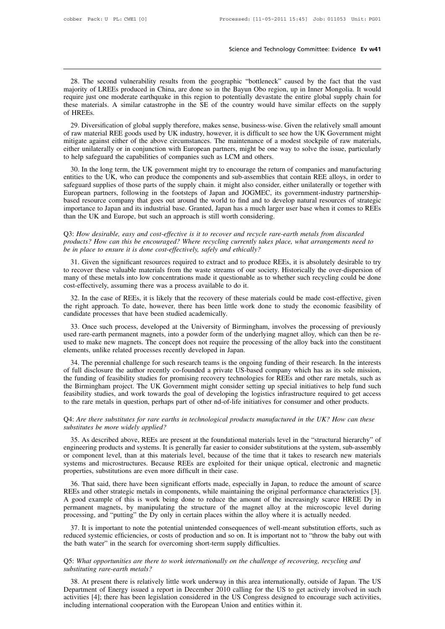Science and Technology Committee: Evidence Ev w41<br>28. The second vulnerability results from the geographic "bottleneck" caused by the fact that the vast<br>ajority of LREEs produced in China, are done so in the Bayun Obo regi Science and Technology Committee: Evidence Ev w41<br>28. The second vulnerability results from the geographic "bottleneck" caused by the fact that the vast<br>majority of LREEs produced in China, are done so in the Bayun Obo reg Science and Technology Committee: Evidence Ev w41<br>28. The second vulnerability results from the geographic "bottleneck" caused by the fact that the vast<br>majority of LREEs produced in China, are done so in the Bayun Obo reg 28. The second vulnerability results from the geographic "bottleneck" caused by the fact that the vast<br>majority of LREEs produced in China, are done so in the Bayun Obo region, up in Inner Mongolia. It would<br>require just o 28. The secon majority of LRE<br>require just one<br>these materials.<br>of HREEs.<br>29. Diversifica 28. The second vulnerability results from the geographic "bottleneck" caused by the fact that the vast<br>ajority of LREEs produced in China, are done so in the Bayun Obo region, up in Inner Mongolia. It would<br>quire just one 26. The second vulnerability results from the geographic bottleneck caused by the ract that the vast<br>majority of LREEs produced in China, are done so in the Bayun Obo region, up in Inner Mongolia. It would<br>require just one

majority of EKEEs produced in China, are done so in the Bayun Ooo region, up in finite Mongona. It would<br>require just one moderate earthquake in this region to potentially devastate the entire global supply chain for<br>these eighter just one moderate earing that in this region to potentially devastate the einite grootal supply chain for<br>these materials. A similar catastrophe in the SE of the country would have similar effects on the supply<br>of these materials. A similar catastropile in the SE of the country would have<br>of HREEs.<br>29. Diversification of global supply therefore, makes sense, business-wise. G<br>of raw material REE goods used by UK industry, however, it 29. Diversification of global supply therefore, makes sense, business-wise. Given the relatively small amount<br>raw material REE goods used by UK industry, however, it is difficult to see how the UK Government might<br>tigate a 29. Diversincation of global supply interefore, makes sense, business-wise. Given the relatively sinan amount<br>of raw material REE goods used by UK industry, however, it is difficult to see how the UK Government might<br>mitig

or taw material KEE goots used by OK mutstry, nowever, it is difficult to see now the OK Government inight<br>mitigate against either of the above circumstances. The maintenance of a modest stockpile of raw materials,<br>either European partners, following in the footsteps of Japan has a much larger user base when it comes to Allementary<br>to help safeguard the capabilities of companies such as LCM and others.<br>30. In the long term, the UK governmen Ether unlaterally of in conjunction with European partiers, hight be one way to solve the issue, particularly<br>to help safeguard the capabilities of companies such as LCM and others.<br>30. In the long term, the UK government importance to Japan and its industrial base. Granted, Japan has a much larger user base when it comes to REEs than the UK and Europe the components and sub-assemblies that contain REE alloys, in order to safeguard supplies 30. In the long term, the UK government might try to encourage the return o entities to the UK, who can produce the components and sub-assemblies that safeguard supplies of those parts of the supply chain. it might also c safeguard supplies of those parts of the supply chain. it might also consider, either unilaterally or together with<br>European partners, following in the footsteps of Japan and JOGMEC, its government-industry partnership-<br>ba *Puropean partners, following in the footsteps of Japan and JOGMEC, its government-industry partnership-*<br>based resource company that goes out around the world to find and to develop natural resources of strategic<br>importan

## *be in portance to Japan and its industrial base. Granted, Japan has a much larger user base when it comes to REEs*<br> *be in and Europe, but such an approach is still worth considering.*<br> *Q3: How desirable, easy and cost-e*

31. Given the significant resources required to extract and to produce REEs, it is absolutely desirable to try<br>31. Given this be encouraged? Where recycling currently takes place, what arrangements need to<br>31. Given the si The recover these valuable, easy and cost-effective is it to recover and recycle rare-earth metals from discarded products? How can this be encouraged? Where recycling currently takes place, what arrangements need to be in Q3: How desirable, easy and cost-effective is it to recover and recycle rare-earth metals from discarded<br>products? How can this be encouraged? Where recycling currently takes place, what arrangements need to<br>be in place to many of these metals into low concentrations made it questionable as to whether such recycling could be done cost-effectively, assuming there was a process available to do it.<br>32. In the case of REEs, it is likely that the in place to ensure it is done cost-effectively, safely and ethically?<br>31. Given the significant resources required to extract and to produce REEs, it is absolutely desirable to try<br>recover these valuable materials from the 31. Given the significant resources required to extract and to produce REEs, it is absolutely desirable to try<br>to recover these valuable materials from the waste streams of our society. Historically the over-dispersion of<br> 31. Given the significant resources required to extract and to<br>to recover these valuable materials from the waste streams of<br>many of these metals into low concentrations made it question<br>cost-effectively, assuming there wa

my of these metals into low concentrations made it questionable as to whether such recycling could be done st-effectively, assuming there was a process available to do it.<br>32. In the case of REEs, it is likely that the rec cost-effectively, assuming there was a process available to do it.<br>32. In the case of REEs, it is likely that the recovery of these materials could be made cost-effective, given<br>the right approach. To date, however, there 32. In the case of REEs, it is likely that the recovery of these materials could be made cost-effective, given<br>the right approach. To date, however, there has been little work done to study the economic feasibility of<br>cand Elements, it is likely that the recovery of these matches right approach. To date, however, there has been little work d candidate processes that have been studied academically.<br>33. Once such process, developed at the Univ indidate processes that have been studied academically.<br>
33. Once such process, developed at the University of Birmingham, involves the processing of previously<br>
ed rare-earth permanent magnets, into a powder form of the u 33. Once such process, developed at the University of Birmingham, involves the processing of previously used rare-earth permanent magnets, into a powder form of the underlying magnet alloy, which can then be re-<br>used to ma

The such process, developed at the University of Britannian, involves the processing of previously used rare-earth permanent magnets, into a powder form of the underlying magnet alloy, which can then be reused to make new The Birmingham perinsies, the act power form of the underlying magnet anoy, which can then be re-<br>used to make new magnets. The concept does not require the processing of the alloy back into the constituent<br>elements, unlik dependent to make hew magnets. The concept does not require the processing of the anoy back into the constituent<br>elements, unlike related processes recently developed in Japan.<br>34. The perennial challenge for such research elements, unlike related processes recently developed in Japan.<br>34. The perennial challenge for such research teams is the ongoing funding of their research. In the interests<br>of full disclosure the author recently co-found of full disclosure the author recently co-founded a private US-based company which has as its sole mission, the funding of feasibility studies for promising recovery technologies for REEs and other rare metals, such as the

## *substitutes in question, perhaps part of other nd-of-life initiatives for consumer and other products.*<br> *Q4: Are there substitutes for rare earths in technological products manufactured in the UK? How can these*<br> *substi*

35. As described above, REEs are present at the foundational materials level in the UK? How can these stability studies, and work towards the goal of developing the logistics infrastructure required to get access the rare to the rare metals in question, perhaps part of other nd-of-life initiatives for consumer and other products.<br>
Q4: *Are there substitutes for rare earths in technological products manufactured in the UK? How can these<br>
sub* or and the embedded in problem, produce the time the time through that the time than the substitutes be more widely applied?<br>
35. As described above, REEs are present at the foundational materials level in the "structural Q4: *Are there substitutes for rare earths in technological products manufactured in the UK? How can these substitutes be more widely applied?*<br>35. As described above, REEs are present at the foundational materials level or component level, than at this materials level, because of the time that it takes to research new materials<br>systems and microstructures. Because REEs are exploited for their unique optical, electronic and magnetic<br>proper 35. As described above, REEs are present at the foundational materials level in the "structural hierarchy" of gineering products and systems. It is generally far easier to consider substitutions at the system, sub-assembly 35. As described above, KEEs are present at the foundational materials fever in the structural inefarcity of engineering products and systems. It is generally far easier to consider substitutions at the system, sub-assembl

Engineering products and systems. It is generally rat easter to consider substitutions at the system, sub-assembly<br>or component level, than at this materials level, because of the time that it takes to research new materia permanent magnets, by manipulating the structure of the magnetic structure of the microstructures. Because REEs are exploited for their unique optical, electronic and magnetic properties, substitutions are even more diffic systems and incrosulations. Because REEs are explored for their dinque optical, electronic and mag<br>properties, substitutions are even more difficult in their case.<br>REEs and other strategic metals in components, while maint 36. That said, there have been significant efforts made, especially in Japan, to reduce the amount of scarce EEs and other strategic metals in components, while maintaining the original performance characteristics [3]. goo Fig. 20. That sate, there have been significant efforts made, espectarly in Japan, to feddee the amount of scate REEs and other strategic metals in components, while maintaining the original performance characteristics [3] A good example of this is work being done to reduce the amount of the incrementant magnets, by manipulating the structure of the magnet alloy at the processing, and "putting" the Dy only in certain places within the alloy

processing, and "putting" the Dy only in certain places within the alloy where it is actually needed.<br>
37. It is important to note the potential unintended consequences of well-meant substitution efforts, such as<br>
reduced processing, and "putting" the Dy only in certain places within the alloy where it is actually needed.<br>
37. It is important to note the potential unintended consequences of well-meant substitution efforts, such as<br>
reduced

Solution and so on. It is important not to "throw the baby out with<br>
28. Buth water" in the search for overcoming short-term supply difficulties.<br>
38. At present there is relatively little work underway in this area intern The bath water" in the search for overcoming short-term supply difficulties.<br>
Q5: What opportunities are there to work internationally on the challenge of recovering, recycling and<br>
substituting rare-earth metals?<br>
38. At 26: What opportunities are there to work internationally on the challenge of recovering, recycling and substituting rare-earth metals?<br>38. At present there is relatively little work underway in this area internationally, o Q5: What opportunities are there to work internationally on the challenge of recovs substituting rare-earth metals?<br>38. At present there is relatively little work underway in this area internationally Department of Energy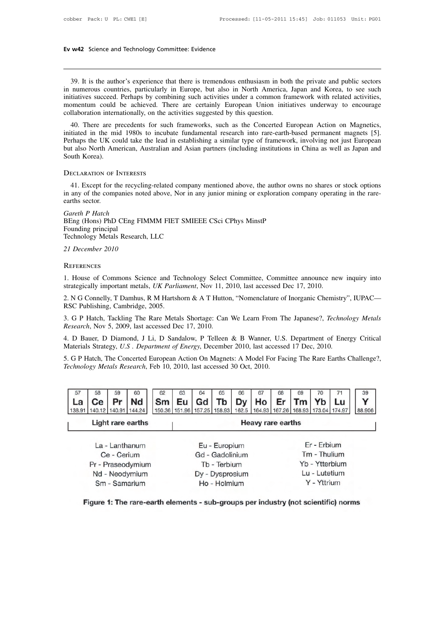39. It is the author's experience that there is tremendous enthusiasm in both the private and public sectors<br>39. It is the author's experience that there is tremendous enthusiasm in both the private and public sectors<br>19. **EV W42** Science and Technology Committee: Evidence<br> **in 1999**. It is the author's experience that there is tremendous enthusiasm in both the private and public sectors<br>
in numerous countries, particularly in Europe, but a **Ev w42** Science and Technology Committee: Evidence<br> **Ev w42** Science and Technology Committee: Evidence<br> **EVALUATE:** The private and public sectors<br>
in numerous countries, particularly in Europe, but also in North America 39. It is the author's experience that there is tremendous enthusiasm in both the private and public sectors<br>in numerous countries, particularly in Europe, but also in North America, Japan and Korea, to see such<br>initiative 39. It is the author's experience that there is tremendous enthusiasm in bot<br>in numerous countries, particularly in Europe, but also in North America,<br>initiatives succeed. Perhaps by combining such activities under a commo 39. It is the author's experience that there is tremendous enthusiasm in both the private and public sectors<br>numerous countries, particularly in Europe, but also in North America, Japan and Korea, to see such<br>tiatives succ For the middle in the middle is the middle in the middle provate and public sectors<br>in numerous countries, particularly in Europe, but also in North America, Japan and Korea, to see such<br>initiatives succeed. Perhaps by com

In indifferent scounties, particularly in Europe, but also in North America, Japan and Notea, to see such<br>initiatives succeed. Perhaps by combining such activities under a common framework with related activities,<br>momentum minatives succeed. Fernaps by combining such activities under a common framework with related activities, momentum could be achieved. There are certainly European Union initiatives underway to encourage collaboration inter momentum could be achieved. The<br>collaboration internationally, on the ac<br>40. There are precedents for such<br>initiated in the mid 1980s to incubat<br>Perhaps the UK could take the lead in<br>but also North American, Australian a<br>S Happy the UK could take the lead in establishing a similar type of framework, involving not just European t also North American, Australian and Asian partners (including institutions in China as well as Japan and uth Korea

in any of the companies noted above, Nor in any junior mining or exploration company operating in the rare-<br>and South Korea).<br>DECLARATION OF INTERESTS<br>41. Except for the recycling-related company mentioned above, the autho South Korea).<br>DECLARATION OF 1<br>41. Except for t<br>in any of the compearths sector.<br>Gareth P Hatch

**DECLARATION OF INTEREST**<br>41. Except for the recyclin any of the companies no<br>earths sector.<br>*Gareth P Hatch*<br>BEng (Hons) PhD CEng F.<br>Founding principal DECLARATION OF INTERESTS<br>
41. Except for the recycling-related company mentioned above, the author owns<br>
in any of the companies noted above, Nor in any junior mining or exploration con<br>
earths sector.<br> *Gareth P Hatch*<br>
B 41. Except for the recy<br>in any of the companies<br>earths sector.<br>Gareth P Hatch<br>BEng (Hons) PhD CEng<br>Founding principal<br>Technology Metals Resea 41. Except for the recycling-related company in<br>in any of the companies noted above, Nor in any<br>earths sector.<br>Gareth P Hatch<br>BEng (Hons) PhD CEng FIMMM FIET SMIEEE<br>Founding principal<br>Technology Metals Research, LLC<br>21 Dec *21 December 2010*<br> *21 December 2010*<br> *21 December 2010*<br> **21 December 2010**<br> **21 December 2010**<br> **REFERENCES** 

Sm - Samarium

## **REFERENCES**

Founding principal<br>
21 December 2010<br>
21 December 2010<br>
1. House of Commons Science and Technology Select Committee, Committee announce new inquiry into<br>
strategically important metals, *UK Parliament*, Nov 11, 2010, last Technology Metals Research, LLC<br>
21 December 2010<br>
REFERENCES<br>
1. House of Commons Science and Technology Select Committee, Committee announce new<br>
strategically important metals, *UK Parliament*, Nov 11, 2010, last access

21 December 2010<br>
REFERENCES<br>
1. House of Commons Science and Technology Select Committee, Committee announce new inquiry into<br>
strategically important metals, *UK Parliament*, Nov 11, 2010, last accessed Dec 17, 2010.<br>
2. REFERENCES<br>1. House of Commons Science and Testrategically important metals, *UK Parlid*<br>2. N G Connelly, T Damhus, R M Hartsh<br>RSC Publishing, Cambridge, 2005.<br>3. G P Hatch, Tackling The Rare Metal 1. House of Commons Science and Technology Select<br>strategically important metals, *UK Parliament*, Nov 11, 2<br>2. N G Connelly, T Damhus, R M Hartshorn & A T Hutto<br>RSC Publishing, Cambridge, 2005.<br>3. G P Hatch, Tackling The 2. N G Connelly, T Damhus, R M Hartshorn & A T Hutton, "Nomenclature of Inorganic Chemistry"<br>
RSC Publishing, Cambridge, 2005.<br>
3. G P Hatch, Tackling The Rare Metals Shortage: Can We Learn From The Japanese?, *Technol*<br>

1. House of Commons Science and Technology Select Committee, Committee announce new inquiry into<br>strategically important metals, *UK Parliament*, Nov 11, 2010, last accessed Dec 17, 2010.<br>2. N G Connelly, T Damhus, R M Har **The Same State State State Shortage: Can We Learn From The Japanese?,** *Technology Metals Research***, Nov 5, 2009, last accessed Dec 17, 2010.<br>
<b>4. D Bauer, D Diamond, J Li, D Sandalow, P Telleen & B Wanner, U.S. Department** 

2. N G Connelly, T Damhus, R M Hartshorn & A T Hutton, "Nomenclature of Inorganic Chemistry", IUPAC—<br>RSC Publishing, Cambridge, 2005.<br>3. G P Hatch, Tackling The Rare Metals Shortage: Can We Learn From The Japanese?, *Techn* 3. G P Hatch, Tackling The Rare Metals Shortage: Can We Learn From The Japanese?, *Technology Metals Research*, Nov 5, 2009, last accessed Dec 17, 2010.<br>4. D Bauer, D Diamond, J Li, D Sandalow, P Telleen & B Wanner, U.S. D



Figure 1: The rare-earth elements - sub-groups per industry (not scientific) norms

Ho - Holmium

Y - Yttrium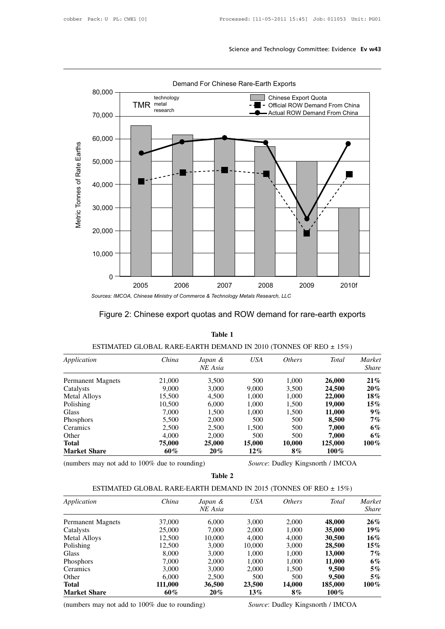

## Figure 2: Chinese export quotas and ROW demand for rare-earth exports

|                                               |                                                                      | Table 1            |            |               |                                   |                               |
|-----------------------------------------------|----------------------------------------------------------------------|--------------------|------------|---------------|-----------------------------------|-------------------------------|
|                                               | ESTIMATED GLOBAL RARE-EARTH DEMAND IN 2010 (TONNES OF REO $\pm$ 15%) |                    |            |               |                                   |                               |
| Application                                   | China                                                                | Japan &<br>NE Asia | <b>USA</b> | <i>Others</i> | <b>Total</b>                      | <i>Market</i><br><i>Share</i> |
| <b>Permanent Magnets</b>                      | 21,000                                                               | 3,500              | 500        | 1,000         | 26,000                            | $21\%$                        |
| Catalysts                                     | 9,000                                                                | 3,000              | 9,000      | 3,500         | 24,500                            | $20\%$                        |
| <b>Metal Alloys</b>                           | 15,500                                                               | 4,500              | 1,000      | 1,000         | 22,000                            | $18\%$                        |
| Polishing                                     | 10,500                                                               | 6,000              | 1,000      | 1,500         | 19,000                            | $15\%$                        |
| Glass                                         | 7,000                                                                | 1,500              | 1,000      | 1,500         | 11,000                            | $9\%$                         |
| Phosphors                                     | 5,500                                                                | 2,000              | 500        | 500           | 8,500                             | $7\%$                         |
| Ceramics                                      | 2,500                                                                | 2,500              | 1,500      | 500           | 7,000                             | 6%                            |
| Other                                         | 4,000                                                                | 2,000              | 500        | 500           | 7,000                             | 6%                            |
| Total                                         | 75,000                                                               | 25,000             | 15,000     | 10,000        | 125,000                           | $100\%$                       |
| <b>Market Share</b>                           | 60%                                                                  | $20\%$             | $12\%$     | $8\%$         | $100\%$                           |                               |
| (numbers may not add to 100% due to rounding) |                                                                      |                    |            |               | Source: Dudley Kingsnorth / IMCOA |                               |
|                                               |                                                                      | Table 2            |            |               |                                   |                               |

| <b>Market Share</b>                           | $60\%$                                                               | 20%                | $12\%$ | $8\%$         | $100\%$                                  |                        |
|-----------------------------------------------|----------------------------------------------------------------------|--------------------|--------|---------------|------------------------------------------|------------------------|
| (numbers may not add to 100% due to rounding) |                                                                      |                    |        |               | <i>Source:</i> Dudley Kingsnorth / IMCOA |                        |
|                                               |                                                                      | Table 2            |        |               |                                          |                        |
|                                               | ESTIMATED GLOBAL RARE-EARTH DEMAND IN 2015 (TONNES OF REO $\pm$ 15%) |                    |        |               |                                          |                        |
| Application                                   | China                                                                | Japan &<br>NE Asia | USA    | <i>Others</i> | Total                                    | Market<br><b>Share</b> |
| <b>Permanent Magnets</b>                      | 37,000                                                               | 6,000              | 3,000  | 2,000         | 48,000                                   | $26\%$                 |
| Catalysts                                     | 25,000                                                               | 7,000              | 2,000  | 1,000         | <b>35,000</b>                            | $19\%$                 |
| Metal Alloys                                  | 12,500                                                               | 10,000             | 4,000  | 4,000         | 30,500                                   | $16\%$                 |
| Polishing                                     | 12,500                                                               | 3,000              | 10,000 | 3,000         | 28,500                                   | $15\%$                 |
| Glass                                         | 8,000                                                                | 3,000              | 1,000  | 1,000         | <b>13,000</b>                            | 7%                     |
| Phosphors                                     | 7,000                                                                | 2,000              | 1.000  | 1,000         | 11,000                                   | 6%                     |
| Ceramics                                      | 3,000                                                                | 3,000              | 2,000  | 1,500         | 9,500                                    | 5%                     |
| Other                                         | 6,000                                                                | 2,500              | 500    | 500           | 9,500                                    | 5%                     |
| Total                                         | 111,000                                                              | 36,500             | 23,500 | 14,000        | 185,000                                  | $100\%$                |
| <b>Market Share</b>                           | 60%                                                                  | $20\%$             | $13\%$ | $8\%$         | $100\%$                                  |                        |